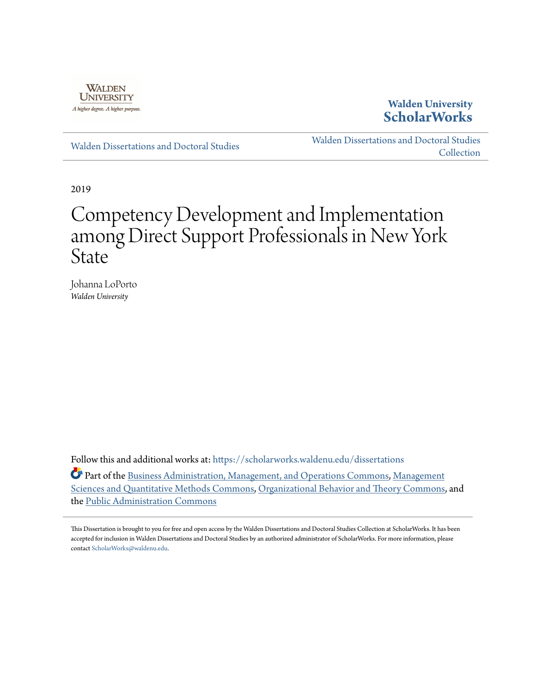

# **Walden University [ScholarWorks](https://scholarworks.waldenu.edu?utm_source=scholarworks.waldenu.edu%2Fdissertations%2F6607&utm_medium=PDF&utm_campaign=PDFCoverPages)**

[Walden Dissertations and Doctoral Studies](https://scholarworks.waldenu.edu/dissertations?utm_source=scholarworks.waldenu.edu%2Fdissertations%2F6607&utm_medium=PDF&utm_campaign=PDFCoverPages)

[Walden Dissertations and Doctoral Studies](https://scholarworks.waldenu.edu/dissanddoc?utm_source=scholarworks.waldenu.edu%2Fdissertations%2F6607&utm_medium=PDF&utm_campaign=PDFCoverPages) [Collection](https://scholarworks.waldenu.edu/dissanddoc?utm_source=scholarworks.waldenu.edu%2Fdissertations%2F6607&utm_medium=PDF&utm_campaign=PDFCoverPages)

2019

# Competency Development and Implementation among Direct Support Professionals in New York State

Johanna LoPorto *Walden University*

Follow this and additional works at: [https://scholarworks.waldenu.edu/dissertations](https://scholarworks.waldenu.edu/dissertations?utm_source=scholarworks.waldenu.edu%2Fdissertations%2F6607&utm_medium=PDF&utm_campaign=PDFCoverPages)

Part of the [Business Administration, Management, and Operations Commons](http://network.bepress.com/hgg/discipline/623?utm_source=scholarworks.waldenu.edu%2Fdissertations%2F6607&utm_medium=PDF&utm_campaign=PDFCoverPages), [Management](http://network.bepress.com/hgg/discipline/637?utm_source=scholarworks.waldenu.edu%2Fdissertations%2F6607&utm_medium=PDF&utm_campaign=PDFCoverPages) [Sciences and Quantitative Methods Commons](http://network.bepress.com/hgg/discipline/637?utm_source=scholarworks.waldenu.edu%2Fdissertations%2F6607&utm_medium=PDF&utm_campaign=PDFCoverPages), [Organizational Behavior and Theory Commons](http://network.bepress.com/hgg/discipline/639?utm_source=scholarworks.waldenu.edu%2Fdissertations%2F6607&utm_medium=PDF&utm_campaign=PDFCoverPages), and the [Public Administration Commons](http://network.bepress.com/hgg/discipline/398?utm_source=scholarworks.waldenu.edu%2Fdissertations%2F6607&utm_medium=PDF&utm_campaign=PDFCoverPages)

This Dissertation is brought to you for free and open access by the Walden Dissertations and Doctoral Studies Collection at ScholarWorks. It has been accepted for inclusion in Walden Dissertations and Doctoral Studies by an authorized administrator of ScholarWorks. For more information, please contact [ScholarWorks@waldenu.edu](mailto:ScholarWorks@waldenu.edu).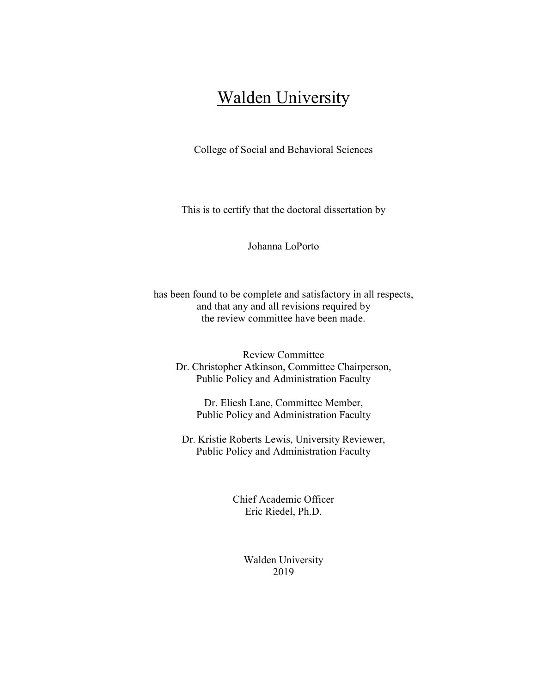# **Walden University**

College of Social and Behavioral Sciences

This is to certify that the doctoral dissertation by

Johanna LoPorto

has been found to be complete and satisfactory in all respects, and that any and all revisions required by the review committee have been made.

Review Committee Dr. Christopher Atkinson, Committee Chairperson, Public Policy and Administration Faculty

Dr. Eliesh Lane, Committee Member, Public Policy and Administration Faculty

Dr. Kristie Roberts Lewis, University Reviewer, Public Policy and Administration Faculty

> Chief Academic Officer Eric Riedel, Ph.D.

> > Walden University 2019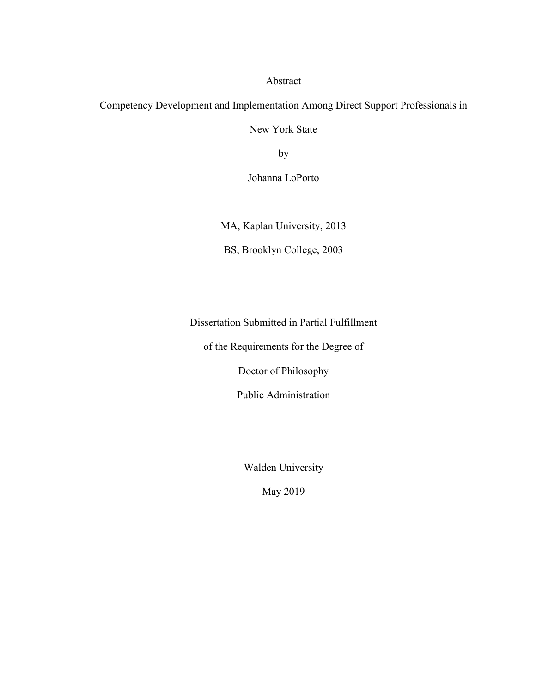Abstract

Competency Development and Implementation Among Direct Support Professionals in

New York State

by

Johanna LoPorto

MA, Kaplan University, 2013

BS, Brooklyn College, 2003

Dissertation Submitted in Partial Fulfillment

of the Requirements for the Degree of

Doctor of Philosophy

Public Administration

Walden University

May 2019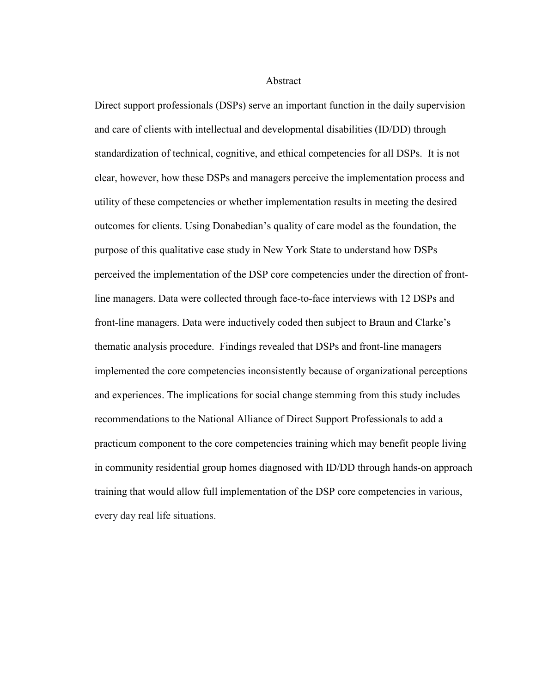Abstract

Direct support professionals (DSPs) serve an important function in the daily supervision and care of clients with intellectual and developmental disabilities (ID/DD) through standardization of technical, cognitive, and ethical competencies for all DSPs. It is not clear, however, how these DSPs and managers perceive the implementation process and utility of these competencies or whether implementation results in meeting the desired outcomes for clients. Using Donabedian's quality of care model as the foundation, the purpose of this qualitative case study in New York State to understand how DSPs perceived the implementation of the DSP core competencies under the direction of frontline managers. Data were collected through face-to-face interviews with 12 DSPs and front-line managers. Data were inductively coded then subject to Braun and Clarke's thematic analysis procedure. Findings revealed that DSPs and front-line managers implemented the core competencies inconsistently because of organizational perceptions and experiences. The implications for social change stemming from this study includes recommendations to the National Alliance of Direct Support Professionals to add a practicum component to the core competencies training which may benefit people living in community residential group homes diagnosed with ID/DD through hands-on approach training that would allow full implementation of the DSP core competencies in various, every day real life situations.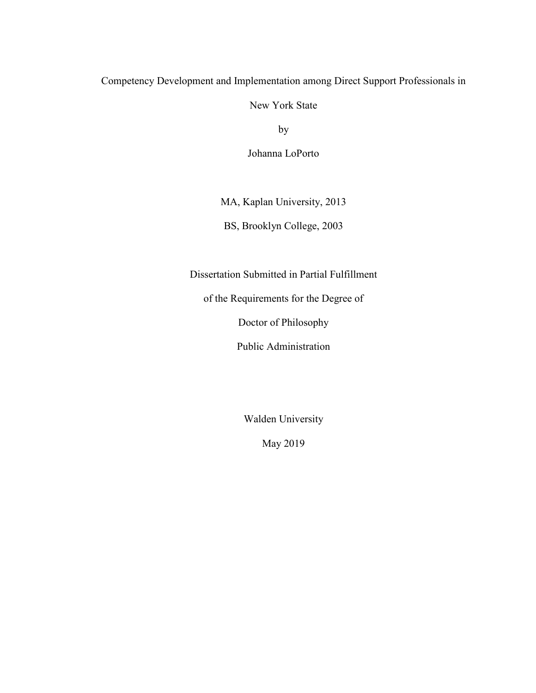# Competency Development and Implementation among Direct Support Professionals in

New York State

by

Johanna LoPorto

MA, Kaplan University, 2013

BS, Brooklyn College, 2003

Dissertation Submitted in Partial Fulfillment

of the Requirements for the Degree of

Doctor of Philosophy

Public Administration

Walden University

May 2019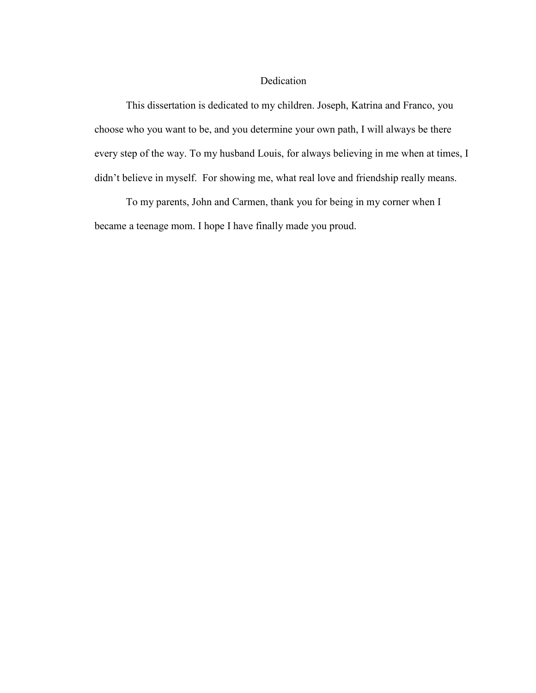# Dedication

This dissertation is dedicated to my children. Joseph, Katrina and Franco, you choose who you want to be, and you determine your own path, I will always be there every step of the way. To my husband Louis, for always believing in me when at times, I didn't believe in myself. For showing me, what real love and friendship really means.

To my parents, John and Carmen, thank you for being in my corner when I became a teenage mom. I hope I have finally made you proud.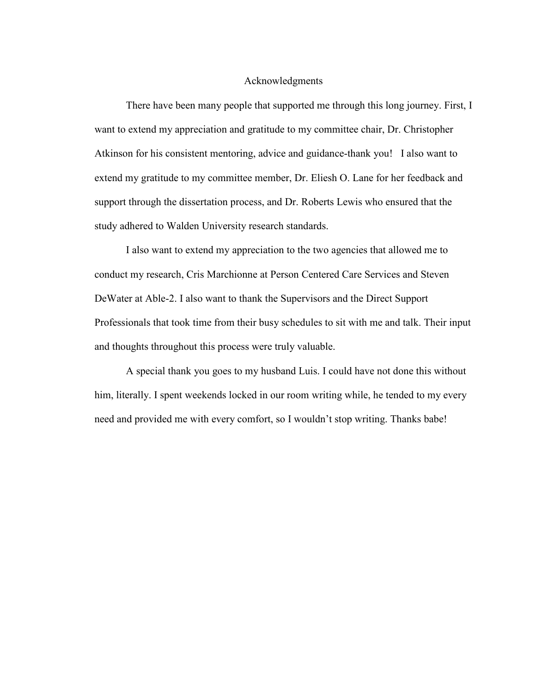## Acknowledgments

There have been many people that supported me through this long journey. First, I want to extend my appreciation and gratitude to my committee chair, Dr. Christopher Atkinson for his consistent mentoring, advice and guidance-thank you! I also want to extend my gratitude to my committee member, Dr. Eliesh O. Lane for her feedback and support through the dissertation process, and Dr. Roberts Lewis who ensured that the study adhered to Walden University research standards.

I also want to extend my appreciation to the two agencies that allowed me to conduct my research, Cris Marchionne at Person Centered Care Services and Steven DeWater at Able-2. I also want to thank the Supervisors and the Direct Support Professionals that took time from their busy schedules to sit with me and talk. Their input and thoughts throughout this process were truly valuable.

A special thank you goes to my husband Luis. I could have not done this without him, literally. I spent weekends locked in our room writing while, he tended to my every need and provided me with every comfort, so I wouldn't stop writing. Thanks babe!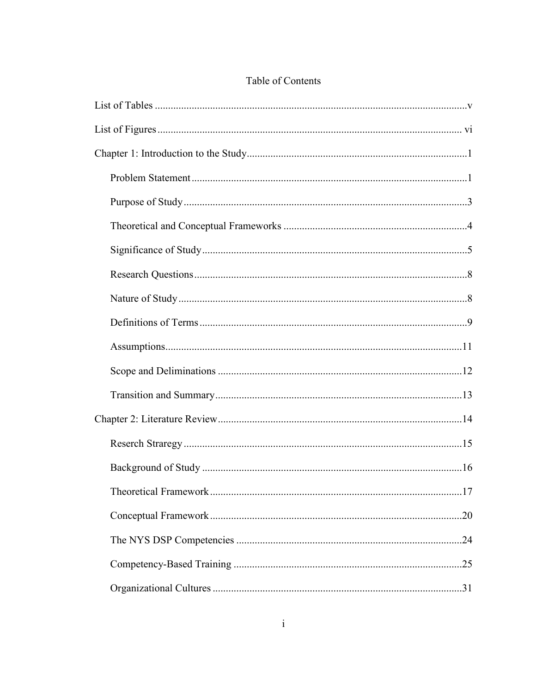# Table of Contents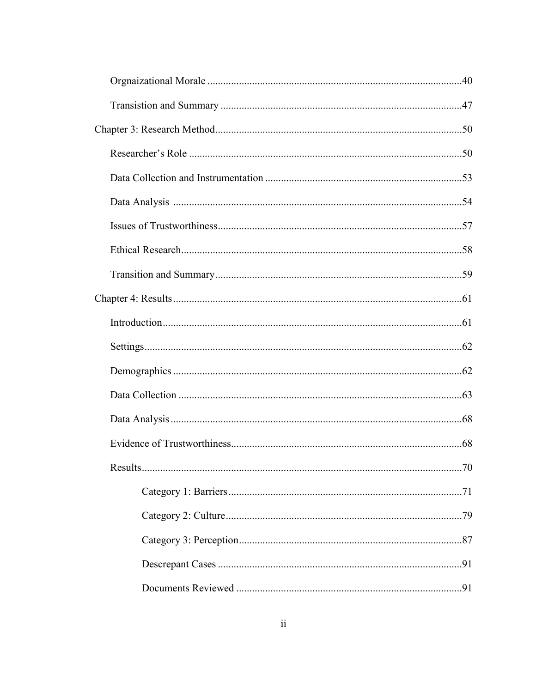| Results |  |
|---------|--|
|         |  |
|         |  |
|         |  |
|         |  |
|         |  |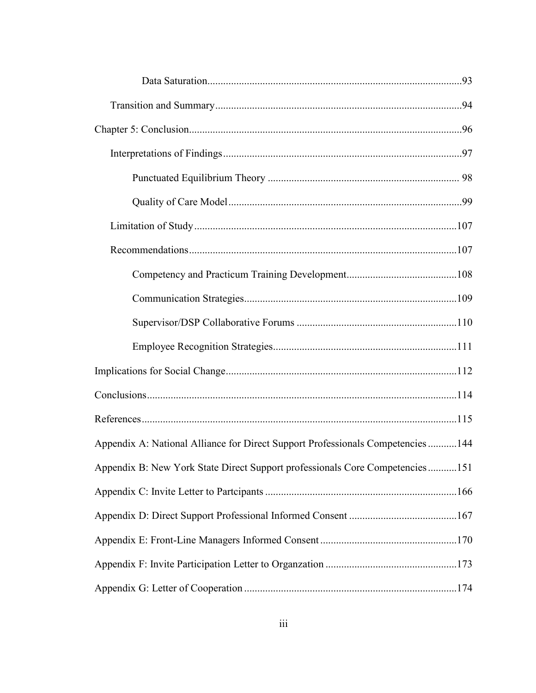| Appendix A: National Alliance for Direct Support Professionals Competencies  144 |  |  |  |
|----------------------------------------------------------------------------------|--|--|--|
| Appendix B: New York State Direct Support professionals Core Competencies151     |  |  |  |
|                                                                                  |  |  |  |
|                                                                                  |  |  |  |
|                                                                                  |  |  |  |
|                                                                                  |  |  |  |
|                                                                                  |  |  |  |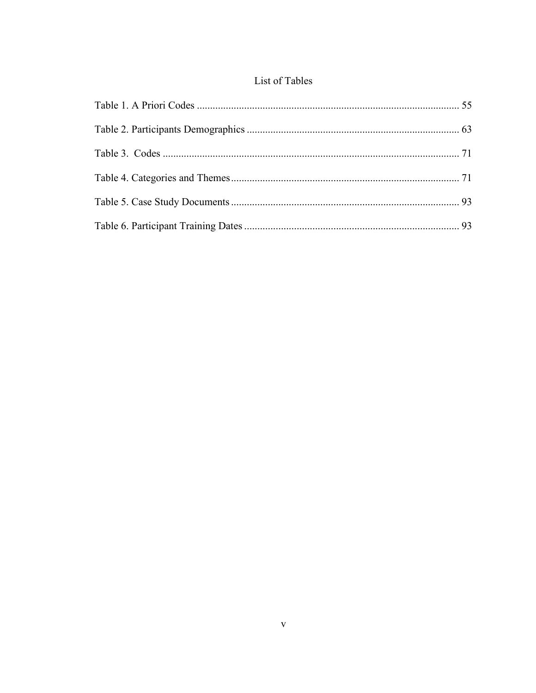# List of Tables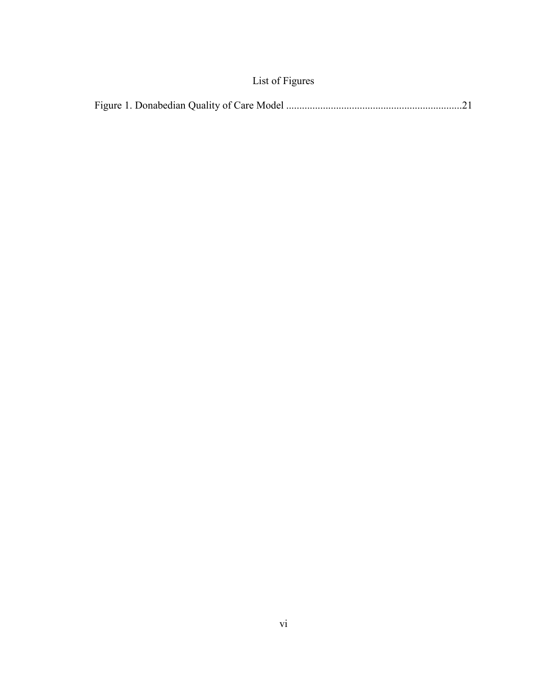|--|--|--|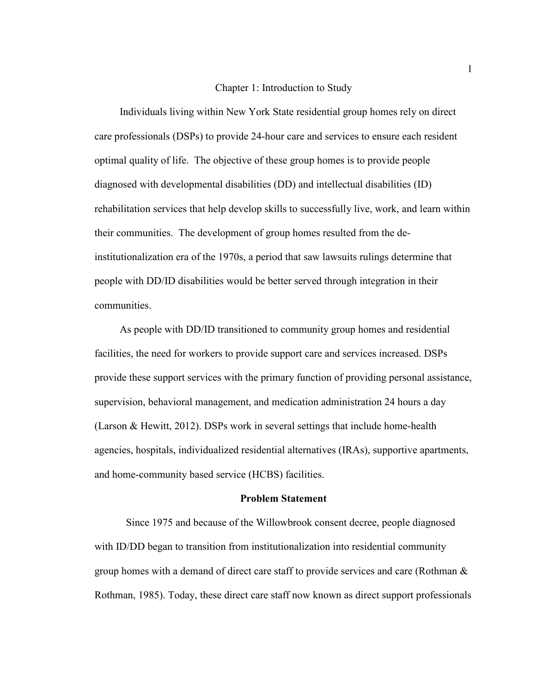#### Chapter 1: Introduction to Study

Individuals living within New York State residential group homes rely on direct care professionals (DSPs) to provide 24-hour care and services to ensure each resident optimal quality of life. The objective of these group homes is to provide people diagnosed with developmental disabilities (DD) and intellectual disabilities (ID) rehabilitation services that help develop skills to successfully live, work, and learn within their communities. The development of group homes resulted from the deinstitutionalization era of the 1970s, a period that saw lawsuits rulings determine that people with DD/ID disabilities would be better served through integration in their communities.

 As people with DD/ID transitioned to community group homes and residential facilities, the need for workers to provide support care and services increased. DSPs provide these support services with the primary function of providing personal assistance, supervision, behavioral management, and medication administration 24 hours a day (Larson & Hewitt, 2012). DSPs work in several settings that include home-health agencies, hospitals, individualized residential alternatives (IRAs), supportive apartments, and home-community based service (HCBS) facilities.

### **Problem Statement**

Since 1975 and because of the Willowbrook consent decree, people diagnosed with ID/DD began to transition from institutionalization into residential community group homes with a demand of direct care staff to provide services and care (Rothman & Rothman, 1985). Today, these direct care staff now known as direct support professionals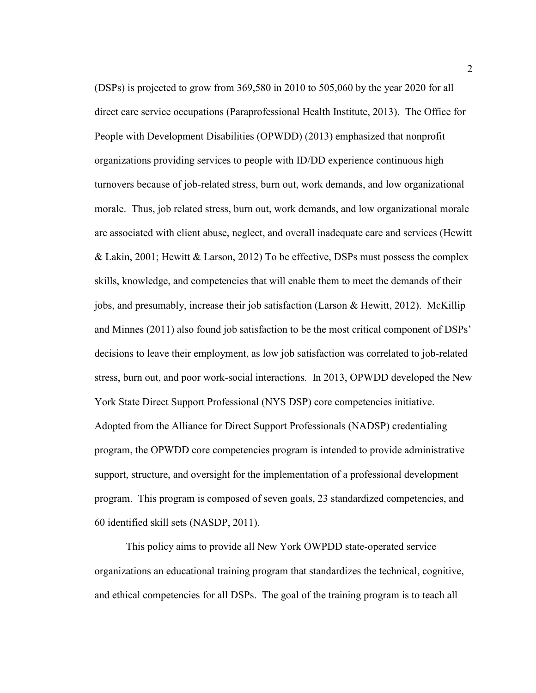(DSPs) is projected to grow from 369,580 in 2010 to 505,060 by the year 2020 for all direct care service occupations (Paraprofessional Health Institute, 2013). The Office for People with Development Disabilities (OPWDD) (2013) emphasized that nonprofit organizations providing services to people with ID/DD experience continuous high turnovers because of job-related stress, burn out, work demands, and low organizational morale. Thus, job related stress, burn out, work demands, and low organizational morale are associated with client abuse, neglect, and overall inadequate care and services (Hewitt & Lakin, 2001; Hewitt & Larson, 2012) To be effective, DSPs must possess the complex skills, knowledge, and competencies that will enable them to meet the demands of their jobs, and presumably, increase their job satisfaction (Larson & Hewitt, 2012). McKillip and Minnes (2011) also found job satisfaction to be the most critical component of DSPs' decisions to leave their employment, as low job satisfaction was correlated to job-related stress, burn out, and poor work-social interactions. In 2013, OPWDD developed the New York State Direct Support Professional (NYS DSP) core competencies initiative. Adopted from the Alliance for Direct Support Professionals (NADSP) credentialing program, the OPWDD core competencies program is intended to provide administrative support, structure, and oversight for the implementation of a professional development program. This program is composed of seven goals, 23 standardized competencies, and 60 identified skill sets (NASDP, 2011).

This policy aims to provide all New York OWPDD state-operated service organizations an educational training program that standardizes the technical, cognitive, and ethical competencies for all DSPs. The goal of the training program is to teach all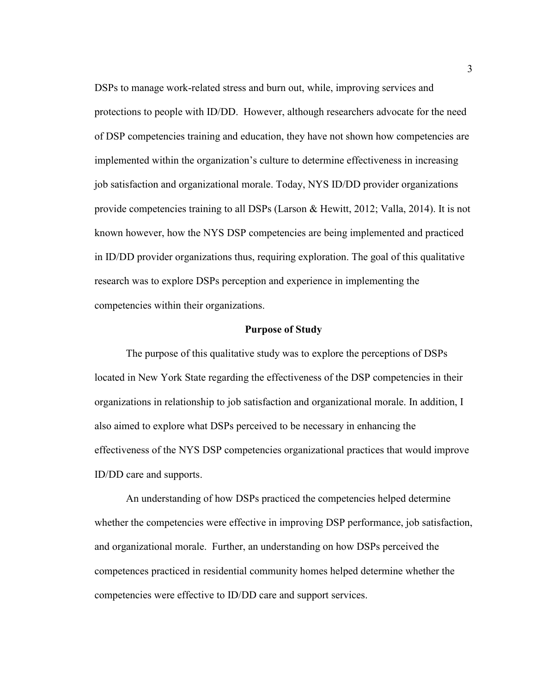DSPs to manage work-related stress and burn out, while, improving services and protections to people with ID/DD. However, although researchers advocate for the need of DSP competencies training and education, they have not shown how competencies are implemented within the organization's culture to determine effectiveness in increasing job satisfaction and organizational morale. Today, NYS ID/DD provider organizations provide competencies training to all DSPs (Larson & Hewitt, 2012; Valla, 2014). It is not known however, how the NYS DSP competencies are being implemented and practiced in ID/DD provider organizations thus, requiring exploration. The goal of this qualitative research was to explore DSPs perception and experience in implementing the competencies within their organizations.

## **Purpose of Study**

The purpose of this qualitative study was to explore the perceptions of DSPs located in New York State regarding the effectiveness of the DSP competencies in their organizations in relationship to job satisfaction and organizational morale. In addition, I also aimed to explore what DSPs perceived to be necessary in enhancing the effectiveness of the NYS DSP competencies organizational practices that would improve ID/DD care and supports.

An understanding of how DSPs practiced the competencies helped determine whether the competencies were effective in improving DSP performance, job satisfaction, and organizational morale. Further, an understanding on how DSPs perceived the competences practiced in residential community homes helped determine whether the competencies were effective to ID/DD care and support services.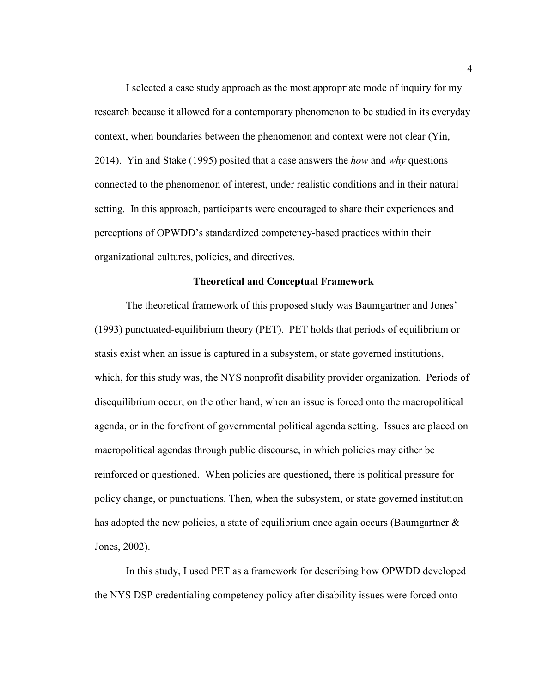I selected a case study approach as the most appropriate mode of inquiry for my research because it allowed for a contemporary phenomenon to be studied in its everyday context, when boundaries between the phenomenon and context were not clear (Yin, 2014). Yin and Stake (1995) posited that a case answers the *how* and *why* questions connected to the phenomenon of interest, under realistic conditions and in their natural setting. In this approach, participants were encouraged to share their experiences and perceptions of OPWDD's standardized competency-based practices within their organizational cultures, policies, and directives.

# **Theoretical and Conceptual Framework**

The theoretical framework of this proposed study was Baumgartner and Jones' (1993) punctuated-equilibrium theory (PET). PET holds that periods of equilibrium or stasis exist when an issue is captured in a subsystem, or state governed institutions, which, for this study was, the NYS nonprofit disability provider organization. Periods of disequilibrium occur, on the other hand, when an issue is forced onto the macropolitical agenda, or in the forefront of governmental political agenda setting. Issues are placed on macropolitical agendas through public discourse, in which policies may either be reinforced or questioned. When policies are questioned, there is political pressure for policy change, or punctuations. Then, when the subsystem, or state governed institution has adopted the new policies, a state of equilibrium once again occurs (Baumgartner & Jones, 2002).

In this study, I used PET as a framework for describing how OPWDD developed the NYS DSP credentialing competency policy after disability issues were forced onto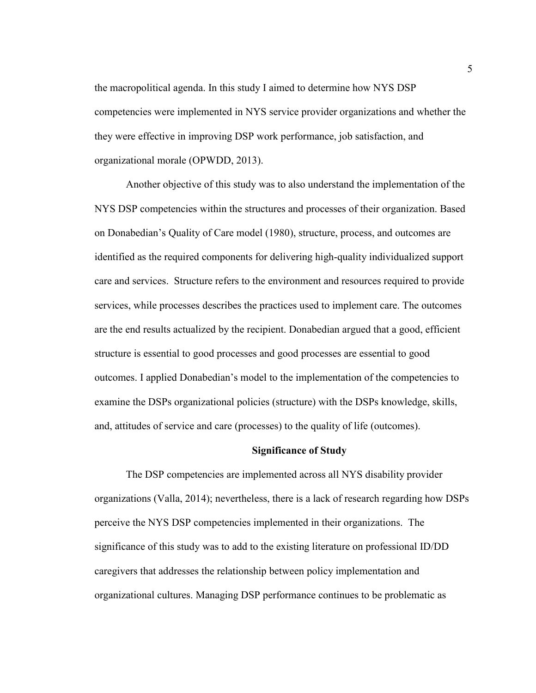the macropolitical agenda. In this study I aimed to determine how NYS DSP competencies were implemented in NYS service provider organizations and whether the they were effective in improving DSP work performance, job satisfaction, and organizational morale (OPWDD, 2013).

Another objective of this study was to also understand the implementation of the NYS DSP competencies within the structures and processes of their organization. Based on Donabedian's Quality of Care model (1980), structure, process, and outcomes are identified as the required components for delivering high-quality individualized support care and services. Structure refers to the environment and resources required to provide services, while processes describes the practices used to implement care. The outcomes are the end results actualized by the recipient. Donabedian argued that a good, efficient structure is essential to good processes and good processes are essential to good outcomes. I applied Donabedian's model to the implementation of the competencies to examine the DSPs organizational policies (structure) with the DSPs knowledge, skills, and, attitudes of service and care (processes) to the quality of life (outcomes).

## **Significance of Study**

The DSP competencies are implemented across all NYS disability provider organizations (Valla, 2014); nevertheless, there is a lack of research regarding how DSPs perceive the NYS DSP competencies implemented in their organizations. The significance of this study was to add to the existing literature on professional ID/DD caregivers that addresses the relationship between policy implementation and organizational cultures. Managing DSP performance continues to be problematic as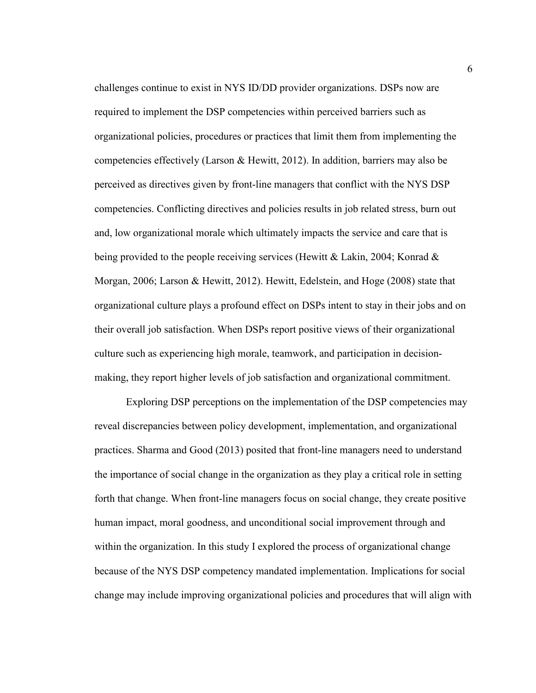challenges continue to exist in NYS ID/DD provider organizations. DSPs now are required to implement the DSP competencies within perceived barriers such as organizational policies, procedures or practices that limit them from implementing the competencies effectively (Larson & Hewitt, 2012). In addition, barriers may also be perceived as directives given by front-line managers that conflict with the NYS DSP competencies. Conflicting directives and policies results in job related stress, burn out and, low organizational morale which ultimately impacts the service and care that is being provided to the people receiving services (Hewitt & Lakin, 2004; Konrad & Morgan, 2006; Larson & Hewitt, 2012). Hewitt, Edelstein, and Hoge (2008) state that organizational culture plays a profound effect on DSPs intent to stay in their jobs and on their overall job satisfaction. When DSPs report positive views of their organizational culture such as experiencing high morale, teamwork, and participation in decisionmaking, they report higher levels of job satisfaction and organizational commitment.

Exploring DSP perceptions on the implementation of the DSP competencies may reveal discrepancies between policy development, implementation, and organizational practices. Sharma and Good (2013) posited that front-line managers need to understand the importance of social change in the organization as they play a critical role in setting forth that change. When front-line managers focus on social change, they create positive human impact, moral goodness, and unconditional social improvement through and within the organization. In this study I explored the process of organizational change because of the NYS DSP competency mandated implementation. Implications for social change may include improving organizational policies and procedures that will align with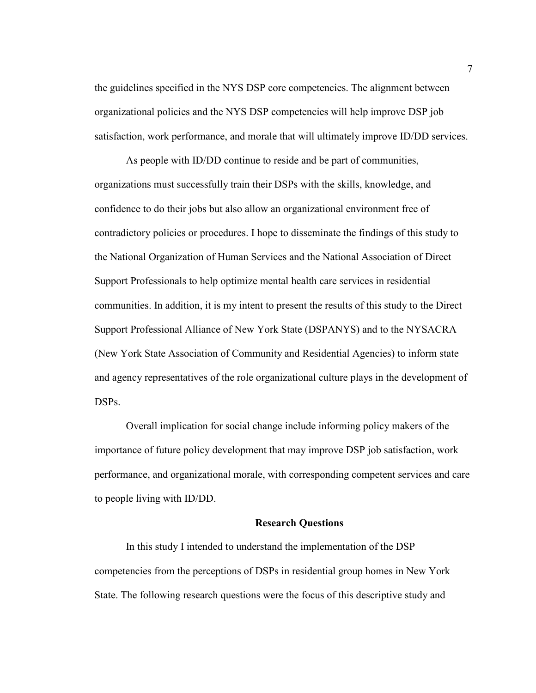the guidelines specified in the NYS DSP core competencies. The alignment between organizational policies and the NYS DSP competencies will help improve DSP job satisfaction, work performance, and morale that will ultimately improve ID/DD services.

As people with ID/DD continue to reside and be part of communities, organizations must successfully train their DSPs with the skills, knowledge, and confidence to do their jobs but also allow an organizational environment free of contradictory policies or procedures. I hope to disseminate the findings of this study to the National Organization of Human Services and the National Association of Direct Support Professionals to help optimize mental health care services in residential communities. In addition, it is my intent to present the results of this study to the Direct Support Professional Alliance of New York State (DSPANYS) and to the NYSACRA (New York State Association of Community and Residential Agencies) to inform state and agency representatives of the role organizational culture plays in the development of DSPs.

Overall implication for social change include informing policy makers of the importance of future policy development that may improve DSP job satisfaction, work performance, and organizational morale, with corresponding competent services and care to people living with ID/DD.

# **Research Questions**

In this study I intended to understand the implementation of the DSP competencies from the perceptions of DSPs in residential group homes in New York State. The following research questions were the focus of this descriptive study and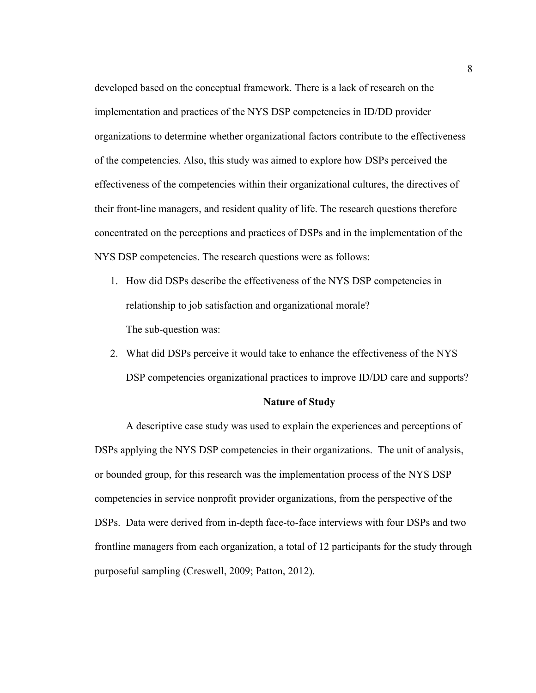developed based on the conceptual framework. There is a lack of research on the implementation and practices of the NYS DSP competencies in ID/DD provider organizations to determine whether organizational factors contribute to the effectiveness of the competencies. Also, this study was aimed to explore how DSPs perceived the effectiveness of the competencies within their organizational cultures, the directives of their front-line managers, and resident quality of life. The research questions therefore concentrated on the perceptions and practices of DSPs and in the implementation of the NYS DSP competencies. The research questions were as follows:

- 1. How did DSPs describe the effectiveness of the NYS DSP competencies in relationship to job satisfaction and organizational morale? The sub-question was:
- 2. What did DSPs perceive it would take to enhance the effectiveness of the NYS DSP competencies organizational practices to improve ID/DD care and supports?

#### **Nature of Study**

A descriptive case study was used to explain the experiences and perceptions of DSPs applying the NYS DSP competencies in their organizations. The unit of analysis, or bounded group, for this research was the implementation process of the NYS DSP competencies in service nonprofit provider organizations, from the perspective of the DSPs. Data were derived from in-depth face-to-face interviews with four DSPs and two frontline managers from each organization, a total of 12 participants for the study through purposeful sampling (Creswell, 2009; Patton, 2012).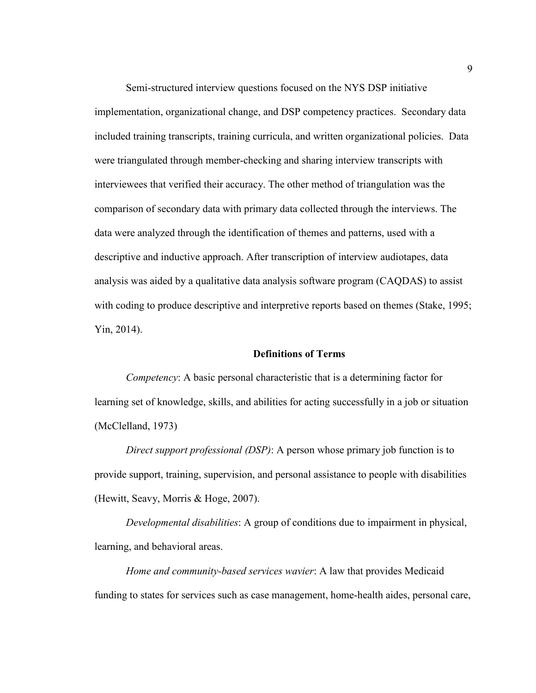Semi-structured interview questions focused on the NYS DSP initiative implementation, organizational change, and DSP competency practices. Secondary data included training transcripts, training curricula, and written organizational policies. Data were triangulated through member-checking and sharing interview transcripts with interviewees that verified their accuracy. The other method of triangulation was the comparison of secondary data with primary data collected through the interviews. The data were analyzed through the identification of themes and patterns, used with a descriptive and inductive approach. After transcription of interview audiotapes, data analysis was aided by a qualitative data analysis software program (CAQDAS) to assist with coding to produce descriptive and interpretive reports based on themes (Stake, 1995; Yin, 2014).

# **Definitions of Terms**

*Competency*: A basic personal characteristic that is a determining factor for learning set of knowledge, skills, and abilities for acting successfully in a job or situation (McClelland, 1973)

*Direct support professional (DSP)*: A person whose primary job function is to provide support, training, supervision, and personal assistance to people with disabilities (Hewitt, Seavy, Morris & Hoge, 2007).

*Developmental disabilities*: A group of conditions due to impairment in physical, learning, and behavioral areas.

*Home and community-based services wavier*: A law that provides Medicaid funding to states for services such as case management, home-health aides, personal care,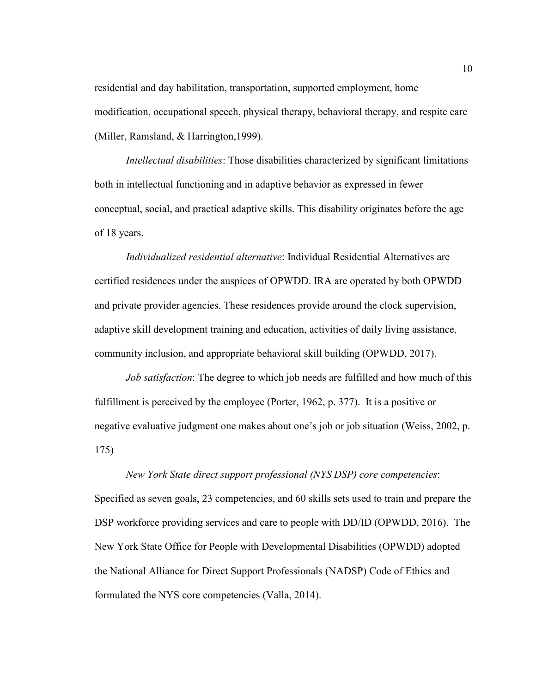residential and day habilitation, transportation, supported employment, home modification, occupational speech, physical therapy, behavioral therapy, and respite care (Miller, Ramsland, & Harrington,1999).

*Intellectual disabilities*: Those disabilities characterized by significant limitations both in intellectual functioning and in adaptive behavior as expressed in fewer conceptual, social, and practical adaptive skills. This disability originates before the age of 18 years.

*Individualized residential alternative*: Individual Residential Alternatives are certified residences under the auspices of OPWDD. IRA are operated by both OPWDD and private provider agencies. These residences provide around the clock supervision, adaptive skill development training and education, activities of daily living assistance, community inclusion, and appropriate behavioral skill building (OPWDD, 2017).

*Job satisfaction*: The degree to which job needs are fulfilled and how much of this fulfillment is perceived by the employee (Porter, 1962, p. 377). It is a positive or negative evaluative judgment one makes about one's job or job situation (Weiss, 2002, p. 175)

# *New York State direct support professional (NYS DSP) core competencies*: Specified as seven goals, 23 competencies, and 60 skills sets used to train and prepare the DSP workforce providing services and care to people with DD/ID (OPWDD, 2016). The New York State Office for People with Developmental Disabilities (OPWDD) adopted the National Alliance for Direct Support Professionals (NADSP) Code of Ethics and formulated the NYS core competencies (Valla, 2014).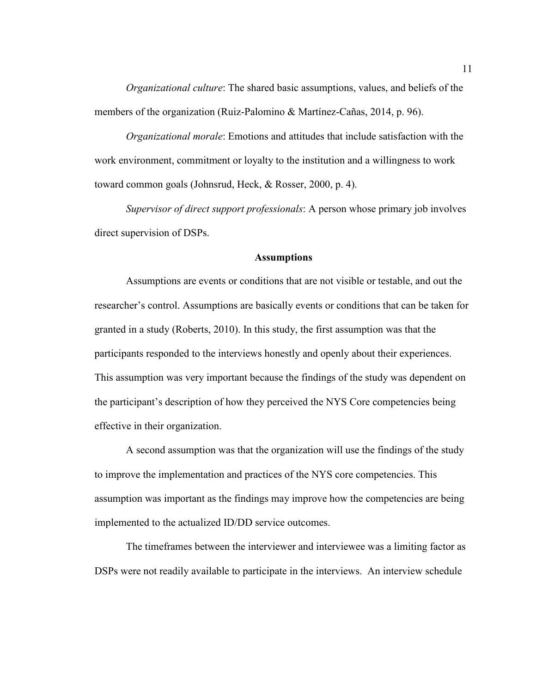*Organizational culture*: The shared basic assumptions, values, and beliefs of the members of the organization (Ruiz-Palomino & Martínez-Cañas, 2014, p. 96).

*Organizational morale*: Emotions and attitudes that include satisfaction with the work environment, commitment or loyalty to the institution and a willingness to work toward common goals (Johnsrud, Heck, & Rosser, 2000, p. 4).

*Supervisor of direct support professionals*: A person whose primary job involves direct supervision of DSPs.

# **Assumptions**

Assumptions are events or conditions that are not visible or testable, and out the researcher's control. Assumptions are basically events or conditions that can be taken for granted in a study (Roberts, 2010). In this study, the first assumption was that the participants responded to the interviews honestly and openly about their experiences. This assumption was very important because the findings of the study was dependent on the participant's description of how they perceived the NYS Core competencies being effective in their organization.

A second assumption was that the organization will use the findings of the study to improve the implementation and practices of the NYS core competencies. This assumption was important as the findings may improve how the competencies are being implemented to the actualized ID/DD service outcomes.

The timeframes between the interviewer and interviewee was a limiting factor as DSPs were not readily available to participate in the interviews. An interview schedule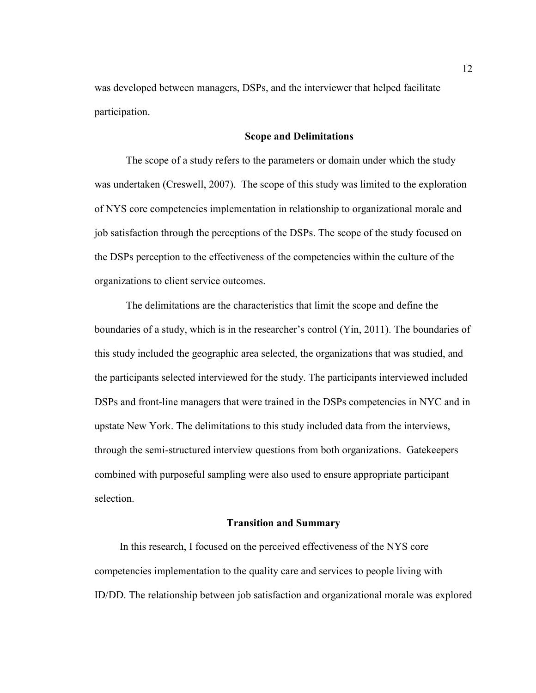was developed between managers, DSPs, and the interviewer that helped facilitate participation.

# **Scope and Delimitations**

The scope of a study refers to the parameters or domain under which the study was undertaken (Creswell, 2007). The scope of this study was limited to the exploration of NYS core competencies implementation in relationship to organizational morale and job satisfaction through the perceptions of the DSPs. The scope of the study focused on the DSPs perception to the effectiveness of the competencies within the culture of the organizations to client service outcomes.

The delimitations are the characteristics that limit the scope and define the boundaries of a study, which is in the researcher's control (Yin, 2011). The boundaries of this study included the geographic area selected, the organizations that was studied, and the participants selected interviewed for the study. The participants interviewed included DSPs and front-line managers that were trained in the DSPs competencies in NYC and in upstate New York. The delimitations to this study included data from the interviews, through the semi-structured interview questions from both organizations. Gatekeepers combined with purposeful sampling were also used to ensure appropriate participant selection.

## **Transition and Summary**

In this research, I focused on the perceived effectiveness of the NYS core competencies implementation to the quality care and services to people living with ID/DD. The relationship between job satisfaction and organizational morale was explored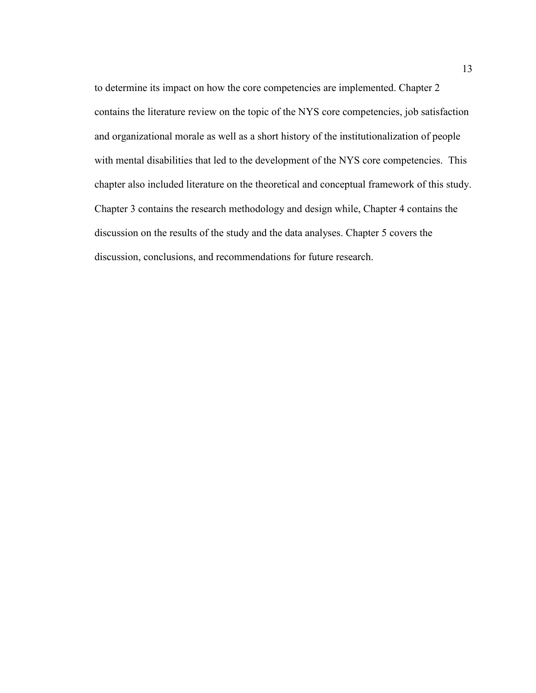to determine its impact on how the core competencies are implemented. Chapter 2 contains the literature review on the topic of the NYS core competencies, job satisfaction and organizational morale as well as a short history of the institutionalization of people with mental disabilities that led to the development of the NYS core competencies. This chapter also included literature on the theoretical and conceptual framework of this study. Chapter 3 contains the research methodology and design while, Chapter 4 contains the discussion on the results of the study and the data analyses. Chapter 5 covers the discussion, conclusions, and recommendations for future research.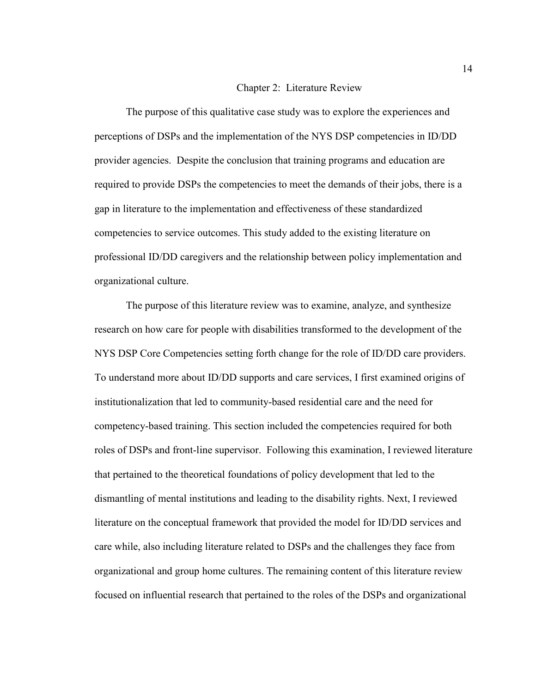#### Chapter 2: Literature Review

The purpose of this qualitative case study was to explore the experiences and perceptions of DSPs and the implementation of the NYS DSP competencies in ID/DD provider agencies. Despite the conclusion that training programs and education are required to provide DSPs the competencies to meet the demands of their jobs, there is a gap in literature to the implementation and effectiveness of these standardized competencies to service outcomes. This study added to the existing literature on professional ID/DD caregivers and the relationship between policy implementation and organizational culture.

The purpose of this literature review was to examine, analyze, and synthesize research on how care for people with disabilities transformed to the development of the NYS DSP Core Competencies setting forth change for the role of ID/DD care providers. To understand more about ID/DD supports and care services, I first examined origins of institutionalization that led to community-based residential care and the need for competency-based training. This section included the competencies required for both roles of DSPs and front-line supervisor. Following this examination, I reviewed literature that pertained to the theoretical foundations of policy development that led to the dismantling of mental institutions and leading to the disability rights. Next, I reviewed literature on the conceptual framework that provided the model for ID/DD services and care while, also including literature related to DSPs and the challenges they face from organizational and group home cultures. The remaining content of this literature review focused on influential research that pertained to the roles of the DSPs and organizational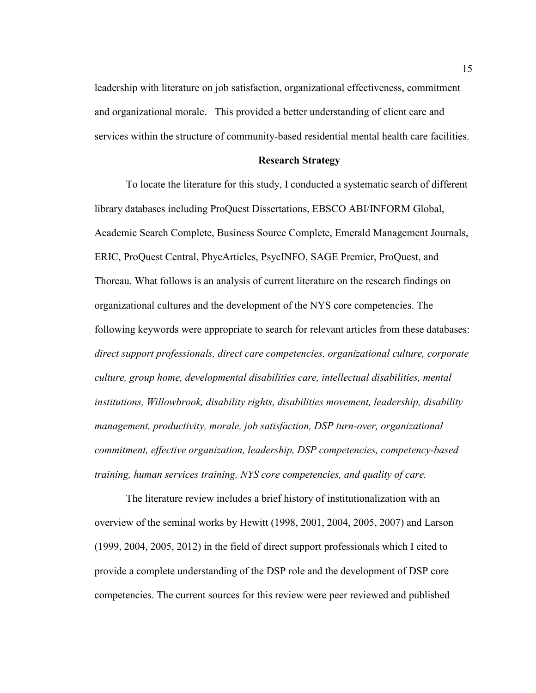leadership with literature on job satisfaction, organizational effectiveness, commitment and organizational morale. This provided a better understanding of client care and services within the structure of community-based residential mental health care facilities.

# **Research Strategy**

To locate the literature for this study, I conducted a systematic search of different library databases including ProQuest Dissertations, EBSCO ABI/INFORM Global, Academic Search Complete, Business Source Complete, Emerald Management Journals, ERIC, ProQuest Central, PhycArticles, PsycINFO, SAGE Premier, ProQuest, and Thoreau. What follows is an analysis of current literature on the research findings on organizational cultures and the development of the NYS core competencies. The following keywords were appropriate to search for relevant articles from these databases: *direct support professionals, direct care competencies, organizational culture, corporate culture, group home, developmental disabilities care, intellectual disabilities, mental institutions, Willowbrook, disability rights, disabilities movement, leadership, disability management, productivity, morale, job satisfaction, DSP turn-over, organizational commitment, effective organization, leadership, DSP competencies, competency-based training, human services training, NYS core competencies, and quality of care.* 

The literature review includes a brief history of institutionalization with an overview of the seminal works by Hewitt (1998, 2001, 2004, 2005, 2007) and Larson (1999, 2004, 2005, 2012) in the field of direct support professionals which I cited to provide a complete understanding of the DSP role and the development of DSP core competencies. The current sources for this review were peer reviewed and published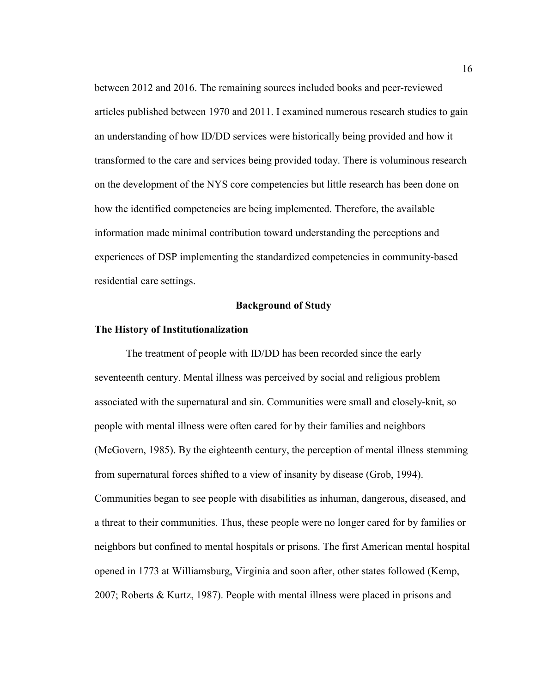between 2012 and 2016. The remaining sources included books and peer-reviewed articles published between 1970 and 2011. I examined numerous research studies to gain an understanding of how ID/DD services were historically being provided and how it transformed to the care and services being provided today. There is voluminous research on the development of the NYS core competencies but little research has been done on how the identified competencies are being implemented. Therefore, the available information made minimal contribution toward understanding the perceptions and experiences of DSP implementing the standardized competencies in community-based residential care settings.

# **Background of Study**

# **The History of Institutionalization**

The treatment of people with ID/DD has been recorded since the early seventeenth century. Mental illness was perceived by social and religious problem associated with the supernatural and sin. Communities were small and closely-knit, so people with mental illness were often cared for by their families and neighbors (McGovern, 1985). By the eighteenth century, the perception of mental illness stemming from supernatural forces shifted to a view of insanity by disease (Grob, 1994). Communities began to see people with disabilities as inhuman, dangerous, diseased, and a threat to their communities. Thus, these people were no longer cared for by families or neighbors but confined to mental hospitals or prisons. The first American mental hospital opened in 1773 at Williamsburg, Virginia and soon after, other states followed (Kemp, 2007; Roberts & Kurtz, 1987). People with mental illness were placed in prisons and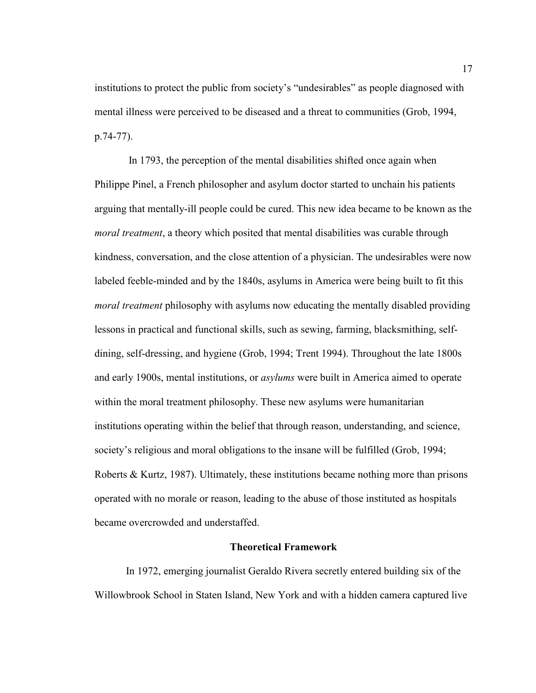institutions to protect the public from society's "undesirables" as people diagnosed with mental illness were perceived to be diseased and a threat to communities (Grob, 1994, p.74-77).

 In 1793, the perception of the mental disabilities shifted once again when Philippe Pinel, a French philosopher and asylum doctor started to unchain his patients arguing that mentally-ill people could be cured. This new idea became to be known as the *moral treatment*, a theory which posited that mental disabilities was curable through kindness, conversation, and the close attention of a physician. The undesirables were now labeled feeble-minded and by the 1840s, asylums in America were being built to fit this *moral treatment* philosophy with asylums now educating the mentally disabled providing lessons in practical and functional skills, such as sewing, farming, blacksmithing, selfdining, self-dressing, and hygiene (Grob, 1994; Trent 1994). Throughout the late 1800s and early 1900s, mental institutions, or *asylums* were built in America aimed to operate within the moral treatment philosophy. These new asylums were humanitarian institutions operating within the belief that through reason, understanding, and science, society's religious and moral obligations to the insane will be fulfilled (Grob, 1994; Roberts & Kurtz, 1987). Ultimately, these institutions became nothing more than prisons operated with no morale or reason, leading to the abuse of those instituted as hospitals became overcrowded and understaffed.

# **Theoretical Framework**

In 1972, emerging journalist Geraldo Rivera secretly entered building six of the Willowbrook School in Staten Island, New York and with a hidden camera captured live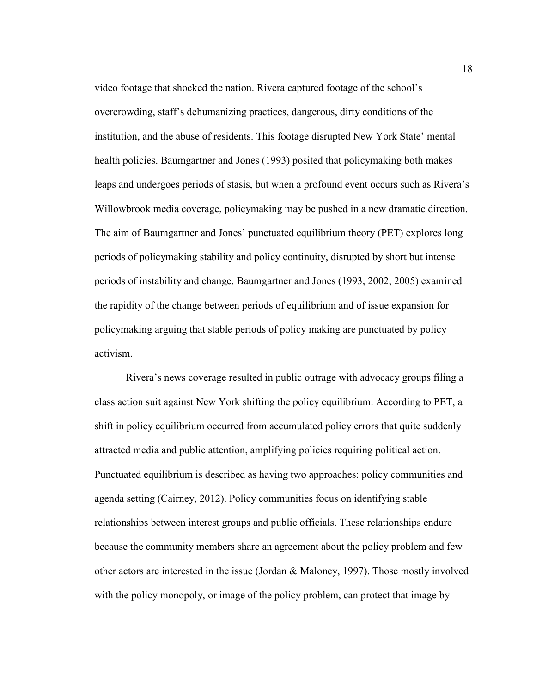video footage that shocked the nation. Rivera captured footage of the school's overcrowding, staff's dehumanizing practices, dangerous, dirty conditions of the institution, and the abuse of residents. This footage disrupted New York State' mental health policies. Baumgartner and Jones (1993) posited that policymaking both makes leaps and undergoes periods of stasis, but when a profound event occurs such as Rivera's Willowbrook media coverage, policymaking may be pushed in a new dramatic direction. The aim of Baumgartner and Jones' punctuated equilibrium theory (PET) explores long periods of policymaking stability and policy continuity, disrupted by short but intense periods of instability and change. Baumgartner and Jones (1993, 2002, 2005) examined the rapidity of the change between periods of equilibrium and of issue expansion for policymaking arguing that stable periods of policy making are punctuated by policy activism.

Rivera's news coverage resulted in public outrage with advocacy groups filing a class action suit against New York shifting the policy equilibrium. According to PET, a shift in policy equilibrium occurred from accumulated policy errors that quite suddenly attracted media and public attention, amplifying policies requiring political action. Punctuated equilibrium is described as having two approaches: policy communities and agenda setting (Cairney, 2012). Policy communities focus on identifying stable relationships between interest groups and public officials. These relationships endure because the community members share an agreement about the policy problem and few other actors are interested in the issue (Jordan & Maloney, 1997). Those mostly involved with the policy monopoly, or image of the policy problem, can protect that image by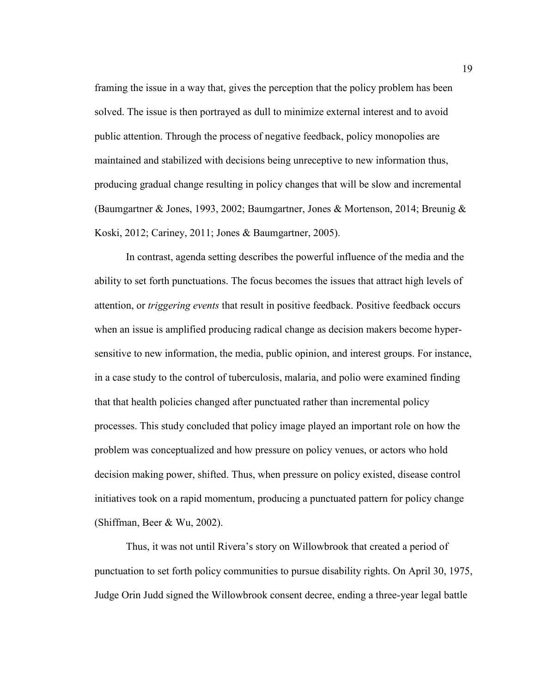framing the issue in a way that, gives the perception that the policy problem has been solved. The issue is then portrayed as dull to minimize external interest and to avoid public attention. Through the process of negative feedback, policy monopolies are maintained and stabilized with decisions being unreceptive to new information thus, producing gradual change resulting in policy changes that will be slow and incremental (Baumgartner & Jones, 1993, 2002; Baumgartner, Jones & Mortenson, 2014; Breunig & Koski, 2012; Cariney, 2011; Jones & Baumgartner, 2005).

In contrast, agenda setting describes the powerful influence of the media and the ability to set forth punctuations. The focus becomes the issues that attract high levels of attention, or *triggering events* that result in positive feedback. Positive feedback occurs when an issue is amplified producing radical change as decision makers become hypersensitive to new information, the media, public opinion, and interest groups. For instance, in a case study to the control of tuberculosis, malaria, and polio were examined finding that that health policies changed after punctuated rather than incremental policy processes. This study concluded that policy image played an important role on how the problem was conceptualized and how pressure on policy venues, or actors who hold decision making power, shifted. Thus, when pressure on policy existed, disease control initiatives took on a rapid momentum, producing a punctuated pattern for policy change (Shiffman, Beer & Wu, 2002).

Thus, it was not until Rivera's story on Willowbrook that created a period of punctuation to set forth policy communities to pursue disability rights. On April 30, 1975, Judge Orin Judd signed the Willowbrook consent decree, ending a three-year legal battle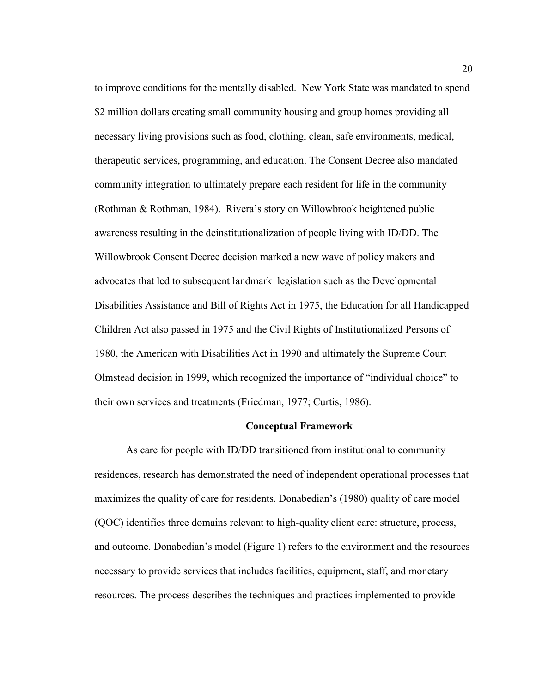to improve conditions for the mentally disabled. New York State was mandated to spend \$2 million dollars creating small community housing and group homes providing all necessary living provisions such as food, clothing, clean, safe environments, medical, therapeutic services, programming, and education. The Consent Decree also mandated community integration to ultimately prepare each resident for life in the community (Rothman & Rothman, 1984). Rivera's story on Willowbrook heightened public awareness resulting in the deinstitutionalization of people living with ID/DD. The Willowbrook Consent Decree decision marked a new wave of policy makers and advocates that led to subsequent landmark legislation such as the Developmental Disabilities Assistance and Bill of Rights Act in 1975, the Education for all Handicapped Children Act also passed in 1975 and the Civil Rights of Institutionalized Persons of 1980, the American with Disabilities Act in 1990 and ultimately the Supreme Court Olmstead decision in 1999, which recognized the importance of "individual choice" to their own services and treatments (Friedman, 1977; Curtis, 1986).

#### **Conceptual Framework**

As care for people with ID/DD transitioned from institutional to community residences, research has demonstrated the need of independent operational processes that maximizes the quality of care for residents. Donabedian's (1980) quality of care model (QOC) identifies three domains relevant to high-quality client care: structure, process, and outcome. Donabedian's model (Figure 1) refers to the environment and the resources necessary to provide services that includes facilities, equipment, staff, and monetary resources. The process describes the techniques and practices implemented to provide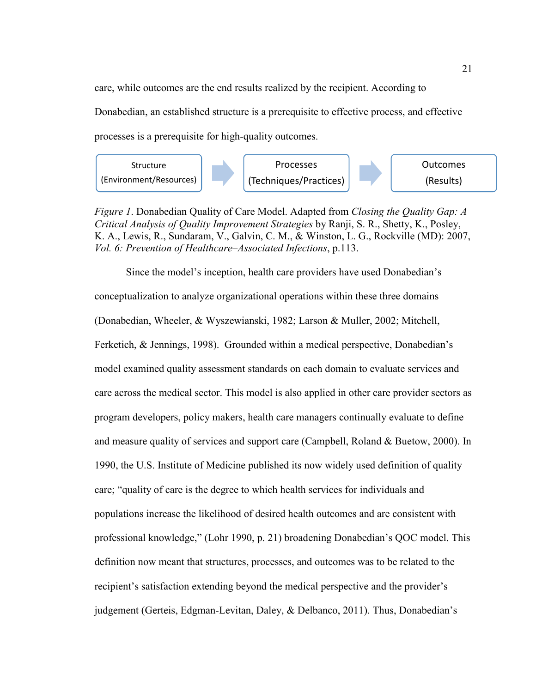care, while outcomes are the end results realized by the recipient. According to Donabedian, an established structure is a prerequisite to effective process, and effective processes is a prerequisite for high-quality outcomes.



*Figure 1*. Donabedian Quality of Care Model. Adapted from *Closing the Quality Gap: A Critical Analysis of Quality Improvement Strategies* by Ranji, S. R., Shetty, K., Posley, K. A., Lewis, R., Sundaram, V., Galvin, C. M., & Winston, L. G., Rockville (MD): 2007, *Vol. 6: Prevention of Healthcare–Associated Infections*, p.113.

Since the model's inception, health care providers have used Donabedian's conceptualization to analyze organizational operations within these three domains (Donabedian, Wheeler, & Wyszewianski, 1982; Larson & Muller, 2002; Mitchell, Ferketich, & Jennings, 1998). Grounded within a medical perspective, Donabedian's model examined quality assessment standards on each domain to evaluate services and care across the medical sector. This model is also applied in other care provider sectors as program developers, policy makers, health care managers continually evaluate to define and measure quality of services and support care (Campbell, Roland & Buetow, 2000). In 1990, the U.S. Institute of Medicine published its now widely used definition of quality care; "quality of care is the degree to which health services for individuals and populations increase the likelihood of desired health outcomes and are consistent with professional knowledge," (Lohr 1990, p. 21) broadening Donabedian's QOC model. This definition now meant that structures, processes, and outcomes was to be related to the recipient's satisfaction extending beyond the medical perspective and the provider's judgement (Gerteis, Edgman-Levitan, Daley, & Delbanco, 2011). Thus, Donabedian's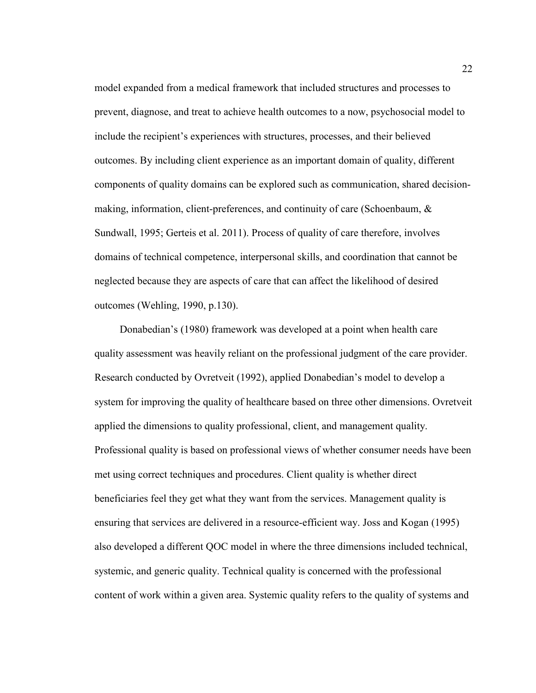model expanded from a medical framework that included structures and processes to prevent, diagnose, and treat to achieve health outcomes to a now, psychosocial model to include the recipient's experiences with structures, processes, and their believed outcomes. By including client experience as an important domain of quality, different components of quality domains can be explored such as communication, shared decisionmaking, information, client-preferences, and continuity of care (Schoenbaum, & Sundwall, 1995; Gerteis et al. 2011). Process of quality of care therefore, involves domains of technical competence, interpersonal skills, and coordination that cannot be neglected because they are aspects of care that can affect the likelihood of desired outcomes (Wehling, 1990, p.130).

 Donabedian's (1980) framework was developed at a point when health care quality assessment was heavily reliant on the professional judgment of the care provider. Research conducted by Ovretveit (1992), applied Donabedian's model to develop a system for improving the quality of healthcare based on three other dimensions. Ovretveit applied the dimensions to quality professional, client, and management quality. Professional quality is based on professional views of whether consumer needs have been met using correct techniques and procedures. Client quality is whether direct beneficiaries feel they get what they want from the services. Management quality is ensuring that services are delivered in a resource-efficient way. Joss and Kogan (1995) also developed a different QOC model in where the three dimensions included technical, systemic, and generic quality. Technical quality is concerned with the professional content of work within a given area. Systemic quality refers to the quality of systems and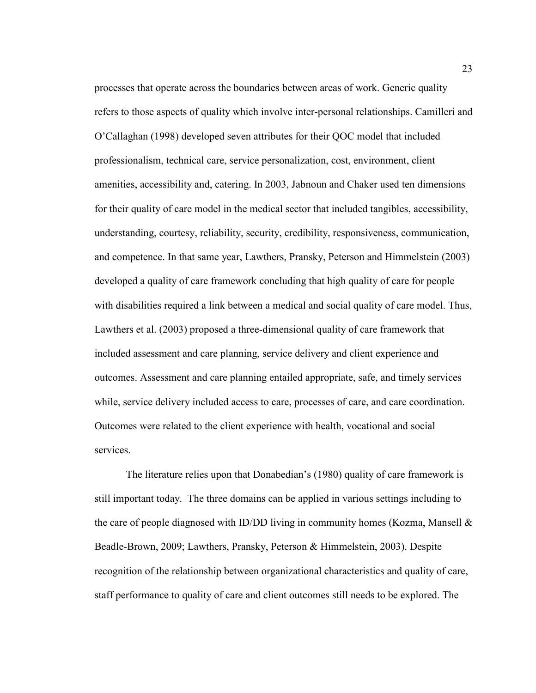processes that operate across the boundaries between areas of work. Generic quality refers to those aspects of quality which involve inter-personal relationships. Camilleri and O'Callaghan (1998) developed seven attributes for their QOC model that included professionalism, technical care, service personalization, cost, environment, client amenities, accessibility and, catering. In 2003, Jabnoun and Chaker used ten dimensions for their quality of care model in the medical sector that included tangibles, accessibility, understanding, courtesy, reliability, security, credibility, responsiveness, communication, and competence. In that same year, Lawthers, Pransky, Peterson and Himmelstein (2003) developed a quality of care framework concluding that high quality of care for people with disabilities required a link between a medical and social quality of care model. Thus, Lawthers et al. (2003) proposed a three-dimensional quality of care framework that included assessment and care planning, service delivery and client experience and outcomes. Assessment and care planning entailed appropriate, safe, and timely services while, service delivery included access to care, processes of care, and care coordination. Outcomes were related to the client experience with health, vocational and social services.

The literature relies upon that Donabedian's (1980) quality of care framework is still important today. The three domains can be applied in various settings including to the care of people diagnosed with ID/DD living in community homes (Kozma, Mansell  $\&$ Beadle-Brown, 2009; Lawthers, Pransky, Peterson & Himmelstein, 2003). Despite recognition of the relationship between organizational characteristics and quality of care, staff performance to quality of care and client outcomes still needs to be explored. The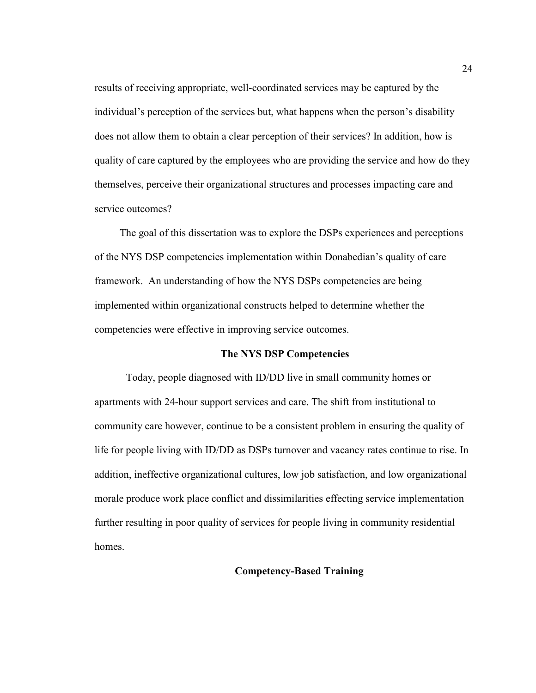results of receiving appropriate, well-coordinated services may be captured by the individual's perception of the services but, what happens when the person's disability does not allow them to obtain a clear perception of their services? In addition, how is quality of care captured by the employees who are providing the service and how do they themselves, perceive their organizational structures and processes impacting care and service outcomes?

 The goal of this dissertation was to explore the DSPs experiences and perceptions of the NYS DSP competencies implementation within Donabedian's quality of care framework. An understanding of how the NYS DSPs competencies are being implemented within organizational constructs helped to determine whether the competencies were effective in improving service outcomes.

# **The NYS DSP Competencies**

Today, people diagnosed with ID/DD live in small community homes or apartments with 24-hour support services and care. The shift from institutional to community care however, continue to be a consistent problem in ensuring the quality of life for people living with ID/DD as DSPs turnover and vacancy rates continue to rise. In addition, ineffective organizational cultures, low job satisfaction, and low organizational morale produce work place conflict and dissimilarities effecting service implementation further resulting in poor quality of services for people living in community residential homes.

#### **Competency-Based Training**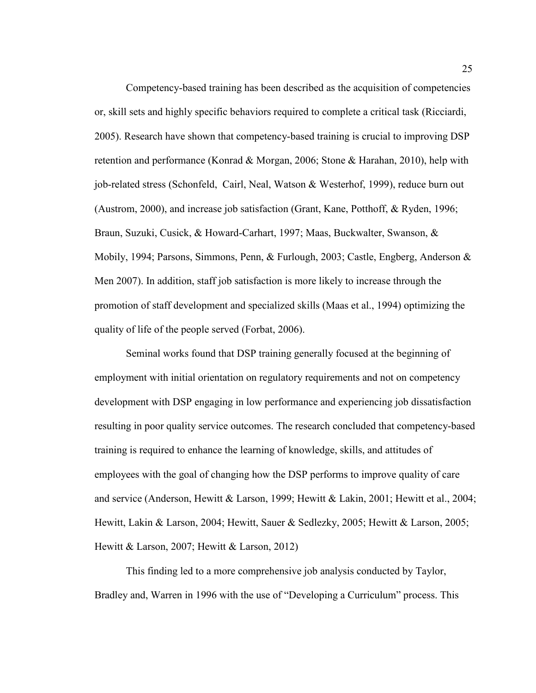Competency-based training has been described as the acquisition of competencies or, skill sets and highly specific behaviors required to complete a critical task (Ricciardi, 2005). Research have shown that competency-based training is crucial to improving DSP retention and performance (Konrad & Morgan, 2006; Stone & Harahan, 2010), help with job-related stress (Schonfeld, Cairl, Neal, Watson & Westerhof, 1999), reduce burn out (Austrom, 2000), and increase job satisfaction (Grant, Kane, Potthoff, & Ryden, 1996; Braun, Suzuki, Cusick, & Howard-Carhart, 1997; Maas, Buckwalter, Swanson, & Mobily, 1994; Parsons, Simmons, Penn, & Furlough, 2003; Castle, Engberg, Anderson & Men 2007). In addition, staff job satisfaction is more likely to increase through the promotion of staff development and specialized skills (Maas et al., 1994) optimizing the quality of life of the people served (Forbat, 2006).

Seminal works found that DSP training generally focused at the beginning of employment with initial orientation on regulatory requirements and not on competency development with DSP engaging in low performance and experiencing job dissatisfaction resulting in poor quality service outcomes. The research concluded that competency-based training is required to enhance the learning of knowledge, skills, and attitudes of employees with the goal of changing how the DSP performs to improve quality of care and service (Anderson, Hewitt & Larson, 1999; Hewitt & Lakin, 2001; Hewitt et al., 2004; Hewitt, Lakin & Larson, 2004; Hewitt, Sauer & Sedlezky, 2005; Hewitt & Larson, 2005; Hewitt & Larson, 2007; Hewitt & Larson, 2012)

This finding led to a more comprehensive job analysis conducted by Taylor, Bradley and, Warren in 1996 with the use of "Developing a Curriculum" process. This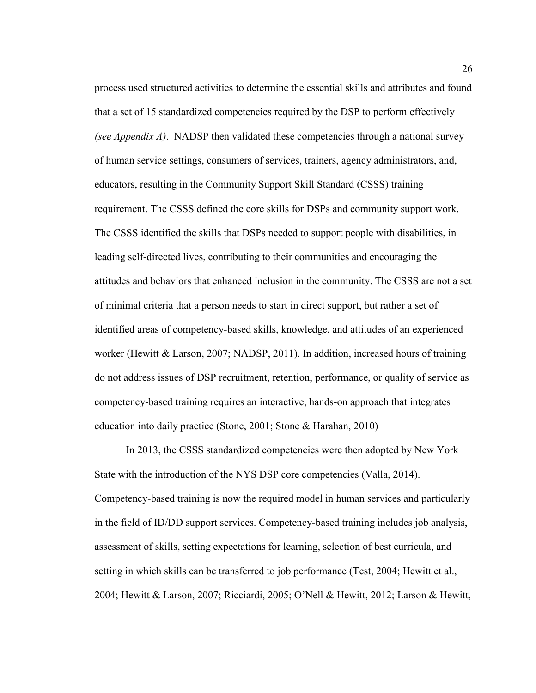process used structured activities to determine the essential skills and attributes and found that a set of 15 standardized competencies required by the DSP to perform effectively *(see Appendix A)*. NADSP then validated these competencies through a national survey of human service settings, consumers of services, trainers, agency administrators, and, educators, resulting in the Community Support Skill Standard (CSSS) training requirement. The CSSS defined the core skills for DSPs and community support work. The CSSS identified the skills that DSPs needed to support people with disabilities, in leading self-directed lives, contributing to their communities and encouraging the attitudes and behaviors that enhanced inclusion in the community. The CSSS are not a set of minimal criteria that a person needs to start in direct support, but rather a set of identified areas of competency-based skills, knowledge, and attitudes of an experienced worker (Hewitt & Larson, 2007; NADSP, 2011). In addition, increased hours of training do not address issues of DSP recruitment, retention, performance, or quality of service as competency-based training requires an interactive, hands-on approach that integrates education into daily practice (Stone, 2001; Stone & Harahan, 2010)

In 2013, the CSSS standardized competencies were then adopted by New York State with the introduction of the NYS DSP core competencies (Valla, 2014). Competency-based training is now the required model in human services and particularly in the field of ID/DD support services. Competency-based training includes job analysis, assessment of skills, setting expectations for learning, selection of best curricula, and setting in which skills can be transferred to job performance (Test, 2004; Hewitt et al., 2004; Hewitt & Larson, 2007; Ricciardi, 2005; O'Nell & Hewitt, 2012; Larson & Hewitt,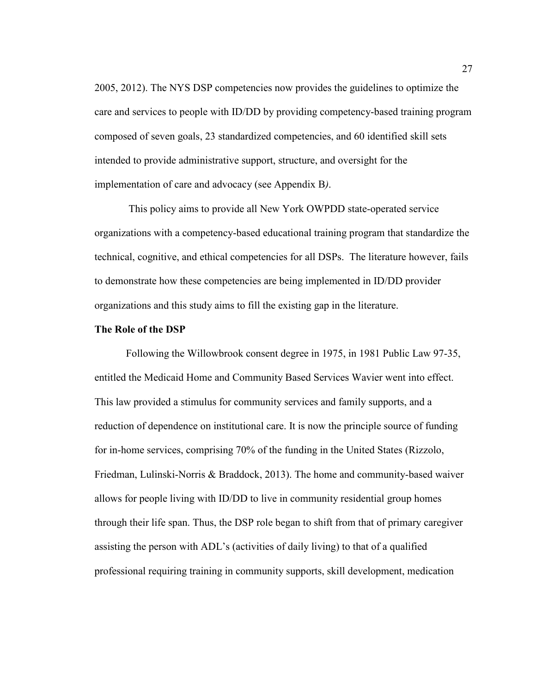2005, 2012). The NYS DSP competencies now provides the guidelines to optimize the care and services to people with ID/DD by providing competency-based training program composed of seven goals, 23 standardized competencies, and 60 identified skill sets intended to provide administrative support, structure, and oversight for the implementation of care and advocacy (see Appendix B*)*.

 This policy aims to provide all New York OWPDD state-operated service organizations with a competency-based educational training program that standardize the technical, cognitive, and ethical competencies for all DSPs. The literature however, fails to demonstrate how these competencies are being implemented in ID/DD provider organizations and this study aims to fill the existing gap in the literature.

#### **The Role of the DSP**

Following the Willowbrook consent degree in 1975, in 1981 Public Law 97-35, entitled the Medicaid Home and Community Based Services Wavier went into effect. This law provided a stimulus for community services and family supports, and a reduction of dependence on institutional care. It is now the principle source of funding for in-home services, comprising 70% of the funding in the United States (Rizzolo, Friedman, Lulinski-Norris & Braddock, 2013). The home and community-based waiver allows for people living with ID/DD to live in community residential group homes through their life span. Thus, the DSP role began to shift from that of primary caregiver assisting the person with ADL's (activities of daily living) to that of a qualified professional requiring training in community supports, skill development, medication

27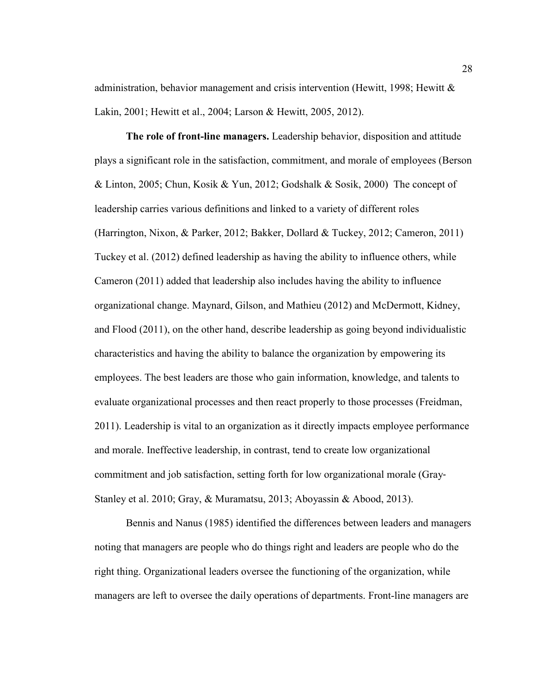administration, behavior management and crisis intervention (Hewitt, 1998; Hewitt & Lakin, 2001; Hewitt et al., 2004; Larson & Hewitt, 2005, 2012).

**The role of front-line managers.** Leadership behavior, disposition and attitude plays a significant role in the satisfaction, commitment, and morale of employees (Berson & Linton, 2005; Chun, Kosik & Yun, 2012; Godshalk & Sosik, 2000) The concept of leadership carries various definitions and linked to a variety of different roles (Harrington, Nixon, & Parker, 2012; Bakker, Dollard & Tuckey, 2012; Cameron, 2011) Tuckey et al. (2012) defined leadership as having the ability to influence others, while Cameron (2011) added that leadership also includes having the ability to influence organizational change. Maynard, Gilson, and Mathieu (2012) and McDermott, Kidney, and Flood (2011), on the other hand, describe leadership as going beyond individualistic characteristics and having the ability to balance the organization by empowering its employees. The best leaders are those who gain information, knowledge, and talents to evaluate organizational processes and then react properly to those processes (Freidman, 2011). Leadership is vital to an organization as it directly impacts employee performance and morale. Ineffective leadership, in contrast, tend to create low organizational commitment and job satisfaction, setting forth for low organizational morale (Gray-Stanley et al. 2010; Gray, & Muramatsu, 2013; Aboyassin & Abood, 2013).

Bennis and Nanus (1985) identified the differences between leaders and managers noting that managers are people who do things right and leaders are people who do the right thing. Organizational leaders oversee the functioning of the organization, while managers are left to oversee the daily operations of departments. Front-line managers are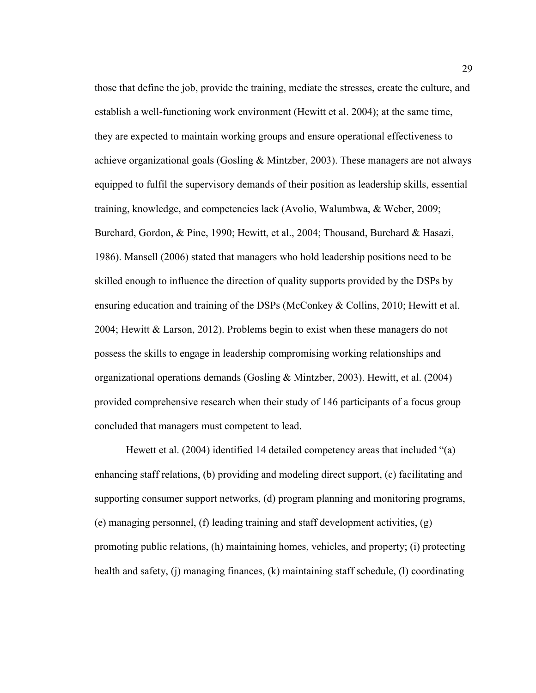those that define the job, provide the training, mediate the stresses, create the culture, and establish a well-functioning work environment (Hewitt et al. 2004); at the same time, they are expected to maintain working groups and ensure operational effectiveness to achieve organizational goals (Gosling & Mintzber, 2003). These managers are not always equipped to fulfil the supervisory demands of their position as leadership skills, essential training, knowledge, and competencies lack (Avolio, Walumbwa, & Weber, 2009; Burchard, Gordon, & Pine, 1990; Hewitt, et al., 2004; Thousand, Burchard & Hasazi, 1986). Mansell (2006) stated that managers who hold leadership positions need to be skilled enough to influence the direction of quality supports provided by the DSPs by ensuring education and training of the DSPs (McConkey & Collins, 2010; Hewitt et al. 2004; Hewitt & Larson, 2012). Problems begin to exist when these managers do not possess the skills to engage in leadership compromising working relationships and organizational operations demands (Gosling & Mintzber, 2003). Hewitt, et al. (2004) provided comprehensive research when their study of 146 participants of a focus group concluded that managers must competent to lead.

Hewett et al. (2004) identified 14 detailed competency areas that included "(a) enhancing staff relations, (b) providing and modeling direct support, (c) facilitating and supporting consumer support networks, (d) program planning and monitoring programs, (e) managing personnel, (f) leading training and staff development activities, (g) promoting public relations, (h) maintaining homes, vehicles, and property; (i) protecting health and safety, (j) managing finances, (k) maintaining staff schedule, (l) coordinating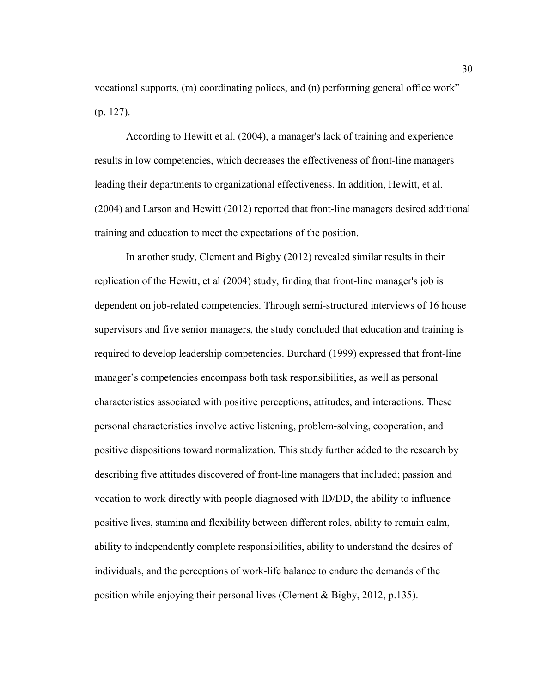vocational supports, (m) coordinating polices, and (n) performing general office work" (p. 127).

According to Hewitt et al. (2004), a manager's lack of training and experience results in low competencies, which decreases the effectiveness of front-line managers leading their departments to organizational effectiveness. In addition, Hewitt, et al. (2004) and Larson and Hewitt (2012) reported that front-line managers desired additional training and education to meet the expectations of the position.

In another study, Clement and Bigby (2012) revealed similar results in their replication of the Hewitt, et al (2004) study, finding that front-line manager's job is dependent on job-related competencies. Through semi-structured interviews of 16 house supervisors and five senior managers, the study concluded that education and training is required to develop leadership competencies. Burchard (1999) expressed that front-line manager's competencies encompass both task responsibilities, as well as personal characteristics associated with positive perceptions, attitudes, and interactions. These personal characteristics involve active listening, problem-solving, cooperation, and positive dispositions toward normalization. This study further added to the research by describing five attitudes discovered of front-line managers that included; passion and vocation to work directly with people diagnosed with ID/DD, the ability to influence positive lives, stamina and flexibility between different roles, ability to remain calm, ability to independently complete responsibilities, ability to understand the desires of individuals, and the perceptions of work-life balance to endure the demands of the position while enjoying their personal lives (Clement & Bigby, 2012, p.135).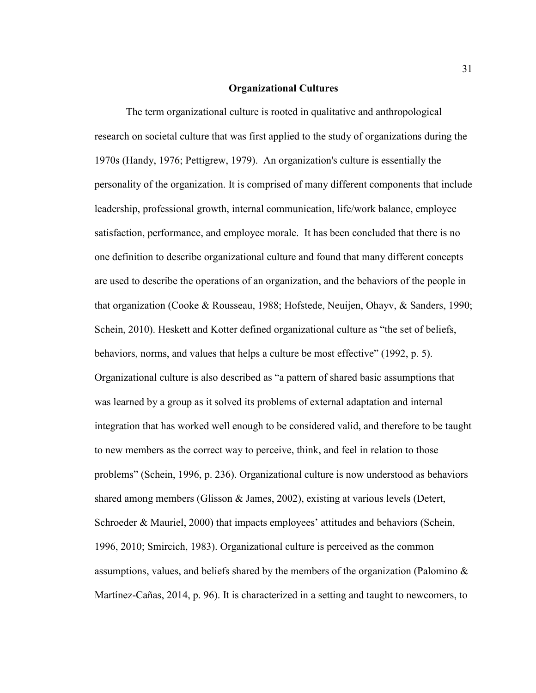#### **Organizational Cultures**

The term organizational culture is rooted in qualitative and anthropological research on societal culture that was first applied to the study of organizations during the 1970s (Handy, 1976; Pettigrew, 1979). An organization's culture is essentially the personality of the organization. It is comprised of many different components that include leadership, professional growth, internal communication, life/work balance, employee satisfaction, performance, and employee morale. It has been concluded that there is no one definition to describe organizational culture and found that many different concepts are used to describe the operations of an organization, and the behaviors of the people in that organization (Cooke & Rousseau, 1988; Hofstede, Neuijen, Ohayv, & Sanders, 1990; Schein, 2010). Heskett and Kotter defined organizational culture as "the set of beliefs, behaviors, norms, and values that helps a culture be most effective" (1992, p. 5). Organizational culture is also described as "a pattern of shared basic assumptions that was learned by a group as it solved its problems of external adaptation and internal integration that has worked well enough to be considered valid, and therefore to be taught to new members as the correct way to perceive, think, and feel in relation to those problems" (Schein, 1996, p. 236). Organizational culture is now understood as behaviors shared among members (Glisson & James, 2002), existing at various levels (Detert, Schroeder & Mauriel, 2000) that impacts employees' attitudes and behaviors (Schein, 1996, 2010; Smircich, 1983). Organizational culture is perceived as the common assumptions, values, and beliefs shared by the members of the organization (Palomino  $\&$ Martínez-Cañas, 2014, p. 96). It is characterized in a setting and taught to newcomers, to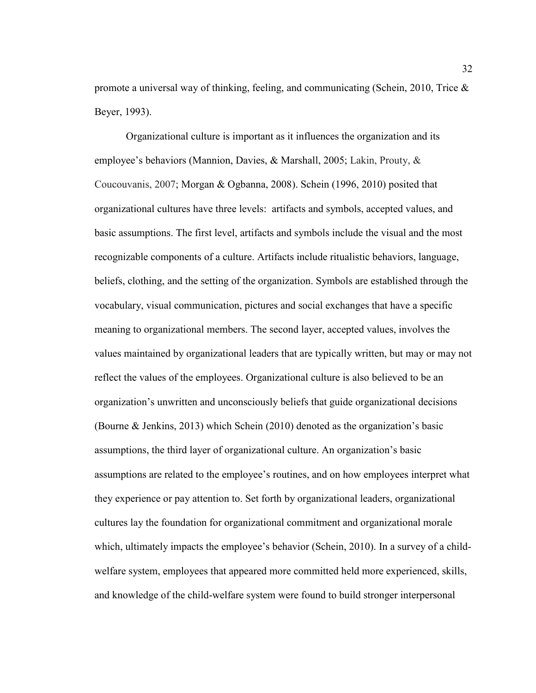promote a universal way of thinking, feeling, and communicating (Schein, 2010, Trice  $\&$ Beyer, 1993).

Organizational culture is important as it influences the organization and its employee's behaviors (Mannion, Davies, & Marshall, 2005; Lakin, Prouty, & Coucouvanis, 2007; Morgan & Ogbanna, 2008). Schein (1996, 2010) posited that organizational cultures have three levels: artifacts and symbols, accepted values, and basic assumptions. The first level, artifacts and symbols include the visual and the most recognizable components of a culture. Artifacts include ritualistic behaviors, language, beliefs, clothing, and the setting of the organization. Symbols are established through the vocabulary, visual communication, pictures and social exchanges that have a specific meaning to organizational members. The second layer, accepted values, involves the values maintained by organizational leaders that are typically written, but may or may not reflect the values of the employees. Organizational culture is also believed to be an organization's unwritten and unconsciously beliefs that guide organizational decisions (Bourne & Jenkins, 2013) which Schein (2010) denoted as the organization's basic assumptions, the third layer of organizational culture. An organization's basic assumptions are related to the employee's routines, and on how employees interpret what they experience or pay attention to. Set forth by organizational leaders, organizational cultures lay the foundation for organizational commitment and organizational morale which, ultimately impacts the employee's behavior (Schein, 2010). In a survey of a childwelfare system, employees that appeared more committed held more experienced, skills, and knowledge of the child-welfare system were found to build stronger interpersonal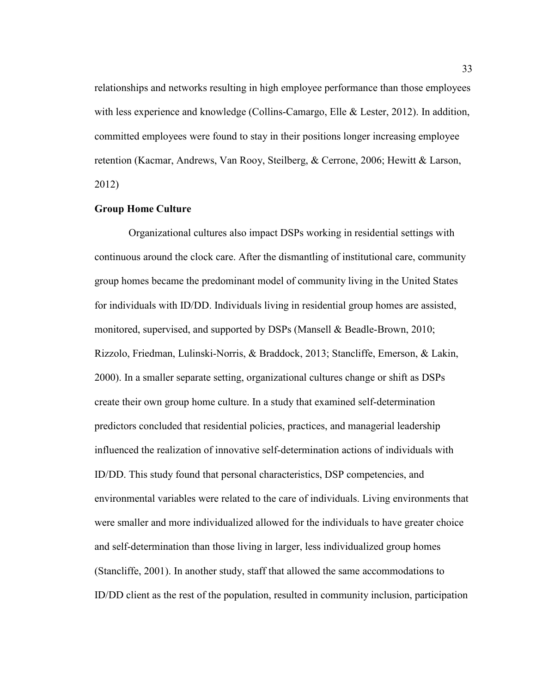relationships and networks resulting in high employee performance than those employees with less experience and knowledge (Collins-Camargo, Elle & Lester, 2012). In addition, committed employees were found to stay in their positions longer increasing employee retention (Kacmar, Andrews, Van Rooy, Steilberg, & Cerrone, 2006; Hewitt & Larson, 2012)

# **Group Home Culture**

Organizational cultures also impact DSPs working in residential settings with continuous around the clock care. After the dismantling of institutional care, community group homes became the predominant model of community living in the United States for individuals with ID/DD. Individuals living in residential group homes are assisted, monitored, supervised, and supported by DSPs (Mansell & Beadle-Brown, 2010; Rizzolo, Friedman, Lulinski-Norris, & Braddock, 2013; Stancliffe, Emerson, & Lakin, 2000). In a smaller separate setting, organizational cultures change or shift as DSPs create their own group home culture. In a study that examined self-determination predictors concluded that residential policies, practices, and managerial leadership influenced the realization of innovative self-determination actions of individuals with ID/DD. This study found that personal characteristics, DSP competencies, and environmental variables were related to the care of individuals. Living environments that were smaller and more individualized allowed for the individuals to have greater choice and self-determination than those living in larger, less individualized group homes (Stancliffe, 2001). In another study, staff that allowed the same accommodations to ID/DD client as the rest of the population, resulted in community inclusion, participation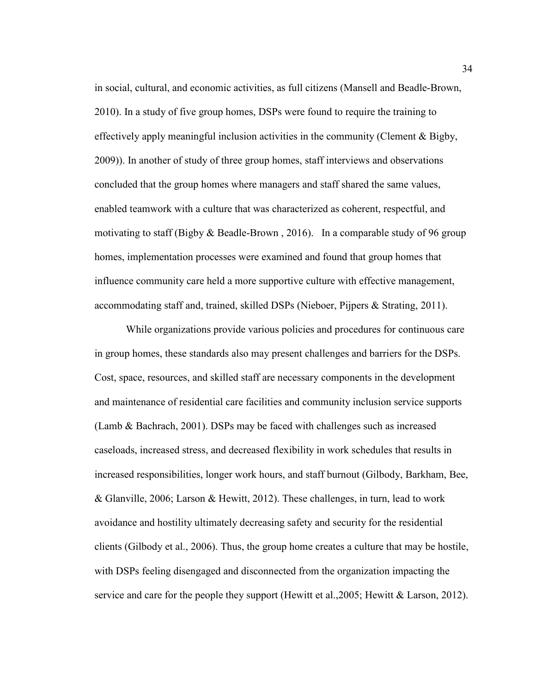in social, cultural, and economic activities, as full citizens (Mansell and Beadle-Brown, 2010). In a study of five group homes, DSPs were found to require the training to effectively apply meaningful inclusion activities in the community (Clement  $\&$  Bigby, 2009)). In another of study of three group homes, staff interviews and observations concluded that the group homes where managers and staff shared the same values, enabled teamwork with a culture that was characterized as coherent, respectful, and motivating to staff (Bigby  $\&$  Beadle-Brown, 2016). In a comparable study of 96 group homes, implementation processes were examined and found that group homes that influence community care held a more supportive culture with effective management, accommodating staff and, trained, skilled DSPs (Nieboer, Pijpers & Strating, 2011).

While organizations provide various policies and procedures for continuous care in group homes, these standards also may present challenges and barriers for the DSPs. Cost, space, resources, and skilled staff are necessary components in the development and maintenance of residential care facilities and community inclusion service supports (Lamb & Bachrach, 2001). DSPs may be faced with challenges such as increased caseloads, increased stress, and decreased flexibility in work schedules that results in increased responsibilities, longer work hours, and staff burnout (Gilbody, Barkham, Bee, & Glanville, 2006; Larson & Hewitt, 2012). These challenges, in turn, lead to work avoidance and hostility ultimately decreasing safety and security for the residential clients (Gilbody et al., 2006). Thus, the group home creates a culture that may be hostile, with DSPs feeling disengaged and disconnected from the organization impacting the service and care for the people they support (Hewitt et al., 2005; Hewitt & Larson, 2012).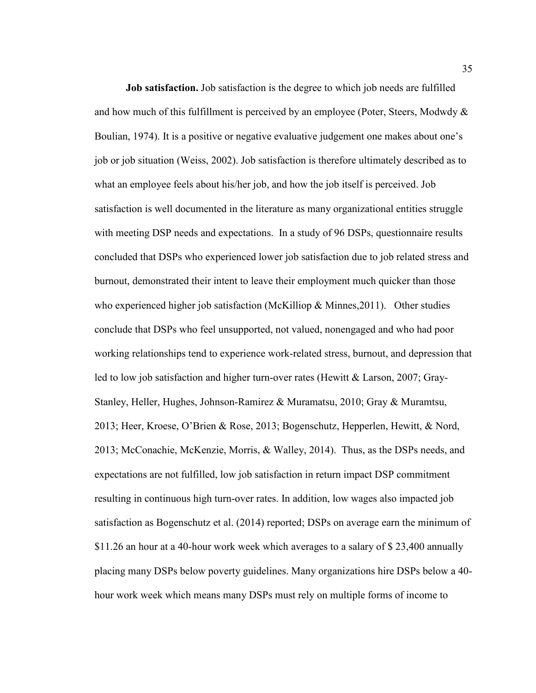**Job satisfaction.** Job satisfaction is the degree to which job needs are fulfilled and how much of this fulfillment is perceived by an employee (Poter, Steers, Modwdy  $\&$ Boulian, 1974). It is a positive or negative evaluative judgement one makes about one's job or job situation (Weiss, 2002). Job satisfaction is therefore ultimately described as to what an employee feels about his/her job, and how the job itself is perceived. Job satisfaction is well documented in the literature as many organizational entities struggle with meeting DSP needs and expectations. In a study of 96 DSPs, questionnaire results concluded that DSPs who experienced lower job satisfaction due to job related stress and burnout, demonstrated their intent to leave their employment much quicker than those who experienced higher job satisfaction (McKilliop & Minnes, 2011). Other studies conclude that DSPs who feel unsupported, not valued, nonengaged and who had poor working relationships tend to experience work-related stress, burnout, and depression that led to low job satisfaction and higher turn-over rates (Hewitt & Larson, 2007; Gray-Stanley, Heller, Hughes, Johnson-Ramirez & Muramatsu, 2010; Gray & Muramtsu, 2013; Heer, Kroese, O'Brien & Rose, 2013; Bogenschutz, Hepperlen, Hewitt, & Nord, 2013; McConachie, McKenzie, Morris, & Walley, 2014). Thus, as the DSPs needs, and expectations are not fulfilled, low job satisfaction in return impact DSP commitment resulting in continuous high turn-over rates. In addition, low wages also impacted job satisfaction as Bogenschutz et al. (2014) reported; DSPs on average earn the minimum of \$11.26 an hour at a 40-hour work week which averages to a salary of \$ 23,400 annually placing many DSPs below poverty guidelines. Many organizations hire DSPs below a 40 hour work week which means many DSPs must rely on multiple forms of income to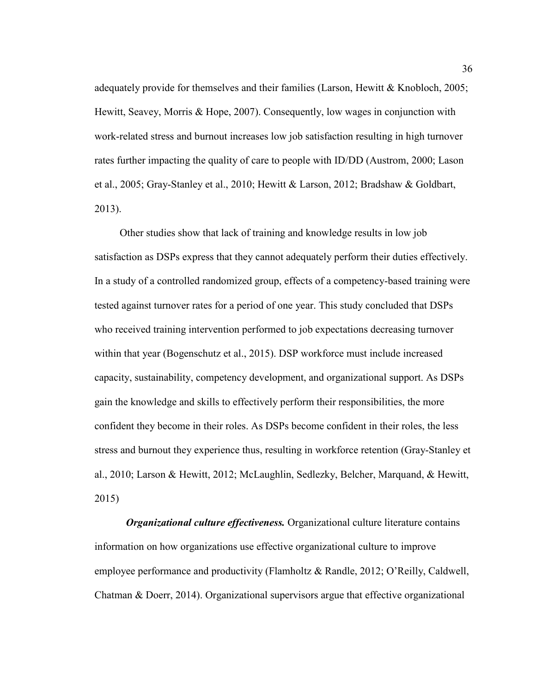adequately provide for themselves and their families (Larson, Hewitt & Knobloch, 2005; Hewitt, Seavey, Morris & Hope, 2007). Consequently, low wages in conjunction with work-related stress and burnout increases low job satisfaction resulting in high turnover rates further impacting the quality of care to people with ID/DD (Austrom, 2000; Lason et al., 2005; Gray-Stanley et al., 2010; Hewitt & Larson, 2012; Bradshaw & Goldbart, 2013).

 Other studies show that lack of training and knowledge results in low job satisfaction as DSPs express that they cannot adequately perform their duties effectively. In a study of a controlled randomized group, effects of a competency-based training were tested against turnover rates for a period of one year. This study concluded that DSPs who received training intervention performed to job expectations decreasing turnover within that year (Bogenschutz et al., 2015). DSP workforce must include increased capacity, sustainability, competency development, and organizational support. As DSPs gain the knowledge and skills to effectively perform their responsibilities, the more confident they become in their roles. As DSPs become confident in their roles, the less stress and burnout they experience thus, resulting in workforce retention (Gray-Stanley et al., 2010; Larson & Hewitt, 2012; McLaughlin, Sedlezky, Belcher, Marquand, & Hewitt, 2015)

*Organizational culture effectiveness.* Organizational culture literature contains information on how organizations use effective organizational culture to improve employee performance and productivity (Flamholtz & Randle, 2012; O'Reilly, Caldwell, Chatman & Doerr, 2014). Organizational supervisors argue that effective organizational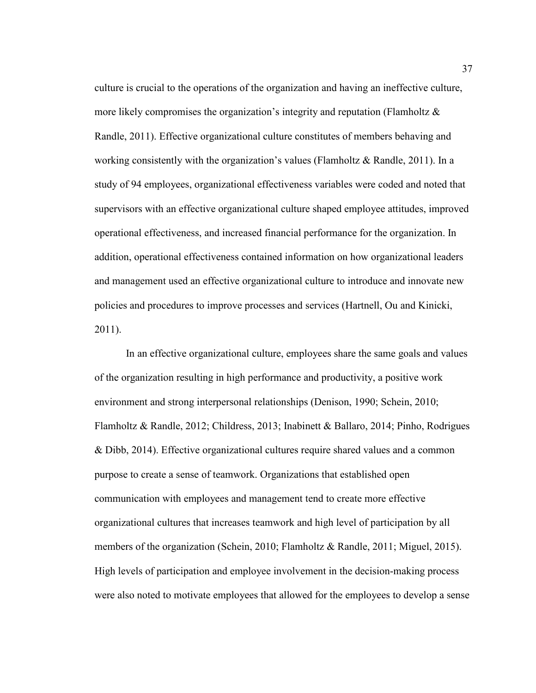culture is crucial to the operations of the organization and having an ineffective culture, more likely compromises the organization's integrity and reputation (Flamholtz  $\&$ Randle, 2011). Effective organizational culture constitutes of members behaving and working consistently with the organization's values (Flamholtz & Randle, 2011). In a study of 94 employees, organizational effectiveness variables were coded and noted that supervisors with an effective organizational culture shaped employee attitudes, improved operational effectiveness, and increased financial performance for the organization. In addition, operational effectiveness contained information on how organizational leaders and management used an effective organizational culture to introduce and innovate new policies and procedures to improve processes and services (Hartnell, Ou and Kinicki, 2011).

In an effective organizational culture, employees share the same goals and values of the organization resulting in high performance and productivity, a positive work environment and strong interpersonal relationships (Denison, 1990; Schein, 2010; Flamholtz & Randle, 2012; Childress, 2013; Inabinett & Ballaro, 2014; Pinho, Rodrigues & Dibb, 2014). Effective organizational cultures require shared values and a common purpose to create a sense of teamwork. Organizations that established open communication with employees and management tend to create more effective organizational cultures that increases teamwork and high level of participation by all members of the organization (Schein, 2010; Flamholtz & Randle, 2011; Miguel, 2015). High levels of participation and employee involvement in the decision-making process were also noted to motivate employees that allowed for the employees to develop a sense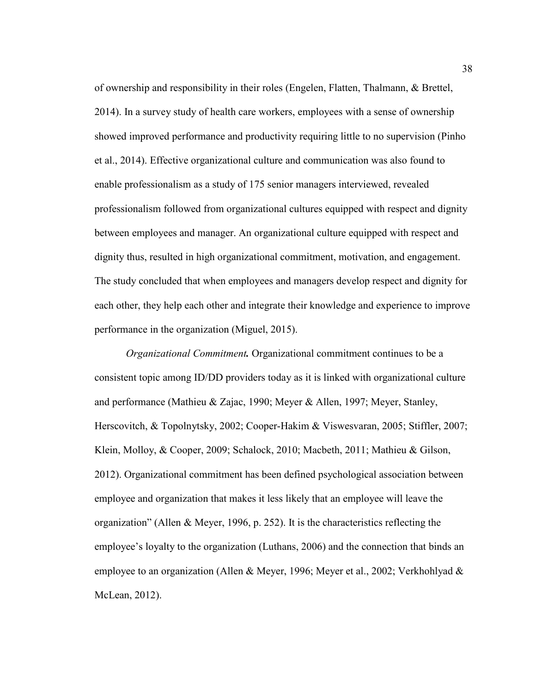of ownership and responsibility in their roles (Engelen, Flatten, Thalmann, & Brettel, 2014). In a survey study of health care workers, employees with a sense of ownership showed improved performance and productivity requiring little to no supervision (Pinho et al., 2014). Effective organizational culture and communication was also found to enable professionalism as a study of 175 senior managers interviewed, revealed professionalism followed from organizational cultures equipped with respect and dignity between employees and manager. An organizational culture equipped with respect and dignity thus, resulted in high organizational commitment, motivation, and engagement. The study concluded that when employees and managers develop respect and dignity for each other, they help each other and integrate their knowledge and experience to improve performance in the organization (Miguel, 2015).

*Organizational Commitment.* Organizational commitment continues to be a consistent topic among ID/DD providers today as it is linked with organizational culture and performance (Mathieu & Zajac, 1990; Meyer & Allen, 1997; Meyer, Stanley, Herscovitch, & Topolnytsky, 2002; Cooper-Hakim & Viswesvaran, 2005; Stiffler, 2007; Klein, Molloy, & Cooper, 2009; Schalock, 2010; Macbeth, 2011; Mathieu & Gilson, 2012). Organizational commitment has been defined psychological association between employee and organization that makes it less likely that an employee will leave the organization" (Allen & Meyer, 1996, p. 252). It is the characteristics reflecting the employee's loyalty to the organization (Luthans, 2006) and the connection that binds an employee to an organization (Allen & Meyer, 1996; Meyer et al., 2002; Verkhohlyad & McLean, 2012).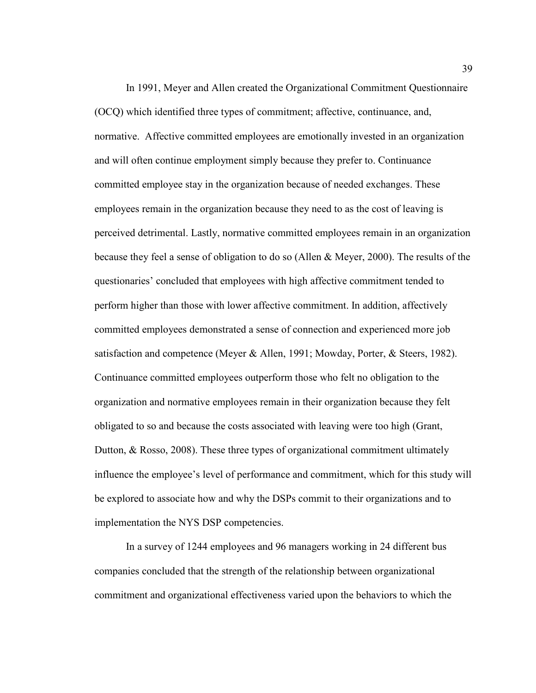In 1991, Meyer and Allen created the Organizational Commitment Questionnaire (OCQ) which identified three types of commitment; affective, continuance, and, normative. Affective committed employees are emotionally invested in an organization and will often continue employment simply because they prefer to. Continuance committed employee stay in the organization because of needed exchanges. These employees remain in the organization because they need to as the cost of leaving is perceived detrimental. Lastly, normative committed employees remain in an organization because they feel a sense of obligation to do so (Allen & Meyer, 2000). The results of the questionaries' concluded that employees with high affective commitment tended to perform higher than those with lower affective commitment. In addition, affectively committed employees demonstrated a sense of connection and experienced more job satisfaction and competence (Meyer & Allen, 1991; Mowday, Porter, & Steers, 1982). Continuance committed employees outperform those who felt no obligation to the organization and normative employees remain in their organization because they felt obligated to so and because the costs associated with leaving were too high (Grant, Dutton, & Rosso, 2008). These three types of organizational commitment ultimately influence the employee's level of performance and commitment, which for this study will be explored to associate how and why the DSPs commit to their organizations and to implementation the NYS DSP competencies.

In a survey of 1244 employees and 96 managers working in 24 different bus companies concluded that the strength of the relationship between organizational commitment and organizational effectiveness varied upon the behaviors to which the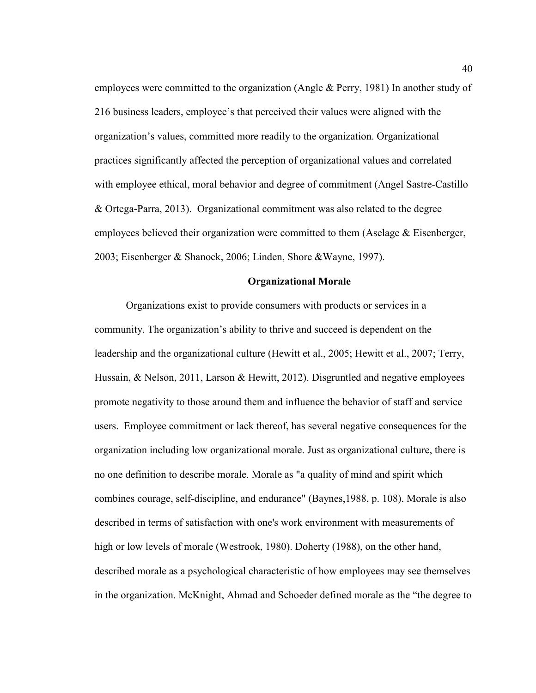employees were committed to the organization (Angle & Perry, 1981) In another study of 216 business leaders, employee's that perceived their values were aligned with the organization's values, committed more readily to the organization. Organizational practices significantly affected the perception of organizational values and correlated with employee ethical, moral behavior and degree of commitment (Angel Sastre-Castillo & Ortega-Parra, 2013). Organizational commitment was also related to the degree employees believed their organization were committed to them (Aselage & Eisenberger, 2003; Eisenberger & Shanock, 2006; Linden, Shore &Wayne, 1997).

## **Organizational Morale**

Organizations exist to provide consumers with products or services in a community. The organization's ability to thrive and succeed is dependent on the leadership and the organizational culture (Hewitt et al., 2005; Hewitt et al., 2007; Terry, Hussain, & Nelson, 2011, Larson & Hewitt, 2012). Disgruntled and negative employees promote negativity to those around them and influence the behavior of staff and service users. Employee commitment or lack thereof, has several negative consequences for the organization including low organizational morale. Just as organizational culture, there is no one definition to describe morale. Morale as "a quality of mind and spirit which combines courage, self-discipline, and endurance" (Baynes,1988, p. 108). Morale is also described in terms of satisfaction with one's work environment with measurements of high or low levels of morale (Westrook, 1980). Doherty (1988), on the other hand, described morale as a psychological characteristic of how employees may see themselves in the organization. McKnight, Ahmad and Schoeder defined morale as the "the degree to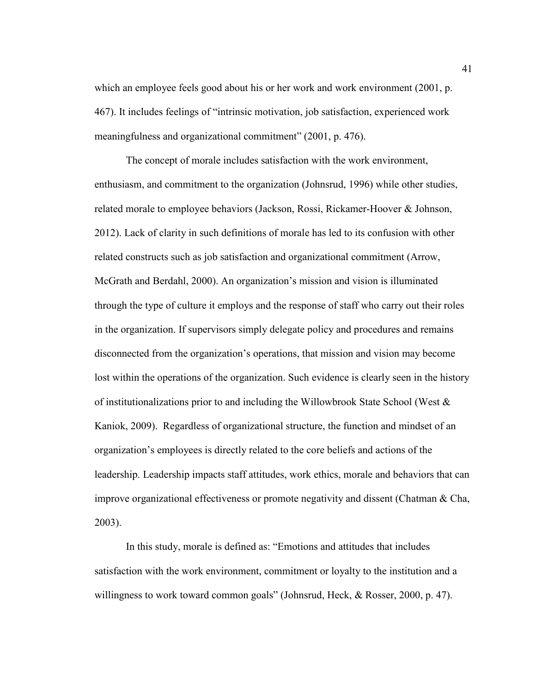which an employee feels good about his or her work and work environment (2001, p. 467). It includes feelings of "intrinsic motivation, job satisfaction, experienced work meaningfulness and organizational commitment" (2001, p. 476).

The concept of morale includes satisfaction with the work environment, enthusiasm, and commitment to the organization (Johnsrud, 1996) while other studies, related morale to employee behaviors (Jackson, Rossi, Rickamer-Hoover & Johnson, 2012). Lack of clarity in such definitions of morale has led to its confusion with other related constructs such as job satisfaction and organizational commitment (Arrow, McGrath and Berdahl, 2000). An organization's mission and vision is illuminated through the type of culture it employs and the response of staff who carry out their roles in the organization. If supervisors simply delegate policy and procedures and remains disconnected from the organization's operations, that mission and vision may become lost within the operations of the organization. Such evidence is clearly seen in the history of institutionalizations prior to and including the Willowbrook State School (West  $\&$ Kaniok, 2009). Regardless of organizational structure, the function and mindset of an organization's employees is directly related to the core beliefs and actions of the leadership. Leadership impacts staff attitudes, work ethics, morale and behaviors that can improve organizational effectiveness or promote negativity and dissent (Chatman & Cha, 2003).

In this study, morale is defined as: "Emotions and attitudes that includes satisfaction with the work environment, commitment or loyalty to the institution and a willingness to work toward common goals" (Johnsrud, Heck, & Rosser, 2000, p. 47).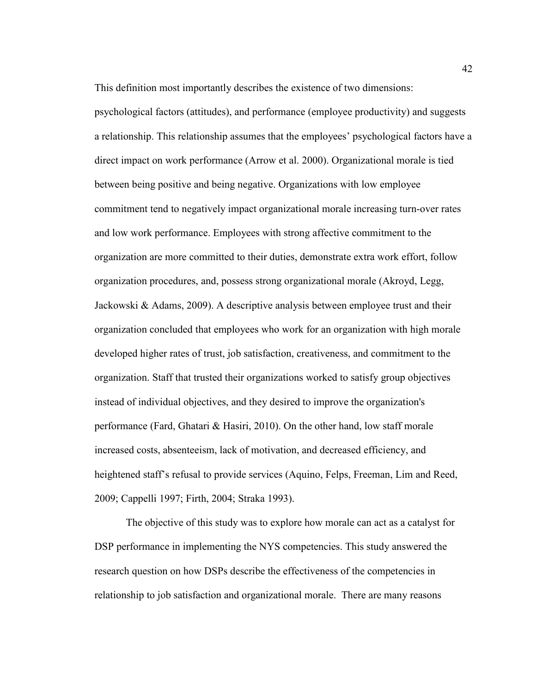This definition most importantly describes the existence of two dimensions:

psychological factors (attitudes), and performance (employee productivity) and suggests a relationship. This relationship assumes that the employees' psychological factors have a direct impact on work performance (Arrow et al. 2000). Organizational morale is tied between being positive and being negative. Organizations with low employee commitment tend to negatively impact organizational morale increasing turn-over rates and low work performance. Employees with strong affective commitment to the organization are more committed to their duties, demonstrate extra work effort, follow organization procedures, and, possess strong organizational morale (Akroyd, Legg, Jackowski & Adams, 2009). A descriptive analysis between employee trust and their organization concluded that employees who work for an organization with high morale developed higher rates of trust, job satisfaction, creativeness, and commitment to the organization. Staff that trusted their organizations worked to satisfy group objectives instead of individual objectives, and they desired to improve the organization's performance (Fard, Ghatari & Hasiri, 2010). On the other hand, low staff morale increased costs, absenteeism, lack of motivation, and decreased efficiency, and heightened staff's refusal to provide services (Aquino, Felps, Freeman, Lim and Reed, 2009; Cappelli 1997; Firth, 2004; Straka 1993).

The objective of this study was to explore how morale can act as a catalyst for DSP performance in implementing the NYS competencies. This study answered the research question on how DSPs describe the effectiveness of the competencies in relationship to job satisfaction and organizational morale. There are many reasons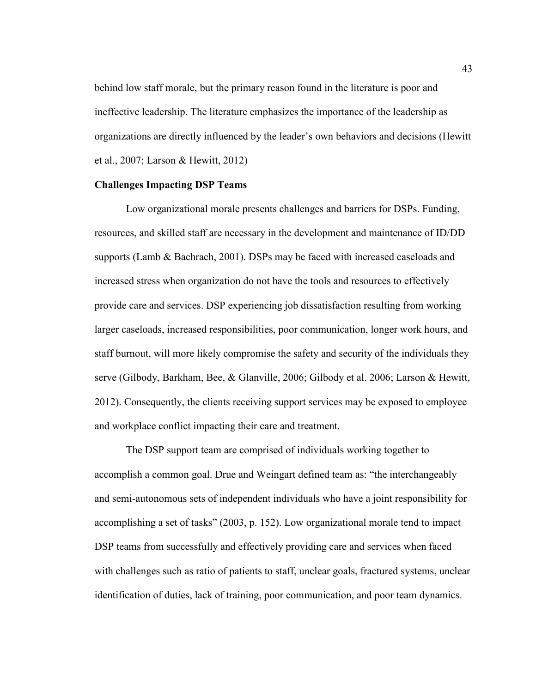behind low staff morale, but the primary reason found in the literature is poor and ineffective leadership. The literature emphasizes the importance of the leadership as organizations are directly influenced by the leader's own behaviors and decisions (Hewitt et al., 2007; Larson & Hewitt, 2012)

## **Challenges Impacting DSP Teams**

Low organizational morale presents challenges and barriers for DSPs. Funding, resources, and skilled staff are necessary in the development and maintenance of ID/DD supports (Lamb & Bachrach, 2001). DSPs may be faced with increased caseloads and increased stress when organization do not have the tools and resources to effectively provide care and services. DSP experiencing job dissatisfaction resulting from working larger caseloads, increased responsibilities, poor communication, longer work hours, and staff burnout, will more likely compromise the safety and security of the individuals they serve (Gilbody, Barkham, Bee, & Glanville, 2006; Gilbody et al. 2006; Larson & Hewitt, 2012). Consequently, the clients receiving support services may be exposed to employee and workplace conflict impacting their care and treatment.

The DSP support team are comprised of individuals working together to accomplish a common goal. Drue and Weingart defined team as: "the interchangeably and semi-autonomous sets of independent individuals who have a joint responsibility for accomplishing a set of tasks" (2003, p. 152). Low organizational morale tend to impact DSP teams from successfully and effectively providing care and services when faced with challenges such as ratio of patients to staff, unclear goals, fractured systems, unclear identification of duties, lack of training, poor communication, and poor team dynamics.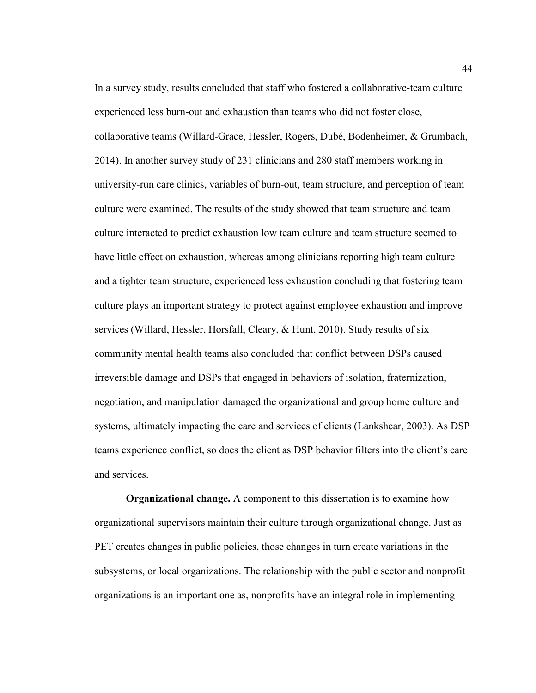In a survey study, results concluded that staff who fostered a collaborative-team culture experienced less burn-out and exhaustion than teams who did not foster close, collaborative teams (Willard-Grace, Hessler, Rogers, Dubé, Bodenheimer, & Grumbach, 2014). In another survey study of 231 clinicians and 280 staff members working in university-run care clinics, variables of burn-out, team structure, and perception of team culture were examined. The results of the study showed that team structure and team culture interacted to predict exhaustion low team culture and team structure seemed to have little effect on exhaustion, whereas among clinicians reporting high team culture and a tighter team structure, experienced less exhaustion concluding that fostering team culture plays an important strategy to protect against employee exhaustion and improve services (Willard, Hessler, Horsfall, Cleary, & Hunt, 2010). Study results of six community mental health teams also concluded that conflict between DSPs caused irreversible damage and DSPs that engaged in behaviors of isolation, fraternization, negotiation, and manipulation damaged the organizational and group home culture and systems, ultimately impacting the care and services of clients (Lankshear, 2003). As DSP teams experience conflict, so does the client as DSP behavior filters into the client's care and services.

**Organizational change.** A component to this dissertation is to examine how organizational supervisors maintain their culture through organizational change. Just as PET creates changes in public policies, those changes in turn create variations in the subsystems, or local organizations. The relationship with the public sector and nonprofit organizations is an important one as, nonprofits have an integral role in implementing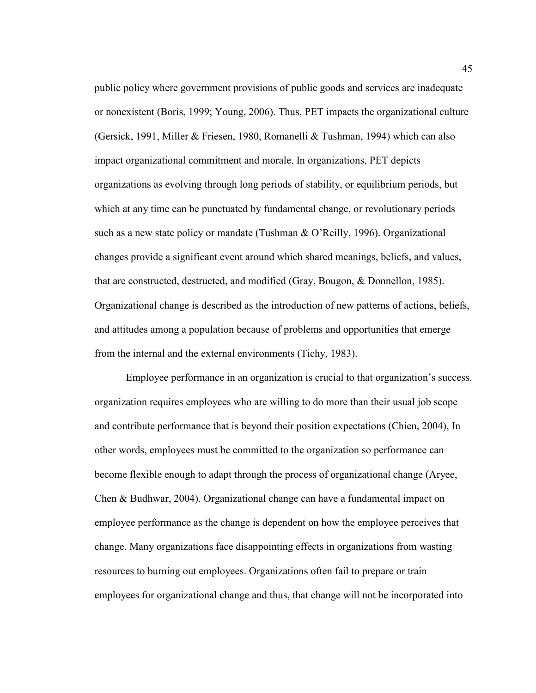public policy where government provisions of public goods and services are inadequate or nonexistent (Boris, 1999; Young, 2006). Thus, PET impacts the organizational culture (Gersick, 1991, Miller & Friesen, 1980, Romanelli & Tushman, 1994) which can also impact organizational commitment and morale. In organizations, PET depicts organizations as evolving through long periods of stability, or equilibrium periods, but which at any time can be punctuated by fundamental change, or revolutionary periods such as a new state policy or mandate (Tushman & O'Reilly, 1996). Organizational changes provide a significant event around which shared meanings, beliefs, and values, that are constructed, destructed, and modified (Gray, Bougon, & Donnellon, 1985). Organizational change is described as the introduction of new patterns of actions, beliefs, and attitudes among a population because of problems and opportunities that emerge from the internal and the external environments (Tichy, 1983).

Employee performance in an organization is crucial to that organization's success. organization requires employees who are willing to do more than their usual job scope and contribute performance that is beyond their position expectations (Chien, 2004), In other words, employees must be committed to the organization so performance can become flexible enough to adapt through the process of organizational change (Aryee, Chen & Budhwar, 2004). Organizational change can have a fundamental impact on employee performance as the change is dependent on how the employee perceives that change. Many organizations face disappointing effects in organizations from wasting resources to burning out employees. Organizations often fail to prepare or train employees for organizational change and thus, that change will not be incorporated into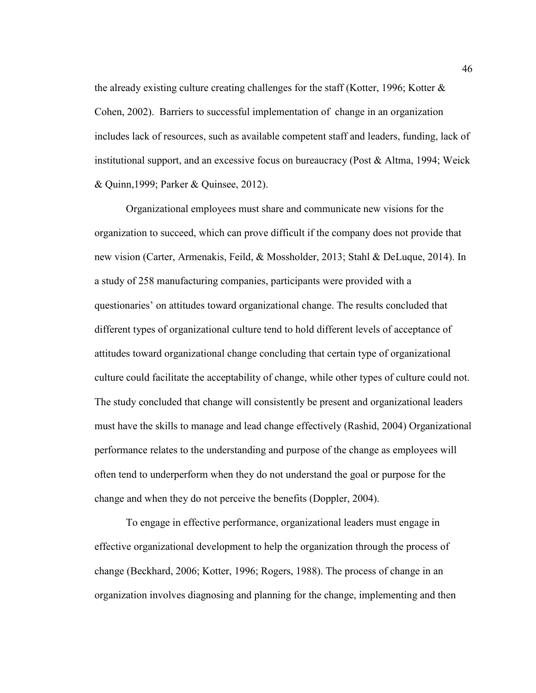the already existing culture creating challenges for the staff (Kotter, 1996; Kotter & Cohen, 2002). Barriers to successful implementation of change in an organization includes lack of resources, such as available competent staff and leaders, funding, lack of institutional support, and an excessive focus on bureaucracy (Post & Altma, 1994; Weick & Quinn,1999; Parker & Quinsee, 2012).

Organizational employees must share and communicate new visions for the organization to succeed, which can prove difficult if the company does not provide that new vision (Carter, Armenakis, Feild, & Mossholder, 2013; Stahl & DeLuque, 2014). In a study of 258 manufacturing companies, participants were provided with a questionaries' on attitudes toward organizational change. The results concluded that different types of organizational culture tend to hold different levels of acceptance of attitudes toward organizational change concluding that certain type of organizational culture could facilitate the acceptability of change, while other types of culture could not. The study concluded that change will consistently be present and organizational leaders must have the skills to manage and lead change effectively (Rashid, 2004) Organizational performance relates to the understanding and purpose of the change as employees will often tend to underperform when they do not understand the goal or purpose for the change and when they do not perceive the benefits (Doppler, 2004).

To engage in effective performance, organizational leaders must engage in effective organizational development to help the organization through the process of change (Beckhard, 2006; Kotter, 1996; Rogers, 1988). The process of change in an organization involves diagnosing and planning for the change, implementing and then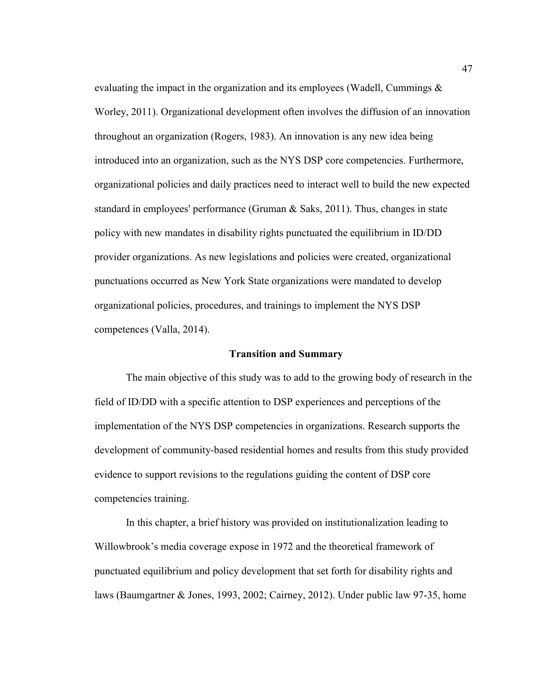evaluating the impact in the organization and its employees (Wadell, Cummings & Worley, 2011). Organizational development often involves the diffusion of an innovation throughout an organization (Rogers, 1983). An innovation is any new idea being introduced into an organization, such as the NYS DSP core competencies. Furthermore, organizational policies and daily practices need to interact well to build the new expected standard in employees' performance (Gruman & Saks, 2011). Thus, changes in state policy with new mandates in disability rights punctuated the equilibrium in ID/DD provider organizations. As new legislations and policies were created, organizational punctuations occurred as New York State organizations were mandated to develop organizational policies, procedures, and trainings to implement the NYS DSP competences (Valla, 2014).

#### **Transition and Summary**

The main objective of this study was to add to the growing body of research in the field of ID/DD with a specific attention to DSP experiences and perceptions of the implementation of the NYS DSP competencies in organizations. Research supports the development of community-based residential homes and results from this study provided evidence to support revisions to the regulations guiding the content of DSP core competencies training.

In this chapter, a brief history was provided on institutionalization leading to Willowbrook's media coverage expose in 1972 and the theoretical framework of punctuated equilibrium and policy development that set forth for disability rights and laws (Baumgartner & Jones, 1993, 2002; Cairney, 2012). Under public law 97-35, home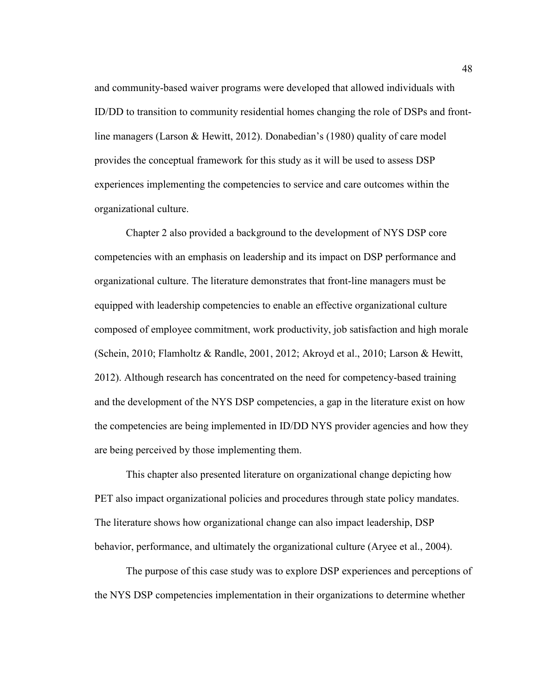and community-based waiver programs were developed that allowed individuals with ID/DD to transition to community residential homes changing the role of DSPs and frontline managers (Larson & Hewitt, 2012). Donabedian's (1980) quality of care model provides the conceptual framework for this study as it will be used to assess DSP experiences implementing the competencies to service and care outcomes within the organizational culture.

Chapter 2 also provided a background to the development of NYS DSP core competencies with an emphasis on leadership and its impact on DSP performance and organizational culture. The literature demonstrates that front-line managers must be equipped with leadership competencies to enable an effective organizational culture composed of employee commitment, work productivity, job satisfaction and high morale (Schein, 2010; Flamholtz & Randle, 2001, 2012; Akroyd et al., 2010; Larson & Hewitt, 2012). Although research has concentrated on the need for competency-based training and the development of the NYS DSP competencies, a gap in the literature exist on how the competencies are being implemented in ID/DD NYS provider agencies and how they are being perceived by those implementing them.

This chapter also presented literature on organizational change depicting how PET also impact organizational policies and procedures through state policy mandates. The literature shows how organizational change can also impact leadership, DSP behavior, performance, and ultimately the organizational culture (Aryee et al., 2004).

The purpose of this case study was to explore DSP experiences and perceptions of the NYS DSP competencies implementation in their organizations to determine whether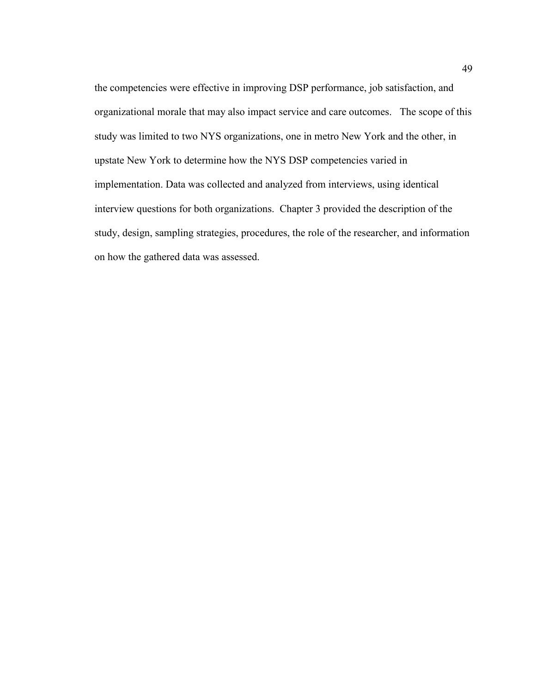the competencies were effective in improving DSP performance, job satisfaction, and organizational morale that may also impact service and care outcomes. The scope of this study was limited to two NYS organizations, one in metro New York and the other, in upstate New York to determine how the NYS DSP competencies varied in implementation. Data was collected and analyzed from interviews, using identical interview questions for both organizations. Chapter 3 provided the description of the study, design, sampling strategies, procedures, the role of the researcher, and information on how the gathered data was assessed.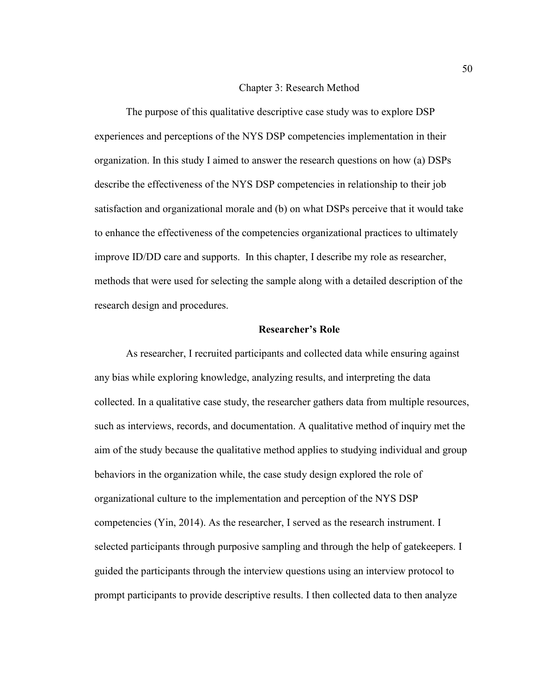#### Chapter 3: Research Method

The purpose of this qualitative descriptive case study was to explore DSP experiences and perceptions of the NYS DSP competencies implementation in their organization. In this study I aimed to answer the research questions on how (a) DSPs describe the effectiveness of the NYS DSP competencies in relationship to their job satisfaction and organizational morale and (b) on what DSPs perceive that it would take to enhance the effectiveness of the competencies organizational practices to ultimately improve ID/DD care and supports. In this chapter, I describe my role as researcher, methods that were used for selecting the sample along with a detailed description of the research design and procedures.

### **Researcher's Role**

As researcher, I recruited participants and collected data while ensuring against any bias while exploring knowledge, analyzing results, and interpreting the data collected. In a qualitative case study, the researcher gathers data from multiple resources, such as interviews, records, and documentation. A qualitative method of inquiry met the aim of the study because the qualitative method applies to studying individual and group behaviors in the organization while, the case study design explored the role of organizational culture to the implementation and perception of the NYS DSP competencies (Yin, 2014). As the researcher, I served as the research instrument. I selected participants through purposive sampling and through the help of gatekeepers. I guided the participants through the interview questions using an interview protocol to prompt participants to provide descriptive results. I then collected data to then analyze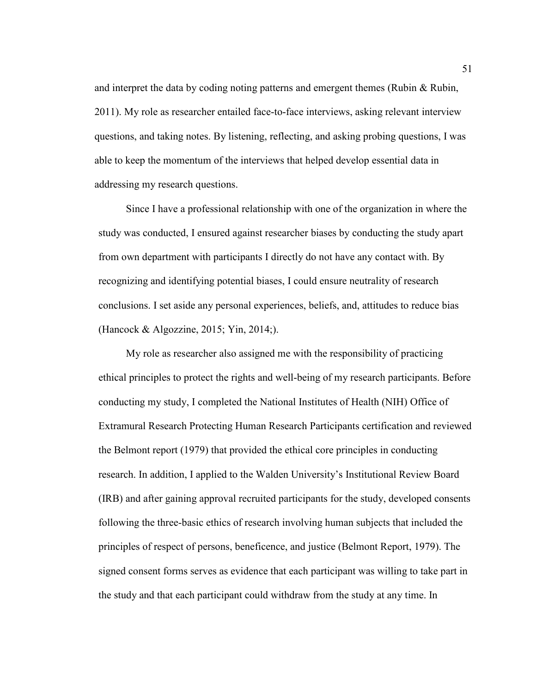and interpret the data by coding noting patterns and emergent themes (Rubin  $\&$  Rubin, 2011). My role as researcher entailed face-to-face interviews, asking relevant interview questions, and taking notes. By listening, reflecting, and asking probing questions, I was able to keep the momentum of the interviews that helped develop essential data in addressing my research questions.

Since I have a professional relationship with one of the organization in where the study was conducted, I ensured against researcher biases by conducting the study apart from own department with participants I directly do not have any contact with. By recognizing and identifying potential biases, I could ensure neutrality of research conclusions. I set aside any personal experiences, beliefs, and, attitudes to reduce bias (Hancock & Algozzine, 2015; Yin, 2014;).

My role as researcher also assigned me with the responsibility of practicing ethical principles to protect the rights and well-being of my research participants. Before conducting my study, I completed the National Institutes of Health (NIH) Office of Extramural Research Protecting Human Research Participants certification and reviewed the Belmont report (1979) that provided the ethical core principles in conducting research. In addition, I applied to the Walden University's Institutional Review Board (IRB) and after gaining approval recruited participants for the study, developed consents following the three-basic ethics of research involving human subjects that included the principles of respect of persons, beneficence, and justice (Belmont Report, 1979). The signed consent forms serves as evidence that each participant was willing to take part in the study and that each participant could withdraw from the study at any time. In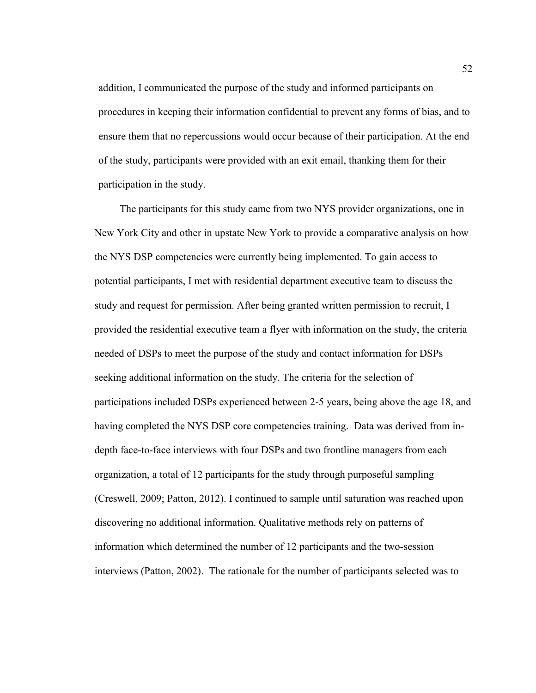addition, I communicated the purpose of the study and informed participants on procedures in keeping their information confidential to prevent any forms of bias, and to ensure them that no repercussions would occur because of their participation. At the end of the study, participants were provided with an exit email, thanking them for their participation in the study.

The participants for this study came from two NYS provider organizations, one in New York City and other in upstate New York to provide a comparative analysis on how the NYS DSP competencies were currently being implemented. To gain access to potential participants, I met with residential department executive team to discuss the study and request for permission. After being granted written permission to recruit, I provided the residential executive team a flyer with information on the study, the criteria needed of DSPs to meet the purpose of the study and contact information for DSPs seeking additional information on the study. The criteria for the selection of participations included DSPs experienced between 2-5 years, being above the age 18, and having completed the NYS DSP core competencies training. Data was derived from indepth face-to-face interviews with four DSPs and two frontline managers from each organization, a total of 12 participants for the study through purposeful sampling (Creswell, 2009; Patton, 2012). I continued to sample until saturation was reached upon discovering no additional information. Qualitative methods rely on patterns of information which determined the number of 12 participants and the two-session interviews (Patton, 2002). The rationale for the number of participants selected was to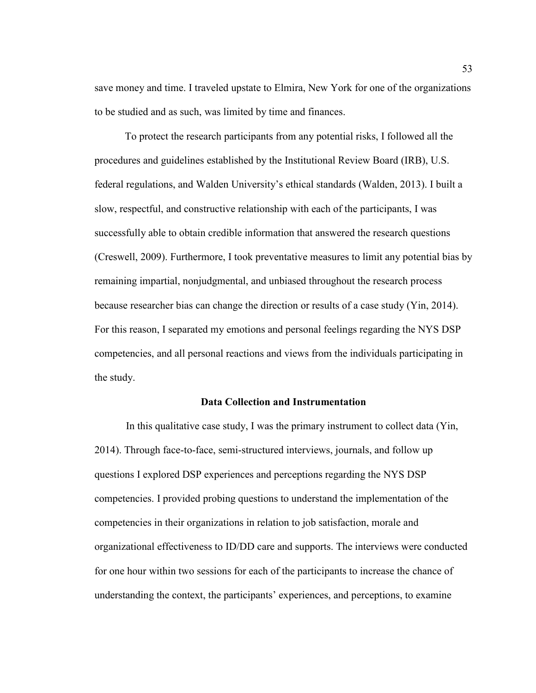save money and time. I traveled upstate to Elmira, New York for one of the organizations to be studied and as such, was limited by time and finances.

 To protect the research participants from any potential risks, I followed all the procedures and guidelines established by the Institutional Review Board (IRB), U.S. federal regulations, and Walden University's ethical standards (Walden, 2013). I built a slow, respectful, and constructive relationship with each of the participants, I was successfully able to obtain credible information that answered the research questions (Creswell, 2009). Furthermore, I took preventative measures to limit any potential bias by remaining impartial, nonjudgmental, and unbiased throughout the research process because researcher bias can change the direction or results of a case study (Yin, 2014). For this reason, I separated my emotions and personal feelings regarding the NYS DSP competencies, and all personal reactions and views from the individuals participating in the study.

## **Data Collection and Instrumentation**

In this qualitative case study, I was the primary instrument to collect data (Yin, 2014). Through face-to-face, semi-structured interviews, journals, and follow up questions I explored DSP experiences and perceptions regarding the NYS DSP competencies. I provided probing questions to understand the implementation of the competencies in their organizations in relation to job satisfaction, morale and organizational effectiveness to ID/DD care and supports. The interviews were conducted for one hour within two sessions for each of the participants to increase the chance of understanding the context, the participants' experiences, and perceptions, to examine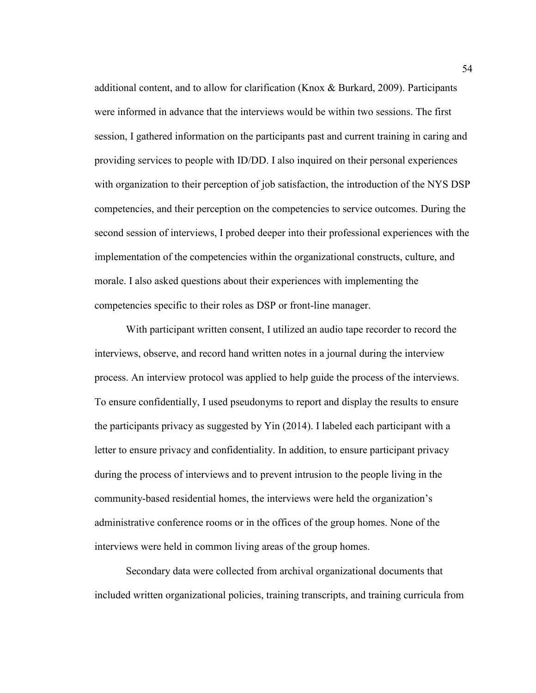additional content, and to allow for clarification (Knox & Burkard, 2009). Participants were informed in advance that the interviews would be within two sessions. The first session, I gathered information on the participants past and current training in caring and providing services to people with ID/DD. I also inquired on their personal experiences with organization to their perception of job satisfaction, the introduction of the NYS DSP competencies, and their perception on the competencies to service outcomes. During the second session of interviews, I probed deeper into their professional experiences with the implementation of the competencies within the organizational constructs, culture, and morale. I also asked questions about their experiences with implementing the competencies specific to their roles as DSP or front-line manager.

With participant written consent, I utilized an audio tape recorder to record the interviews, observe, and record hand written notes in a journal during the interview process. An interview protocol was applied to help guide the process of the interviews. To ensure confidentially, I used pseudonyms to report and display the results to ensure the participants privacy as suggested by Yin (2014). I labeled each participant with a letter to ensure privacy and confidentiality. In addition, to ensure participant privacy during the process of interviews and to prevent intrusion to the people living in the community-based residential homes, the interviews were held the organization's administrative conference rooms or in the offices of the group homes. None of the interviews were held in common living areas of the group homes.

Secondary data were collected from archival organizational documents that included written organizational policies, training transcripts, and training curricula from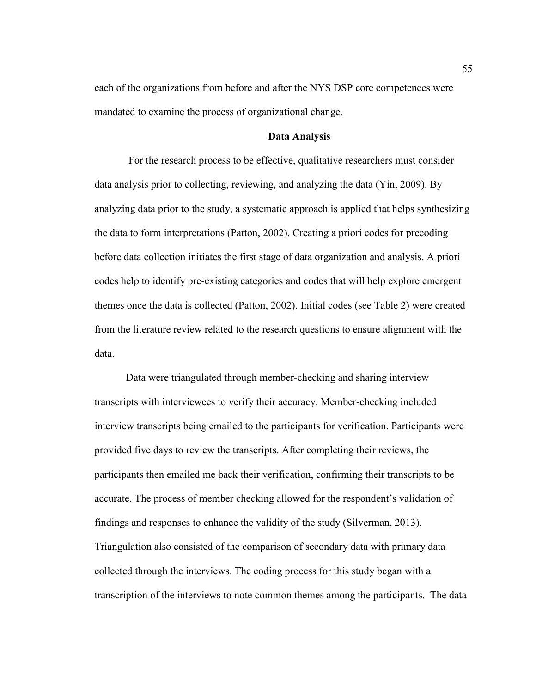each of the organizations from before and after the NYS DSP core competences were mandated to examine the process of organizational change.

### **Data Analysis**

 For the research process to be effective, qualitative researchers must consider data analysis prior to collecting, reviewing, and analyzing the data (Yin, 2009). By analyzing data prior to the study, a systematic approach is applied that helps synthesizing the data to form interpretations (Patton, 2002). Creating a priori codes for precoding before data collection initiates the first stage of data organization and analysis. A priori codes help to identify pre-existing categories and codes that will help explore emergent themes once the data is collected (Patton, 2002). Initial codes (see Table 2) were created from the literature review related to the research questions to ensure alignment with the data.

Data were triangulated through member-checking and sharing interview transcripts with interviewees to verify their accuracy. Member-checking included interview transcripts being emailed to the participants for verification. Participants were provided five days to review the transcripts. After completing their reviews, the participants then emailed me back their verification, confirming their transcripts to be accurate. The process of member checking allowed for the respondent's validation of findings and responses to enhance the validity of the study (Silverman, 2013). Triangulation also consisted of the comparison of secondary data with primary data collected through the interviews. The coding process for this study began with a transcription of the interviews to note common themes among the participants. The data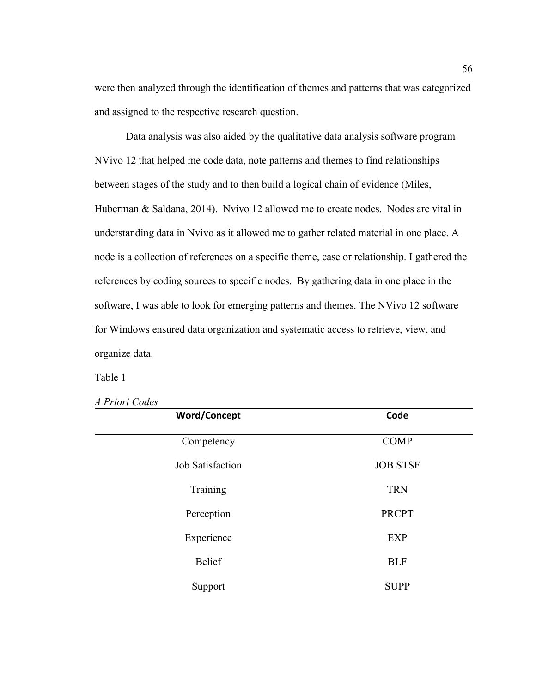were then analyzed through the identification of themes and patterns that was categorized and assigned to the respective research question.

Data analysis was also aided by the qualitative data analysis software program NVivo 12 that helped me code data, note patterns and themes to find relationships between stages of the study and to then build a logical chain of evidence (Miles, Huberman & Saldana, 2014). Nvivo 12 allowed me to create nodes. Nodes are vital in understanding data in Nvivo as it allowed me to gather related material in one place. A node is a collection of references on a specific theme, case or relationship. I gathered the references by coding sources to specific nodes. By gathering data in one place in the software, I was able to look for emerging patterns and themes. The NVivo 12 software for Windows ensured data organization and systematic access to retrieve, view, and organize data.

Table 1

| <b>Word/Concept</b>     | Code            |
|-------------------------|-----------------|
| Competency              | <b>COMP</b>     |
| <b>Job Satisfaction</b> | <b>JOB STSF</b> |
| Training                | <b>TRN</b>      |
| Perception              | <b>PRCPT</b>    |
| Experience              | <b>EXP</b>      |
| <b>Belief</b>           | <b>BLF</b>      |
| Support                 | <b>SUPP</b>     |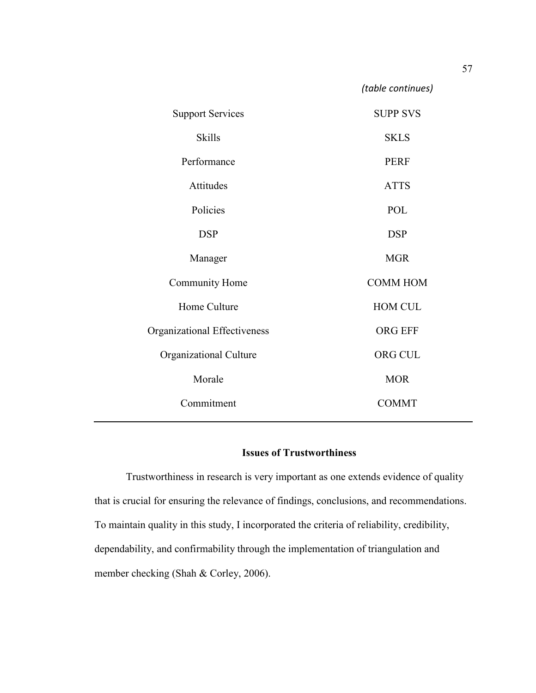| <b>Support Services</b>      | <b>SUPP SVS</b> |
|------------------------------|-----------------|
| <b>Skills</b>                | <b>SKLS</b>     |
| Performance                  | <b>PERF</b>     |
| Attitudes                    | <b>ATTS</b>     |
| Policies                     | POL             |
| <b>DSP</b>                   | <b>DSP</b>      |
| Manager                      | <b>MGR</b>      |
| Community Home               | <b>COMM HOM</b> |
| Home Culture                 | <b>HOM CUL</b>  |
| Organizational Effectiveness | <b>ORG EFF</b>  |
| Organizational Culture       | ORG CUL         |
| Morale                       | <b>MOR</b>      |
| Commitment                   | <b>COMMT</b>    |
|                              |                 |

# **Issues of Trustworthiness**

Trustworthiness in research is very important as one extends evidence of quality that is crucial for ensuring the relevance of findings, conclusions, and recommendations. To maintain quality in this study, I incorporated the criteria of reliability, credibility, dependability, and confirmability through the implementation of triangulation and member checking (Shah & Corley, 2006).

*(table continues)*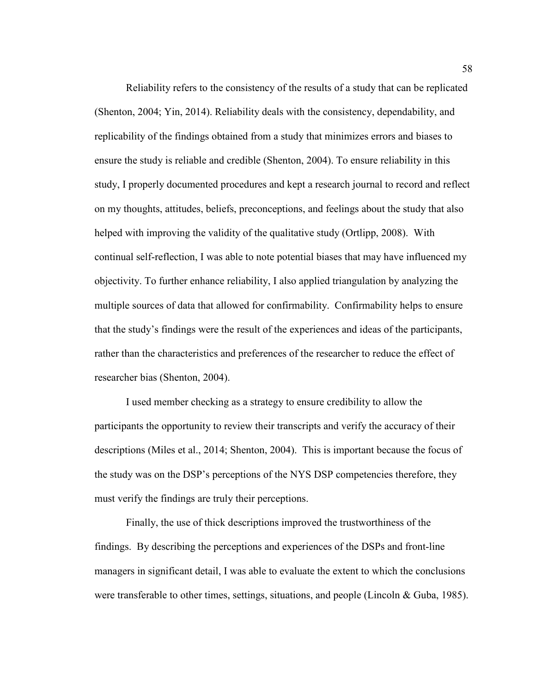Reliability refers to the consistency of the results of a study that can be replicated (Shenton, 2004; Yin, 2014). Reliability deals with the consistency, dependability, and replicability of the findings obtained from a study that minimizes errors and biases to ensure the study is reliable and credible (Shenton, 2004). To ensure reliability in this study, I properly documented procedures and kept a research journal to record and reflect on my thoughts, attitudes, beliefs, preconceptions, and feelings about the study that also helped with improving the validity of the qualitative study (Ortlipp, 2008). With continual self-reflection, I was able to note potential biases that may have influenced my objectivity. To further enhance reliability, I also applied triangulation by analyzing the multiple sources of data that allowed for confirmability. Confirmability helps to ensure that the study's findings were the result of the experiences and ideas of the participants, rather than the characteristics and preferences of the researcher to reduce the effect of researcher bias (Shenton, 2004).

I used member checking as a strategy to ensure credibility to allow the participants the opportunity to review their transcripts and verify the accuracy of their descriptions (Miles et al., 2014; Shenton, 2004). This is important because the focus of the study was on the DSP's perceptions of the NYS DSP competencies therefore, they must verify the findings are truly their perceptions.

Finally, the use of thick descriptions improved the trustworthiness of the findings. By describing the perceptions and experiences of the DSPs and front-line managers in significant detail, I was able to evaluate the extent to which the conclusions were transferable to other times, settings, situations, and people (Lincoln & Guba, 1985).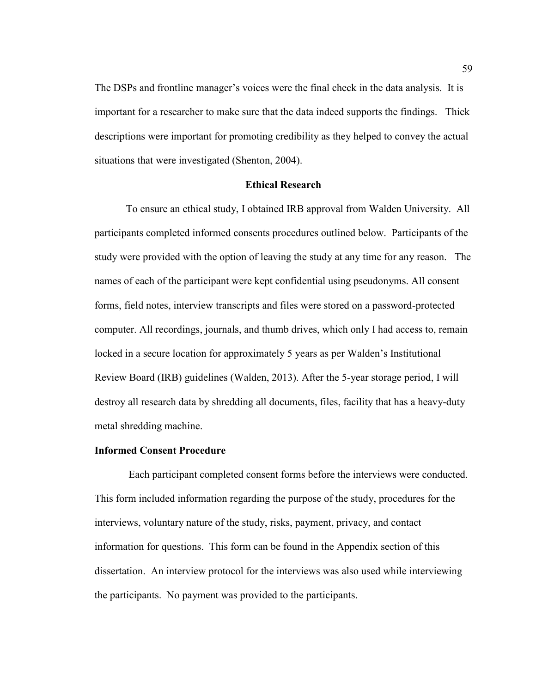The DSPs and frontline manager's voices were the final check in the data analysis. It is important for a researcher to make sure that the data indeed supports the findings. Thick descriptions were important for promoting credibility as they helped to convey the actual situations that were investigated (Shenton, 2004).

#### **Ethical Research**

To ensure an ethical study, I obtained IRB approval from Walden University. All participants completed informed consents procedures outlined below. Participants of the study were provided with the option of leaving the study at any time for any reason. The names of each of the participant were kept confidential using pseudonyms. All consent forms, field notes, interview transcripts and files were stored on a password-protected computer. All recordings, journals, and thumb drives, which only I had access to, remain locked in a secure location for approximately 5 years as per Walden's Institutional Review Board (IRB) guidelines (Walden, 2013). After the 5-year storage period, I will destroy all research data by shredding all documents, files, facility that has a heavy-duty metal shredding machine.

### **Informed Consent Procedure**

 Each participant completed consent forms before the interviews were conducted. This form included information regarding the purpose of the study, procedures for the interviews, voluntary nature of the study, risks, payment, privacy, and contact information for questions. This form can be found in the Appendix section of this dissertation. An interview protocol for the interviews was also used while interviewing the participants. No payment was provided to the participants.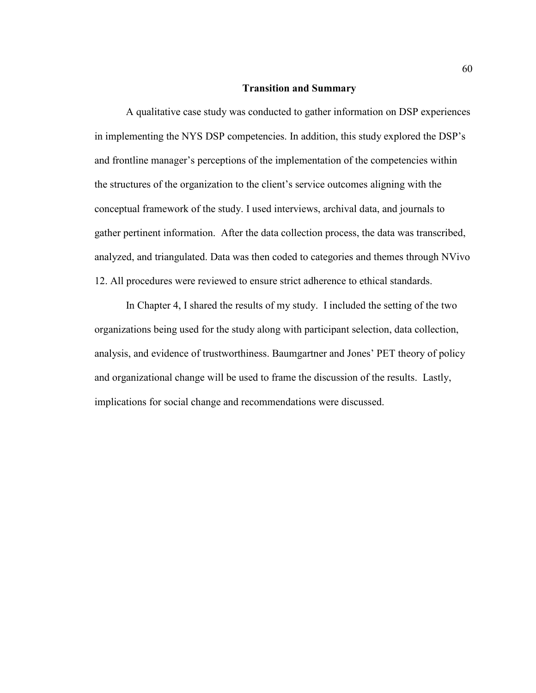### **Transition and Summary**

A qualitative case study was conducted to gather information on DSP experiences in implementing the NYS DSP competencies. In addition, this study explored the DSP's and frontline manager's perceptions of the implementation of the competencies within the structures of the organization to the client's service outcomes aligning with the conceptual framework of the study. I used interviews, archival data, and journals to gather pertinent information. After the data collection process, the data was transcribed, analyzed, and triangulated. Data was then coded to categories and themes through NVivo 12. All procedures were reviewed to ensure strict adherence to ethical standards.

In Chapter 4, I shared the results of my study. I included the setting of the two organizations being used for the study along with participant selection, data collection, analysis, and evidence of trustworthiness. Baumgartner and Jones' PET theory of policy and organizational change will be used to frame the discussion of the results. Lastly, implications for social change and recommendations were discussed.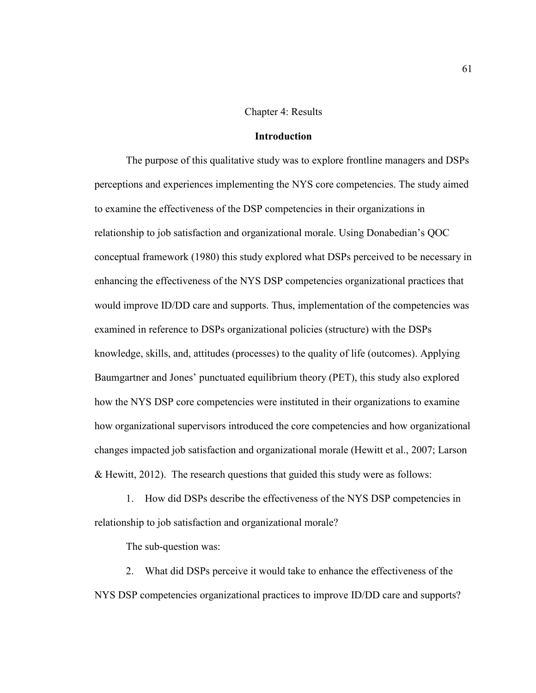#### Chapter 4: Results

### **Introduction**

The purpose of this qualitative study was to explore frontline managers and DSPs perceptions and experiences implementing the NYS core competencies. The study aimed to examine the effectiveness of the DSP competencies in their organizations in relationship to job satisfaction and organizational morale. Using Donabedian's QOC conceptual framework (1980) this study explored what DSPs perceived to be necessary in enhancing the effectiveness of the NYS DSP competencies organizational practices that would improve ID/DD care and supports. Thus, implementation of the competencies was examined in reference to DSPs organizational policies (structure) with the DSPs knowledge, skills, and, attitudes (processes) to the quality of life (outcomes). Applying Baumgartner and Jones' punctuated equilibrium theory (PET), this study also explored how the NYS DSP core competencies were instituted in their organizations to examine how organizational supervisors introduced the core competencies and how organizational changes impacted job satisfaction and organizational morale (Hewitt et al., 2007; Larson & Hewitt, 2012). The research questions that guided this study were as follows:

1. How did DSPs describe the effectiveness of the NYS DSP competencies in relationship to job satisfaction and organizational morale?

The sub-question was:

2. What did DSPs perceive it would take to enhance the effectiveness of the NYS DSP competencies organizational practices to improve ID/DD care and supports?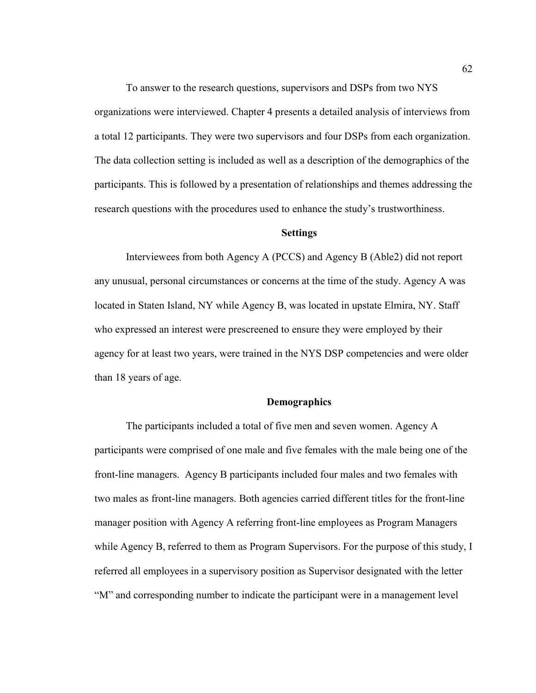To answer to the research questions, supervisors and DSPs from two NYS organizations were interviewed. Chapter 4 presents a detailed analysis of interviews from a total 12 participants. They were two supervisors and four DSPs from each organization. The data collection setting is included as well as a description of the demographics of the participants. This is followed by a presentation of relationships and themes addressing the research questions with the procedures used to enhance the study's trustworthiness.

## **Settings**

Interviewees from both Agency A (PCCS) and Agency B (Able2) did not report any unusual, personal circumstances or concerns at the time of the study. Agency A was located in Staten Island, NY while Agency B, was located in upstate Elmira, NY. Staff who expressed an interest were prescreened to ensure they were employed by their agency for at least two years, were trained in the NYS DSP competencies and were older than 18 years of age.

### **Demographics**

The participants included a total of five men and seven women. Agency A participants were comprised of one male and five females with the male being one of the front-line managers. Agency B participants included four males and two females with two males as front-line managers. Both agencies carried different titles for the front-line manager position with Agency A referring front-line employees as Program Managers while Agency B, referred to them as Program Supervisors. For the purpose of this study, I referred all employees in a supervisory position as Supervisor designated with the letter "M" and corresponding number to indicate the participant were in a management level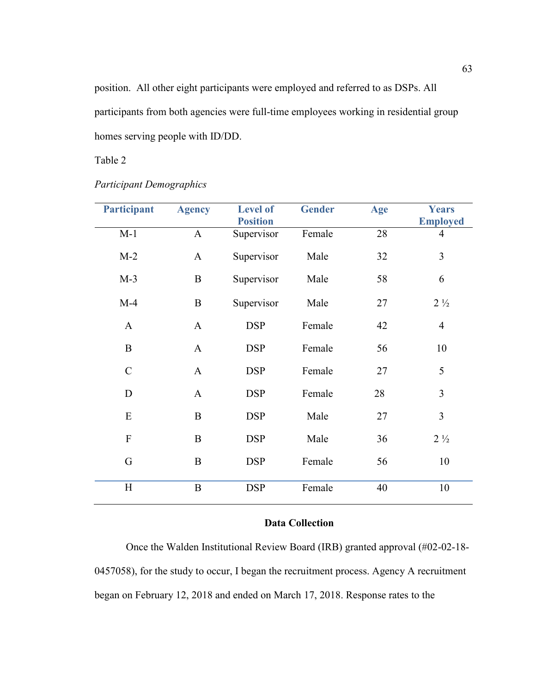position. All other eight participants were employed and referred to as DSPs. All participants from both agencies were full-time employees working in residential group homes serving people with ID/DD.

Table 2

| <b>Participant</b> | <b>Agency</b> | <b>Level of</b><br><b>Position</b> | <b>Gender</b> | Age | <b>Years</b><br><b>Employed</b> |
|--------------------|---------------|------------------------------------|---------------|-----|---------------------------------|
| $M-1$              | $\mathbf{A}$  | Supervisor                         | Female        | 28  | $\overline{4}$                  |
| $M-2$              | $\mathbf{A}$  | Supervisor                         | Male          | 32  | $\overline{3}$                  |
| $M-3$              | $\, {\bf B}$  | Supervisor                         | Male          | 58  | 6                               |
| $M-4$              | $\, {\bf B}$  | Supervisor                         | Male          | 27  | $2\frac{1}{2}$                  |
| $\mathbf{A}$       | $\mathbf{A}$  | <b>DSP</b>                         | Female        | 42  | $\overline{4}$                  |
| $\bf{B}$           | $\mathbf{A}$  | <b>DSP</b>                         | Female        | 56  | 10                              |
| $\mathcal{C}$      | $\mathbf{A}$  | <b>DSP</b>                         | Female        | 27  | 5                               |
| $\mathbf D$        | $\mathbf{A}$  | <b>DSP</b>                         | Female        | 28  | 3                               |
| E                  | $\bf{B}$      | <b>DSP</b>                         | Male          | 27  | 3                               |
| $\mathbf{F}$       | $\bf{B}$      | <b>DSP</b>                         | Male          | 36  | $2\frac{1}{2}$                  |
| G                  | B             | <b>DSP</b>                         | Female        | 56  | 10                              |
| H                  | $\bf{B}$      | <b>DSP</b>                         | Female        | 40  | 10                              |

# *Participant Demographics*

# **Data Collection**

Once the Walden Institutional Review Board (IRB) granted approval (#02-02-18- 0457058), for the study to occur, I began the recruitment process. Agency A recruitment began on February 12, 2018 and ended on March 17, 2018. Response rates to the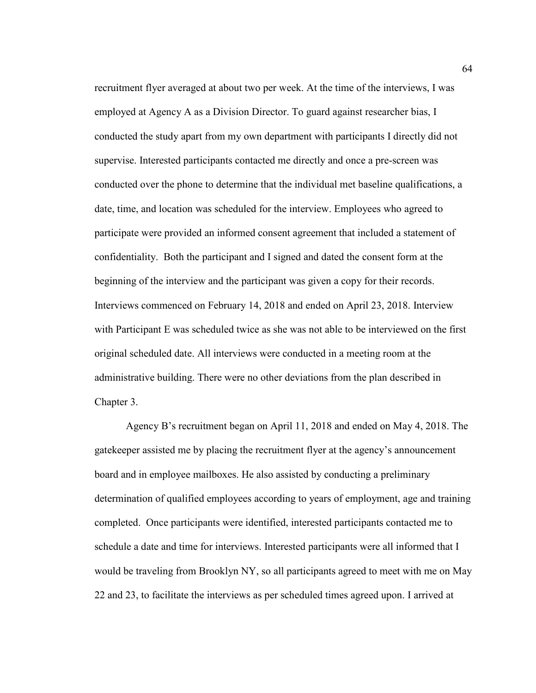recruitment flyer averaged at about two per week. At the time of the interviews, I was employed at Agency A as a Division Director. To guard against researcher bias, I conducted the study apart from my own department with participants I directly did not supervise. Interested participants contacted me directly and once a pre-screen was conducted over the phone to determine that the individual met baseline qualifications, a date, time, and location was scheduled for the interview. Employees who agreed to participate were provided an informed consent agreement that included a statement of confidentiality. Both the participant and I signed and dated the consent form at the beginning of the interview and the participant was given a copy for their records. Interviews commenced on February 14, 2018 and ended on April 23, 2018. Interview with Participant E was scheduled twice as she was not able to be interviewed on the first original scheduled date. All interviews were conducted in a meeting room at the administrative building. There were no other deviations from the plan described in Chapter 3.

Agency B's recruitment began on April 11, 2018 and ended on May 4, 2018. The gatekeeper assisted me by placing the recruitment flyer at the agency's announcement board and in employee mailboxes. He also assisted by conducting a preliminary determination of qualified employees according to years of employment, age and training completed. Once participants were identified, interested participants contacted me to schedule a date and time for interviews. Interested participants were all informed that I would be traveling from Brooklyn NY, so all participants agreed to meet with me on May 22 and 23, to facilitate the interviews as per scheduled times agreed upon. I arrived at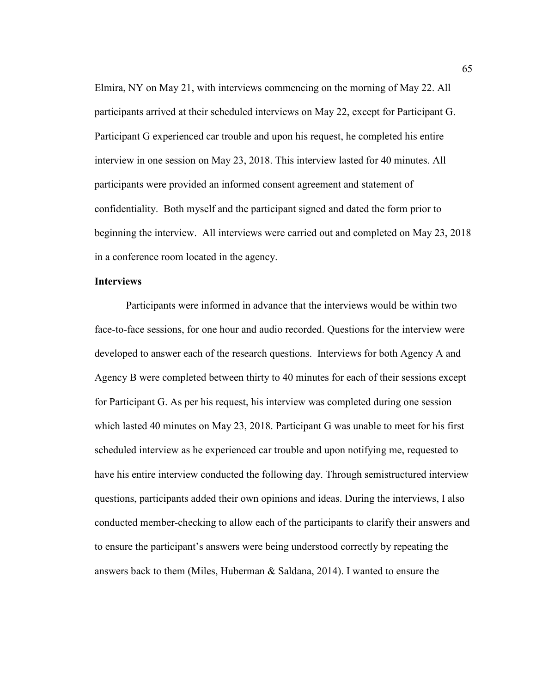Elmira, NY on May 21, with interviews commencing on the morning of May 22. All participants arrived at their scheduled interviews on May 22, except for Participant G. Participant G experienced car trouble and upon his request, he completed his entire interview in one session on May 23, 2018. This interview lasted for 40 minutes. All participants were provided an informed consent agreement and statement of confidentiality. Both myself and the participant signed and dated the form prior to beginning the interview. All interviews were carried out and completed on May 23, 2018 in a conference room located in the agency.

### **Interviews**

Participants were informed in advance that the interviews would be within two face-to-face sessions, for one hour and audio recorded. Questions for the interview were developed to answer each of the research questions. Interviews for both Agency A and Agency B were completed between thirty to 40 minutes for each of their sessions except for Participant G. As per his request, his interview was completed during one session which lasted 40 minutes on May 23, 2018. Participant G was unable to meet for his first scheduled interview as he experienced car trouble and upon notifying me, requested to have his entire interview conducted the following day. Through semistructured interview questions, participants added their own opinions and ideas. During the interviews, I also conducted member-checking to allow each of the participants to clarify their answers and to ensure the participant's answers were being understood correctly by repeating the answers back to them (Miles, Huberman & Saldana, 2014). I wanted to ensure the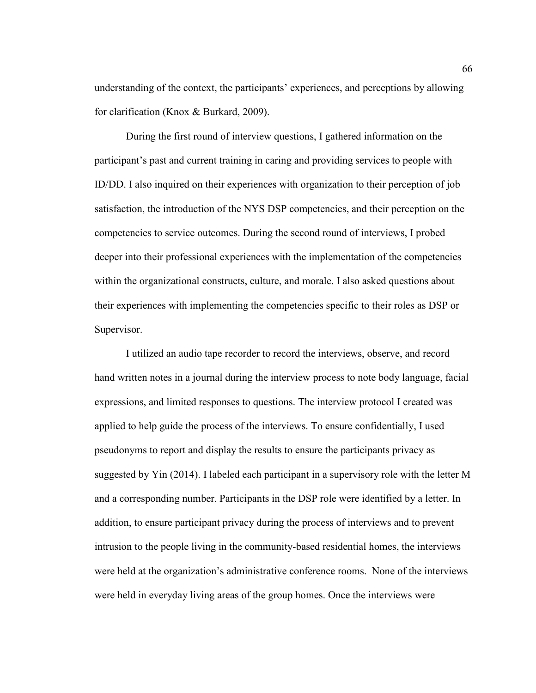understanding of the context, the participants' experiences, and perceptions by allowing for clarification (Knox & Burkard, 2009).

During the first round of interview questions, I gathered information on the participant's past and current training in caring and providing services to people with ID/DD. I also inquired on their experiences with organization to their perception of job satisfaction, the introduction of the NYS DSP competencies, and their perception on the competencies to service outcomes. During the second round of interviews, I probed deeper into their professional experiences with the implementation of the competencies within the organizational constructs, culture, and morale. I also asked questions about their experiences with implementing the competencies specific to their roles as DSP or Supervisor.

I utilized an audio tape recorder to record the interviews, observe, and record hand written notes in a journal during the interview process to note body language, facial expressions, and limited responses to questions. The interview protocol I created was applied to help guide the process of the interviews. To ensure confidentially, I used pseudonyms to report and display the results to ensure the participants privacy as suggested by Yin (2014). I labeled each participant in a supervisory role with the letter M and a corresponding number. Participants in the DSP role were identified by a letter. In addition, to ensure participant privacy during the process of interviews and to prevent intrusion to the people living in the community-based residential homes, the interviews were held at the organization's administrative conference rooms. None of the interviews were held in everyday living areas of the group homes. Once the interviews were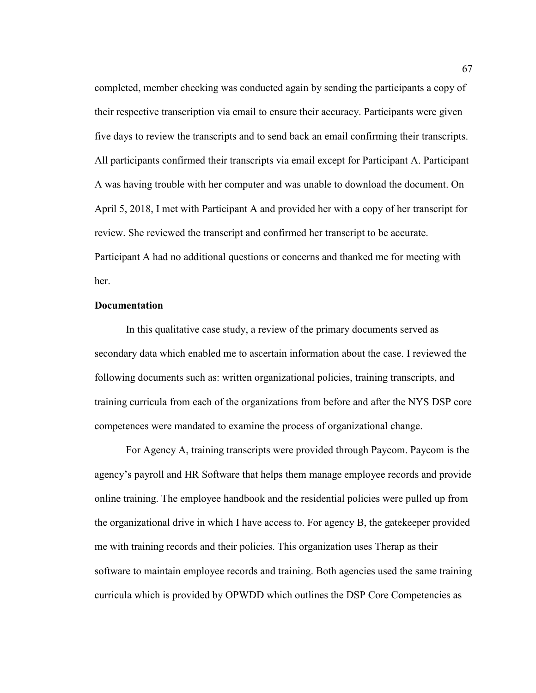completed, member checking was conducted again by sending the participants a copy of their respective transcription via email to ensure their accuracy. Participants were given five days to review the transcripts and to send back an email confirming their transcripts. All participants confirmed their transcripts via email except for Participant A. Participant A was having trouble with her computer and was unable to download the document. On April 5, 2018, I met with Participant A and provided her with a copy of her transcript for review. She reviewed the transcript and confirmed her transcript to be accurate. Participant A had no additional questions or concerns and thanked me for meeting with her.

## **Documentation**

In this qualitative case study, a review of the primary documents served as secondary data which enabled me to ascertain information about the case. I reviewed the following documents such as: written organizational policies, training transcripts, and training curricula from each of the organizations from before and after the NYS DSP core competences were mandated to examine the process of organizational change.

For Agency A, training transcripts were provided through Paycom. Paycom is the agency's payroll and HR Software that helps them manage employee records and provide online training. The employee handbook and the residential policies were pulled up from the organizational drive in which I have access to. For agency B, the gatekeeper provided me with training records and their policies. This organization uses Therap as their software to maintain employee records and training. Both agencies used the same training curricula which is provided by OPWDD which outlines the DSP Core Competencies as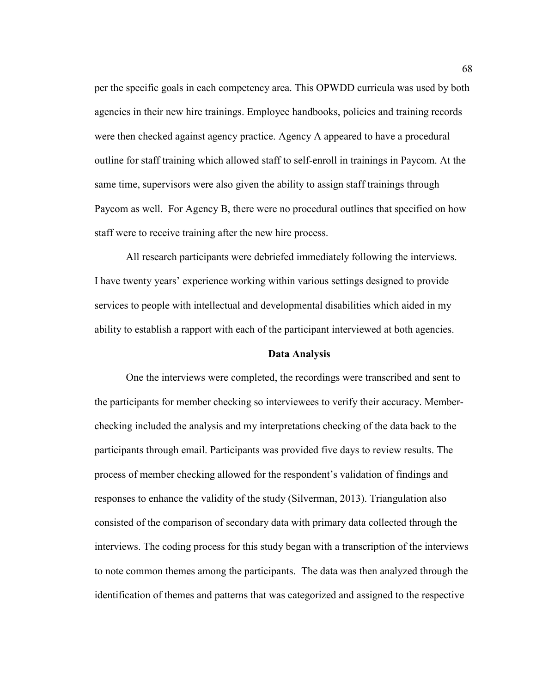per the specific goals in each competency area. This OPWDD curricula was used by both agencies in their new hire trainings. Employee handbooks, policies and training records were then checked against agency practice. Agency A appeared to have a procedural outline for staff training which allowed staff to self-enroll in trainings in Paycom. At the same time, supervisors were also given the ability to assign staff trainings through Paycom as well. For Agency B, there were no procedural outlines that specified on how staff were to receive training after the new hire process.

All research participants were debriefed immediately following the interviews. I have twenty years' experience working within various settings designed to provide services to people with intellectual and developmental disabilities which aided in my ability to establish a rapport with each of the participant interviewed at both agencies.

### **Data Analysis**

One the interviews were completed, the recordings were transcribed and sent to the participants for member checking so interviewees to verify their accuracy. Memberchecking included the analysis and my interpretations checking of the data back to the participants through email. Participants was provided five days to review results. The process of member checking allowed for the respondent's validation of findings and responses to enhance the validity of the study (Silverman, 2013). Triangulation also consisted of the comparison of secondary data with primary data collected through the interviews. The coding process for this study began with a transcription of the interviews to note common themes among the participants. The data was then analyzed through the identification of themes and patterns that was categorized and assigned to the respective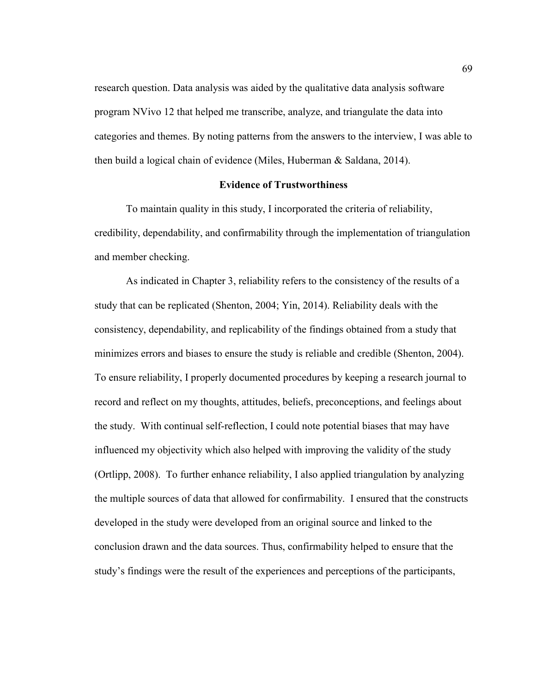research question. Data analysis was aided by the qualitative data analysis software program NVivo 12 that helped me transcribe, analyze, and triangulate the data into categories and themes. By noting patterns from the answers to the interview, I was able to then build a logical chain of evidence (Miles, Huberman & Saldana, 2014).

### **Evidence of Trustworthiness**

To maintain quality in this study, I incorporated the criteria of reliability, credibility, dependability, and confirmability through the implementation of triangulation and member checking.

As indicated in Chapter 3, reliability refers to the consistency of the results of a study that can be replicated (Shenton, 2004; Yin, 2014). Reliability deals with the consistency, dependability, and replicability of the findings obtained from a study that minimizes errors and biases to ensure the study is reliable and credible (Shenton, 2004). To ensure reliability, I properly documented procedures by keeping a research journal to record and reflect on my thoughts, attitudes, beliefs, preconceptions, and feelings about the study. With continual self-reflection, I could note potential biases that may have influenced my objectivity which also helped with improving the validity of the study (Ortlipp, 2008). To further enhance reliability, I also applied triangulation by analyzing the multiple sources of data that allowed for confirmability. I ensured that the constructs developed in the study were developed from an original source and linked to the conclusion drawn and the data sources. Thus, confirmability helped to ensure that the study's findings were the result of the experiences and perceptions of the participants,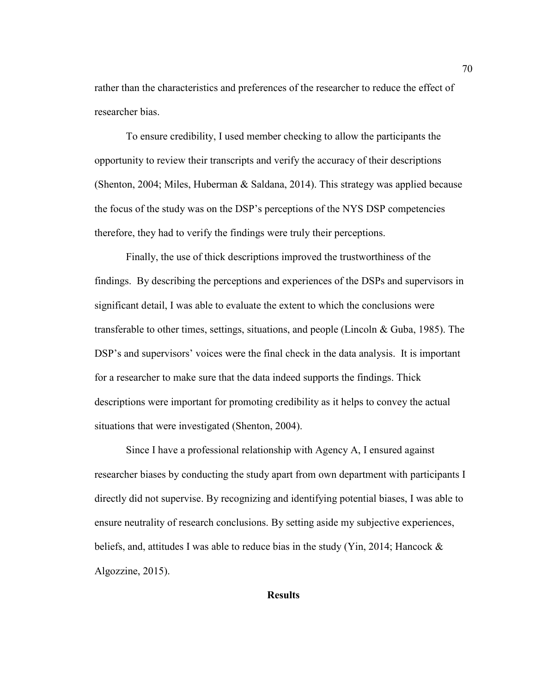rather than the characteristics and preferences of the researcher to reduce the effect of researcher bias.

To ensure credibility, I used member checking to allow the participants the opportunity to review their transcripts and verify the accuracy of their descriptions (Shenton, 2004; Miles, Huberman & Saldana, 2014). This strategy was applied because the focus of the study was on the DSP's perceptions of the NYS DSP competencies therefore, they had to verify the findings were truly their perceptions.

Finally, the use of thick descriptions improved the trustworthiness of the findings. By describing the perceptions and experiences of the DSPs and supervisors in significant detail, I was able to evaluate the extent to which the conclusions were transferable to other times, settings, situations, and people (Lincoln  $& Guba, 1985$ ). The DSP's and supervisors' voices were the final check in the data analysis. It is important for a researcher to make sure that the data indeed supports the findings. Thick descriptions were important for promoting credibility as it helps to convey the actual situations that were investigated (Shenton, 2004).

Since I have a professional relationship with Agency A, I ensured against researcher biases by conducting the study apart from own department with participants I directly did not supervise. By recognizing and identifying potential biases, I was able to ensure neutrality of research conclusions. By setting aside my subjective experiences, beliefs, and, attitudes I was able to reduce bias in the study (Yin, 2014; Hancock & Algozzine, 2015).

**Results**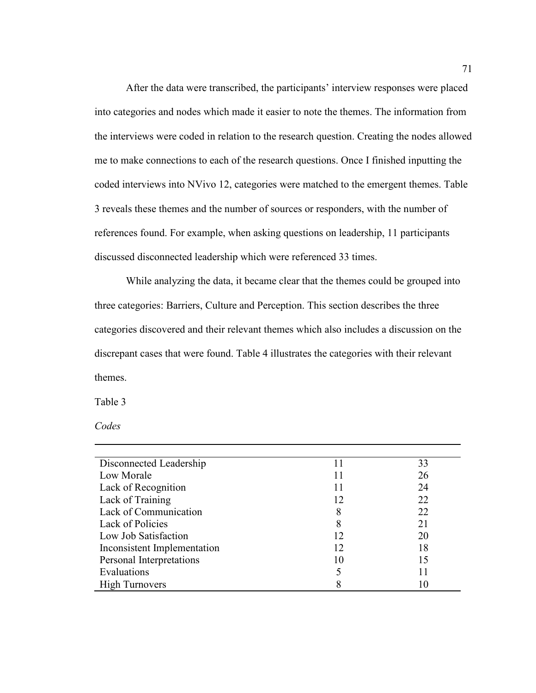After the data were transcribed, the participants' interview responses were placed into categories and nodes which made it easier to note the themes. The information from the interviews were coded in relation to the research question. Creating the nodes allowed me to make connections to each of the research questions. Once I finished inputting the coded interviews into NVivo 12, categories were matched to the emergent themes. Table 3 reveals these themes and the number of sources or responders, with the number of references found. For example, when asking questions on leadership, 11 participants discussed disconnected leadership which were referenced 33 times.

While analyzing the data, it became clear that the themes could be grouped into three categories: Barriers, Culture and Perception. This section describes the three categories discovered and their relevant themes which also includes a discussion on the discrepant cases that were found. Table 4 illustrates the categories with their relevant themes.

Table 3

*Codes* 

| Disconnected Leadership     | 11 | 33 |
|-----------------------------|----|----|
| Low Morale                  |    | 26 |
| Lack of Recognition         | 11 | 24 |
| Lack of Training            | 12 | 22 |
| Lack of Communication       | 8  | 22 |
| Lack of Policies            | 8  | 21 |
| Low Job Satisfaction        | 12 | 20 |
| Inconsistent Implementation | 12 | 18 |
| Personal Interpretations    | 10 | 15 |
| Evaluations                 |    |    |
| <b>High Turnovers</b>       |    |    |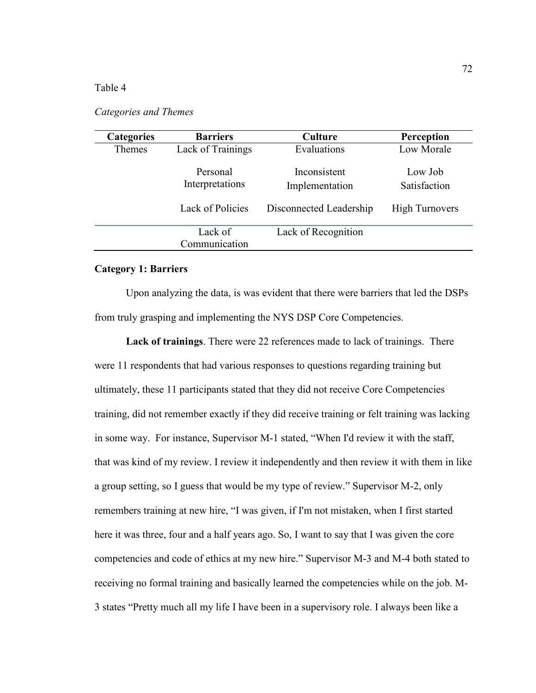## Table 4

## *Categories and Themes*

| <b>Categories</b> | <b>Barriers</b>             | Culture                        | Perception              |
|-------------------|-----------------------------|--------------------------------|-------------------------|
| Themes            | Lack of Trainings           | Evaluations                    | Low Morale              |
|                   | Personal<br>Interpretations | Inconsistent<br>Implementation | Low Job<br>Satisfaction |
|                   | Lack of Policies            | Disconnected Leadership        | <b>High Turnovers</b>   |
|                   | Lack of<br>Communication    | Lack of Recognition            |                         |

## **Category 1: Barriers**

Upon analyzing the data, is was evident that there were barriers that led the DSPs from truly grasping and implementing the NYS DSP Core Competencies.

**Lack of trainings**. There were 22 references made to lack of trainings. There were 11 respondents that had various responses to questions regarding training but ultimately, these 11 participants stated that they did not receive Core Competencies training, did not remember exactly if they did receive training or felt training was lacking in some way. For instance, Supervisor M-1 stated, "When I'd review it with the staff, that was kind of my review. I review it independently and then review it with them in like a group setting, so I guess that would be my type of review." Supervisor M-2, only remembers training at new hire, "I was given, if I'm not mistaken, when I first started here it was three, four and a half years ago. So, I want to say that I was given the core competencies and code of ethics at my new hire." Supervisor M-3 and M-4 both stated to receiving no formal training and basically learned the competencies while on the job. M-3 states "Pretty much all my life I have been in a supervisory role. I always been like a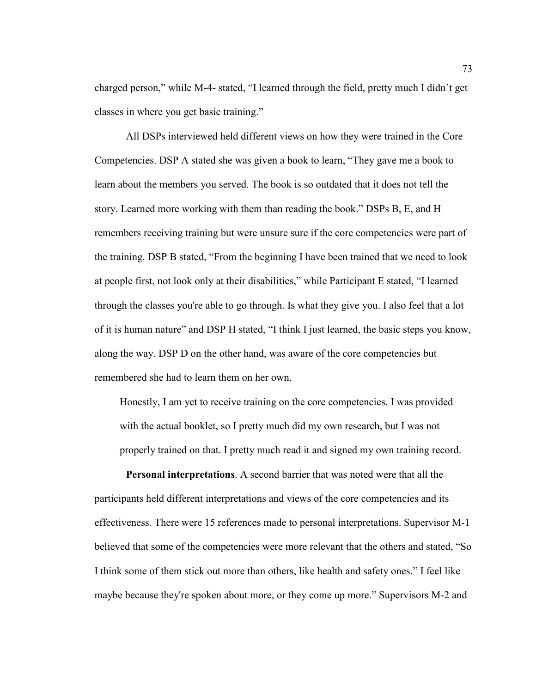charged person," while M-4- stated, "I learned through the field, pretty much I didn't get classes in where you get basic training."

All DSPs interviewed held different views on how they were trained in the Core Competencies. DSP A stated she was given a book to learn, "They gave me a book to learn about the members you served. The book is so outdated that it does not tell the story. Learned more working with them than reading the book." DSPs B, E, and H remembers receiving training but were unsure sure if the core competencies were part of the training. DSP B stated, "From the beginning I have been trained that we need to look at people first, not look only at their disabilities," while Participant E stated, "I learned through the classes you're able to go through. Is what they give you. I also feel that a lot of it is human nature" and DSP H stated, "I think I just learned, the basic steps you know, along the way. DSP D on the other hand, was aware of the core competencies but remembered she had to learn them on her own,

Honestly, I am yet to receive training on the core competencies. I was provided with the actual booklet, so I pretty much did my own research, but I was not properly trained on that. I pretty much read it and signed my own training record.

**Personal interpretations**. A second barrier that was noted were that all the participants held different interpretations and views of the core competencies and its effectiveness. There were 15 references made to personal interpretations. Supervisor M-1 believed that some of the competencies were more relevant that the others and stated, "So I think some of them stick out more than others, like health and safety ones." I feel like maybe because they're spoken about more, or they come up more." Supervisors M-2 and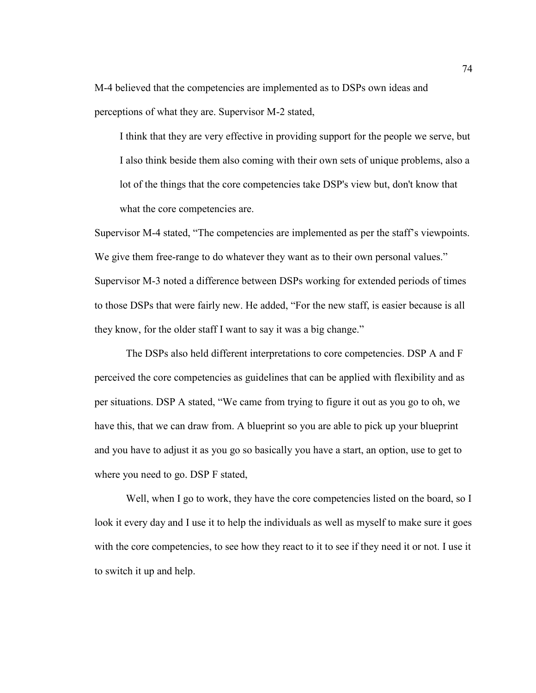M-4 believed that the competencies are implemented as to DSPs own ideas and perceptions of what they are. Supervisor M-2 stated,

I think that they are very effective in providing support for the people we serve, but I also think beside them also coming with their own sets of unique problems, also a lot of the things that the core competencies take DSP's view but, don't know that what the core competencies are.

Supervisor M-4 stated, "The competencies are implemented as per the staff's viewpoints. We give them free-range to do whatever they want as to their own personal values." Supervisor M-3 noted a difference between DSPs working for extended periods of times to those DSPs that were fairly new. He added, "For the new staff, is easier because is all they know, for the older staff I want to say it was a big change."

The DSPs also held different interpretations to core competencies. DSP A and F perceived the core competencies as guidelines that can be applied with flexibility and as per situations. DSP A stated, "We came from trying to figure it out as you go to oh, we have this, that we can draw from. A blueprint so you are able to pick up your blueprint and you have to adjust it as you go so basically you have a start, an option, use to get to where you need to go. DSP F stated,

Well, when I go to work, they have the core competencies listed on the board, so I look it every day and I use it to help the individuals as well as myself to make sure it goes with the core competencies, to see how they react to it to see if they need it or not. I use it to switch it up and help.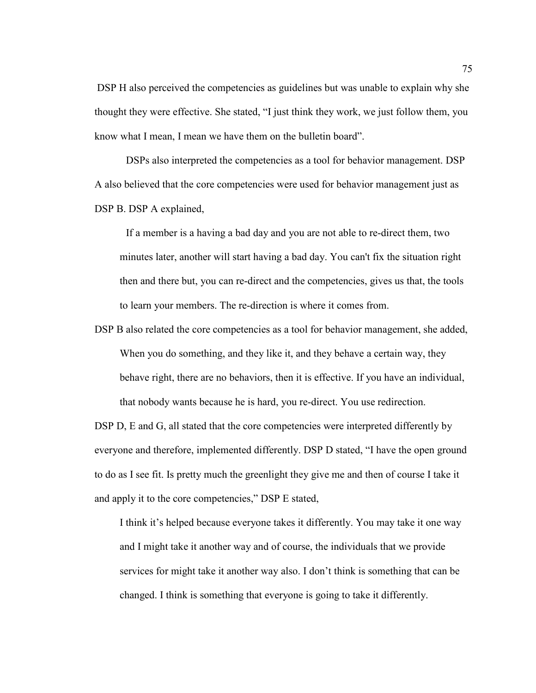DSP H also perceived the competencies as guidelines but was unable to explain why she thought they were effective. She stated, "I just think they work, we just follow them, you know what I mean, I mean we have them on the bulletin board".

DSPs also interpreted the competencies as a tool for behavior management. DSP A also believed that the core competencies were used for behavior management just as DSP B. DSP A explained,

If a member is a having a bad day and you are not able to re-direct them, two minutes later, another will start having a bad day. You can't fix the situation right then and there but, you can re-direct and the competencies, gives us that, the tools to learn your members. The re-direction is where it comes from.

DSP B also related the core competencies as a tool for behavior management, she added, When you do something, and they like it, and they behave a certain way, they behave right, there are no behaviors, then it is effective. If you have an individual, that nobody wants because he is hard, you re-direct. You use redirection.

DSP D, E and G, all stated that the core competencies were interpreted differently by everyone and therefore, implemented differently. DSP D stated, "I have the open ground to do as I see fit. Is pretty much the greenlight they give me and then of course I take it and apply it to the core competencies," DSP E stated,

I think it's helped because everyone takes it differently. You may take it one way and I might take it another way and of course, the individuals that we provide services for might take it another way also. I don't think is something that can be changed. I think is something that everyone is going to take it differently.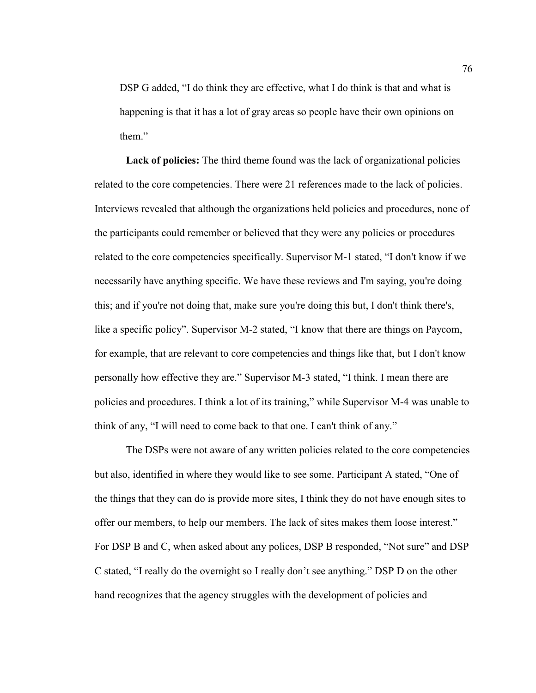DSP G added, "I do think they are effective, what I do think is that and what is happening is that it has a lot of gray areas so people have their own opinions on them"

**Lack of policies:** The third theme found was the lack of organizational policies related to the core competencies. There were 21 references made to the lack of policies. Interviews revealed that although the organizations held policies and procedures, none of the participants could remember or believed that they were any policies or procedures related to the core competencies specifically. Supervisor M-1 stated, "I don't know if we necessarily have anything specific. We have these reviews and I'm saying, you're doing this; and if you're not doing that, make sure you're doing this but, I don't think there's, like a specific policy". Supervisor M-2 stated, "I know that there are things on Paycom, for example, that are relevant to core competencies and things like that, but I don't know personally how effective they are." Supervisor M-3 stated, "I think. I mean there are policies and procedures. I think a lot of its training," while Supervisor M-4 was unable to think of any, "I will need to come back to that one. I can't think of any."

The DSPs were not aware of any written policies related to the core competencies but also, identified in where they would like to see some. Participant A stated, "One of the things that they can do is provide more sites, I think they do not have enough sites to offer our members, to help our members. The lack of sites makes them loose interest." For DSP B and C, when asked about any polices, DSP B responded, "Not sure" and DSP C stated, "I really do the overnight so I really don't see anything." DSP D on the other hand recognizes that the agency struggles with the development of policies and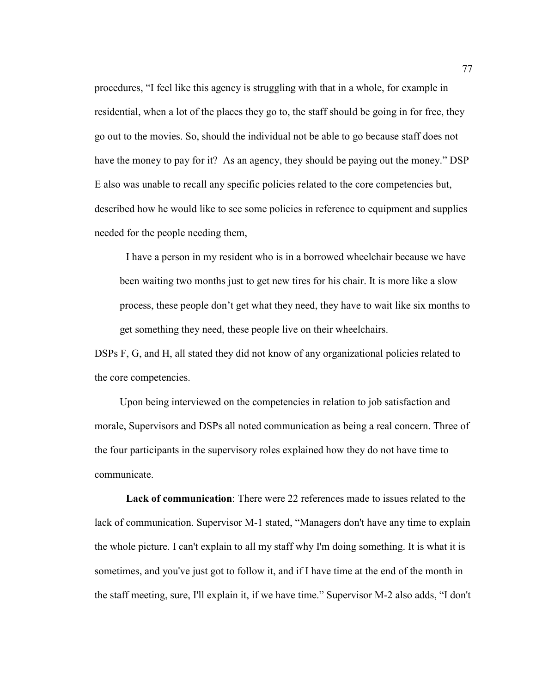procedures, "I feel like this agency is struggling with that in a whole, for example in residential, when a lot of the places they go to, the staff should be going in for free, they go out to the movies. So, should the individual not be able to go because staff does not have the money to pay for it? As an agency, they should be paying out the money." DSP E also was unable to recall any specific policies related to the core competencies but, described how he would like to see some policies in reference to equipment and supplies needed for the people needing them,

I have a person in my resident who is in a borrowed wheelchair because we have been waiting two months just to get new tires for his chair. It is more like a slow process, these people don't get what they need, they have to wait like six months to get something they need, these people live on their wheelchairs.

DSPs F, G, and H, all stated they did not know of any organizational policies related to the core competencies.

 Upon being interviewed on the competencies in relation to job satisfaction and morale, Supervisors and DSPs all noted communication as being a real concern. Three of the four participants in the supervisory roles explained how they do not have time to communicate.

**Lack of communication**: There were 22 references made to issues related to the lack of communication. Supervisor M-1 stated, "Managers don't have any time to explain the whole picture. I can't explain to all my staff why I'm doing something. It is what it is sometimes, and you've just got to follow it, and if I have time at the end of the month in the staff meeting, sure, I'll explain it, if we have time." Supervisor M-2 also adds, "I don't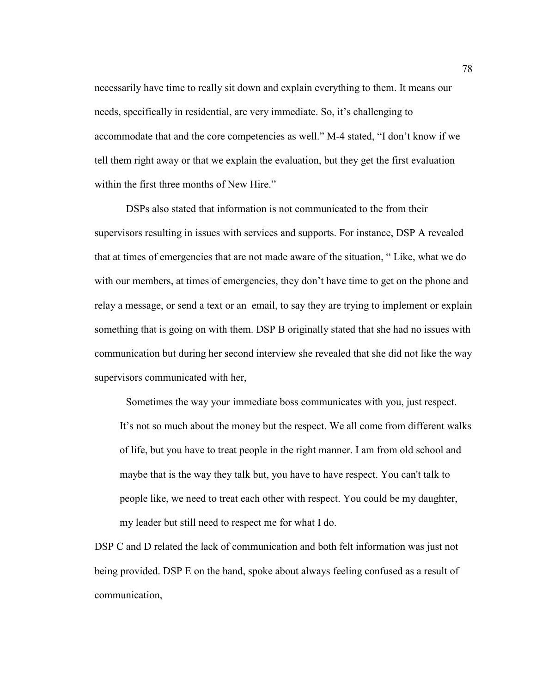necessarily have time to really sit down and explain everything to them. It means our needs, specifically in residential, are very immediate. So, it's challenging to accommodate that and the core competencies as well." M-4 stated, "I don't know if we tell them right away or that we explain the evaluation, but they get the first evaluation within the first three months of New Hire."

DSPs also stated that information is not communicated to the from their supervisors resulting in issues with services and supports. For instance, DSP A revealed that at times of emergencies that are not made aware of the situation, " Like, what we do with our members, at times of emergencies, they don't have time to get on the phone and relay a message, or send a text or an email, to say they are trying to implement or explain something that is going on with them. DSP B originally stated that she had no issues with communication but during her second interview she revealed that she did not like the way supervisors communicated with her,

Sometimes the way your immediate boss communicates with you, just respect. It's not so much about the money but the respect. We all come from different walks of life, but you have to treat people in the right manner. I am from old school and maybe that is the way they talk but, you have to have respect. You can't talk to people like, we need to treat each other with respect. You could be my daughter, my leader but still need to respect me for what I do.

DSP C and D related the lack of communication and both felt information was just not being provided. DSP E on the hand, spoke about always feeling confused as a result of communication,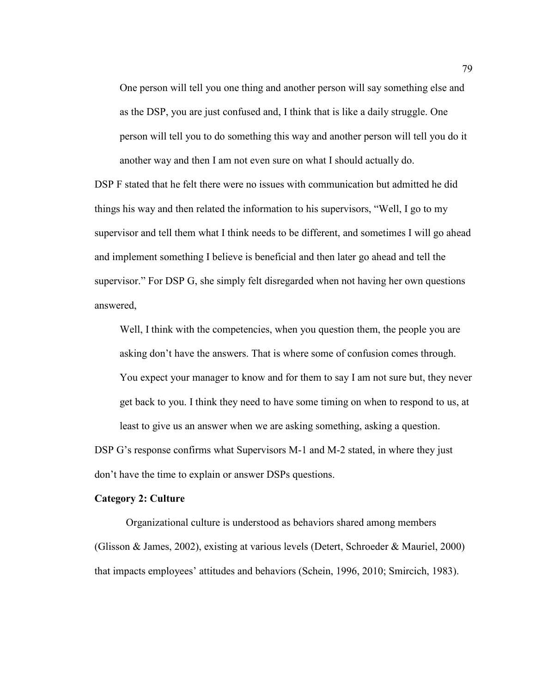One person will tell you one thing and another person will say something else and as the DSP, you are just confused and, I think that is like a daily struggle. One person will tell you to do something this way and another person will tell you do it another way and then I am not even sure on what I should actually do.

DSP F stated that he felt there were no issues with communication but admitted he did things his way and then related the information to his supervisors, "Well, I go to my supervisor and tell them what I think needs to be different, and sometimes I will go ahead and implement something I believe is beneficial and then later go ahead and tell the supervisor." For DSP G, she simply felt disregarded when not having her own questions answered,

Well, I think with the competencies, when you question them, the people you are asking don't have the answers. That is where some of confusion comes through. You expect your manager to know and for them to say I am not sure but, they never get back to you. I think they need to have some timing on when to respond to us, at least to give us an answer when we are asking something, asking a question.

DSP G's response confirms what Supervisors M-1 and M-2 stated, in where they just don't have the time to explain or answer DSPs questions.

#### **Category 2: Culture**

Organizational culture is understood as behaviors shared among members (Glisson & James, 2002), existing at various levels (Detert, Schroeder & Mauriel, 2000) that impacts employees' attitudes and behaviors (Schein, 1996, 2010; Smircich, 1983).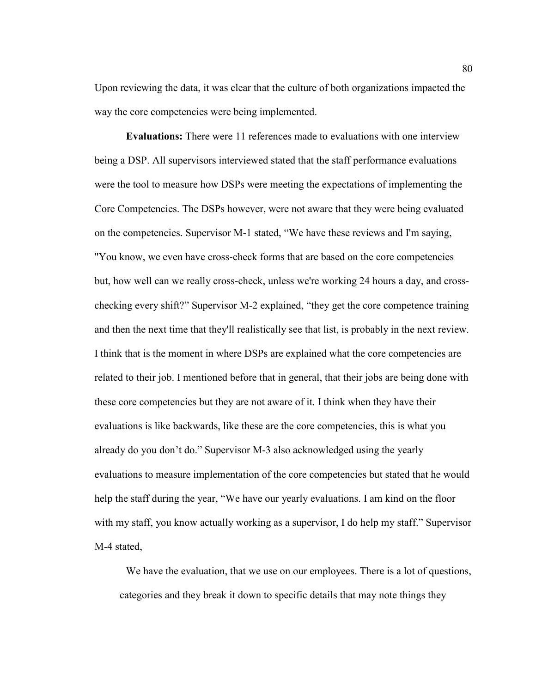Upon reviewing the data, it was clear that the culture of both organizations impacted the way the core competencies were being implemented.

**Evaluations:** There were 11 references made to evaluations with one interview being a DSP. All supervisors interviewed stated that the staff performance evaluations were the tool to measure how DSPs were meeting the expectations of implementing the Core Competencies. The DSPs however, were not aware that they were being evaluated on the competencies. Supervisor M-1 stated, "We have these reviews and I'm saying, "You know, we even have cross-check forms that are based on the core competencies but, how well can we really cross-check, unless we're working 24 hours a day, and crosschecking every shift?" Supervisor M-2 explained, "they get the core competence training and then the next time that they'll realistically see that list, is probably in the next review. I think that is the moment in where DSPs are explained what the core competencies are related to their job. I mentioned before that in general, that their jobs are being done with these core competencies but they are not aware of it. I think when they have their evaluations is like backwards, like these are the core competencies, this is what you already do you don't do." Supervisor M-3 also acknowledged using the yearly evaluations to measure implementation of the core competencies but stated that he would help the staff during the year, "We have our yearly evaluations. I am kind on the floor with my staff, you know actually working as a supervisor, I do help my staff." Supervisor M-4 stated,

We have the evaluation, that we use on our employees. There is a lot of questions, categories and they break it down to specific details that may note things they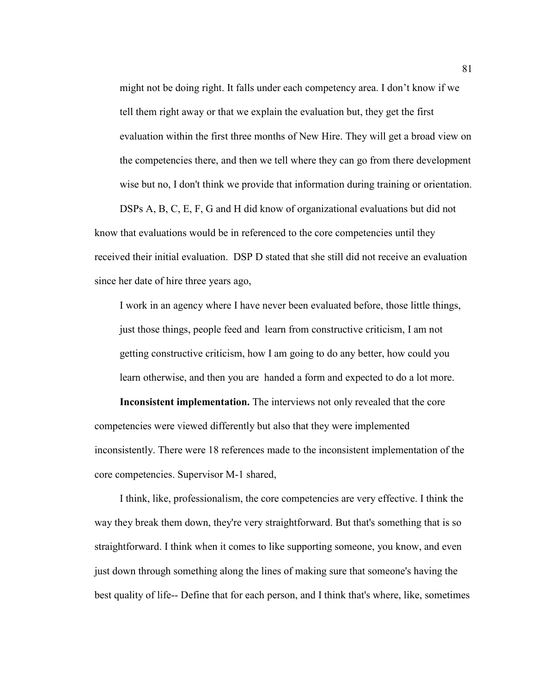might not be doing right. It falls under each competency area. I don't know if we tell them right away or that we explain the evaluation but, they get the first evaluation within the first three months of New Hire. They will get a broad view on the competencies there, and then we tell where they can go from there development wise but no, I don't think we provide that information during training or orientation.

DSPs A, B, C, E, F, G and H did know of organizational evaluations but did not know that evaluations would be in referenced to the core competencies until they received their initial evaluation. DSP D stated that she still did not receive an evaluation since her date of hire three years ago,

I work in an agency where I have never been evaluated before, those little things, just those things, people feed and learn from constructive criticism, I am not getting constructive criticism, how I am going to do any better, how could you learn otherwise, and then you are handed a form and expected to do a lot more.

**Inconsistent implementation.** The interviews not only revealed that the core competencies were viewed differently but also that they were implemented inconsistently. There were 18 references made to the inconsistent implementation of the core competencies. Supervisor M-1 shared,

I think, like, professionalism, the core competencies are very effective. I think the way they break them down, they're very straightforward. But that's something that is so straightforward. I think when it comes to like supporting someone, you know, and even just down through something along the lines of making sure that someone's having the best quality of life-- Define that for each person, and I think that's where, like, sometimes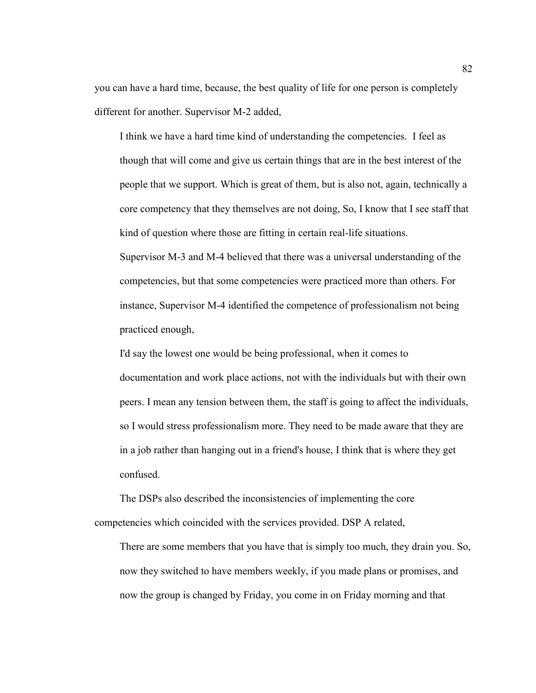you can have a hard time, because, the best quality of life for one person is completely different for another. Supervisor M-2 added,

I think we have a hard time kind of understanding the competencies. I feel as though that will come and give us certain things that are in the best interest of the people that we support. Which is great of them, but is also not, again, technically a core competency that they themselves are not doing, So, I know that I see staff that kind of question where those are fitting in certain real-life situations.

Supervisor M-3 and M-4 believed that there was a universal understanding of the competencies, but that some competencies were practiced more than others. For instance, Supervisor M-4 identified the competence of professionalism not being practiced enough,

I'd say the lowest one would be being professional, when it comes to documentation and work place actions, not with the individuals but with their own peers. I mean any tension between them, the staff is going to affect the individuals, so I would stress professionalism more. They need to be made aware that they are in a job rather than hanging out in a friend's house, I think that is where they get confused.

The DSPs also described the inconsistencies of implementing the core competencies which coincided with the services provided. DSP A related,

There are some members that you have that is simply too much, they drain you. So, now they switched to have members weekly, if you made plans or promises, and now the group is changed by Friday, you come in on Friday morning and that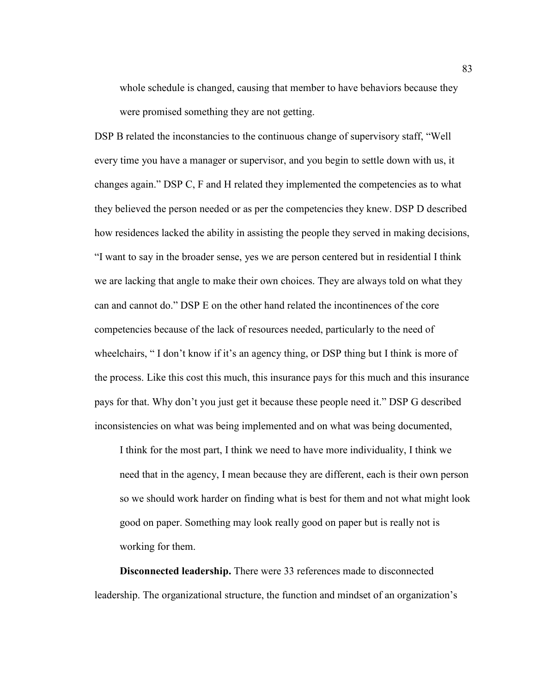whole schedule is changed, causing that member to have behaviors because they were promised something they are not getting.

DSP B related the inconstancies to the continuous change of supervisory staff, "Well every time you have a manager or supervisor, and you begin to settle down with us, it changes again." DSP C, F and H related they implemented the competencies as to what they believed the person needed or as per the competencies they knew. DSP D described how residences lacked the ability in assisting the people they served in making decisions, "I want to say in the broader sense, yes we are person centered but in residential I think we are lacking that angle to make their own choices. They are always told on what they can and cannot do." DSP E on the other hand related the incontinences of the core competencies because of the lack of resources needed, particularly to the need of wheelchairs, "I don't know if it's an agency thing, or DSP thing but I think is more of the process. Like this cost this much, this insurance pays for this much and this insurance pays for that. Why don't you just get it because these people need it." DSP G described inconsistencies on what was being implemented and on what was being documented,

I think for the most part, I think we need to have more individuality, I think we need that in the agency, I mean because they are different, each is their own person so we should work harder on finding what is best for them and not what might look good on paper. Something may look really good on paper but is really not is working for them.

**Disconnected leadership.** There were 33 references made to disconnected leadership. The organizational structure, the function and mindset of an organization's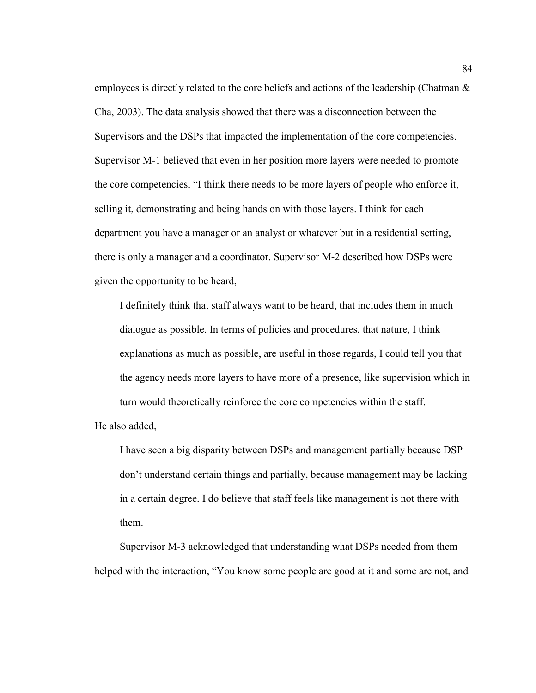employees is directly related to the core beliefs and actions of the leadership (Chatman & Cha, 2003). The data analysis showed that there was a disconnection between the Supervisors and the DSPs that impacted the implementation of the core competencies. Supervisor M-1 believed that even in her position more layers were needed to promote the core competencies, "I think there needs to be more layers of people who enforce it, selling it, demonstrating and being hands on with those layers. I think for each department you have a manager or an analyst or whatever but in a residential setting, there is only a manager and a coordinator. Supervisor M-2 described how DSPs were given the opportunity to be heard,

I definitely think that staff always want to be heard, that includes them in much dialogue as possible. In terms of policies and procedures, that nature, I think explanations as much as possible, are useful in those regards, I could tell you that the agency needs more layers to have more of a presence, like supervision which in turn would theoretically reinforce the core competencies within the staff.

He also added,

I have seen a big disparity between DSPs and management partially because DSP don't understand certain things and partially, because management may be lacking in a certain degree. I do believe that staff feels like management is not there with them.

Supervisor M-3 acknowledged that understanding what DSPs needed from them helped with the interaction, "You know some people are good at it and some are not, and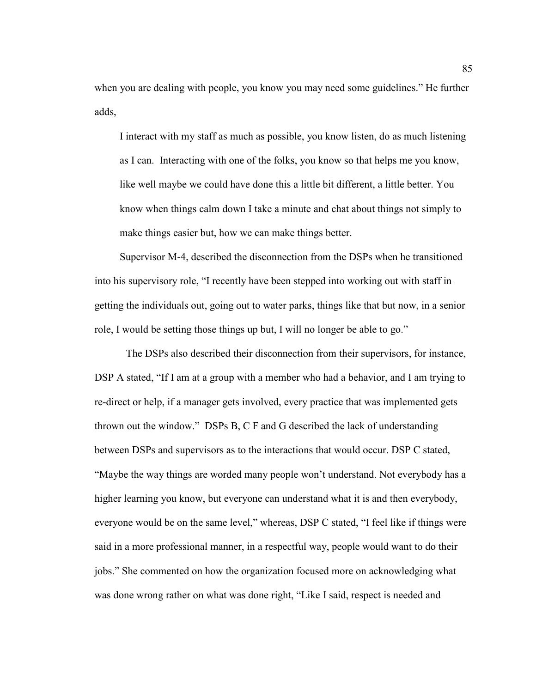when you are dealing with people, you know you may need some guidelines." He further adds,

I interact with my staff as much as possible, you know listen, do as much listening as I can. Interacting with one of the folks, you know so that helps me you know, like well maybe we could have done this a little bit different, a little better. You know when things calm down I take a minute and chat about things not simply to make things easier but, how we can make things better.

Supervisor M-4, described the disconnection from the DSPs when he transitioned into his supervisory role, "I recently have been stepped into working out with staff in getting the individuals out, going out to water parks, things like that but now, in a senior role, I would be setting those things up but, I will no longer be able to go."

The DSPs also described their disconnection from their supervisors, for instance, DSP A stated, "If I am at a group with a member who had a behavior, and I am trying to re-direct or help, if a manager gets involved, every practice that was implemented gets thrown out the window." DSPs B, C F and G described the lack of understanding between DSPs and supervisors as to the interactions that would occur. DSP C stated, "Maybe the way things are worded many people won't understand. Not everybody has a higher learning you know, but everyone can understand what it is and then everybody, everyone would be on the same level," whereas, DSP C stated, "I feel like if things were said in a more professional manner, in a respectful way, people would want to do their jobs." She commented on how the organization focused more on acknowledging what was done wrong rather on what was done right, "Like I said, respect is needed and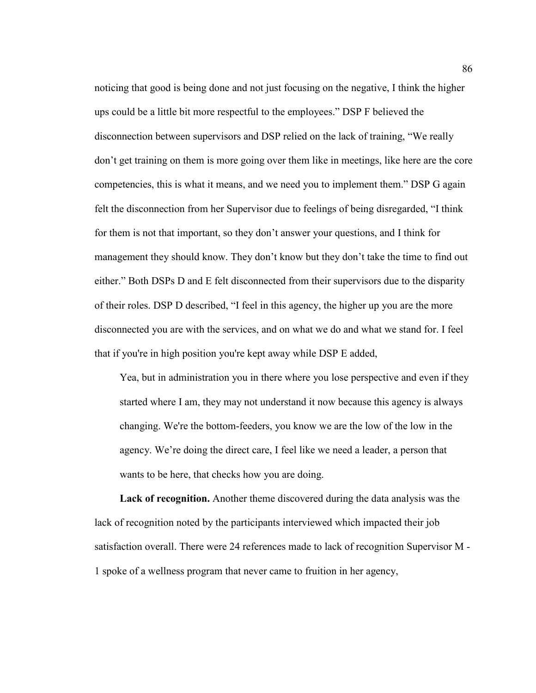noticing that good is being done and not just focusing on the negative, I think the higher ups could be a little bit more respectful to the employees." DSP F believed the disconnection between supervisors and DSP relied on the lack of training, "We really don't get training on them is more going over them like in meetings, like here are the core competencies, this is what it means, and we need you to implement them." DSP G again felt the disconnection from her Supervisor due to feelings of being disregarded, "I think for them is not that important, so they don't answer your questions, and I think for management they should know. They don't know but they don't take the time to find out either." Both DSPs D and E felt disconnected from their supervisors due to the disparity of their roles. DSP D described, "I feel in this agency, the higher up you are the more disconnected you are with the services, and on what we do and what we stand for. I feel that if you're in high position you're kept away while DSP E added,

Yea, but in administration you in there where you lose perspective and even if they started where I am, they may not understand it now because this agency is always changing. We're the bottom-feeders, you know we are the low of the low in the agency. We're doing the direct care, I feel like we need a leader, a person that wants to be here, that checks how you are doing.

**Lack of recognition.** Another theme discovered during the data analysis was the lack of recognition noted by the participants interviewed which impacted their job satisfaction overall. There were 24 references made to lack of recognition Supervisor M - 1 spoke of a wellness program that never came to fruition in her agency,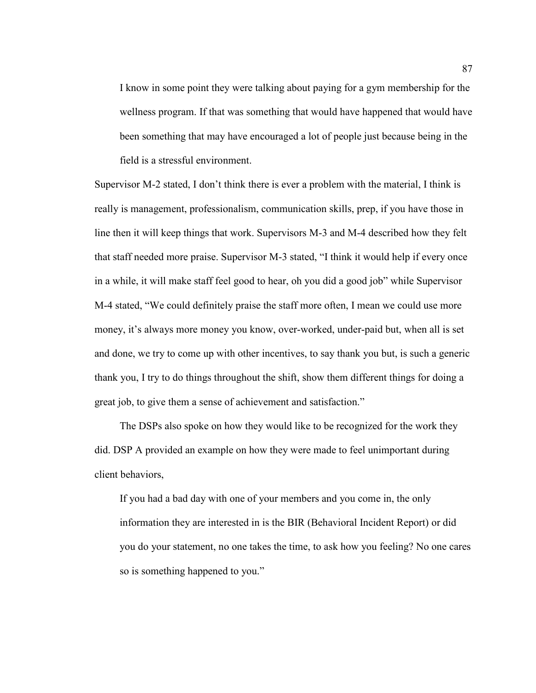I know in some point they were talking about paying for a gym membership for the wellness program. If that was something that would have happened that would have been something that may have encouraged a lot of people just because being in the field is a stressful environment.

Supervisor M-2 stated, I don't think there is ever a problem with the material, I think is really is management, professionalism, communication skills, prep, if you have those in line then it will keep things that work. Supervisors M-3 and M-4 described how they felt that staff needed more praise. Supervisor M-3 stated, "I think it would help if every once in a while, it will make staff feel good to hear, oh you did a good job" while Supervisor M-4 stated, "We could definitely praise the staff more often, I mean we could use more money, it's always more money you know, over-worked, under-paid but, when all is set and done, we try to come up with other incentives, to say thank you but, is such a generic thank you, I try to do things throughout the shift, show them different things for doing a great job, to give them a sense of achievement and satisfaction."

 The DSPs also spoke on how they would like to be recognized for the work they did. DSP A provided an example on how they were made to feel unimportant during client behaviors,

If you had a bad day with one of your members and you come in, the only information they are interested in is the BIR (Behavioral Incident Report) or did you do your statement, no one takes the time, to ask how you feeling? No one cares so is something happened to you."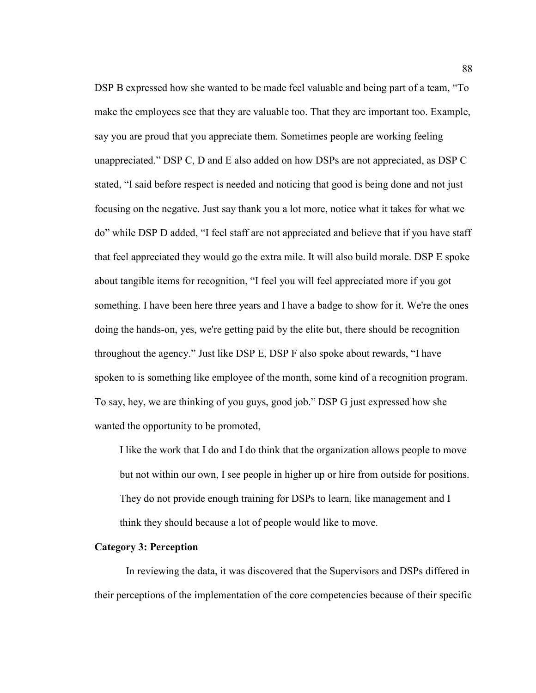DSP B expressed how she wanted to be made feel valuable and being part of a team, "To make the employees see that they are valuable too. That they are important too. Example, say you are proud that you appreciate them. Sometimes people are working feeling unappreciated." DSP C, D and E also added on how DSPs are not appreciated, as DSP C stated, "I said before respect is needed and noticing that good is being done and not just focusing on the negative. Just say thank you a lot more, notice what it takes for what we do" while DSP D added, "I feel staff are not appreciated and believe that if you have staff that feel appreciated they would go the extra mile. It will also build morale. DSP E spoke about tangible items for recognition, "I feel you will feel appreciated more if you got something. I have been here three years and I have a badge to show for it. We're the ones doing the hands-on, yes, we're getting paid by the elite but, there should be recognition throughout the agency." Just like DSP E, DSP F also spoke about rewards, "I have spoken to is something like employee of the month, some kind of a recognition program. To say, hey, we are thinking of you guys, good job." DSP G just expressed how she wanted the opportunity to be promoted,

I like the work that I do and I do think that the organization allows people to move but not within our own, I see people in higher up or hire from outside for positions. They do not provide enough training for DSPs to learn, like management and I think they should because a lot of people would like to move.

### **Category 3: Perception**

In reviewing the data, it was discovered that the Supervisors and DSPs differed in their perceptions of the implementation of the core competencies because of their specific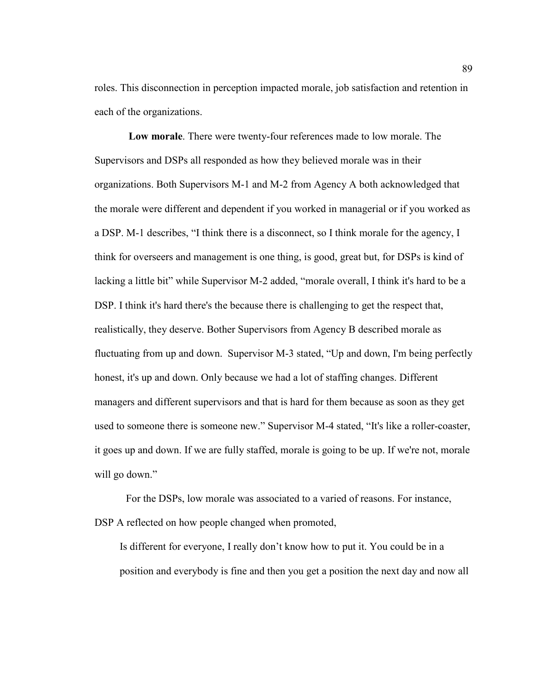roles. This disconnection in perception impacted morale, job satisfaction and retention in each of the organizations.

**Low morale**. There were twenty-four references made to low morale. The Supervisors and DSPs all responded as how they believed morale was in their organizations. Both Supervisors M-1 and M-2 from Agency A both acknowledged that the morale were different and dependent if you worked in managerial or if you worked as a DSP. M-1 describes, "I think there is a disconnect, so I think morale for the agency, I think for overseers and management is one thing, is good, great but, for DSPs is kind of lacking a little bit" while Supervisor M-2 added, "morale overall, I think it's hard to be a DSP. I think it's hard there's the because there is challenging to get the respect that, realistically, they deserve. Bother Supervisors from Agency B described morale as fluctuating from up and down. Supervisor M-3 stated, "Up and down, I'm being perfectly honest, it's up and down. Only because we had a lot of staffing changes. Different managers and different supervisors and that is hard for them because as soon as they get used to someone there is someone new." Supervisor M-4 stated, "It's like a roller-coaster, it goes up and down. If we are fully staffed, morale is going to be up. If we're not, morale will go down."

For the DSPs, low morale was associated to a varied of reasons. For instance, DSP A reflected on how people changed when promoted,

Is different for everyone, I really don't know how to put it. You could be in a position and everybody is fine and then you get a position the next day and now all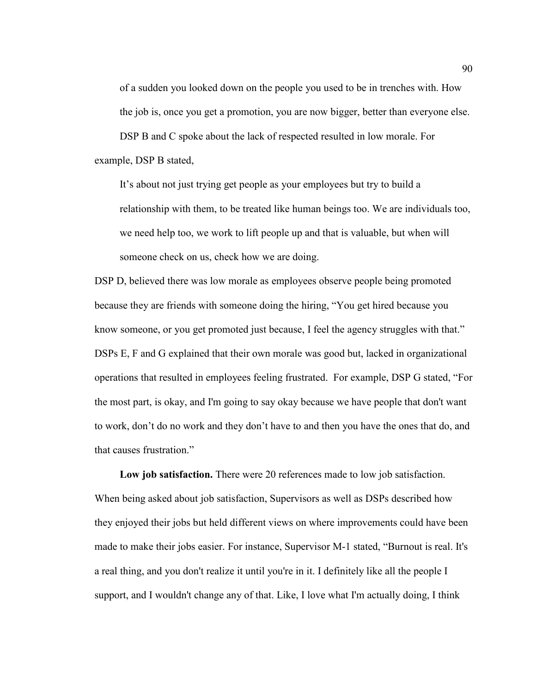of a sudden you looked down on the people you used to be in trenches with. How the job is, once you get a promotion, you are now bigger, better than everyone else. DSP B and C spoke about the lack of respected resulted in low morale. For example, DSP B stated,

It's about not just trying get people as your employees but try to build a relationship with them, to be treated like human beings too. We are individuals too, we need help too, we work to lift people up and that is valuable, but when will someone check on us, check how we are doing.

DSP D, believed there was low morale as employees observe people being promoted because they are friends with someone doing the hiring, "You get hired because you know someone, or you get promoted just because, I feel the agency struggles with that." DSPs E, F and G explained that their own morale was good but, lacked in organizational operations that resulted in employees feeling frustrated. For example, DSP G stated, "For the most part, is okay, and I'm going to say okay because we have people that don't want to work, don't do no work and they don't have to and then you have the ones that do, and that causes frustration."

**Low job satisfaction.** There were 20 references made to low job satisfaction. When being asked about job satisfaction, Supervisors as well as DSPs described how they enjoyed their jobs but held different views on where improvements could have been made to make their jobs easier. For instance, Supervisor M-1 stated, "Burnout is real. It's a real thing, and you don't realize it until you're in it. I definitely like all the people I support, and I wouldn't change any of that. Like, I love what I'm actually doing, I think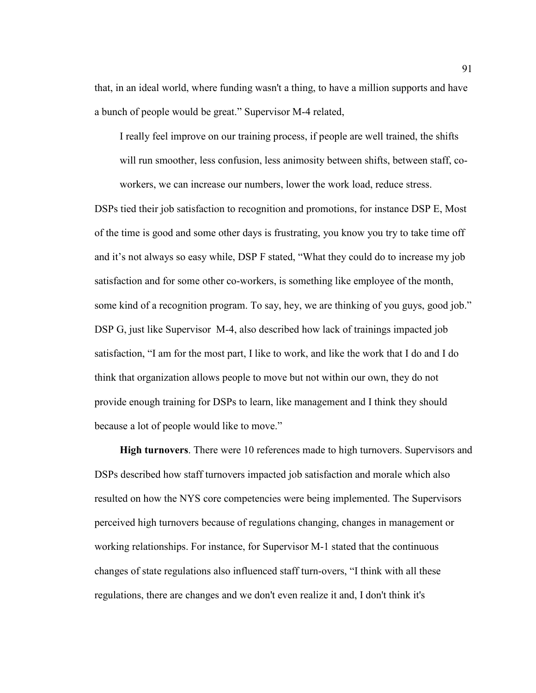that, in an ideal world, where funding wasn't a thing, to have a million supports and have a bunch of people would be great." Supervisor M-4 related,

I really feel improve on our training process, if people are well trained, the shifts will run smoother, less confusion, less animosity between shifts, between staff, coworkers, we can increase our numbers, lower the work load, reduce stress.

DSPs tied their job satisfaction to recognition and promotions, for instance DSP E, Most of the time is good and some other days is frustrating, you know you try to take time off and it's not always so easy while, DSP F stated, "What they could do to increase my job satisfaction and for some other co-workers, is something like employee of the month, some kind of a recognition program. To say, hey, we are thinking of you guys, good job." DSP G, just like Supervisor M-4, also described how lack of trainings impacted job satisfaction, "I am for the most part, I like to work, and like the work that I do and I do think that organization allows people to move but not within our own, they do not provide enough training for DSPs to learn, like management and I think they should because a lot of people would like to move."

**High turnovers**. There were 10 references made to high turnovers. Supervisors and DSPs described how staff turnovers impacted job satisfaction and morale which also resulted on how the NYS core competencies were being implemented. The Supervisors perceived high turnovers because of regulations changing, changes in management or working relationships. For instance, for Supervisor M-1 stated that the continuous changes of state regulations also influenced staff turn-overs, "I think with all these regulations, there are changes and we don't even realize it and, I don't think it's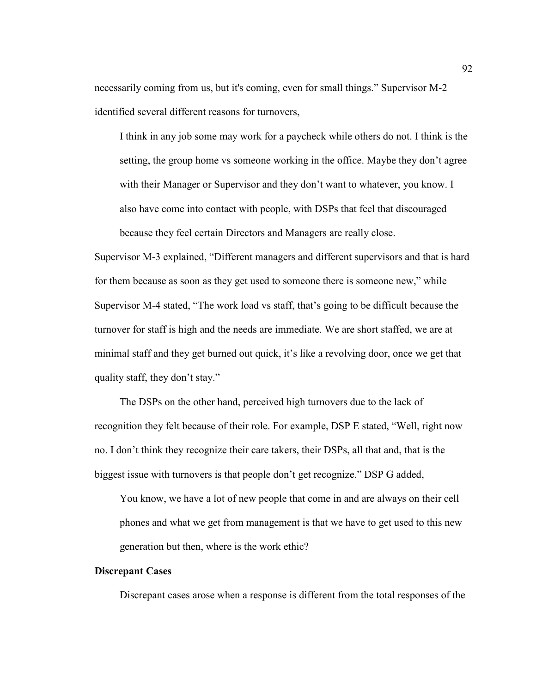necessarily coming from us, but it's coming, even for small things." Supervisor M-2 identified several different reasons for turnovers,

I think in any job some may work for a paycheck while others do not. I think is the setting, the group home vs someone working in the office. Maybe they don't agree with their Manager or Supervisor and they don't want to whatever, you know. I also have come into contact with people, with DSPs that feel that discouraged because they feel certain Directors and Managers are really close.

Supervisor M-3 explained, "Different managers and different supervisors and that is hard for them because as soon as they get used to someone there is someone new," while Supervisor M-4 stated, "The work load vs staff, that's going to be difficult because the turnover for staff is high and the needs are immediate. We are short staffed, we are at minimal staff and they get burned out quick, it's like a revolving door, once we get that quality staff, they don't stay."

 The DSPs on the other hand, perceived high turnovers due to the lack of recognition they felt because of their role. For example, DSP E stated, "Well, right now no. I don't think they recognize their care takers, their DSPs, all that and, that is the biggest issue with turnovers is that people don't get recognize." DSP G added,

You know, we have a lot of new people that come in and are always on their cell phones and what we get from management is that we have to get used to this new generation but then, where is the work ethic?

### **Discrepant Cases**

Discrepant cases arose when a response is different from the total responses of the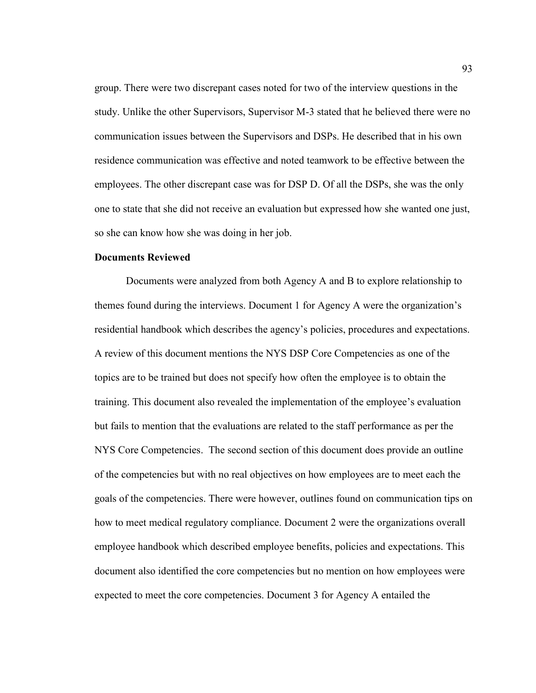group. There were two discrepant cases noted for two of the interview questions in the study. Unlike the other Supervisors, Supervisor M-3 stated that he believed there were no communication issues between the Supervisors and DSPs. He described that in his own residence communication was effective and noted teamwork to be effective between the employees. The other discrepant case was for DSP D. Of all the DSPs, she was the only one to state that she did not receive an evaluation but expressed how she wanted one just, so she can know how she was doing in her job.

### **Documents Reviewed**

Documents were analyzed from both Agency A and B to explore relationship to themes found during the interviews. Document 1 for Agency A were the organization's residential handbook which describes the agency's policies, procedures and expectations. A review of this document mentions the NYS DSP Core Competencies as one of the topics are to be trained but does not specify how often the employee is to obtain the training. This document also revealed the implementation of the employee's evaluation but fails to mention that the evaluations are related to the staff performance as per the NYS Core Competencies. The second section of this document does provide an outline of the competencies but with no real objectives on how employees are to meet each the goals of the competencies. There were however, outlines found on communication tips on how to meet medical regulatory compliance. Document 2 were the organizations overall employee handbook which described employee benefits, policies and expectations. This document also identified the core competencies but no mention on how employees were expected to meet the core competencies. Document 3 for Agency A entailed the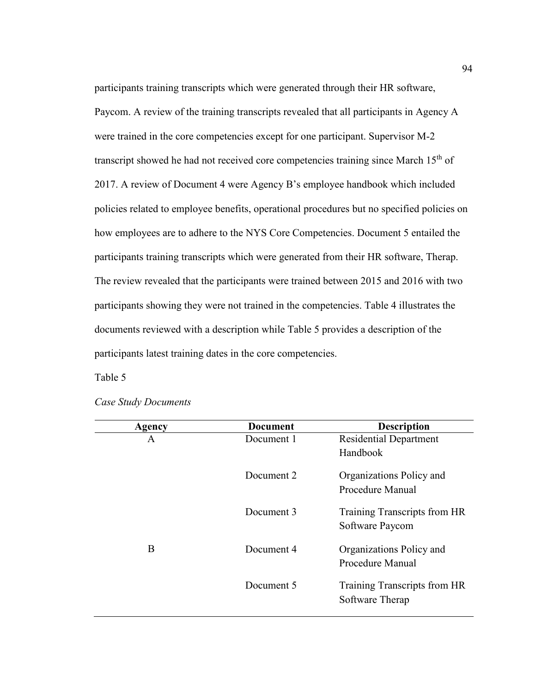participants training transcripts which were generated through their HR software, Paycom. A review of the training transcripts revealed that all participants in Agency A were trained in the core competencies except for one participant. Supervisor M-2 transcript showed he had not received core competencies training since March  $15<sup>th</sup>$  of 2017. A review of Document 4 were Agency B's employee handbook which included policies related to employee benefits, operational procedures but no specified policies on how employees are to adhere to the NYS Core Competencies. Document 5 entailed the participants training transcripts which were generated from their HR software, Therap. The review revealed that the participants were trained between 2015 and 2016 with two participants showing they were not trained in the competencies. Table 4 illustrates the documents reviewed with a description while Table 5 provides a description of the participants latest training dates in the core competencies.

Table 5

| Agency | <b>Document</b> | <b>Description</b>            |
|--------|-----------------|-------------------------------|
| A      | Document 1      | <b>Residential Department</b> |
|        |                 | Handbook                      |
|        | Document 2      | Organizations Policy and      |
|        |                 | Procedure Manual              |
|        | Document 3      | Training Transcripts from HR  |
|        |                 | Software Paycom               |
| B      | Document 4      | Organizations Policy and      |
|        |                 | Procedure Manual              |
|        | Document 5      | Training Transcripts from HR  |
|        |                 | Software Therap               |

*Case Study Documents*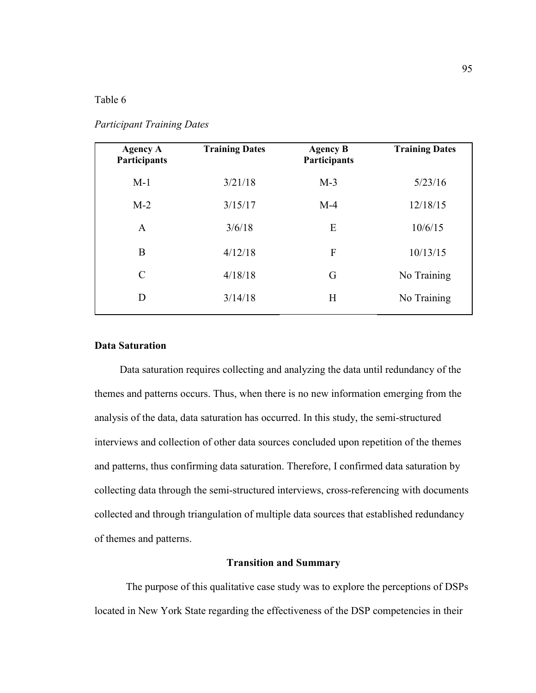### Table 6

| <b>Agency A</b><br>Participants | <b>Training Dates</b> | <b>Agency B</b><br>Participants | <b>Training Dates</b> |
|---------------------------------|-----------------------|---------------------------------|-----------------------|
| $M-1$                           | 3/21/18               | $M-3$                           | 5/23/16               |
| $M-2$                           | 3/15/17               | $M-4$                           | 12/18/15              |
| $\mathbf{A}$                    | 3/6/18                | E                               | 10/6/15               |
| B                               | 4/12/18               | F                               | 10/13/15              |
| $\mathcal{C}$                   | 4/18/18               | G                               | No Training           |
| D                               | 3/14/18               | H                               | No Training           |
|                                 |                       |                                 |                       |

## *Participant Training Dates*

## **Data Saturation**

 Data saturation requires collecting and analyzing the data until redundancy of the themes and patterns occurs. Thus, when there is no new information emerging from the analysis of the data, data saturation has occurred. In this study, the semi-structured interviews and collection of other data sources concluded upon repetition of the themes and patterns, thus confirming data saturation. Therefore, I confirmed data saturation by collecting data through the semi-structured interviews, cross-referencing with documents collected and through triangulation of multiple data sources that established redundancy of themes and patterns.

## **Transition and Summary**

The purpose of this qualitative case study was to explore the perceptions of DSPs located in New York State regarding the effectiveness of the DSP competencies in their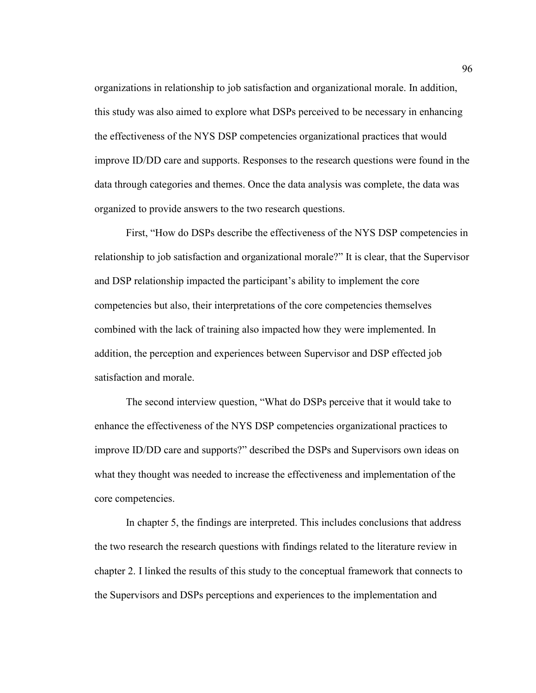organizations in relationship to job satisfaction and organizational morale. In addition, this study was also aimed to explore what DSPs perceived to be necessary in enhancing the effectiveness of the NYS DSP competencies organizational practices that would improve ID/DD care and supports. Responses to the research questions were found in the data through categories and themes. Once the data analysis was complete, the data was organized to provide answers to the two research questions.

First, "How do DSPs describe the effectiveness of the NYS DSP competencies in relationship to job satisfaction and organizational morale?" It is clear, that the Supervisor and DSP relationship impacted the participant's ability to implement the core competencies but also, their interpretations of the core competencies themselves combined with the lack of training also impacted how they were implemented. In addition, the perception and experiences between Supervisor and DSP effected job satisfaction and morale.

The second interview question, "What do DSPs perceive that it would take to enhance the effectiveness of the NYS DSP competencies organizational practices to improve ID/DD care and supports?" described the DSPs and Supervisors own ideas on what they thought was needed to increase the effectiveness and implementation of the core competencies.

In chapter 5, the findings are interpreted. This includes conclusions that address the two research the research questions with findings related to the literature review in chapter 2. I linked the results of this study to the conceptual framework that connects to the Supervisors and DSPs perceptions and experiences to the implementation and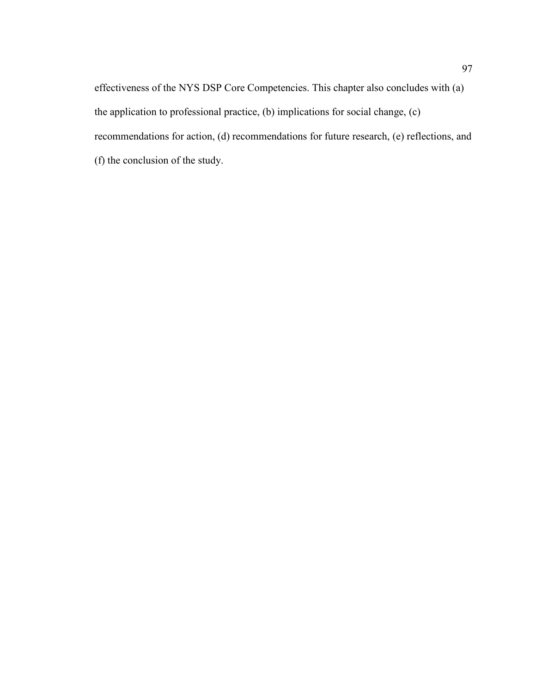effectiveness of the NYS DSP Core Competencies. This chapter also concludes with (a) the application to professional practice, (b) implications for social change, (c) recommendations for action, (d) recommendations for future research, (e) reflections, and (f) the conclusion of the study.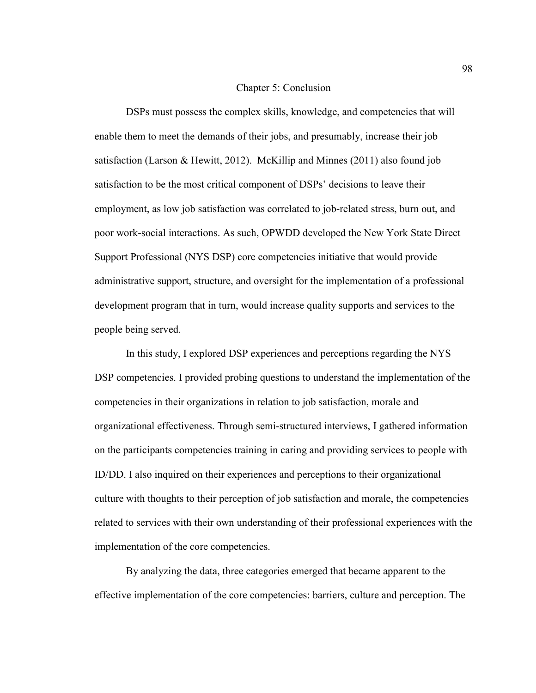### Chapter 5: Conclusion

DSPs must possess the complex skills, knowledge, and competencies that will enable them to meet the demands of their jobs, and presumably, increase their job satisfaction (Larson & Hewitt, 2012). McKillip and Minnes (2011) also found job satisfaction to be the most critical component of DSPs' decisions to leave their employment, as low job satisfaction was correlated to job-related stress, burn out, and poor work-social interactions. As such, OPWDD developed the New York State Direct Support Professional (NYS DSP) core competencies initiative that would provide administrative support, structure, and oversight for the implementation of a professional development program that in turn, would increase quality supports and services to the people being served.

In this study, I explored DSP experiences and perceptions regarding the NYS DSP competencies. I provided probing questions to understand the implementation of the competencies in their organizations in relation to job satisfaction, morale and organizational effectiveness. Through semi-structured interviews, I gathered information on the participants competencies training in caring and providing services to people with ID/DD. I also inquired on their experiences and perceptions to their organizational culture with thoughts to their perception of job satisfaction and morale, the competencies related to services with their own understanding of their professional experiences with the implementation of the core competencies.

By analyzing the data, three categories emerged that became apparent to the effective implementation of the core competencies: barriers, culture and perception. The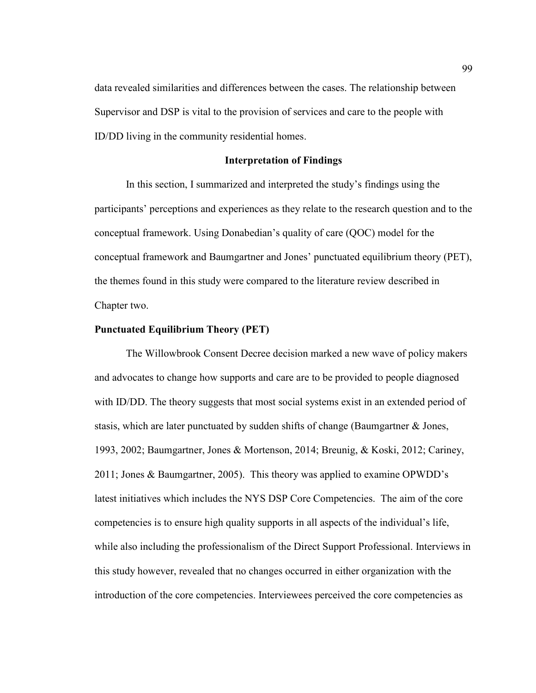data revealed similarities and differences between the cases. The relationship between Supervisor and DSP is vital to the provision of services and care to the people with ID/DD living in the community residential homes.

## **Interpretation of Findings**

In this section, I summarized and interpreted the study's findings using the participants' perceptions and experiences as they relate to the research question and to the conceptual framework. Using Donabedian's quality of care (QOC) model for the conceptual framework and Baumgartner and Jones' punctuated equilibrium theory (PET), the themes found in this study were compared to the literature review described in Chapter two.

## **Punctuated Equilibrium Theory (PET)**

The Willowbrook Consent Decree decision marked a new wave of policy makers and advocates to change how supports and care are to be provided to people diagnosed with ID/DD. The theory suggests that most social systems exist in an extended period of stasis, which are later punctuated by sudden shifts of change (Baumgartner & Jones, 1993, 2002; Baumgartner, Jones & Mortenson, 2014; Breunig, & Koski, 2012; Cariney, 2011; Jones & Baumgartner, 2005). This theory was applied to examine OPWDD's latest initiatives which includes the NYS DSP Core Competencies. The aim of the core competencies is to ensure high quality supports in all aspects of the individual's life, while also including the professionalism of the Direct Support Professional. Interviews in this study however, revealed that no changes occurred in either organization with the introduction of the core competencies. Interviewees perceived the core competencies as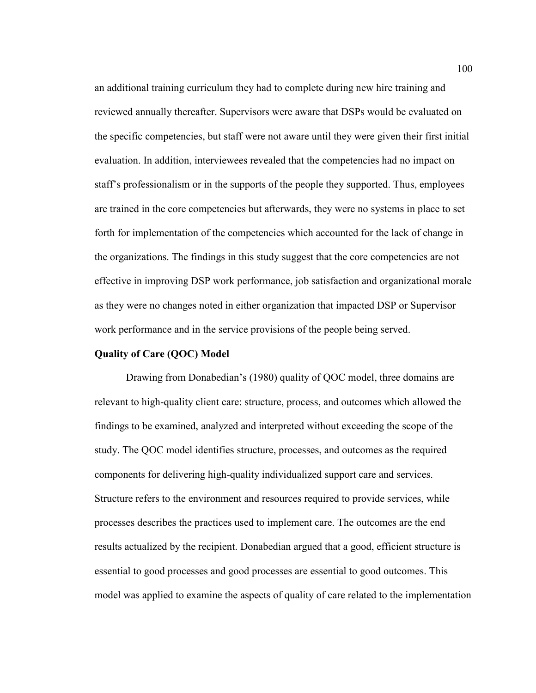an additional training curriculum they had to complete during new hire training and reviewed annually thereafter. Supervisors were aware that DSPs would be evaluated on the specific competencies, but staff were not aware until they were given their first initial evaluation. In addition, interviewees revealed that the competencies had no impact on staff's professionalism or in the supports of the people they supported. Thus, employees are trained in the core competencies but afterwards, they were no systems in place to set forth for implementation of the competencies which accounted for the lack of change in the organizations. The findings in this study suggest that the core competencies are not effective in improving DSP work performance, job satisfaction and organizational morale as they were no changes noted in either organization that impacted DSP or Supervisor work performance and in the service provisions of the people being served.

## **Quality of Care (QOC) Model**

Drawing from Donabedian's (1980) quality of QOC model, three domains are relevant to high-quality client care: structure, process, and outcomes which allowed the findings to be examined, analyzed and interpreted without exceeding the scope of the study. The QOC model identifies structure, processes, and outcomes as the required components for delivering high-quality individualized support care and services. Structure refers to the environment and resources required to provide services, while processes describes the practices used to implement care. The outcomes are the end results actualized by the recipient. Donabedian argued that a good, efficient structure is essential to good processes and good processes are essential to good outcomes. This model was applied to examine the aspects of quality of care related to the implementation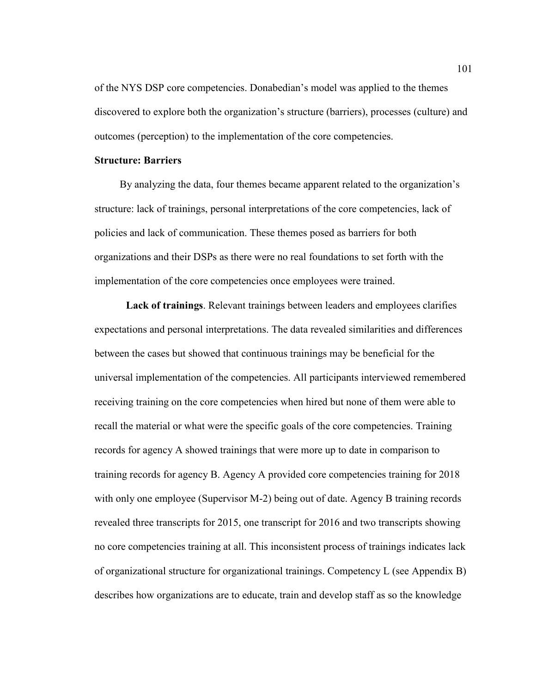of the NYS DSP core competencies. Donabedian's model was applied to the themes discovered to explore both the organization's structure (barriers), processes (culture) and outcomes (perception) to the implementation of the core competencies.

# **Structure: Barriers**

By analyzing the data, four themes became apparent related to the organization's structure: lack of trainings, personal interpretations of the core competencies, lack of policies and lack of communication. These themes posed as barriers for both organizations and their DSPs as there were no real foundations to set forth with the implementation of the core competencies once employees were trained.

**Lack of trainings**. Relevant trainings between leaders and employees clarifies expectations and personal interpretations. The data revealed similarities and differences between the cases but showed that continuous trainings may be beneficial for the universal implementation of the competencies. All participants interviewed remembered receiving training on the core competencies when hired but none of them were able to recall the material or what were the specific goals of the core competencies. Training records for agency A showed trainings that were more up to date in comparison to training records for agency B. Agency A provided core competencies training for 2018 with only one employee (Supervisor M-2) being out of date. Agency B training records revealed three transcripts for 2015, one transcript for 2016 and two transcripts showing no core competencies training at all. This inconsistent process of trainings indicates lack of organizational structure for organizational trainings. Competency L (see Appendix B) describes how organizations are to educate, train and develop staff as so the knowledge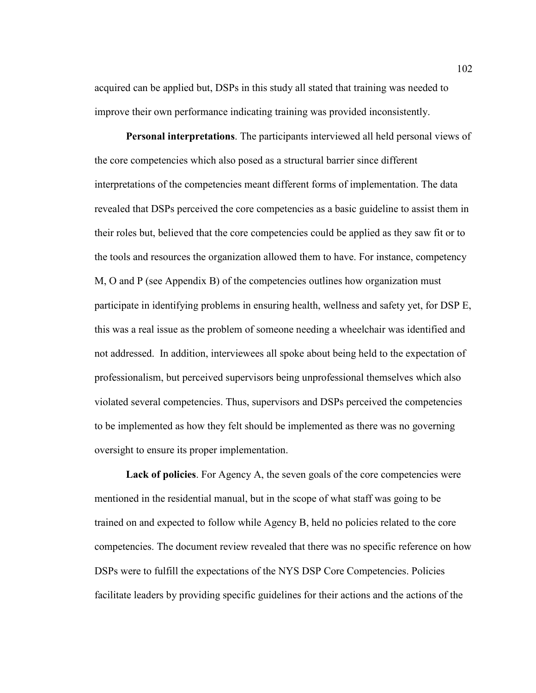acquired can be applied but, DSPs in this study all stated that training was needed to improve their own performance indicating training was provided inconsistently.

**Personal interpretations**. The participants interviewed all held personal views of the core competencies which also posed as a structural barrier since different interpretations of the competencies meant different forms of implementation. The data revealed that DSPs perceived the core competencies as a basic guideline to assist them in their roles but, believed that the core competencies could be applied as they saw fit or to the tools and resources the organization allowed them to have. For instance, competency M, O and P (see Appendix B) of the competencies outlines how organization must participate in identifying problems in ensuring health, wellness and safety yet, for DSP E, this was a real issue as the problem of someone needing a wheelchair was identified and not addressed. In addition, interviewees all spoke about being held to the expectation of professionalism, but perceived supervisors being unprofessional themselves which also violated several competencies. Thus, supervisors and DSPs perceived the competencies to be implemented as how they felt should be implemented as there was no governing oversight to ensure its proper implementation.

Lack of policies. For Agency A, the seven goals of the core competencies were mentioned in the residential manual, but in the scope of what staff was going to be trained on and expected to follow while Agency B, held no policies related to the core competencies. The document review revealed that there was no specific reference on how DSPs were to fulfill the expectations of the NYS DSP Core Competencies. Policies facilitate leaders by providing specific guidelines for their actions and the actions of the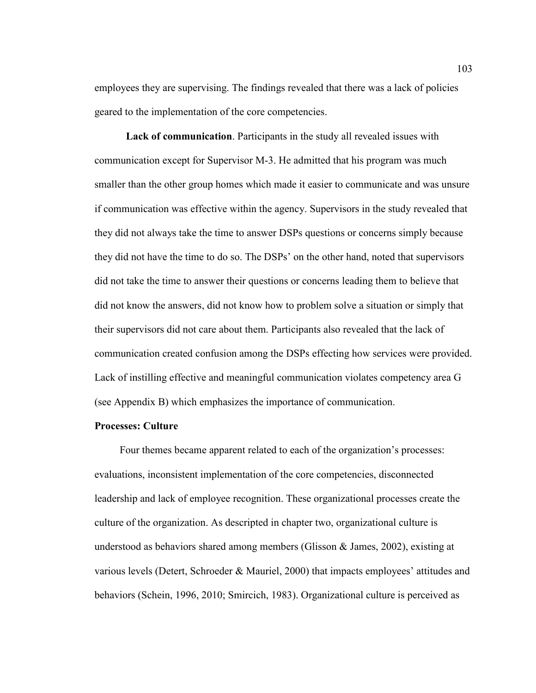employees they are supervising. The findings revealed that there was a lack of policies geared to the implementation of the core competencies.

**Lack of communication**. Participants in the study all revealed issues with communication except for Supervisor M-3. He admitted that his program was much smaller than the other group homes which made it easier to communicate and was unsure if communication was effective within the agency. Supervisors in the study revealed that they did not always take the time to answer DSPs questions or concerns simply because they did not have the time to do so. The DSPs' on the other hand, noted that supervisors did not take the time to answer their questions or concerns leading them to believe that did not know the answers, did not know how to problem solve a situation or simply that their supervisors did not care about them. Participants also revealed that the lack of communication created confusion among the DSPs effecting how services were provided. Lack of instilling effective and meaningful communication violates competency area G (see Appendix B) which emphasizes the importance of communication.

#### **Processes: Culture**

 Four themes became apparent related to each of the organization's processes: evaluations, inconsistent implementation of the core competencies, disconnected leadership and lack of employee recognition. These organizational processes create the culture of the organization. As descripted in chapter two, organizational culture is understood as behaviors shared among members (Glisson  $\&$  James, 2002), existing at various levels (Detert, Schroeder & Mauriel, 2000) that impacts employees' attitudes and behaviors (Schein, 1996, 2010; Smircich, 1983). Organizational culture is perceived as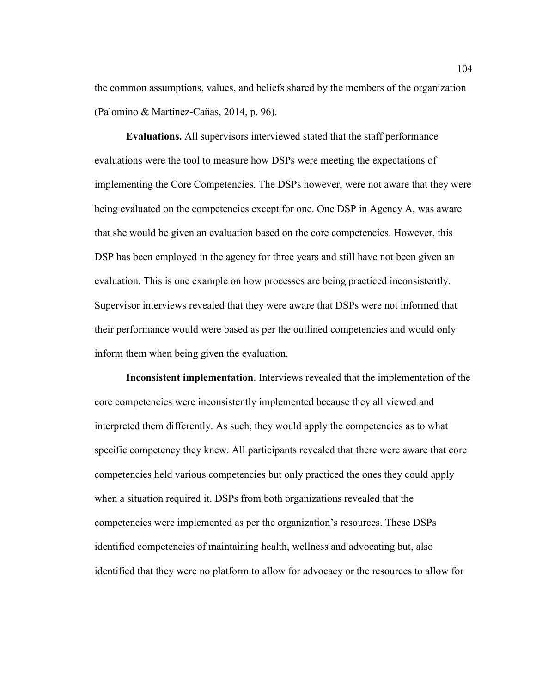the common assumptions, values, and beliefs shared by the members of the organization (Palomino & Martínez-Cañas, 2014, p. 96).

**Evaluations.** All supervisors interviewed stated that the staff performance evaluations were the tool to measure how DSPs were meeting the expectations of implementing the Core Competencies. The DSPs however, were not aware that they were being evaluated on the competencies except for one. One DSP in Agency A, was aware that she would be given an evaluation based on the core competencies. However, this DSP has been employed in the agency for three years and still have not been given an evaluation. This is one example on how processes are being practiced inconsistently. Supervisor interviews revealed that they were aware that DSPs were not informed that their performance would were based as per the outlined competencies and would only inform them when being given the evaluation.

**Inconsistent implementation**. Interviews revealed that the implementation of the core competencies were inconsistently implemented because they all viewed and interpreted them differently. As such, they would apply the competencies as to what specific competency they knew. All participants revealed that there were aware that core competencies held various competencies but only practiced the ones they could apply when a situation required it. DSPs from both organizations revealed that the competencies were implemented as per the organization's resources. These DSPs identified competencies of maintaining health, wellness and advocating but, also identified that they were no platform to allow for advocacy or the resources to allow for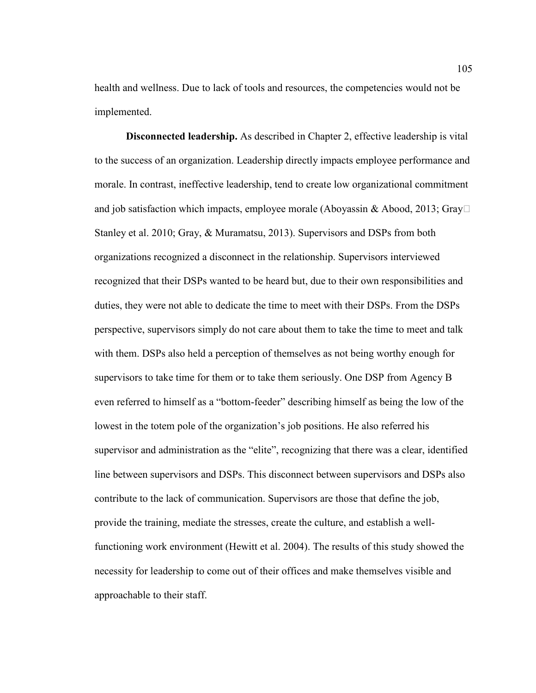health and wellness. Due to lack of tools and resources, the competencies would not be implemented.

**Disconnected leadership.** As described in Chapter 2, effective leadership is vital to the success of an organization. Leadership directly impacts employee performance and morale. In contrast, ineffective leadership, tend to create low organizational commitment and job satisfaction which impacts, employee morale (Aboyassin & Abood, 2013; Gray $\Box$ Stanley et al. 2010; Gray, & Muramatsu, 2013). Supervisors and DSPs from both organizations recognized a disconnect in the relationship. Supervisors interviewed recognized that their DSPs wanted to be heard but, due to their own responsibilities and duties, they were not able to dedicate the time to meet with their DSPs. From the DSPs perspective, supervisors simply do not care about them to take the time to meet and talk with them. DSPs also held a perception of themselves as not being worthy enough for supervisors to take time for them or to take them seriously. One DSP from Agency B even referred to himself as a "bottom-feeder" describing himself as being the low of the lowest in the totem pole of the organization's job positions. He also referred his supervisor and administration as the "elite", recognizing that there was a clear, identified line between supervisors and DSPs. This disconnect between supervisors and DSPs also contribute to the lack of communication. Supervisors are those that define the job, provide the training, mediate the stresses, create the culture, and establish a wellfunctioning work environment (Hewitt et al. 2004). The results of this study showed the necessity for leadership to come out of their offices and make themselves visible and approachable to their staff.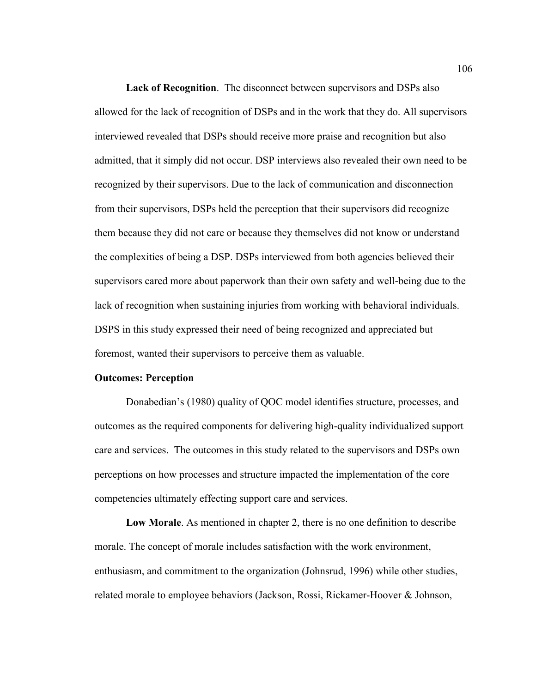**Lack of Recognition**. The disconnect between supervisors and DSPs also allowed for the lack of recognition of DSPs and in the work that they do. All supervisors interviewed revealed that DSPs should receive more praise and recognition but also admitted, that it simply did not occur. DSP interviews also revealed their own need to be recognized by their supervisors. Due to the lack of communication and disconnection from their supervisors, DSPs held the perception that their supervisors did recognize them because they did not care or because they themselves did not know or understand the complexities of being a DSP. DSPs interviewed from both agencies believed their supervisors cared more about paperwork than their own safety and well-being due to the lack of recognition when sustaining injuries from working with behavioral individuals. DSPS in this study expressed their need of being recognized and appreciated but foremost, wanted their supervisors to perceive them as valuable.

# **Outcomes: Perception**

Donabedian's (1980) quality of QOC model identifies structure, processes, and outcomes as the required components for delivering high-quality individualized support care and services. The outcomes in this study related to the supervisors and DSPs own perceptions on how processes and structure impacted the implementation of the core competencies ultimately effecting support care and services.

**Low Morale**. As mentioned in chapter 2, there is no one definition to describe morale. The concept of morale includes satisfaction with the work environment, enthusiasm, and commitment to the organization (Johnsrud, 1996) while other studies, related morale to employee behaviors (Jackson, Rossi, Rickamer-Hoover & Johnson,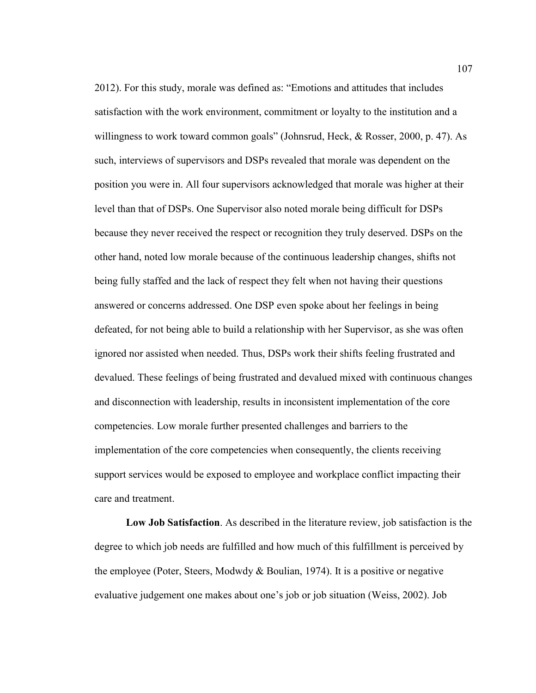2012). For this study, morale was defined as: "Emotions and attitudes that includes satisfaction with the work environment, commitment or loyalty to the institution and a willingness to work toward common goals" (Johnsrud, Heck, & Rosser, 2000, p. 47). As such, interviews of supervisors and DSPs revealed that morale was dependent on the position you were in. All four supervisors acknowledged that morale was higher at their level than that of DSPs. One Supervisor also noted morale being difficult for DSPs because they never received the respect or recognition they truly deserved. DSPs on the other hand, noted low morale because of the continuous leadership changes, shifts not being fully staffed and the lack of respect they felt when not having their questions answered or concerns addressed. One DSP even spoke about her feelings in being defeated, for not being able to build a relationship with her Supervisor, as she was often ignored nor assisted when needed. Thus, DSPs work their shifts feeling frustrated and devalued. These feelings of being frustrated and devalued mixed with continuous changes and disconnection with leadership, results in inconsistent implementation of the core competencies. Low morale further presented challenges and barriers to the implementation of the core competencies when consequently, the clients receiving support services would be exposed to employee and workplace conflict impacting their care and treatment.

**Low Job Satisfaction**. As described in the literature review, job satisfaction is the degree to which job needs are fulfilled and how much of this fulfillment is perceived by the employee (Poter, Steers, Modwdy & Boulian, 1974). It is a positive or negative evaluative judgement one makes about one's job or job situation (Weiss, 2002). Job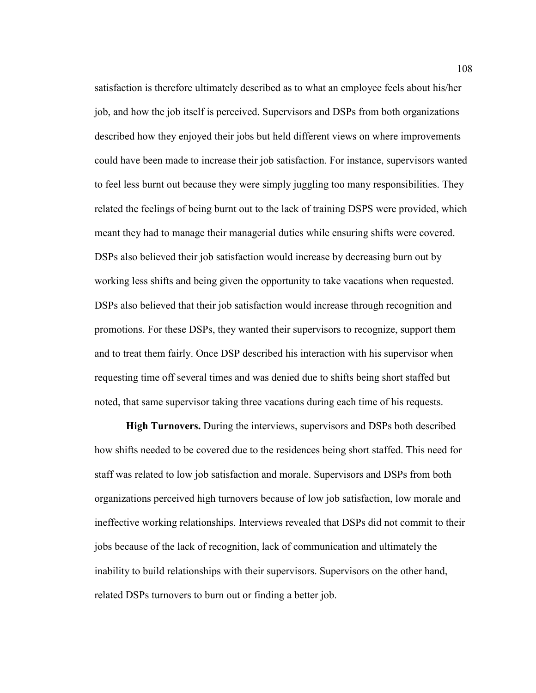satisfaction is therefore ultimately described as to what an employee feels about his/her job, and how the job itself is perceived. Supervisors and DSPs from both organizations described how they enjoyed their jobs but held different views on where improvements could have been made to increase their job satisfaction. For instance, supervisors wanted to feel less burnt out because they were simply juggling too many responsibilities. They related the feelings of being burnt out to the lack of training DSPS were provided, which meant they had to manage their managerial duties while ensuring shifts were covered. DSPs also believed their job satisfaction would increase by decreasing burn out by working less shifts and being given the opportunity to take vacations when requested. DSPs also believed that their job satisfaction would increase through recognition and promotions. For these DSPs, they wanted their supervisors to recognize, support them and to treat them fairly. Once DSP described his interaction with his supervisor when requesting time off several times and was denied due to shifts being short staffed but noted, that same supervisor taking three vacations during each time of his requests.

**High Turnovers.** During the interviews, supervisors and DSPs both described how shifts needed to be covered due to the residences being short staffed. This need for staff was related to low job satisfaction and morale. Supervisors and DSPs from both organizations perceived high turnovers because of low job satisfaction, low morale and ineffective working relationships. Interviews revealed that DSPs did not commit to their jobs because of the lack of recognition, lack of communication and ultimately the inability to build relationships with their supervisors. Supervisors on the other hand, related DSPs turnovers to burn out or finding a better job.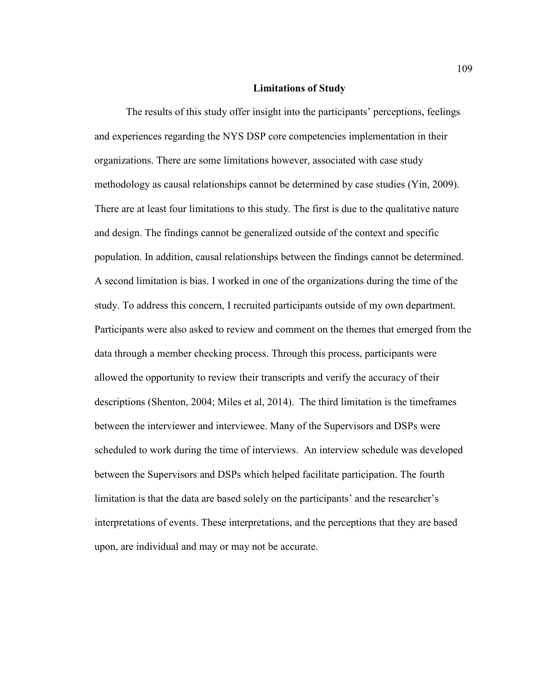### **Limitations of Study**

The results of this study offer insight into the participants' perceptions, feelings and experiences regarding the NYS DSP core competencies implementation in their organizations. There are some limitations however, associated with case study methodology as causal relationships cannot be determined by case studies (Yin, 2009). There are at least four limitations to this study. The first is due to the qualitative nature and design. The findings cannot be generalized outside of the context and specific population. In addition, causal relationships between the findings cannot be determined. A second limitation is bias. I worked in one of the organizations during the time of the study. To address this concern, I recruited participants outside of my own department. Participants were also asked to review and comment on the themes that emerged from the data through a member checking process. Through this process, participants were allowed the opportunity to review their transcripts and verify the accuracy of their descriptions (Shenton, 2004; Miles et al, 2014). The third limitation is the timeframes between the interviewer and interviewee. Many of the Supervisors and DSPs were scheduled to work during the time of interviews. An interview schedule was developed between the Supervisors and DSPs which helped facilitate participation. The fourth limitation is that the data are based solely on the participants' and the researcher's interpretations of events. These interpretations, and the perceptions that they are based upon, are individual and may or may not be accurate.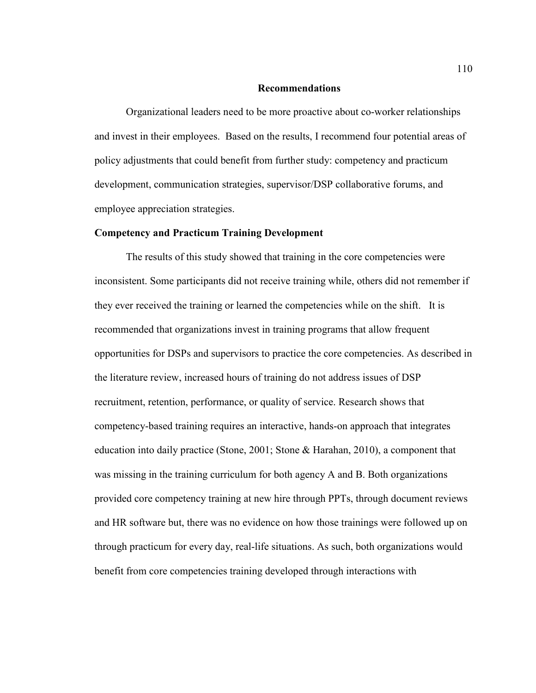### **Recommendations**

Organizational leaders need to be more proactive about co-worker relationships and invest in their employees. Based on the results, I recommend four potential areas of policy adjustments that could benefit from further study: competency and practicum development, communication strategies, supervisor/DSP collaborative forums, and employee appreciation strategies.

## **Competency and Practicum Training Development**

The results of this study showed that training in the core competencies were inconsistent. Some participants did not receive training while, others did not remember if they ever received the training or learned the competencies while on the shift. It is recommended that organizations invest in training programs that allow frequent opportunities for DSPs and supervisors to practice the core competencies. As described in the literature review, increased hours of training do not address issues of DSP recruitment, retention, performance, or quality of service. Research shows that competency-based training requires an interactive, hands-on approach that integrates education into daily practice (Stone, 2001; Stone & Harahan, 2010), a component that was missing in the training curriculum for both agency A and B. Both organizations provided core competency training at new hire through PPTs, through document reviews and HR software but, there was no evidence on how those trainings were followed up on through practicum for every day, real-life situations. As such, both organizations would benefit from core competencies training developed through interactions with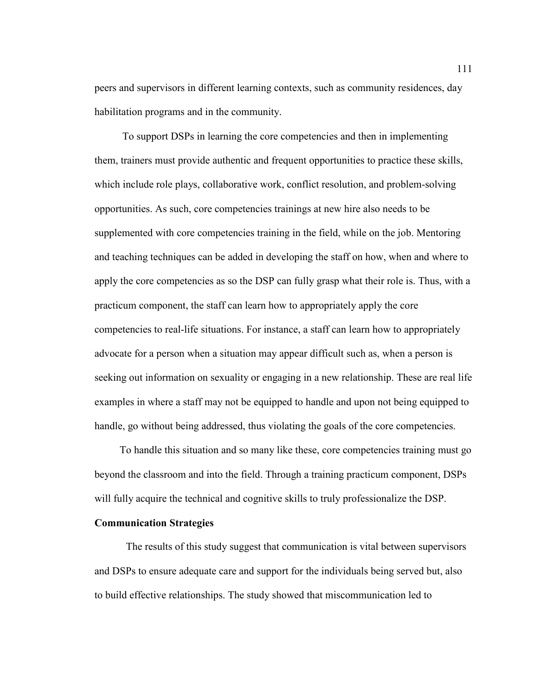peers and supervisors in different learning contexts, such as community residences, day habilitation programs and in the community.

 To support DSPs in learning the core competencies and then in implementing them, trainers must provide authentic and frequent opportunities to practice these skills, which include role plays, collaborative work, conflict resolution, and problem-solving opportunities. As such, core competencies trainings at new hire also needs to be supplemented with core competencies training in the field, while on the job. Mentoring and teaching techniques can be added in developing the staff on how, when and where to apply the core competencies as so the DSP can fully grasp what their role is. Thus, with a practicum component, the staff can learn how to appropriately apply the core competencies to real-life situations. For instance, a staff can learn how to appropriately advocate for a person when a situation may appear difficult such as, when a person is seeking out information on sexuality or engaging in a new relationship. These are real life examples in where a staff may not be equipped to handle and upon not being equipped to handle, go without being addressed, thus violating the goals of the core competencies.

To handle this situation and so many like these, core competencies training must go beyond the classroom and into the field. Through a training practicum component, DSPs will fully acquire the technical and cognitive skills to truly professionalize the DSP.

## **Communication Strategies**

The results of this study suggest that communication is vital between supervisors and DSPs to ensure adequate care and support for the individuals being served but, also to build effective relationships. The study showed that miscommunication led to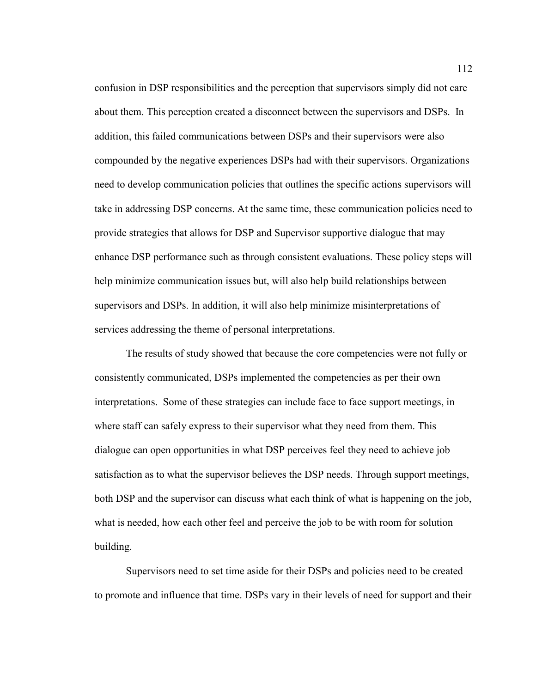confusion in DSP responsibilities and the perception that supervisors simply did not care about them. This perception created a disconnect between the supervisors and DSPs. In addition, this failed communications between DSPs and their supervisors were also compounded by the negative experiences DSPs had with their supervisors. Organizations need to develop communication policies that outlines the specific actions supervisors will take in addressing DSP concerns. At the same time, these communication policies need to provide strategies that allows for DSP and Supervisor supportive dialogue that may enhance DSP performance such as through consistent evaluations. These policy steps will help minimize communication issues but, will also help build relationships between supervisors and DSPs. In addition, it will also help minimize misinterpretations of services addressing the theme of personal interpretations.

The results of study showed that because the core competencies were not fully or consistently communicated, DSPs implemented the competencies as per their own interpretations. Some of these strategies can include face to face support meetings, in where staff can safely express to their supervisor what they need from them. This dialogue can open opportunities in what DSP perceives feel they need to achieve job satisfaction as to what the supervisor believes the DSP needs. Through support meetings, both DSP and the supervisor can discuss what each think of what is happening on the job, what is needed, how each other feel and perceive the job to be with room for solution building.

Supervisors need to set time aside for their DSPs and policies need to be created to promote and influence that time. DSPs vary in their levels of need for support and their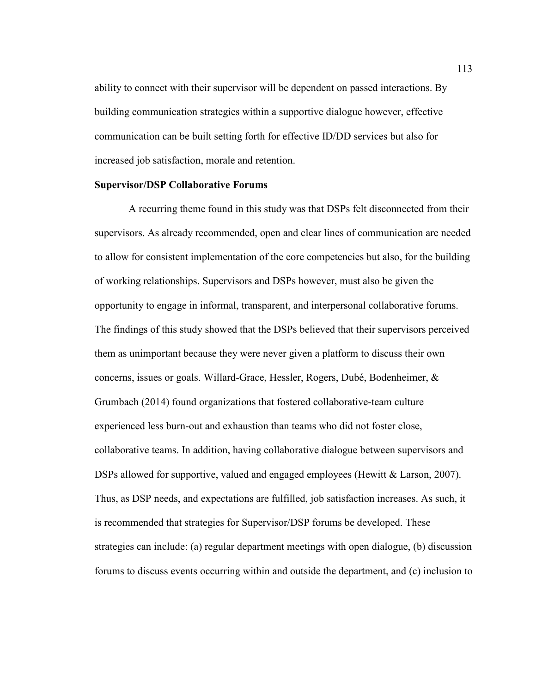ability to connect with their supervisor will be dependent on passed interactions. By building communication strategies within a supportive dialogue however, effective communication can be built setting forth for effective ID/DD services but also for increased job satisfaction, morale and retention.

## **Supervisor/DSP Collaborative Forums**

 A recurring theme found in this study was that DSPs felt disconnected from their supervisors. As already recommended, open and clear lines of communication are needed to allow for consistent implementation of the core competencies but also, for the building of working relationships. Supervisors and DSPs however, must also be given the opportunity to engage in informal, transparent, and interpersonal collaborative forums. The findings of this study showed that the DSPs believed that their supervisors perceived them as unimportant because they were never given a platform to discuss their own concerns, issues or goals. Willard-Grace, Hessler, Rogers, Dubé, Bodenheimer, & Grumbach (2014) found organizations that fostered collaborative-team culture experienced less burn-out and exhaustion than teams who did not foster close, collaborative teams. In addition, having collaborative dialogue between supervisors and DSPs allowed for supportive, valued and engaged employees (Hewitt & Larson, 2007). Thus, as DSP needs, and expectations are fulfilled, job satisfaction increases. As such, it is recommended that strategies for Supervisor/DSP forums be developed. These strategies can include: (a) regular department meetings with open dialogue, (b) discussion forums to discuss events occurring within and outside the department, and (c) inclusion to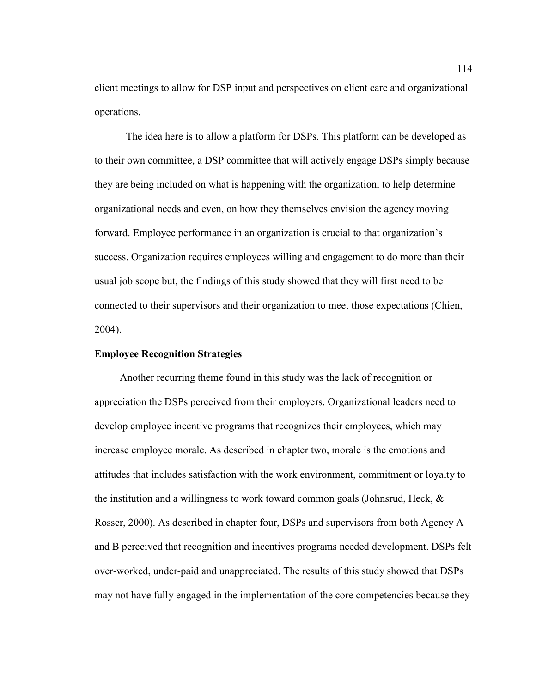client meetings to allow for DSP input and perspectives on client care and organizational operations.

The idea here is to allow a platform for DSPs. This platform can be developed as to their own committee, a DSP committee that will actively engage DSPs simply because they are being included on what is happening with the organization, to help determine organizational needs and even, on how they themselves envision the agency moving forward. Employee performance in an organization is crucial to that organization's success. Organization requires employees willing and engagement to do more than their usual job scope but, the findings of this study showed that they will first need to be connected to their supervisors and their organization to meet those expectations (Chien, 2004).

## **Employee Recognition Strategies**

 Another recurring theme found in this study was the lack of recognition or appreciation the DSPs perceived from their employers. Organizational leaders need to develop employee incentive programs that recognizes their employees, which may increase employee morale. As described in chapter two, morale is the emotions and attitudes that includes satisfaction with the work environment, commitment or loyalty to the institution and a willingness to work toward common goals (Johnsrud, Heck,  $\&$ Rosser, 2000). As described in chapter four, DSPs and supervisors from both Agency A and B perceived that recognition and incentives programs needed development. DSPs felt over-worked, under-paid and unappreciated. The results of this study showed that DSPs may not have fully engaged in the implementation of the core competencies because they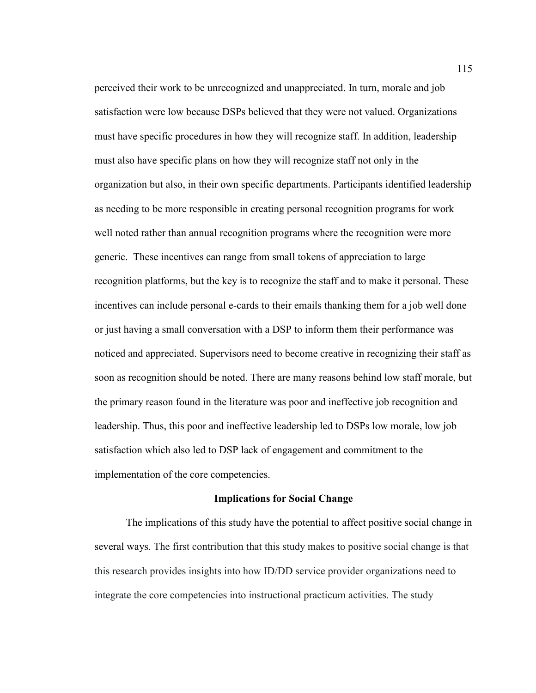perceived their work to be unrecognized and unappreciated. In turn, morale and job satisfaction were low because DSPs believed that they were not valued. Organizations must have specific procedures in how they will recognize staff. In addition, leadership must also have specific plans on how they will recognize staff not only in the organization but also, in their own specific departments. Participants identified leadership as needing to be more responsible in creating personal recognition programs for work well noted rather than annual recognition programs where the recognition were more generic. These incentives can range from small tokens of appreciation to large recognition platforms, but the key is to recognize the staff and to make it personal. These incentives can include personal e-cards to their emails thanking them for a job well done or just having a small conversation with a DSP to inform them their performance was noticed and appreciated. Supervisors need to become creative in recognizing their staff as soon as recognition should be noted. There are many reasons behind low staff morale, but the primary reason found in the literature was poor and ineffective job recognition and leadership. Thus, this poor and ineffective leadership led to DSPs low morale, low job satisfaction which also led to DSP lack of engagement and commitment to the implementation of the core competencies.

#### **Implications for Social Change**

The implications of this study have the potential to affect positive social change in several ways. The first contribution that this study makes to positive social change is that this research provides insights into how ID/DD service provider organizations need to integrate the core competencies into instructional practicum activities. The study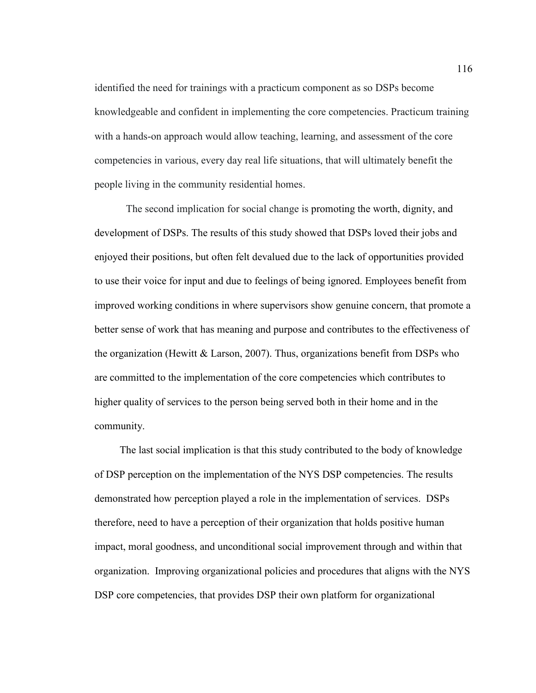identified the need for trainings with a practicum component as so DSPs become knowledgeable and confident in implementing the core competencies. Practicum training with a hands-on approach would allow teaching, learning, and assessment of the core competencies in various, every day real life situations, that will ultimately benefit the people living in the community residential homes.

The second implication for social change is promoting the worth, dignity, and development of DSPs. The results of this study showed that DSPs loved their jobs and enjoyed their positions, but often felt devalued due to the lack of opportunities provided to use their voice for input and due to feelings of being ignored. Employees benefit from improved working conditions in where supervisors show genuine concern, that promote a better sense of work that has meaning and purpose and contributes to the effectiveness of the organization (Hewitt & Larson, 2007). Thus, organizations benefit from DSPs who are committed to the implementation of the core competencies which contributes to higher quality of services to the person being served both in their home and in the community.

The last social implication is that this study contributed to the body of knowledge of DSP perception on the implementation of the NYS DSP competencies. The results demonstrated how perception played a role in the implementation of services. DSPs therefore, need to have a perception of their organization that holds positive human impact, moral goodness, and unconditional social improvement through and within that organization. Improving organizational policies and procedures that aligns with the NYS DSP core competencies, that provides DSP their own platform for organizational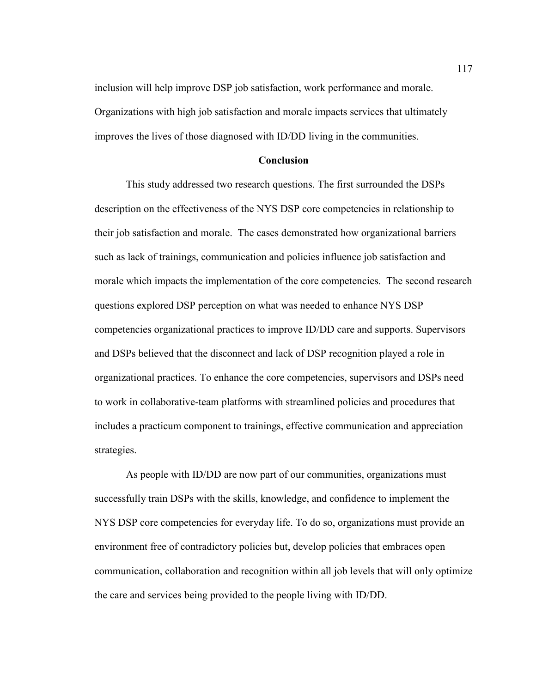inclusion will help improve DSP job satisfaction, work performance and morale. Organizations with high job satisfaction and morale impacts services that ultimately improves the lives of those diagnosed with ID/DD living in the communities.

## **Conclusion**

This study addressed two research questions. The first surrounded the DSPs description on the effectiveness of the NYS DSP core competencies in relationship to their job satisfaction and morale. The cases demonstrated how organizational barriers such as lack of trainings, communication and policies influence job satisfaction and morale which impacts the implementation of the core competencies. The second research questions explored DSP perception on what was needed to enhance NYS DSP competencies organizational practices to improve ID/DD care and supports. Supervisors and DSPs believed that the disconnect and lack of DSP recognition played a role in organizational practices. To enhance the core competencies, supervisors and DSPs need to work in collaborative-team platforms with streamlined policies and procedures that includes a practicum component to trainings, effective communication and appreciation strategies.

As people with ID/DD are now part of our communities, organizations must successfully train DSPs with the skills, knowledge, and confidence to implement the NYS DSP core competencies for everyday life. To do so, organizations must provide an environment free of contradictory policies but, develop policies that embraces open communication, collaboration and recognition within all job levels that will only optimize the care and services being provided to the people living with ID/DD.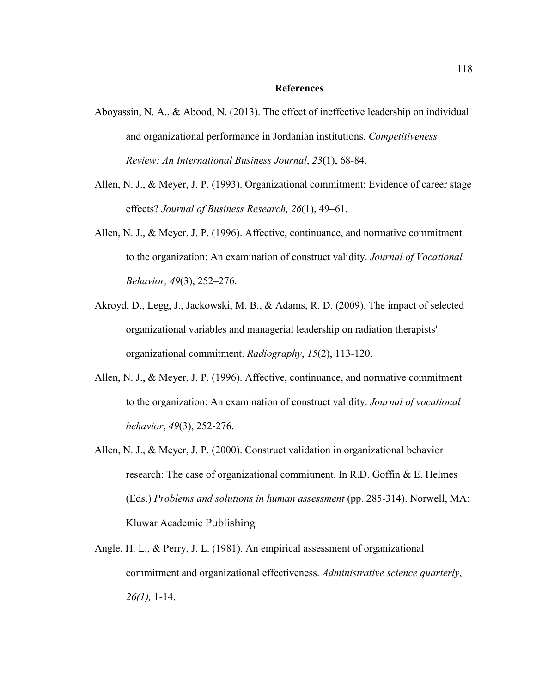#### **References**

- Aboyassin, N. A., & Abood, N. (2013). The effect of ineffective leadership on individual and organizational performance in Jordanian institutions. *Competitiveness Review: An International Business Journal*, *23*(1), 68-84.
- Allen, N. J., & Meyer, J. P. (1993). Organizational commitment: Evidence of career stage effects? *Journal of Business Research, 26*(1), 49–61.
- Allen, N. J., & Meyer, J. P. (1996). Affective, continuance, and normative commitment to the organization: An examination of construct validity. *Journal of Vocational Behavior, 49*(3), 252–276.
- Akroyd, D., Legg, J., Jackowski, M. B., & Adams, R. D. (2009). The impact of selected organizational variables and managerial leadership on radiation therapists' organizational commitment. *Radiography*, *15*(2), 113-120.
- Allen, N. J., & Meyer, J. P. (1996). Affective, continuance, and normative commitment to the organization: An examination of construct validity. *Journal of vocational behavior*, *49*(3), 252-276.
- Allen, N. J., & Meyer, J. P. (2000). Construct validation in organizational behavior research: The case of organizational commitment. In R.D. Goffin & E. Helmes (Eds.) *Problems and solutions in human assessment* (pp. 285-314). Norwell, MA: Kluwar Academic Publishing
- Angle, H. L., & Perry, J. L. (1981). An empirical assessment of organizational commitment and organizational effectiveness. *Administrative science quarterly*, *26(1),* 1-14.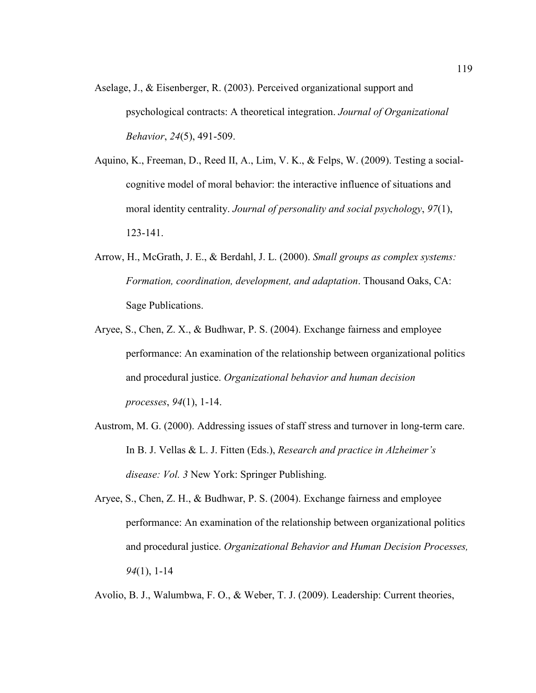- Aselage, J., & Eisenberger, R. (2003). Perceived organizational support and psychological contracts: A theoretical integration. *Journal of Organizational Behavior*, *24*(5), 491-509.
- Aquino, K., Freeman, D., Reed II, A., Lim, V. K., & Felps, W. (2009). Testing a socialcognitive model of moral behavior: the interactive influence of situations and moral identity centrality. *Journal of personality and social psychology*, *97*(1), 123-141.
- Arrow, H., McGrath, J. E., & Berdahl, J. L. (2000). *Small groups as complex systems: Formation, coordination, development, and adaptation*. Thousand Oaks, CA: Sage Publications.
- Aryee, S., Chen, Z. X., & Budhwar, P. S. (2004). Exchange fairness and employee performance: An examination of the relationship between organizational politics and procedural justice. *Organizational behavior and human decision processes*, *94*(1), 1-14.
- Austrom, M. G. (2000). Addressing issues of staff stress and turnover in long-term care. In B. J. Vellas & L. J. Fitten (Eds.), *Research and practice in Alzheimer's disease: Vol. 3* New York: Springer Publishing.
- Aryee, S., Chen, Z. H., & Budhwar, P. S. (2004). Exchange fairness and employee performance: An examination of the relationship between organizational politics and procedural justice. *Organizational Behavior and Human Decision Processes, 94*(1), 1-14

Avolio, B. J., Walumbwa, F. O., & Weber, T. J. (2009). Leadership: Current theories,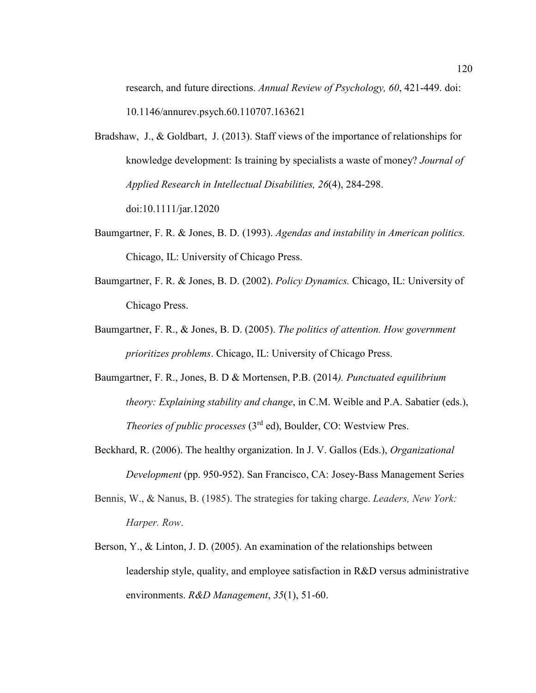research, and future directions. *Annual Review of Psychology, 60*, 421-449. doi: 10.1146/annurev.psych.60.110707.163621

- Bradshaw, J., & Goldbart, J. (2013). Staff views of the importance of relationships for knowledge development: Is training by specialists a waste of money? *Journal of Applied Research in Intellectual Disabilities, 26*(4), 284-298. doi:10.1111/jar.12020
- Baumgartner, F. R. & Jones, B. D. (1993). *Agendas and instability in American politics.* Chicago, IL: University of Chicago Press.
- Baumgartner, F. R. & Jones, B. D. (2002). *Policy Dynamics.* Chicago, IL: University of Chicago Press.
- Baumgartner, F. R., & Jones, B. D. (2005). *The politics of attention. How government prioritizes problems*. Chicago, IL: University of Chicago Press.
- Baumgartner, F. R., Jones, B. D & Mortensen, P.B. (2014*). Punctuated equilibrium theory: Explaining stability and change*, in C.M. Weible and P.A. Sabatier (eds.), *Theories of public processes* (3rd ed), Boulder, CO: Westview Pres.
- Beckhard, R. (2006). The healthy organization. In J. V. Gallos (Eds.), *Organizational Development* (pp. 950-952). San Francisco, CA: Josey-Bass Management Series
- Bennis, W., & Nanus, B. (1985). The strategies for taking charge. *Leaders, New York: Harper. Row*.
- Berson, Y., & Linton, J. D. (2005). An examination of the relationships between leadership style, quality, and employee satisfaction in R&D versus administrative environments. *R&D Management*, *35*(1), 51-60.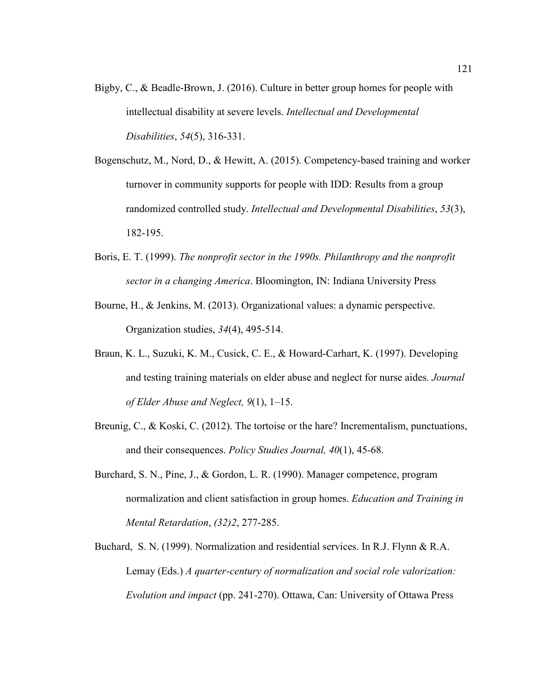- Bigby, C., & Beadle-Brown, J. (2016). Culture in better group homes for people with intellectual disability at severe levels. *Intellectual and Developmental Disabilities*, *54*(5), 316-331.
- Bogenschutz, M., Nord, D., & Hewitt, A. (2015). Competency-based training and worker turnover in community supports for people with IDD: Results from a group randomized controlled study. *Intellectual and Developmental Disabilities*, *53*(3), 182-195.
- Boris, E. T. (1999). *The nonprofit sector in the 1990s. Philanthropy and the nonprofit sector in a changing America*. Bloomington, IN: Indiana University Press
- Bourne, H., & Jenkins, M. (2013). Organizational values: a dynamic perspective. Organization studies, *34*(4), 495-514.
- Braun, K. L., Suzuki, K. M., Cusick, C. E., & Howard-Carhart, K. (1997). Developing and testing training materials on elder abuse and neglect for nurse aides. *Journal of Elder Abuse and Neglect, 9*(1), 1–15.
- Breunig, C., & Koski, C. (2012). The tortoise or the hare? Incrementalism, punctuations, and their consequences. *Policy Studies Journal, 40*(1), 45-68.
- Burchard, S. N., Pine, J., & Gordon, L. R. (1990). Manager competence, program normalization and client satisfaction in group homes. *Education and Training in Mental Retardation*, *(32)2*, 277-285.
- Buchard, S. N. (1999). Normalization and residential services. In R.J. Flynn & R.A. Lemay (Eds.) *A quarter-century of normalization and social role valorization: Evolution and impact* (pp. 241-270). Ottawa, Can: University of Ottawa Press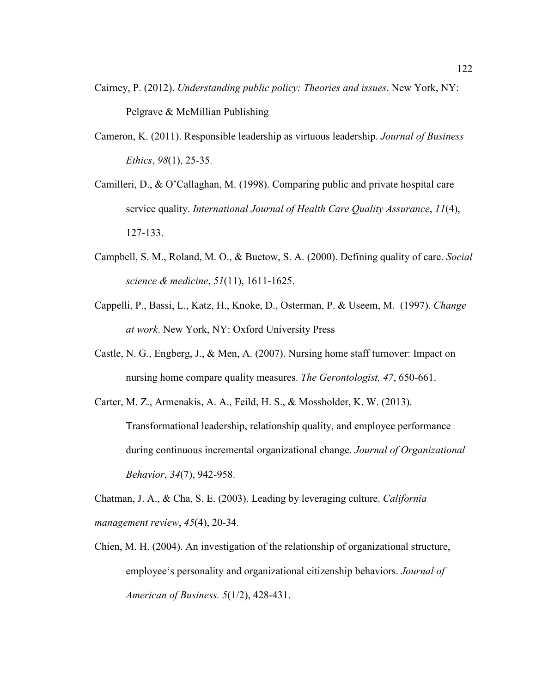- Cairney, P. (2012). *Understanding public policy: Theories and issues*. New York, NY: Pelgrave & McMillian Publishing
- Cameron, K. (2011). Responsible leadership as virtuous leadership. *Journal of Business Ethics*, *98*(1), 25-35.
- Camilleri, D., & O'Callaghan, M. (1998). Comparing public and private hospital care service quality. *International Journal of Health Care Quality Assurance*, *11*(4), 127-133.
- Campbell, S. M., Roland, M. O., & Buetow, S. A. (2000). Defining quality of care. *Social science & medicine*, *51*(11), 1611-1625.
- Cappelli, P., Bassi, L., Katz, H., Knoke, D., Osterman, P. & Useem, M. (1997). *Change at work*. New York, NY: Oxford University Press
- Castle, N. G., Engberg, J., & Men, A. (2007). Nursing home staff turnover: Impact on nursing home compare quality measures. *The Gerontologist, 47*, 650-661.
- Carter, M. Z., Armenakis, A. A., Feild, H. S., & Mossholder, K. W. (2013). Transformational leadership, relationship quality, and employee performance during continuous incremental organizational change. *Journal of Organizational Behavior*, *34*(7), 942-958.

Chatman, J. A., & Cha, S. E. (2003). Leading by leveraging culture. *California management review*, *45*(4), 20-34.

Chien, M. H. (2004). An investigation of the relationship of organizational structure, employee's personality and organizational citizenship behaviors. *Journal of American of Business. 5*(1/2), 428-431.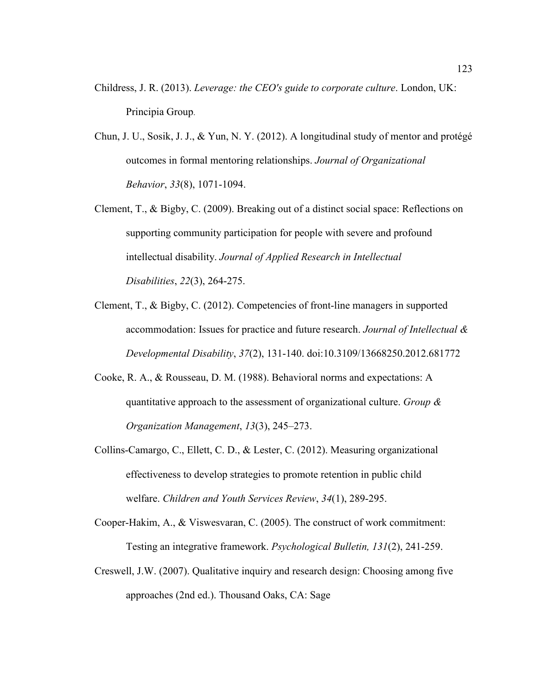- Childress, J. R. (2013). *Leverage: the CEO's guide to corporate culture*. London, UK: Principia Group.
- Chun, J. U., Sosik, J. J., & Yun, N. Y. (2012). A longitudinal study of mentor and protégé outcomes in formal mentoring relationships. *Journal of Organizational Behavior*, *33*(8), 1071-1094.
- Clement, T., & Bigby, C. (2009). Breaking out of a distinct social space: Reflections on supporting community participation for people with severe and profound intellectual disability. *Journal of Applied Research in Intellectual Disabilities*, *22*(3), 264-275.
- Clement, T., & Bigby, C. (2012). Competencies of front-line managers in supported accommodation: Issues for practice and future research. *Journal of Intellectual & Developmental Disability*, *37*(2), 131-140. doi:10.3109/13668250.2012.681772
- Cooke, R. A., & Rousseau, D. M. (1988). Behavioral norms and expectations: A quantitative approach to the assessment of organizational culture. *Group & Organization Management*, *13*(3), 245–273.
- Collins-Camargo, C., Ellett, C. D., & Lester, C. (2012). Measuring organizational effectiveness to develop strategies to promote retention in public child welfare. *Children and Youth Services Review*, *34*(1), 289-295.
- Cooper-Hakim, A., & Viswesvaran, C. (2005). The construct of work commitment: Testing an integrative framework. *Psychological Bulletin, 131*(2), 241-259.
- Creswell, J.W. (2007). Qualitative inquiry and research design: Choosing among five approaches (2nd ed.). Thousand Oaks, CA: Sage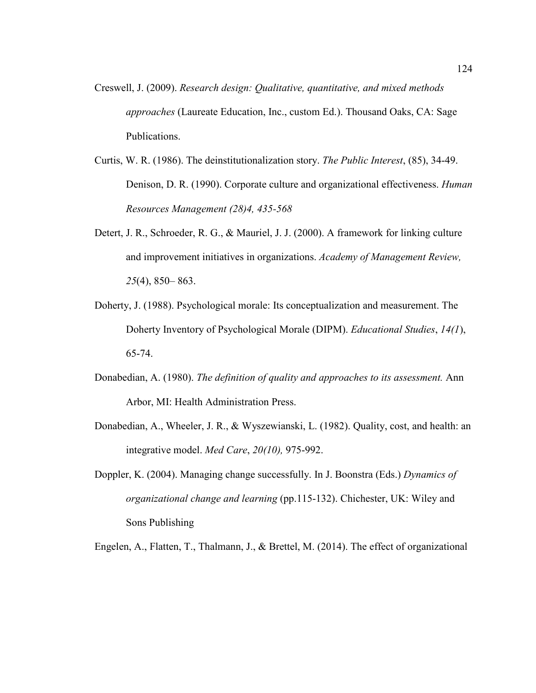- Creswell, J. (2009). *Research design: Qualitative, quantitative, and mixed methods approaches* (Laureate Education, Inc., custom Ed.). Thousand Oaks, CA: Sage Publications.
- Curtis, W. R. (1986). The deinstitutionalization story. *The Public Interest*, (85), 34-49. Denison, D. R. (1990). Corporate culture and organizational effectiveness. *Human Resources Management (28)4, 435-568*
- Detert, J. R., Schroeder, R. G., & Mauriel, J. J. (2000). A framework for linking culture and improvement initiatives in organizations. *Academy of Management Review, 25*(4), 850– 863.
- Doherty, J. (1988). Psychological morale: Its conceptualization and measurement. The Doherty Inventory of Psychological Morale (DIPM). *Educational Studies*, *14(1*), 65-74.
- Donabedian, A. (1980). *The definition of quality and approaches to its assessment.* Ann Arbor, MI: Health Administration Press.
- Donabedian, A., Wheeler, J. R., & Wyszewianski, L. (1982). Quality, cost, and health: an integrative model. *Med Care*, *20(10),* 975-992.
- Doppler, K. (2004). Managing change successfully. In J. Boonstra (Eds.) *Dynamics of organizational change and learning* (pp.115-132). Chichester, UK: Wiley and Sons Publishing

Engelen, A., Flatten, T., Thalmann, J., & Brettel, M. (2014). The effect of organizational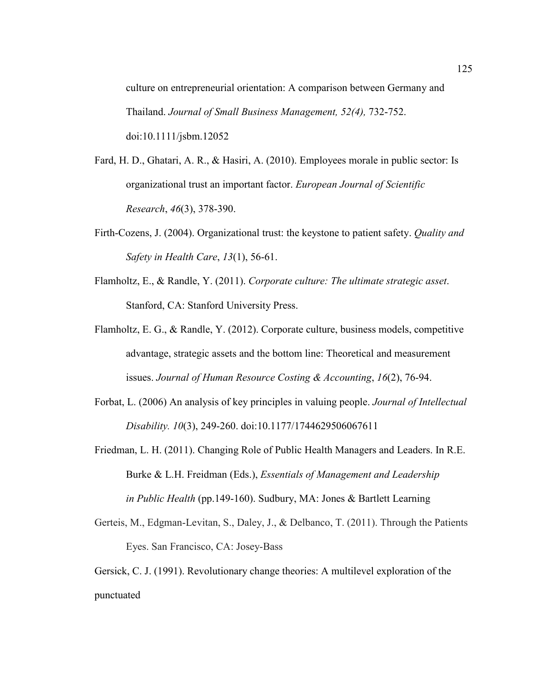culture on entrepreneurial orientation: A comparison between Germany and Thailand. *Journal of Small Business Management, 52(4),* 732-752. doi:10.1111/jsbm.12052

- Fard, H. D., Ghatari, A. R., & Hasiri, A. (2010). Employees morale in public sector: Is organizational trust an important factor. *European Journal of Scientific Research*, *46*(3), 378-390.
- Firth-Cozens, J. (2004). Organizational trust: the keystone to patient safety. *Quality and Safety in Health Care*, *13*(1), 56-61.
- Flamholtz, E., & Randle, Y. (2011). *Corporate culture: The ultimate strategic asset*. Stanford, CA: Stanford University Press.
- Flamholtz, E. G., & Randle, Y. (2012). Corporate culture, business models, competitive advantage, strategic assets and the bottom line: Theoretical and measurement issues. *Journal of Human Resource Costing & Accounting*, *16*(2), 76-94.
- Forbat, L. (2006) An analysis of key principles in valuing people. *Journal of Intellectual Disability. 10*(3), 249-260. doi:10.1177/1744629506067611
- Friedman, L. H. (2011). Changing Role of Public Health Managers and Leaders. In R.E. Burke & L.H. Freidman (Eds.), *Essentials of Management and Leadership in Public Health* (pp.149-160). Sudbury, MA: Jones & Bartlett Learning
- Gerteis, M., Edgman-Levitan, S., Daley, J., & Delbanco, T. (2011). Through the Patients Eyes. San Francisco, CA: Josey-Bass

Gersick, C. J. (1991). Revolutionary change theories: A multilevel exploration of the punctuated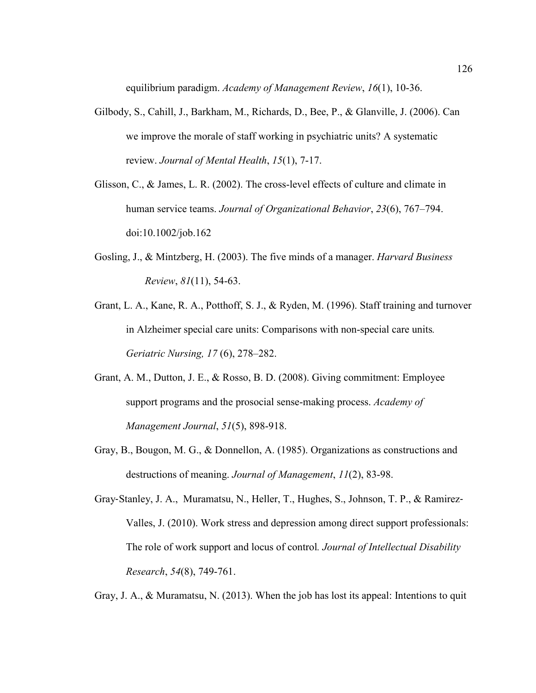equilibrium paradigm. *Academy of Management Review*, *16*(1), 10-36.

- Gilbody, S., Cahill, J., Barkham, M., Richards, D., Bee, P., & Glanville, J. (2006). Can we improve the morale of staff working in psychiatric units? A systematic review. *Journal of Mental Health*, *15*(1), 7-17.
- Glisson, C., & James, L. R. (2002). The cross-level effects of culture and climate in human service teams. *Journal of Organizational Behavior*, *23*(6), 767–794. doi:10.1002/job.162
- Gosling, J., & Mintzberg, H. (2003). The five minds of a manager. *Harvard Business Review*, *81*(11), 54-63.
- Grant, L. A., Kane, R. A., Potthoff, S. J., & Ryden, M. (1996). Staff training and turnover in Alzheimer special care units: Comparisons with non-special care units*. Geriatric Nursing, 17* (6), 278–282.
- Grant, A. M., Dutton, J. E., & Rosso, B. D. (2008). Giving commitment: Employee support programs and the prosocial sense-making process. *Academy of Management Journal*, *51*(5), 898-918.
- Gray, B., Bougon, M. G., & Donnellon, A. (1985). Organizations as constructions and destructions of meaning. *Journal of Management*, *11*(2), 83-98.
- Gray‐Stanley, J. A., Muramatsu, N., Heller, T., Hughes, S., Johnson, T. P., & Ramirez‐ Valles, J. (2010). Work stress and depression among direct support professionals: The role of work support and locus of control*. Journal of Intellectual Disability Research*, *54*(8), 749-761.

Gray, J. A., & Muramatsu, N. (2013). When the job has lost its appeal: Intentions to quit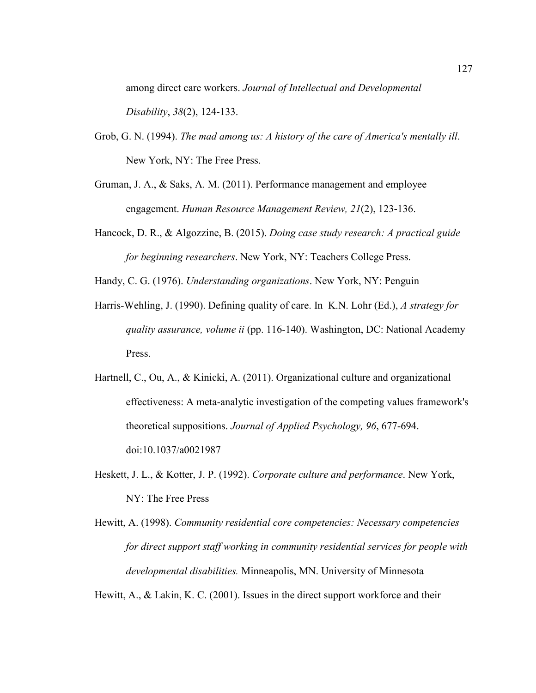among direct care workers. *Journal of Intellectual and Developmental Disability*, *38*(2), 124-133.

- Grob, G. N. (1994). *The mad among us: A history of the care of America's mentally ill*. New York, NY: The Free Press.
- Gruman, J. A., & Saks, A. M. (2011). Performance management and employee engagement. *Human Resource Management Review, 21*(2), 123-136.
- Hancock, D. R., & Algozzine, B. (2015). *Doing case study research: A practical guide for beginning researchers*. New York, NY: Teachers College Press.

Handy, C. G. (1976). *Understanding organizations*. New York, NY: Penguin

- Harris-Wehling, J. (1990). Defining quality of care. In K.N. Lohr (Ed.), *A strategy for quality assurance, volume ii* (pp. 116-140). Washington, DC: National Academy Press.
- Hartnell, C., Ou, A., & Kinicki, A. (2011). Organizational culture and organizational effectiveness: A meta-analytic investigation of the competing values framework's theoretical suppositions. *Journal of Applied Psychology, 96*, 677-694. doi:10.1037/a0021987
- Heskett, J. L., & Kotter, J. P. (1992). *Corporate culture and performance*. New York, NY: The Free Press
- Hewitt, A. (1998). *Community residential core competencies: Necessary competencies for direct support staff working in community residential services for people with developmental disabilities.* Minneapolis, MN. University of Minnesota

Hewitt, A., & Lakin, K. C. (2001). Issues in the direct support workforce and their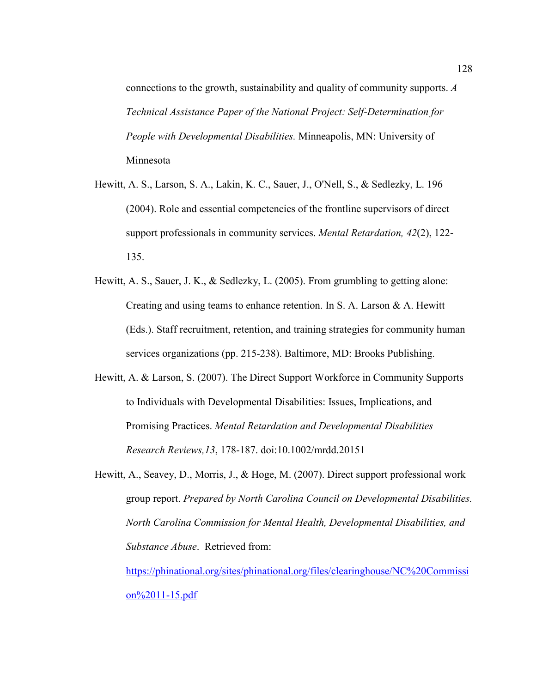connections to the growth, sustainability and quality of community supports. *A Technical Assistance Paper of the National Project: Self-Determination for People with Developmental Disabilities.* Minneapolis, MN: University of Minnesota

- Hewitt, A. S., Larson, S. A., Lakin, K. C., Sauer, J., O'Nell, S., & Sedlezky, L. 196 (2004). Role and essential competencies of the frontline supervisors of direct support professionals in community services. *Mental Retardation, 42*(2), 122- 135.
- Hewitt, A. S., Sauer, J. K., & Sedlezky, L. (2005). From grumbling to getting alone: Creating and using teams to enhance retention. In S. A. Larson & A. Hewitt (Eds.). Staff recruitment, retention, and training strategies for community human services organizations (pp. 215-238). Baltimore, MD: Brooks Publishing.
- Hewitt, A. & Larson, S. (2007). The Direct Support Workforce in Community Supports to Individuals with Developmental Disabilities: Issues, Implications, and Promising Practices. *Mental Retardation and Developmental Disabilities Research Reviews,13*, 178-187. doi:10.1002/mrdd.20151
- Hewitt, A., Seavey, D., Morris, J., & Hoge, M. (2007). Direct support professional work group report. *Prepared by North Carolina Council on Developmental Disabilities. North Carolina Commission for Mental Health, Developmental Disabilities, and Substance Abuse*. Retrieved from:

https://phinational.org/sites/phinational.org/files/clearinghouse/NC%20Commissi on%2011-15.pdf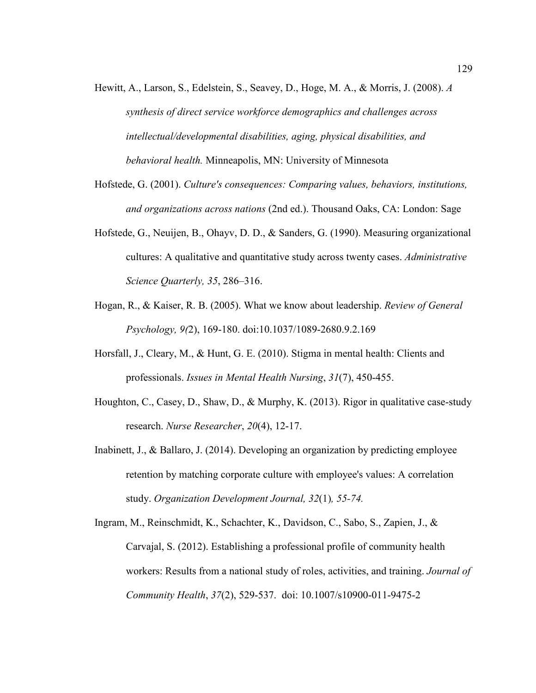- Hewitt, A., Larson, S., Edelstein, S., Seavey, D., Hoge, M. A., & Morris, J. (2008). *A synthesis of direct service workforce demographics and challenges across intellectual/developmental disabilities, aging, physical disabilities, and behavioral health.* Minneapolis, MN: University of Minnesota
- Hofstede, G. (2001). *Culture's consequences: Comparing values, behaviors, institutions, and organizations across nations* (2nd ed.). Thousand Oaks, CA: London: Sage
- Hofstede, G., Neuijen, B., Ohayv, D. D., & Sanders, G. (1990). Measuring organizational cultures: A qualitative and quantitative study across twenty cases. *Administrative Science Quarterly, 35*, 286–316.
- Hogan, R., & Kaiser, R. B. (2005). What we know about leadership. *Review of General Psychology, 9(*2), 169-180. doi:10.1037/1089-2680.9.2.169
- Horsfall, J., Cleary, M., & Hunt, G. E. (2010). Stigma in mental health: Clients and professionals. *Issues in Mental Health Nursing*, *31*(7), 450-455.
- Houghton, C., Casey, D., Shaw, D., & Murphy, K. (2013). Rigor in qualitative case-study research. *Nurse Researcher*, *20*(4), 12-17.
- Inabinett, J., & Ballaro, J. (2014). Developing an organization by predicting employee retention by matching corporate culture with employee's values: A correlation study. *Organization Development Journal, 32*(1)*, 55-74.*
- Ingram, M., Reinschmidt, K., Schachter, K., Davidson, C., Sabo, S., Zapien, J., & Carvajal, S. (2012). Establishing a professional profile of community health workers: Results from a national study of roles, activities, and training. *Journal of Community Health*, *37*(2), 529-537. doi: 10.1007/s10900-011-9475-2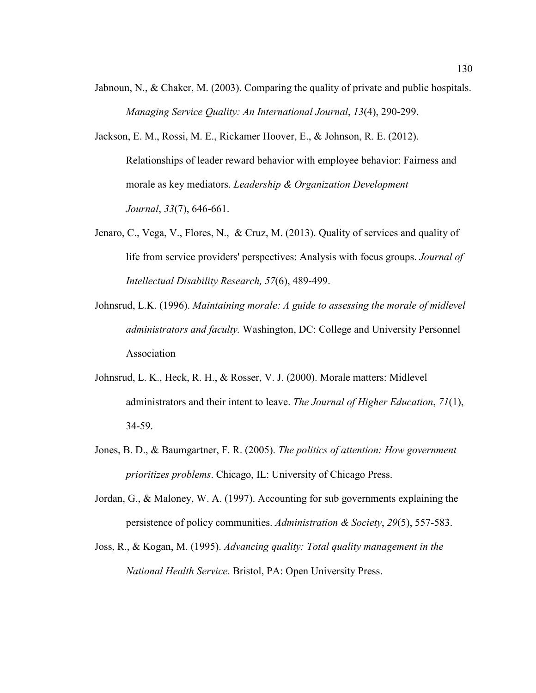- Jabnoun, N., & Chaker, M. (2003). Comparing the quality of private and public hospitals. *Managing Service Quality: An International Journal*, *13*(4), 290-299.
- Jackson, E. M., Rossi, M. E., Rickamer Hoover, E., & Johnson, R. E. (2012). Relationships of leader reward behavior with employee behavior: Fairness and morale as key mediators. *Leadership & Organization Development Journal*, *33*(7), 646-661.
- Jenaro, C., Vega, V., Flores, N., & Cruz, M. (2013). Quality of services and quality of life from service providers' perspectives: Analysis with focus groups. *Journal of Intellectual Disability Research, 57*(6), 489-499.
- Johnsrud, L.K. (1996). *Maintaining morale: A guide to assessing the morale of midlevel administrators and faculty.* Washington, DC: College and University Personnel Association
- Johnsrud, L. K., Heck, R. H., & Rosser, V. J. (2000). Morale matters: Midlevel administrators and their intent to leave. *The Journal of Higher Education*, *71*(1), 34-59.
- Jones, B. D., & Baumgartner, F. R. (2005). *The politics of attention: How government prioritizes problems*. Chicago, IL: University of Chicago Press.
- Jordan, G., & Maloney, W. A. (1997). Accounting for sub governments explaining the persistence of policy communities. *Administration & Society*, *29*(5), 557-583.
- Joss, R., & Kogan, M. (1995). *Advancing quality: Total quality management in the National Health Service*. Bristol, PA: Open University Press.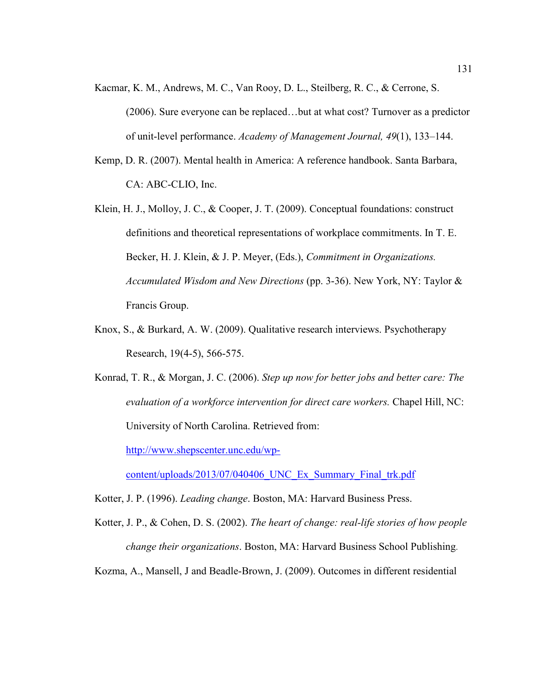Kacmar, K. M., Andrews, M. C., Van Rooy, D. L., Steilberg, R. C., & Cerrone, S.

(2006). Sure everyone can be replaced…but at what cost? Turnover as a predictor of unit-level performance. *Academy of Management Journal, 49*(1), 133–144.

- Kemp, D. R. (2007). Mental health in America: A reference handbook. Santa Barbara, CA: ABC-CLIO, Inc.
- Klein, H. J., Molloy, J. C., & Cooper, J. T. (2009). Conceptual foundations: construct definitions and theoretical representations of workplace commitments. In T. E. Becker, H. J. Klein, & J. P. Meyer, (Eds.), *Commitment in Organizations. Accumulated Wisdom and New Directions* (pp. 3-36). New York, NY: Taylor & Francis Group.
- Knox, S., & Burkard, A. W. (2009). Qualitative research interviews. Psychotherapy Research, 19(4-5), 566-575.
- Konrad, T. R., & Morgan, J. C. (2006). *Step up now for better jobs and better care: The evaluation of a workforce intervention for direct care workers.* Chapel Hill, NC: University of North Carolina. Retrieved from:

http://www.shepscenter.unc.edu/wp-

content/uploads/2013/07/040406\_UNC\_Ex\_Summary\_Final\_trk.pdf

Kotter, J. P. (1996). *Leading change*. Boston, MA: Harvard Business Press.

Kotter, J. P., & Cohen, D. S. (2002). *The heart of change: real-life stories of how people change their organizations*. Boston, MA: Harvard Business School Publishing.

Kozma, A., Mansell, J and Beadle-Brown, J. (2009). Outcomes in different residential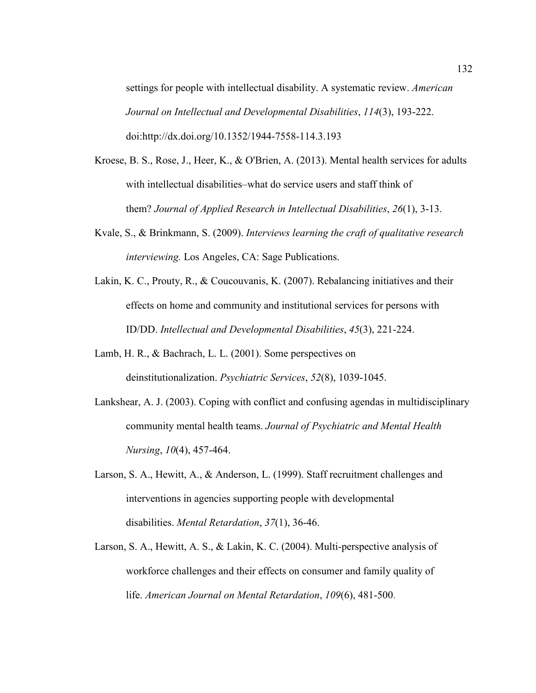settings for people with intellectual disability. A systematic review. *American Journal on Intellectual and Developmental Disabilities*, *114*(3), 193-222. doi:http://dx.doi.org/10.1352/1944-7558-114.3.193

- Kroese, B. S., Rose, J., Heer, K., & O'Brien, A. (2013). Mental health services for adults with intellectual disabilities–what do service users and staff think of them? *Journal of Applied Research in Intellectual Disabilities*, *26*(1), 3-13.
- Kvale, S., & Brinkmann, S. (2009). *Interviews learning the craft of qualitative research interviewing.* Los Angeles, CA: Sage Publications.
- Lakin, K. C., Prouty, R., & Coucouvanis, K. (2007). Rebalancing initiatives and their effects on home and community and institutional services for persons with ID/DD. *Intellectual and Developmental Disabilities*, *45*(3), 221-224.
- Lamb, H. R., & Bachrach, L. L. (2001). Some perspectives on deinstitutionalization. *Psychiatric Services*, *52*(8), 1039-1045.
- Lankshear, A. J. (2003). Coping with conflict and confusing agendas in multidisciplinary community mental health teams. *Journal of Psychiatric and Mental Health Nursing*, *10*(4), 457-464.
- Larson, S. A., Hewitt, A., & Anderson, L. (1999). Staff recruitment challenges and interventions in agencies supporting people with developmental disabilities. *Mental Retardation*, *37*(1), 36-46.
- Larson, S. A., Hewitt, A. S., & Lakin, K. C. (2004). Multi-perspective analysis of workforce challenges and their effects on consumer and family quality of life. *American Journal on Mental Retardation*, *109*(6), 481-500.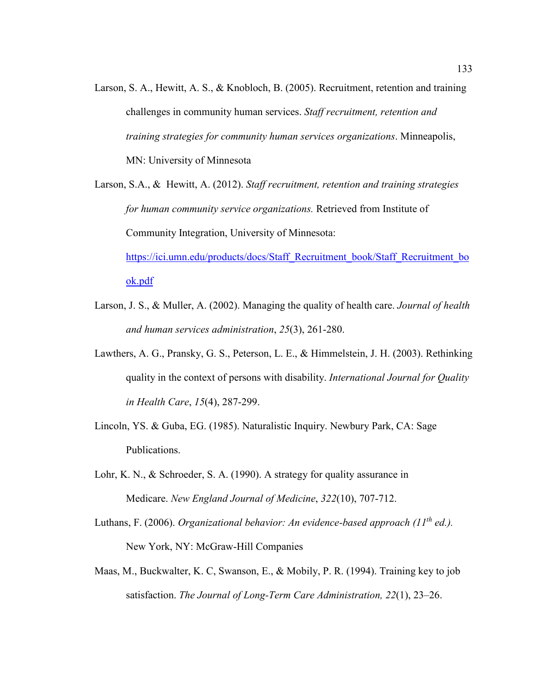Larson, S. A., Hewitt, A. S., & Knobloch, B. (2005). Recruitment, retention and training challenges in community human services. *Staff recruitment, retention and training strategies for community human services organizations*. Minneapolis, MN: University of Minnesota

Larson, S.A., & Hewitt, A. (2012). *Staff recruitment, retention and training strategies for human community service organizations.* Retrieved from Institute of Community Integration, University of Minnesota: https://ici.umn.edu/products/docs/Staff\_Recruitment\_book/Staff\_Recruitment\_bo

ok.pdf

- Larson, J. S., & Muller, A. (2002). Managing the quality of health care. *Journal of health and human services administration*, *25*(3), 261-280.
- Lawthers, A. G., Pransky, G. S., Peterson, L. E., & Himmelstein, J. H. (2003). Rethinking quality in the context of persons with disability. *International Journal for Quality in Health Care*, *15*(4), 287-299.
- Lincoln, YS. & Guba, EG. (1985). Naturalistic Inquiry. Newbury Park, CA: Sage Publications.
- Lohr, K. N., & Schroeder, S. A. (1990). A strategy for quality assurance in Medicare. *New England Journal of Medicine*, *322*(10), 707-712.
- Luthans, F. (2006). *Organizational behavior: An evidence-based approach (11th ed.).* New York, NY: McGraw-Hill Companies
- Maas, M., Buckwalter, K. C, Swanson, E., & Mobily, P. R. (1994). Training key to job satisfaction. *The Journal of Long-Term Care Administration, 22*(1), 23–26.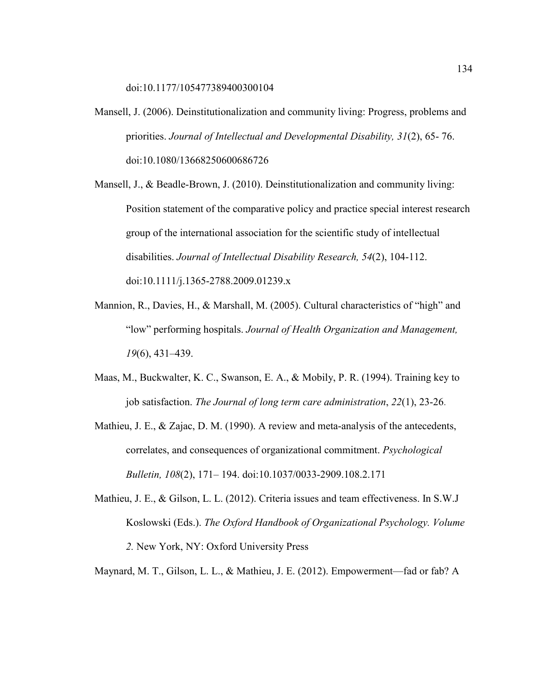doi:10.1177/105477389400300104

Mansell, J. (2006). Deinstitutionalization and community living: Progress, problems and priorities. *Journal of Intellectual and Developmental Disability, 31*(2), 65- 76. doi:10.1080/13668250600686726

Mansell, J., & Beadle-Brown, J. (2010). Deinstitutionalization and community living: Position statement of the comparative policy and practice special interest research group of the international association for the scientific study of intellectual disabilities. *Journal of Intellectual Disability Research, 54*(2), 104-112. doi:10.1111/j.1365-2788.2009.01239.x

- Mannion, R., Davies, H., & Marshall, M. (2005). Cultural characteristics of "high" and "low" performing hospitals. *Journal of Health Organization and Management, 19*(6), 431–439.
- Maas, M., Buckwalter, K. C., Swanson, E. A., & Mobily, P. R. (1994). Training key to job satisfaction. *The Journal of long term care administration*, *22*(1), 23-26.
- Mathieu, J. E., & Zajac, D. M. (1990). A review and meta-analysis of the antecedents, correlates, and consequences of organizational commitment. *Psychological Bulletin, 108*(2), 171– 194. doi:10.1037/0033-2909.108.2.171
- Mathieu, J. E., & Gilson, L. L. (2012). Criteria issues and team effectiveness. In S.W.J Koslowski (Eds.). *The Oxford Handbook of Organizational Psychology. Volume 2.* New York, NY: Oxford University Press

Maynard, M. T., Gilson, L. L., & Mathieu, J. E. (2012). Empowerment—fad or fab? A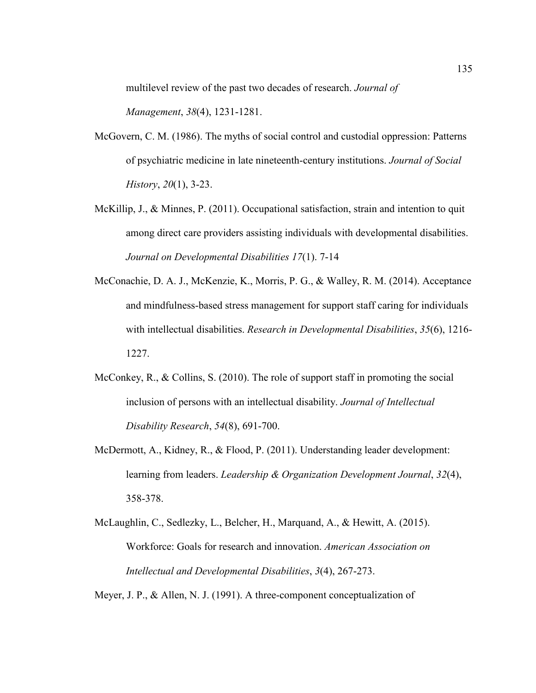multilevel review of the past two decades of research. *Journal of* 

*Management*, *38*(4), 1231-1281.

- McGovern, C. M. (1986). The myths of social control and custodial oppression: Patterns of psychiatric medicine in late nineteenth-century institutions. *Journal of Social History*, *20*(1), 3-23.
- McKillip, J., & Minnes, P. (2011). Occupational satisfaction, strain and intention to quit among direct care providers assisting individuals with developmental disabilities. *Journal on Developmental Disabilities 17*(1). 7-14
- McConachie, D. A. J., McKenzie, K., Morris, P. G., & Walley, R. M. (2014). Acceptance and mindfulness-based stress management for support staff caring for individuals with intellectual disabilities. *Research in Developmental Disabilities*, *35*(6), 1216- 1227.
- McConkey, R., & Collins, S. (2010). The role of support staff in promoting the social inclusion of persons with an intellectual disability. *Journal of Intellectual Disability Research*, *54*(8), 691-700.
- McDermott, A., Kidney, R., & Flood, P. (2011). Understanding leader development: learning from leaders. *Leadership & Organization Development Journal*, *32*(4), 358-378.
- McLaughlin, C., Sedlezky, L., Belcher, H., Marquand, A., & Hewitt, A. (2015). Workforce: Goals for research and innovation. *American Association on Intellectual and Developmental Disabilities*, *3*(4), 267-273.

Meyer, J. P., & Allen, N. J. (1991). A three-component conceptualization of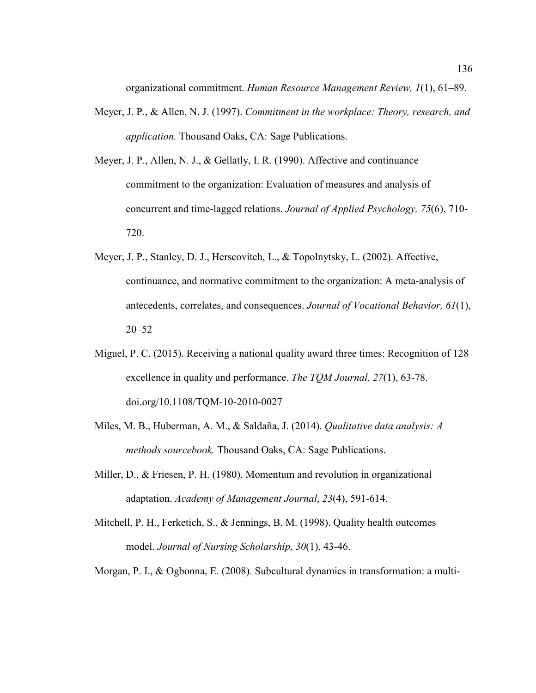organizational commitment. *Human Resource Management Review, 1*(1), 61–89.

- Meyer, J. P., & Allen, N. J. (1997). *Commitment in the workplace: Theory, research, and application.* Thousand Oaks, CA: Sage Publications.
- Meyer, J. P., Allen, N. J., & Gellatly, I. R. (1990). Affective and continuance commitment to the organization: Evaluation of measures and analysis of concurrent and time-lagged relations. *Journal of Applied Psychology, 75*(6), 710- 720.
- Meyer, J. P., Stanley, D. J., Herscovitch, L., & Topolnytsky, L. (2002). Affective, continuance, and normative commitment to the organization: A meta-analysis of antecedents, correlates, and consequences. *Journal of Vocational Behavior, 61*(1), 20–52
- Miguel, P. C. (2015). Receiving a national quality award three times: Recognition of 128 excellence in quality and performance. *The TQM Journal, 27*(1), 63-78. doi.org/10.1108/TQM-10-2010-0027
- Miles, M. B., Huberman, A. M., & Saldaña, J. (2014). *Qualitative data analysis: A methods sourcebook.* Thousand Oaks, CA: Sage Publications.
- Miller, D., & Friesen, P. H. (1980). Momentum and revolution in organizational adaptation. *Academy of Management Journal*, *23*(4), 591-614.
- Mitchell, P. H., Ferketich, S., & Jennings, B. M. (1998). Quality health outcomes model. *Journal of Nursing Scholarship*, *30*(1), 43-46.
- Morgan, P. I., & Ogbonna, E. (2008). Subcultural dynamics in transformation: a multi-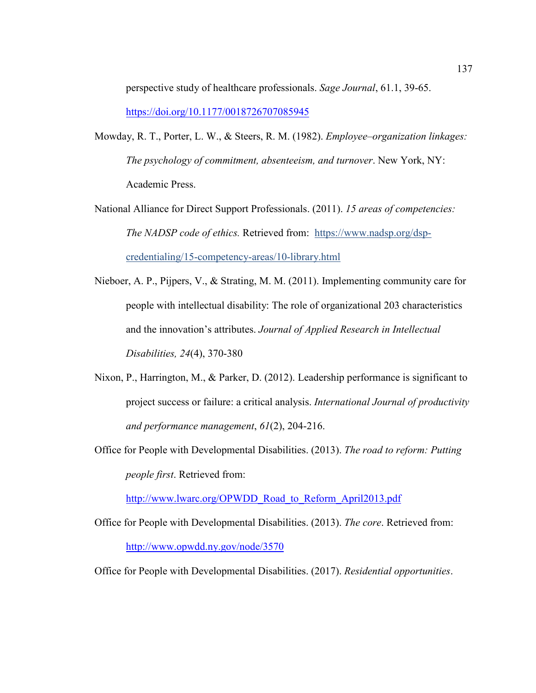perspective study of healthcare professionals. *Sage Journal*, 61.1, 39-65. https://doi.org/10.1177/0018726707085945

- Mowday, R. T., Porter, L. W., & Steers, R. M. (1982). *Employee–organization linkages: The psychology of commitment, absenteeism, and turnover*. New York, NY: Academic Press.
- National Alliance for Direct Support Professionals. (2011). *15 areas of competencies: The NADSP code of ethics.* Retrieved from: https://www.nadsp.org/dspcredentialing/15-competency-areas/10-library.html
- Nieboer, A. P., Pijpers, V., & Strating, M. M. (2011). Implementing community care for people with intellectual disability: The role of organizational 203 characteristics and the innovation's attributes. *Journal of Applied Research in Intellectual Disabilities, 24*(4), 370-380
- Nixon, P., Harrington, M., & Parker, D. (2012). Leadership performance is significant to project success or failure: a critical analysis. *International Journal of productivity and performance management*, *61*(2), 204-216.
- Office for People with Developmental Disabilities. (2013). *The road to reform: Putting people first*. Retrieved from:

http://www.lwarc.org/OPWDD\_Road\_to\_Reform\_April2013.pdf

Office for People with Developmental Disabilities. (2013). *The core*. Retrieved from: http://www.opwdd.ny.gov/node/3570

Office for People with Developmental Disabilities. (2017). *Residential opportunities*.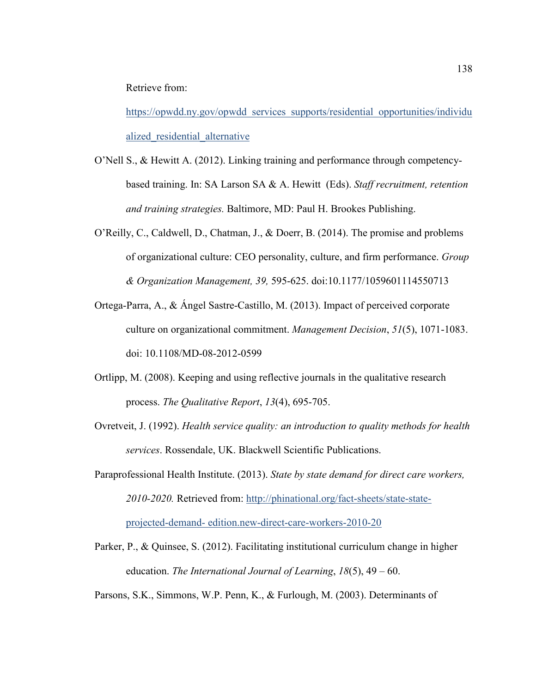Retrieve from:

https://opwdd.ny.gov/opwdd\_services\_supports/residential\_opportunities/individu alized residential alternative

- O'Nell S., & Hewitt A. (2012). Linking training and performance through competencybased training. In: SA Larson SA & A. Hewitt (Eds). *Staff recruitment, retention and training strategies.* Baltimore, MD: Paul H. Brookes Publishing.
- O'Reilly, C., Caldwell, D., Chatman, J., & Doerr, B. (2014). The promise and problems of organizational culture: CEO personality, culture, and firm performance. *Group & Organization Management, 39,* 595-625. doi:10.1177/1059601114550713
- Ortega-Parra, A., & Ángel Sastre-Castillo, M. (2013). Impact of perceived corporate culture on organizational commitment. *Management Decision*, *51*(5), 1071-1083. doi: 10.1108/MD-08-2012-0599
- Ortlipp, M. (2008). Keeping and using reflective journals in the qualitative research process. *The Qualitative Report*, *13*(4), 695-705.
- Ovretveit, J. (1992). *Health service quality: an introduction to quality methods for health services*. Rossendale, UK. Blackwell Scientific Publications.
- Paraprofessional Health Institute. (2013). *State by state demand for direct care workers, 2010-2020.* Retrieved from: http://phinational.org/fact-sheets/state-stateprojected-demand- edition.new-direct-care-workers-2010-20
- Parker, P., & Quinsee, S. (2012). Facilitating institutional curriculum change in higher education. *The International Journal of Learning*, *18*(5), 49 – 60.
- Parsons, S.K., Simmons, W.P. Penn, K., & Furlough, M. (2003). Determinants of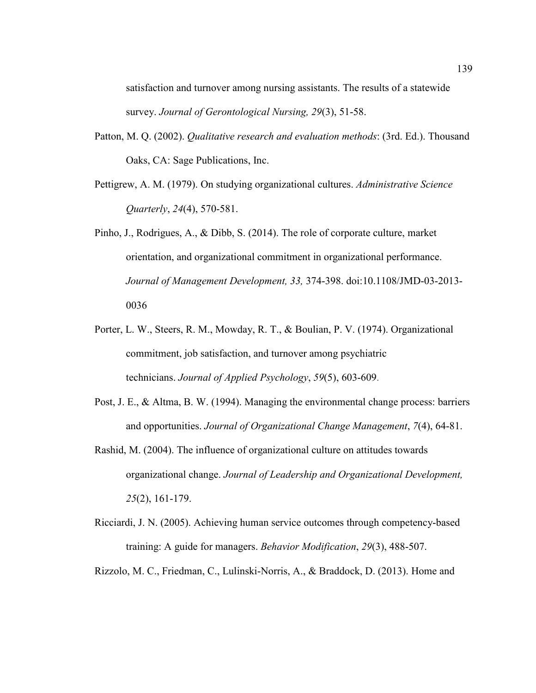satisfaction and turnover among nursing assistants. The results of a statewide survey. *Journal of Gerontological Nursing, 29*(3), 51-58.

- Patton, M. Q. (2002). *Qualitative research and evaluation methods*: (3rd. Ed.). Thousand Oaks, CA: Sage Publications, Inc.
- Pettigrew, A. M. (1979). On studying organizational cultures. *Administrative Science Quarterly*, *24*(4), 570-581.
- Pinho, J., Rodrigues, A., & Dibb, S. (2014). The role of corporate culture, market orientation, and organizational commitment in organizational performance. *Journal of Management Development, 33,* 374-398. doi:10.1108/JMD-03-2013- 0036
- Porter, L. W., Steers, R. M., Mowday, R. T., & Boulian, P. V. (1974). Organizational commitment, job satisfaction, and turnover among psychiatric technicians. *Journal of Applied Psychology*, *59*(5), 603-609.
- Post, J. E., & Altma, B. W. (1994). Managing the environmental change process: barriers and opportunities. *Journal of Organizational Change Management*, *7*(4), 64-81.
- Rashid, M. (2004). The influence of organizational culture on attitudes towards organizational change. *Journal of Leadership and Organizational Development, 25*(2), 161-179.
- Ricciardi, J. N. (2005). Achieving human service outcomes through competency-based training: A guide for managers. *Behavior Modification*, *29*(3), 488-507.
- Rizzolo, M. C., Friedman, C., Lulinski-Norris, A., & Braddock, D. (2013). Home and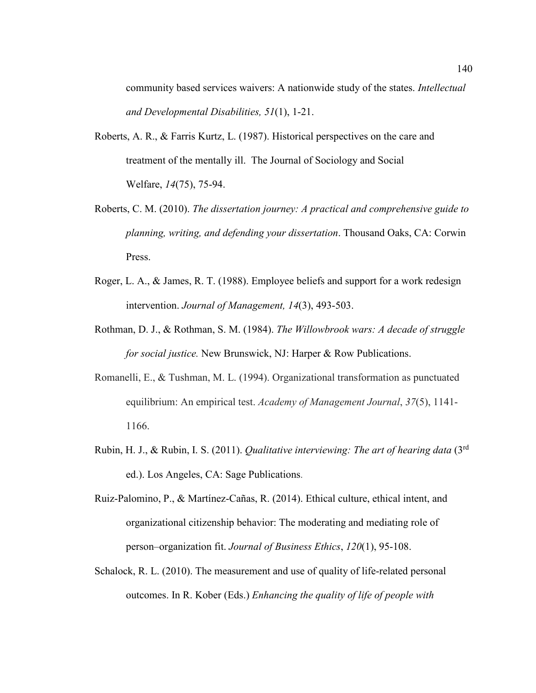community based services waivers: A nationwide study of the states. *Intellectual and Developmental Disabilities, 51*(1), 1-21.

- Roberts, A. R., & Farris Kurtz, L. (1987). Historical perspectives on the care and treatment of the mentally ill. The Journal of Sociology and Social Welfare, *14*(75), 75-94.
- Roberts, C. M. (2010). *The dissertation journey: A practical and comprehensive guide to planning, writing, and defending your dissertation*. Thousand Oaks, CA: Corwin Press.
- Roger, L. A., & James, R. T. (1988). Employee beliefs and support for a work redesign intervention. *Journal of Management, 14*(3), 493-503.
- Rothman, D. J., & Rothman, S. M. (1984). *The Willowbrook wars: A decade of struggle for social justice.* New Brunswick, NJ: Harper & Row Publications.
- Romanelli, E., & Tushman, M. L. (1994). Organizational transformation as punctuated equilibrium: An empirical test. *Academy of Management Journal*, *37*(5), 1141- 1166.
- Rubin, H. J., & Rubin, I. S. (2011). *Qualitative interviewing: The art of hearing data* (3rd ed.). Los Angeles, CA: Sage Publications.
- Ruiz-Palomino, P., & Martínez-Cañas, R. (2014). Ethical culture, ethical intent, and organizational citizenship behavior: The moderating and mediating role of person–organization fit. *Journal of Business Ethics*, *120*(1), 95-108.
- Schalock, R. L. (2010). The measurement and use of quality of life-related personal outcomes. In R. Kober (Eds.) *Enhancing the quality of life of people with*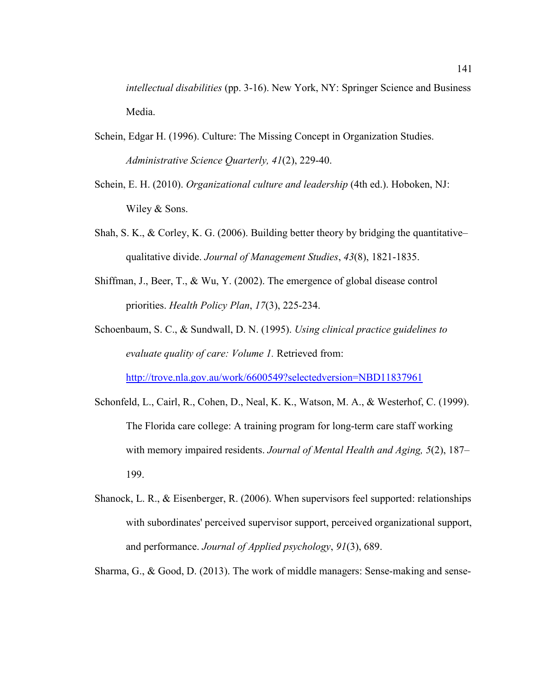*intellectual disabilities* (pp. 3-16). New York, NY: Springer Science and Business Media.

- Schein, Edgar H. (1996). Culture: The Missing Concept in Organization Studies. *Administrative Science Quarterly, 41*(2), 229-40.
- Schein, E. H. (2010). *Organizational culture and leadership* (4th ed.). Hoboken, NJ: Wiley & Sons.
- Shah, S. K.,  $\&$  Corley, K. G. (2006). Building better theory by bridging the quantitative– qualitative divide. *Journal of Management Studies*, *43*(8), 1821-1835.
- Shiffman, J., Beer, T., & Wu, Y. (2002). The emergence of global disease control priorities. *Health Policy Plan*, *17*(3), 225-234.
- Schoenbaum, S. C., & Sundwall, D. N. (1995). *Using clinical practice guidelines to evaluate quality of care: Volume 1.* Retrieved from: http://trove.nla.gov.au/work/6600549?selectedversion=NBD11837961
- Schonfeld, L., Cairl, R., Cohen, D., Neal, K. K., Watson, M. A., & Westerhof, C. (1999). The Florida care college: A training program for long-term care staff working with memory impaired residents. *Journal of Mental Health and Aging, 5*(2), 187– 199.
- Shanock, L. R., & Eisenberger, R. (2006). When supervisors feel supported: relationships with subordinates' perceived supervisor support, perceived organizational support, and performance. *Journal of Applied psychology*, *91*(3), 689.

Sharma, G., & Good, D. (2013). The work of middle managers: Sense-making and sense-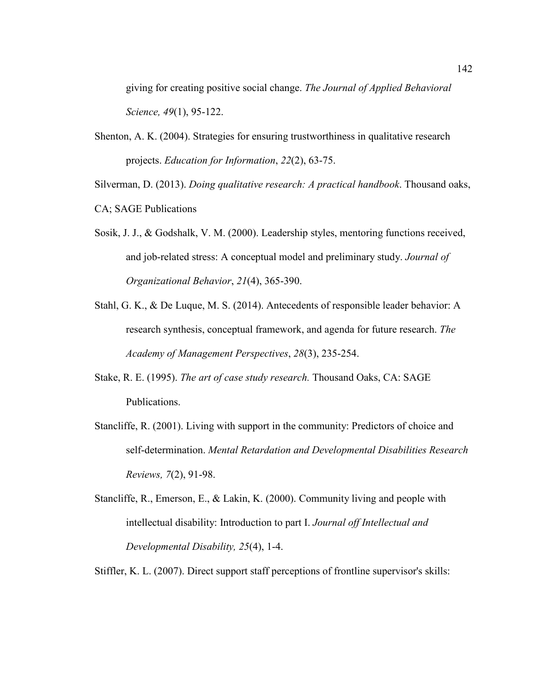giving for creating positive social change. *The Journal of Applied Behavioral Science, 49*(1), 95-122.

Shenton, A. K. (2004). Strategies for ensuring trustworthiness in qualitative research projects. *Education for Information*, *22*(2), 63-75.

Silverman, D. (2013). *Doing qualitative research: A practical handbook*. Thousand oaks,

- CA; SAGE Publications
- Sosik, J. J., & Godshalk, V. M. (2000). Leadership styles, mentoring functions received, and job-related stress: A conceptual model and preliminary study. *Journal of Organizational Behavior*, *21*(4), 365-390.
- Stahl, G. K., & De Luque, M. S. (2014). Antecedents of responsible leader behavior: A research synthesis, conceptual framework, and agenda for future research. *The Academy of Management Perspectives*, *28*(3), 235-254.
- Stake, R. E. (1995). *The art of case study research.* Thousand Oaks, CA: SAGE Publications.
- Stancliffe, R. (2001). Living with support in the community: Predictors of choice and self-determination. *Mental Retardation and Developmental Disabilities Research Reviews, 7*(2), 91-98.
- Stancliffe, R., Emerson, E., & Lakin, K. (2000). Community living and people with intellectual disability: Introduction to part I. *Journal off Intellectual and Developmental Disability, 25*(4), 1-4.

Stiffler, K. L. (2007). Direct support staff perceptions of frontline supervisor's skills: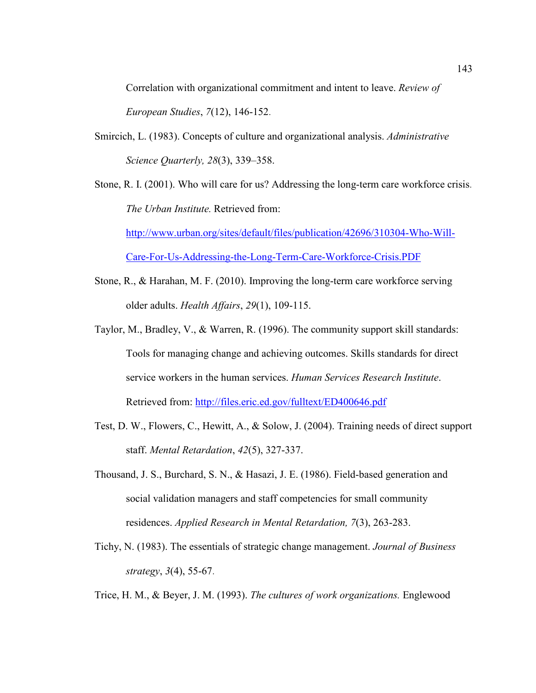Correlation with organizational commitment and intent to leave. *Review of European Studies*, *7*(12), 146-152.

- Smircich, L. (1983). Concepts of culture and organizational analysis. *Administrative Science Quarterly, 28*(3), 339–358.
- Stone, R. I. (2001). Who will care for us? Addressing the long-term care workforce crisis. *The Urban Institute.* Retrieved from:

http://www.urban.org/sites/default/files/publication/42696/310304-Who-Will-

Care-For-Us-Addressing-the-Long-Term-Care-Workforce-Crisis.PDF

- Stone, R., & Harahan, M. F. (2010). Improving the long-term care workforce serving older adults. *Health Affairs*, *29*(1), 109-115.
- Taylor, M., Bradley, V., & Warren, R. (1996). The community support skill standards: Tools for managing change and achieving outcomes. Skills standards for direct service workers in the human services. *Human Services Research Institute*. Retrieved from: http://files.eric.ed.gov/fulltext/ED400646.pdf
- Test, D. W., Flowers, C., Hewitt, A., & Solow, J. (2004). Training needs of direct support staff. *Mental Retardation*, *42*(5), 327-337.
- Thousand, J. S., Burchard, S. N., & Hasazi, J. E. (1986). Field-based generation and social validation managers and staff competencies for small community residences. *Applied Research in Mental Retardation, 7*(3), 263-283.
- Tichy, N. (1983). The essentials of strategic change management. *Journal of Business strategy*, *3*(4), 55-67.
- Trice, H. M., & Beyer, J. M. (1993). *The cultures of work organizations.* Englewood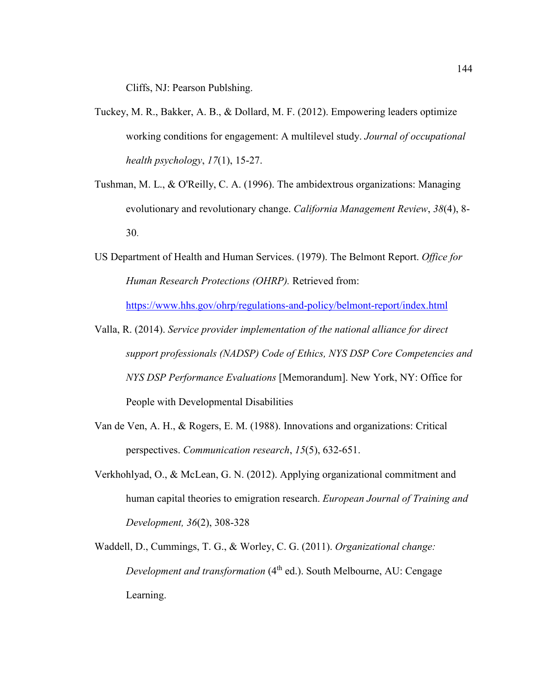Cliffs, NJ: Pearson Publshing.

- Tuckey, M. R., Bakker, A. B., & Dollard, M. F. (2012). Empowering leaders optimize working conditions for engagement: A multilevel study. *Journal of occupational health psychology*, *17*(1), 15-27.
- Tushman, M. L., & O'Reilly, C. A. (1996). The ambidextrous organizations: Managing evolutionary and revolutionary change. *California Management Review*, *38*(4), 8- 30.
- US Department of Health and Human Services. (1979). The Belmont Report. *Office for Human Research Protections (OHRP).* Retrieved from: https://www.hhs.gov/ohrp/regulations-and-policy/belmont-report/index.html
- Valla, R. (2014). *Service provider implementation of the national alliance for direct support professionals (NADSP) Code of Ethics, NYS DSP Core Competencies and NYS DSP Performance Evaluations* [Memorandum]. New York, NY: Office for People with Developmental Disabilities
- Van de Ven, A. H., & Rogers, E. M. (1988). Innovations and organizations: Critical perspectives. *Communication research*, *15*(5), 632-651.
- Verkhohlyad, O., & McLean, G. N. (2012). Applying organizational commitment and human capital theories to emigration research. *European Journal of Training and Development, 36*(2), 308-328
- Waddell, D., Cummings, T. G., & Worley, C. G. (2011). *Organizational change: Development and transformation* (4<sup>th</sup> ed.). South Melbourne, AU: Cengage Learning.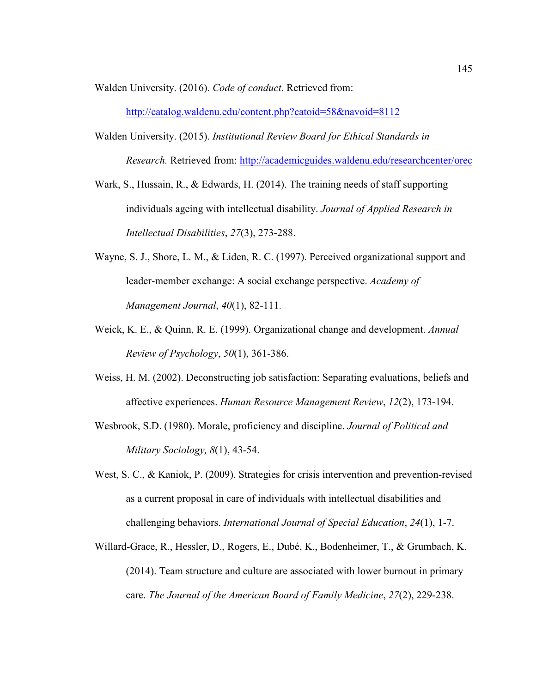Walden University. (2016). *Code of conduct*. Retrieved from:

http://catalog.waldenu.edu/content.php?catoid=58&navoid=8112

- Walden University. (2015). *Institutional Review Board for Ethical Standards in Research.* Retrieved from: http://academicguides.waldenu.edu/researchcenter/orec
- Wark, S., Hussain, R., & Edwards, H. (2014). The training needs of staff supporting individuals ageing with intellectual disability. *Journal of Applied Research in Intellectual Disabilities*, *27*(3), 273-288.
- Wayne, S. J., Shore, L. M., & Liden, R. C. (1997). Perceived organizational support and leader-member exchange: A social exchange perspective. *Academy of Management Journal*, *40*(1), 82-111.
- Weick, K. E., & Quinn, R. E. (1999). Organizational change and development. *Annual Review of Psychology*, *50*(1), 361-386.
- Weiss, H. M. (2002). Deconstructing job satisfaction: Separating evaluations, beliefs and affective experiences. *Human Resource Management Review*, *12*(2), 173-194.
- Wesbrook, S.D. (1980). Morale, proficiency and discipline. *Journal of Political and Military Sociology, 8*(1), 43-54.
- West, S. C., & Kaniok, P. (2009). Strategies for crisis intervention and prevention-revised as a current proposal in care of individuals with intellectual disabilities and challenging behaviors. *International Journal of Special Education*, *24*(1), 1-7.
- Willard-Grace, R., Hessler, D., Rogers, E., Dubé, K., Bodenheimer, T., & Grumbach, K. (2014). Team structure and culture are associated with lower burnout in primary care. *The Journal of the American Board of Family Medicine*, *27*(2), 229-238.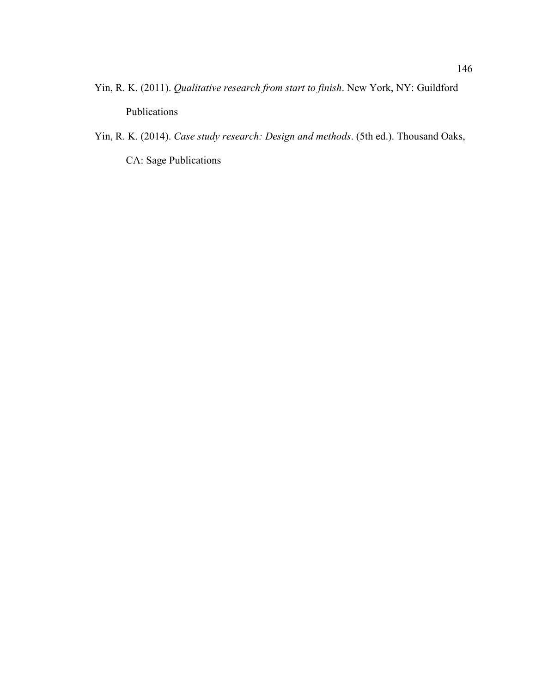- Yin, R. K. (2011). *Qualitative research from start to finish*. New York, NY: Guildford Publications
- Yin, R. K. (2014). *Case study research: Design and methods*. (5th ed.). Thousand Oaks, CA: Sage Publications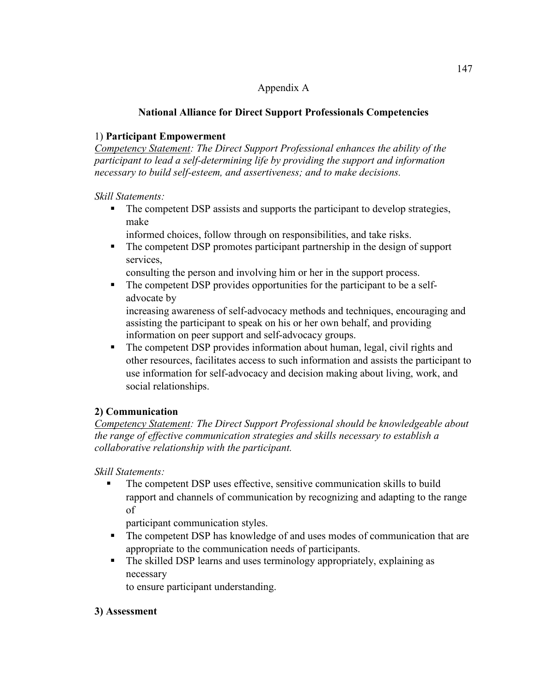#### Appendix A

## **National Alliance for Direct Support Professionals Competencies**

## 1) **Participant Empowerment**

*Competency Statement: The Direct Support Professional enhances the ability of the participant to lead a self-determining life by providing the support and information necessary to build self-esteem, and assertiveness; and to make decisions.* 

*Skill Statements:* 

- The competent DSP assists and supports the participant to develop strategies, make
	- informed choices, follow through on responsibilities, and take risks.
- The competent DSP promotes participant partnership in the design of support services,

consulting the person and involving him or her in the support process.

• The competent DSP provides opportunities for the participant to be a selfadvocate by

increasing awareness of self-advocacy methods and techniques, encouraging and assisting the participant to speak on his or her own behalf, and providing information on peer support and self-advocacy groups.

The competent DSP provides information about human, legal, civil rights and other resources, facilitates access to such information and assists the participant to use information for self-advocacy and decision making about living, work, and social relationships.

# **2) Communication**

*Competency Statement: The Direct Support Professional should be knowledgeable about the range of effective communication strategies and skills necessary to establish a collaborative relationship with the participant.* 

*Skill Statements:* 

 The competent DSP uses effective, sensitive communication skills to build rapport and channels of communication by recognizing and adapting to the range of

participant communication styles.

- The competent DSP has knowledge of and uses modes of communication that are appropriate to the communication needs of participants.
- The skilled DSP learns and uses terminology appropriately, explaining as necessary

to ensure participant understanding.

## **3) Assessment**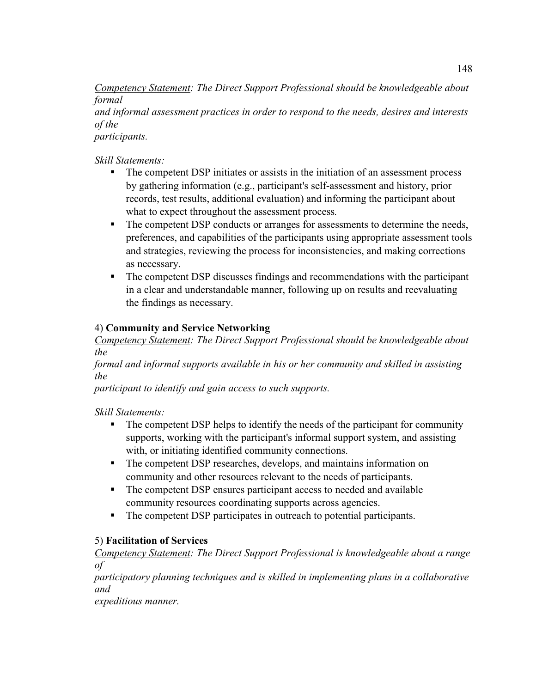*Competency Statement: The Direct Support Professional should be knowledgeable about formal* 

*and informal assessment practices in order to respond to the needs, desires and interests of the* 

*participants.* 

*Skill Statements:* 

- The competent DSP initiates or assists in the initiation of an assessment process by gathering information (e.g., participant's self-assessment and history, prior records, test results, additional evaluation) and informing the participant about what to expect throughout the assessment process*.*
- The competent DSP conducts or arranges for assessments to determine the needs, preferences, and capabilities of the participants using appropriate assessment tools and strategies, reviewing the process for inconsistencies, and making corrections as necessary.
- The competent DSP discusses findings and recommendations with the participant in a clear and understandable manner, following up on results and reevaluating the findings as necessary.

# 4) **Community and Service Networking**

*Competency Statement: The Direct Support Professional should be knowledgeable about the* 

*formal and informal supports available in his or her community and skilled in assisting the* 

*participant to identify and gain access to such supports.* 

*Skill Statements:* 

- The competent DSP helps to identify the needs of the participant for community supports, working with the participant's informal support system, and assisting with, or initiating identified community connections.
- The competent DSP researches, develops, and maintains information on community and other resources relevant to the needs of participants.
- The competent DSP ensures participant access to needed and available community resources coordinating supports across agencies.
- The competent DSP participates in outreach to potential participants.

# 5) **Facilitation of Services**

*Competency Statement: The Direct Support Professional is knowledgeable about a range of* 

*participatory planning techniques and is skilled in implementing plans in a collaborative and* 

*expeditious manner.*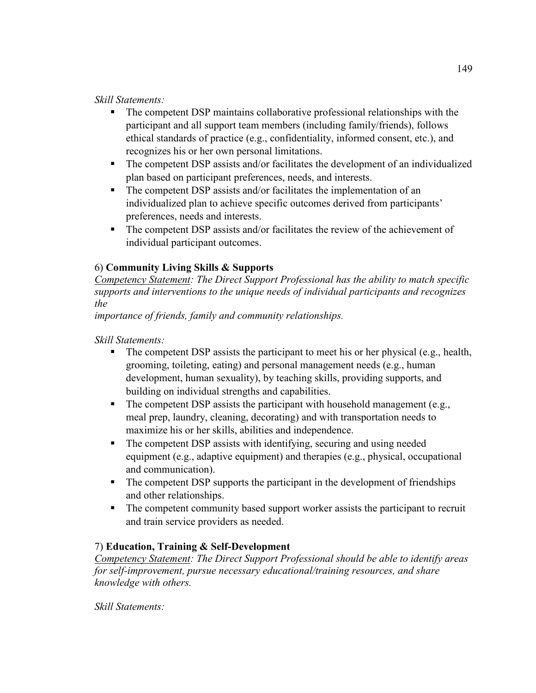*Skill Statements:* 

- The competent DSP maintains collaborative professional relationships with the participant and all support team members (including family/friends), follows ethical standards of practice (e.g., confidentiality, informed consent, etc.), and recognizes his or her own personal limitations.
- The competent DSP assists and/or facilitates the development of an individualized plan based on participant preferences, needs, and interests.
- The competent DSP assists and/or facilitates the implementation of an individualized plan to achieve specific outcomes derived from participants' preferences, needs and interests.
- The competent DSP assists and/or facilitates the review of the achievement of individual participant outcomes.

## 6) **Community Living Skills & Supports**

*Competency Statement: The Direct Support Professional has the ability to match specific supports and interventions to the unique needs of individual participants and recognizes the* 

*importance of friends, family and community relationships.* 

*Skill Statements:* 

- $\blacksquare$  The competent DSP assists the participant to meet his or her physical (e.g., health, grooming, toileting, eating) and personal management needs (e.g., human development, human sexuality), by teaching skills, providing supports, and building on individual strengths and capabilities.
- The competent DSP assists the participant with household management (e.g., meal prep, laundry, cleaning, decorating) and with transportation needs to maximize his or her skills, abilities and independence.
- The competent DSP assists with identifying, securing and using needed equipment (e.g., adaptive equipment) and therapies (e.g., physical, occupational and communication).
- The competent DSP supports the participant in the development of friendships and other relationships.
- The competent community based support worker assists the participant to recruit and train service providers as needed.

# 7) **Education, Training & Self-Development**

*Competency Statement: The Direct Support Professional should be able to identify areas for self-improvement, pursue necessary educational/training resources, and share knowledge with others.* 

*Skill Statements:*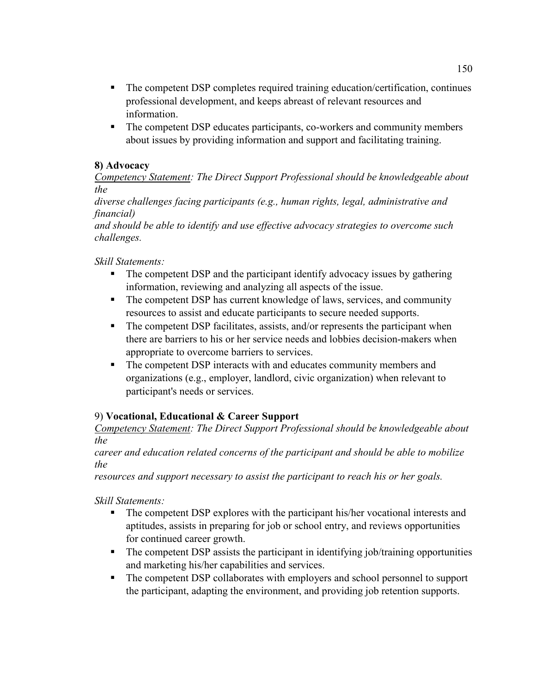- The competent DSP completes required training education/certification, continues professional development, and keeps abreast of relevant resources and information.
- The competent DSP educates participants, co-workers and community members about issues by providing information and support and facilitating training.

#### **8) Advocacy**

*Competency Statement: The Direct Support Professional should be knowledgeable about the* 

*diverse challenges facing participants (e.g., human rights, legal, administrative and financial)* 

*and should be able to identify and use effective advocacy strategies to overcome such challenges.* 

*Skill Statements:* 

- The competent DSP and the participant identify advocacy issues by gathering information, reviewing and analyzing all aspects of the issue.
- The competent DSP has current knowledge of laws, services, and community resources to assist and educate participants to secure needed supports.
- The competent DSP facilitates, assists, and/or represents the participant when there are barriers to his or her service needs and lobbies decision-makers when appropriate to overcome barriers to services.
- The competent DSP interacts with and educates community members and organizations (e.g., employer, landlord, civic organization) when relevant to participant's needs or services.

# 9) **Vocational, Educational & Career Support**

*Competency Statement: The Direct Support Professional should be knowledgeable about the* 

*career and education related concerns of the participant and should be able to mobilize the* 

*resources and support necessary to assist the participant to reach his or her goals.* 

*Skill Statements:* 

- The competent DSP explores with the participant his/her vocational interests and aptitudes, assists in preparing for job or school entry, and reviews opportunities for continued career growth.
- The competent DSP assists the participant in identifying job/training opportunities and marketing his/her capabilities and services.
- The competent DSP collaborates with employers and school personnel to support the participant, adapting the environment, and providing job retention supports.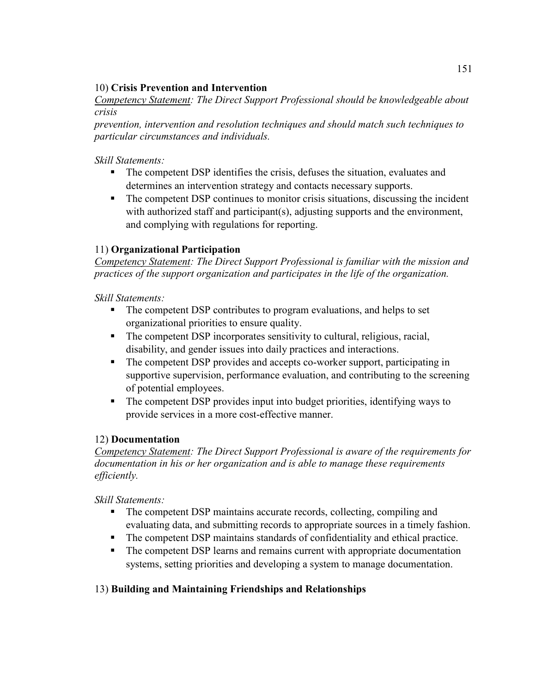#### 10) **Crisis Prevention and Intervention**

*Competency Statement: The Direct Support Professional should be knowledgeable about crisis* 

*prevention, intervention and resolution techniques and should match such techniques to particular circumstances and individuals.* 

#### *Skill Statements:*

- The competent DSP identifies the crisis, defuses the situation, evaluates and determines an intervention strategy and contacts necessary supports.
- The competent DSP continues to monitor crisis situations, discussing the incident with authorized staff and participant(s), adjusting supports and the environment, and complying with regulations for reporting.

### 11) **Organizational Participation**

*Competency Statement: The Direct Support Professional is familiar with the mission and practices of the support organization and participates in the life of the organization.* 

*Skill Statements:* 

- The competent DSP contributes to program evaluations, and helps to set organizational priorities to ensure quality.
- The competent DSP incorporates sensitivity to cultural, religious, racial, disability, and gender issues into daily practices and interactions.
- The competent DSP provides and accepts co-worker support, participating in supportive supervision, performance evaluation, and contributing to the screening of potential employees.
- The competent DSP provides input into budget priorities, identifying ways to provide services in a more cost-effective manner.

#### 12) **Documentation**

*Competency Statement: The Direct Support Professional is aware of the requirements for documentation in his or her organization and is able to manage these requirements efficiently.* 

*Skill Statements:* 

- The competent DSP maintains accurate records, collecting, compiling and evaluating data, and submitting records to appropriate sources in a timely fashion.
- The competent DSP maintains standards of confidentiality and ethical practice.
- The competent DSP learns and remains current with appropriate documentation systems, setting priorities and developing a system to manage documentation.

#### 13) **Building and Maintaining Friendships and Relationships**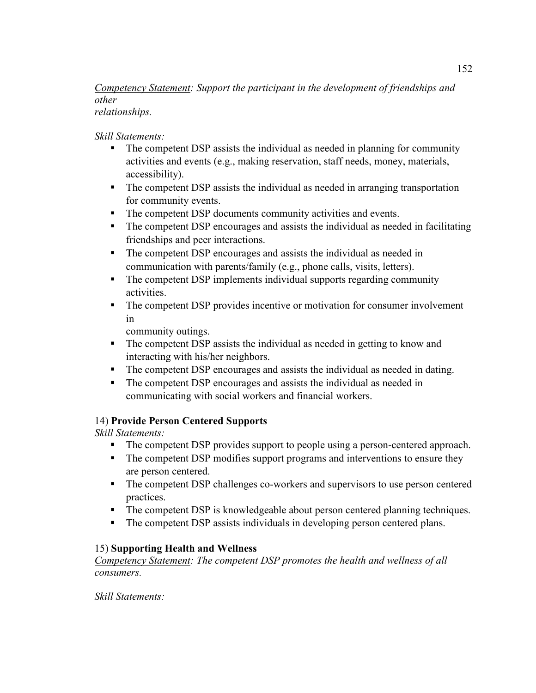#### *Competency Statement: Support the participant in the development of friendships and other relationships.*

#### *Skill Statements:*

- The competent DSP assists the individual as needed in planning for community activities and events (e.g., making reservation, staff needs, money, materials, accessibility).
- The competent DSP assists the individual as needed in arranging transportation for community events.
- The competent DSP documents community activities and events.
- The competent DSP encourages and assists the individual as needed in facilitating friendships and peer interactions.
- The competent DSP encourages and assists the individual as needed in communication with parents/family (e.g., phone calls, visits, letters).
- The competent DSP implements individual supports regarding community activities.
- The competent DSP provides incentive or motivation for consumer involvement in

community outings.

- The competent DSP assists the individual as needed in getting to know and interacting with his/her neighbors.
- The competent DSP encourages and assists the individual as needed in dating.
- The competent DSP encourages and assists the individual as needed in communicating with social workers and financial workers.

## 14) **Provide Person Centered Supports**

*Skill Statements:* 

- The competent DSP provides support to people using a person-centered approach.
- The competent DSP modifies support programs and interventions to ensure they are person centered.
- The competent DSP challenges co-workers and supervisors to use person centered practices.
- The competent DSP is knowledgeable about person centered planning techniques.
- The competent DSP assists individuals in developing person centered plans.

## 15) **Supporting Health and Wellness**

*Competency Statement: The competent DSP promotes the health and wellness of all consumers.* 

*Skill Statements:*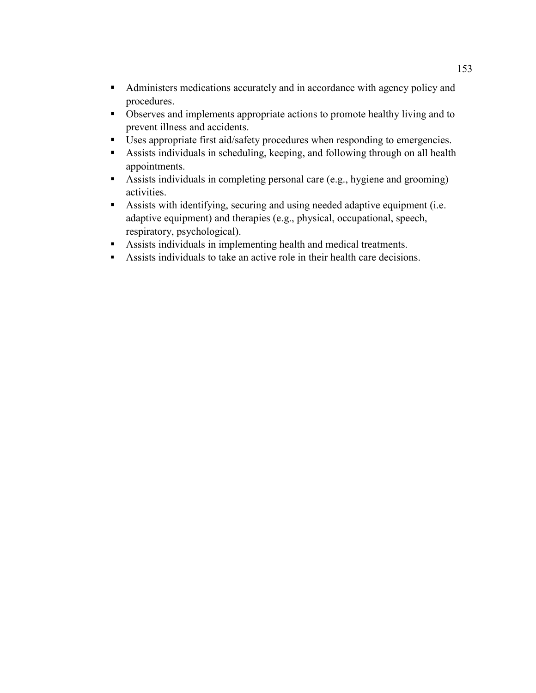- Administers medications accurately and in accordance with agency policy and procedures.
- Observes and implements appropriate actions to promote healthy living and to prevent illness and accidents.
- Uses appropriate first aid/safety procedures when responding to emergencies.
- Assists individuals in scheduling, keeping, and following through on all health appointments.
- Assists individuals in completing personal care (e.g., hygiene and grooming) activities.
- Assists with identifying, securing and using needed adaptive equipment (i.e. adaptive equipment) and therapies (e.g., physical, occupational, speech, respiratory, psychological).
- Assists individuals in implementing health and medical treatments.
- Assists individuals to take an active role in their health care decisions.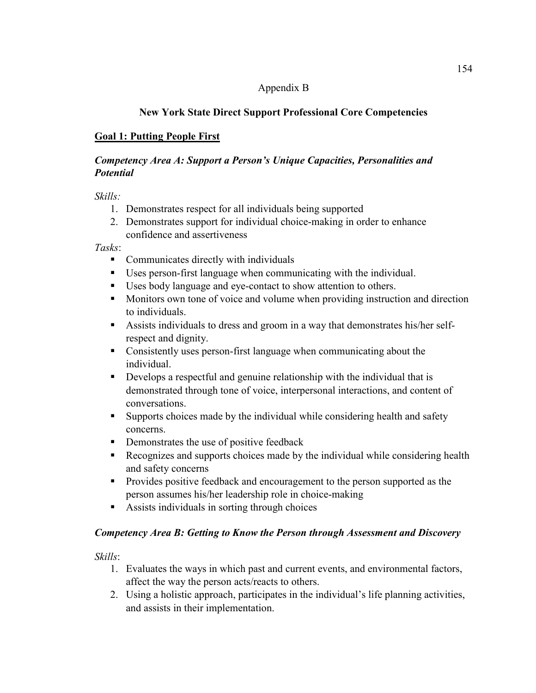#### Appendix B

## **New York State Direct Support Professional Core Competencies**

## **Goal 1: Putting People First**

#### *Competency Area A: Support a Person's Unique Capacities, Personalities and Potential*

*Skills:* 

- 1. Demonstrates respect for all individuals being supported
- 2. Demonstrates support for individual choice-making in order to enhance confidence and assertiveness

*Tasks*:

- Communicates directly with individuals
- Uses person-first language when communicating with the individual.
- Uses body language and eye-contact to show attention to others.
- **Monitors own tone of voice and volume when providing instruction and direction** to individuals.
- Assists individuals to dress and groom in a way that demonstrates his/her selfrespect and dignity.
- Consistently uses person-first language when communicating about the individual.
- Develops a respectful and genuine relationship with the individual that is demonstrated through tone of voice, interpersonal interactions, and content of conversations.
- Supports choices made by the individual while considering health and safety concerns.
- **•** Demonstrates the use of positive feedback
- Recognizes and supports choices made by the individual while considering health and safety concerns
- **Provides positive feedback and encouragement to the person supported as the** person assumes his/her leadership role in choice-making
- Assists individuals in sorting through choices

#### *Competency Area B: Getting to Know the Person through Assessment and Discovery*

*Skills*:

- 1. Evaluates the ways in which past and current events, and environmental factors, affect the way the person acts/reacts to others.
- 2. Using a holistic approach, participates in the individual's life planning activities, and assists in their implementation.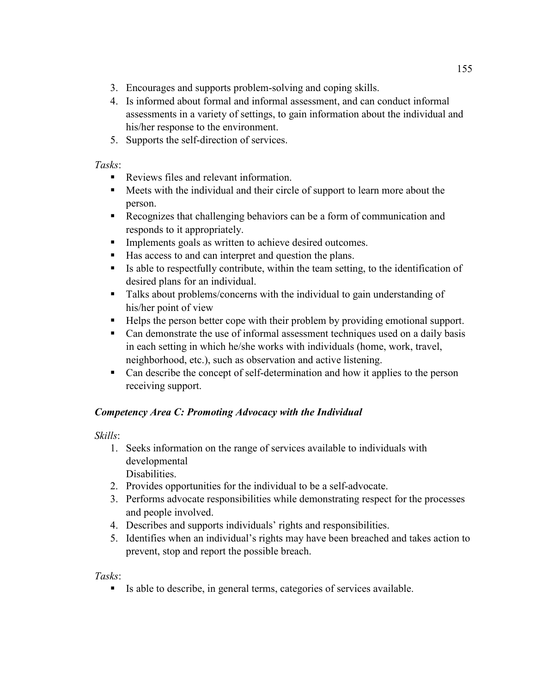- 3. Encourages and supports problem-solving and coping skills.
- 4. Is informed about formal and informal assessment, and can conduct informal assessments in a variety of settings, to gain information about the individual and his/her response to the environment.
- 5. Supports the self-direction of services.

#### *Tasks*:

- Reviews files and relevant information.
- Meets with the individual and their circle of support to learn more about the person.
- Recognizes that challenging behaviors can be a form of communication and responds to it appropriately.
- **Implements goals as written to achieve desired outcomes.**
- Has access to and can interpret and question the plans.
- Is able to respectfully contribute, within the team setting, to the identification of desired plans for an individual.
- Talks about problems/concerns with the individual to gain understanding of his/her point of view
- Helps the person better cope with their problem by providing emotional support.
- Can demonstrate the use of informal assessment techniques used on a daily basis in each setting in which he/she works with individuals (home, work, travel, neighborhood, etc.), such as observation and active listening.
- Can describe the concept of self-determination and how it applies to the person receiving support.

# *Competency Area C: Promoting Advocacy with the Individual*

## *Skills*:

1. Seeks information on the range of services available to individuals with developmental

Disabilities.

- 2. Provides opportunities for the individual to be a self-advocate.
- 3. Performs advocate responsibilities while demonstrating respect for the processes and people involved.
- 4. Describes and supports individuals' rights and responsibilities.
- 5. Identifies when an individual's rights may have been breached and takes action to prevent, stop and report the possible breach.

*Tasks*:

Is able to describe, in general terms, categories of services available.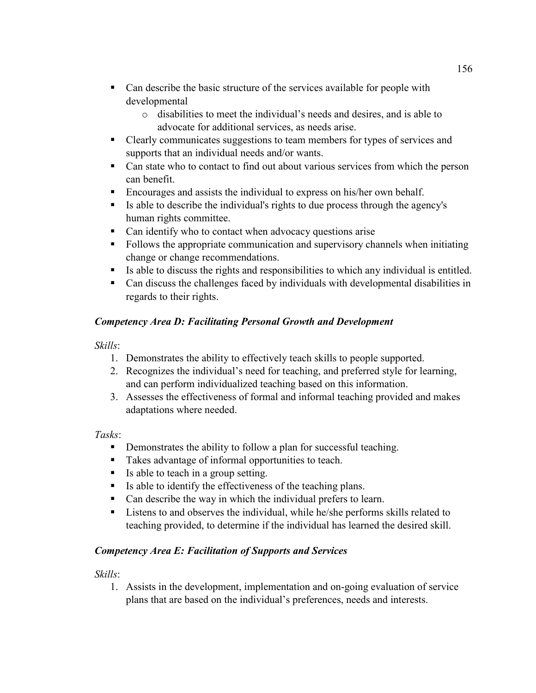- Can describe the basic structure of the services available for people with developmental
	- o disabilities to meet the individual's needs and desires, and is able to advocate for additional services, as needs arise.
- Clearly communicates suggestions to team members for types of services and supports that an individual needs and/or wants.
- Can state who to contact to find out about various services from which the person can benefit.
- Encourages and assists the individual to express on his/her own behalf.
- Is able to describe the individual's rights to due process through the agency's human rights committee.
- Can identify who to contact when advocacy questions arise
- Follows the appropriate communication and supervisory channels when initiating change or change recommendations.
- Is able to discuss the rights and responsibilities to which any individual is entitled.
- Can discuss the challenges faced by individuals with developmental disabilities in regards to their rights.

## *Competency Area D: Facilitating Personal Growth and Development*

#### *Skills*:

- 1. Demonstrates the ability to effectively teach skills to people supported.
- 2. Recognizes the individual's need for teaching, and preferred style for learning, and can perform individualized teaching based on this information.
- 3. Assesses the effectiveness of formal and informal teaching provided and makes adaptations where needed.

#### *Tasks*:

- Demonstrates the ability to follow a plan for successful teaching.
- Takes advantage of informal opportunities to teach.
- Is able to teach in a group setting.
- Is able to identify the effectiveness of the teaching plans.
- Can describe the way in which the individual prefers to learn.
- **Listens to and observes the individual, while he/she performs skills related to** teaching provided, to determine if the individual has learned the desired skill.

#### *Competency Area E: Facilitation of Supports and Services*

#### *Skills*:

1. Assists in the development, implementation and on-going evaluation of service plans that are based on the individual's preferences, needs and interests.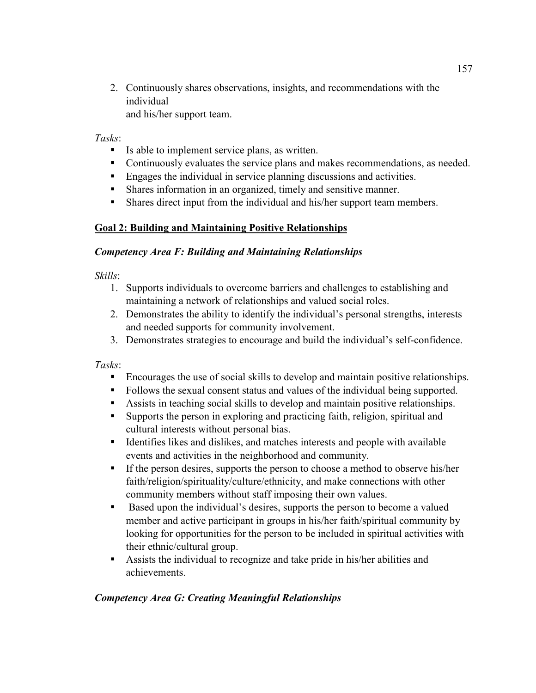2. Continuously shares observations, insights, and recommendations with the individual and his/her support team.

*Tasks*:

- Is able to implement service plans, as written.
- Continuously evaluates the service plans and makes recommendations, as needed.
- Engages the individual in service planning discussions and activities.
- Shares information in an organized, timely and sensitive manner.
- Shares direct input from the individual and his/her support team members.

## **Goal 2: Building and Maintaining Positive Relationships**

#### *Competency Area F: Building and Maintaining Relationships*

*Skills*:

- 1. Supports individuals to overcome barriers and challenges to establishing and maintaining a network of relationships and valued social roles.
- 2. Demonstrates the ability to identify the individual's personal strengths, interests and needed supports for community involvement.
- 3. Demonstrates strategies to encourage and build the individual's self-confidence.

*Tasks*:

- Encourages the use of social skills to develop and maintain positive relationships.
- Follows the sexual consent status and values of the individual being supported.
- Assists in teaching social skills to develop and maintain positive relationships.
- Supports the person in exploring and practicing faith, religion, spiritual and cultural interests without personal bias.
- Identifies likes and dislikes, and matches interests and people with available events and activities in the neighborhood and community.
- If the person desires, supports the person to choose a method to observe his/her faith/religion/spirituality/culture/ethnicity, and make connections with other community members without staff imposing their own values.
- Based upon the individual's desires, supports the person to become a valued member and active participant in groups in his/her faith/spiritual community by looking for opportunities for the person to be included in spiritual activities with their ethnic/cultural group.
- Assists the individual to recognize and take pride in his/her abilities and achievements.

## *Competency Area G: Creating Meaningful Relationships*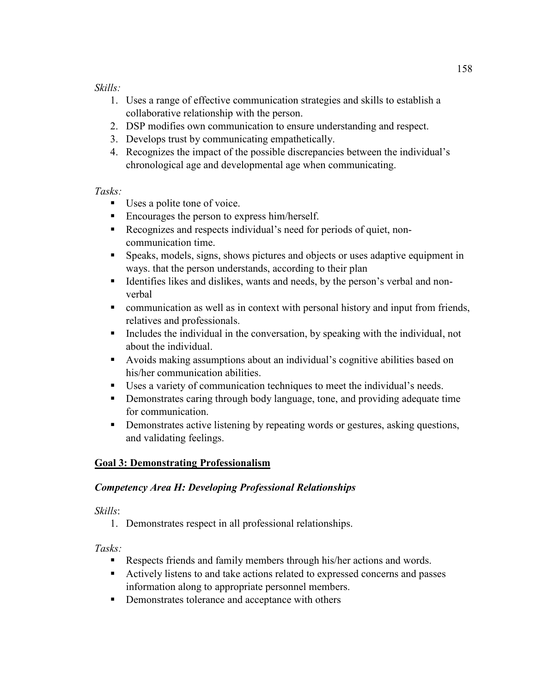### *Skills:*

- 1. Uses a range of effective communication strategies and skills to establish a collaborative relationship with the person.
- 2. DSP modifies own communication to ensure understanding and respect.
- 3. Develops trust by communicating empathetically.
- 4. Recognizes the impact of the possible discrepancies between the individual's chronological age and developmental age when communicating.

### *Tasks:*

- Uses a polite tone of voice.
- Encourages the person to express him/herself.
- Recognizes and respects individual's need for periods of quiet, noncommunication time.
- Speaks, models, signs, shows pictures and objects or uses adaptive equipment in ways. that the person understands, according to their plan
- Identifies likes and dislikes, wants and needs, by the person's verbal and nonverbal
- communication as well as in context with personal history and input from friends, relatives and professionals.
- Includes the individual in the conversation, by speaking with the individual, not about the individual.
- Avoids making assumptions about an individual's cognitive abilities based on his/her communication abilities.
- Uses a variety of communication techniques to meet the individual's needs.
- **•** Demonstrates caring through body language, tone, and providing adequate time for communication.
- **•** Demonstrates active listening by repeating words or gestures, asking questions, and validating feelings.

## **Goal 3: Demonstrating Professionalism**

## *Competency Area H: Developing Professional Relationships*

#### *Skills*:

1. Demonstrates respect in all professional relationships.

- Respects friends and family members through his/her actions and words.
- Actively listens to and take actions related to expressed concerns and passes information along to appropriate personnel members.
- Demonstrates tolerance and acceptance with others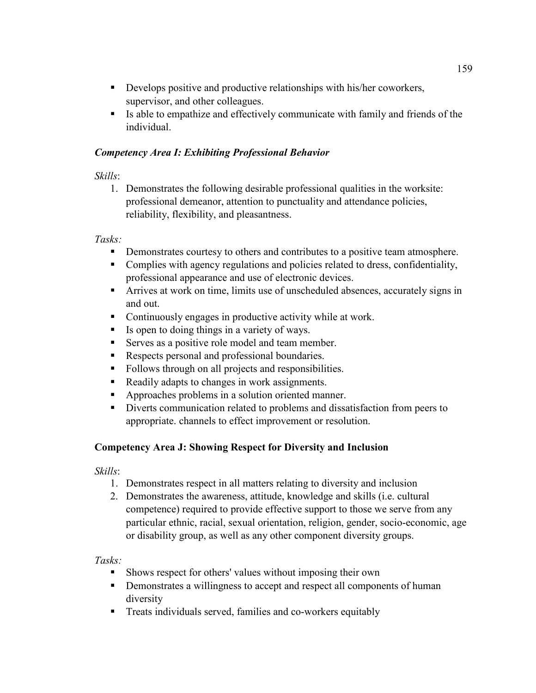- Develops positive and productive relationships with his/her coworkers, supervisor, and other colleagues.
- Is able to empathize and effectively communicate with family and friends of the individual.

### *Competency Area I: Exhibiting Professional Behavior*

## *Skills*:

1. Demonstrates the following desirable professional qualities in the worksite: professional demeanor, attention to punctuality and attendance policies, reliability, flexibility, and pleasantness.

## *Tasks:*

- Demonstrates courtesy to others and contributes to a positive team atmosphere.
- Complies with agency regulations and policies related to dress, confidentiality, professional appearance and use of electronic devices.
- Arrives at work on time, limits use of unscheduled absences, accurately signs in and out.
- Continuously engages in productive activity while at work.
- Is open to doing things in a variety of ways.
- Serves as a positive role model and team member.
- Respects personal and professional boundaries.
- Follows through on all projects and responsibilities.
- Readily adapts to changes in work assignments.
- Approaches problems in a solution oriented manner.
- Diverts communication related to problems and dissatisfaction from peers to appropriate. channels to effect improvement or resolution.

## **Competency Area J: Showing Respect for Diversity and Inclusion**

*Skills*:

- 1. Demonstrates respect in all matters relating to diversity and inclusion
- 2. Demonstrates the awareness, attitude, knowledge and skills (i.e. cultural competence) required to provide effective support to those we serve from any particular ethnic, racial, sexual orientation, religion, gender, socio-economic, age or disability group, as well as any other component diversity groups.

- Shows respect for others' values without imposing their own
- Demonstrates a willingness to accept and respect all components of human diversity
- Treats individuals served, families and co-workers equitably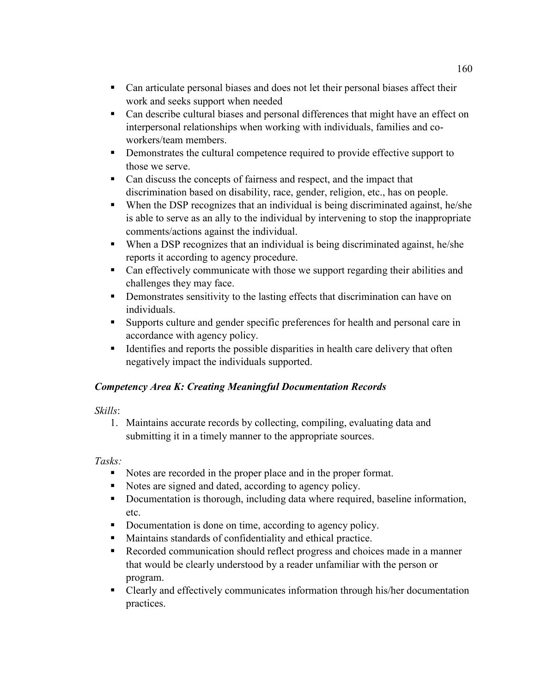- Can articulate personal biases and does not let their personal biases affect their work and seeks support when needed
- Can describe cultural biases and personal differences that might have an effect on interpersonal relationships when working with individuals, families and coworkers/team members.
- Demonstrates the cultural competence required to provide effective support to those we serve.
- Can discuss the concepts of fairness and respect, and the impact that discrimination based on disability, race, gender, religion, etc., has on people.
- When the DSP recognizes that an individual is being discriminated against, he/she is able to serve as an ally to the individual by intervening to stop the inappropriate comments/actions against the individual.
- When a DSP recognizes that an individual is being discriminated against, he/she reports it according to agency procedure.
- Can effectively communicate with those we support regarding their abilities and challenges they may face.
- **•** Demonstrates sensitivity to the lasting effects that discrimination can have on individuals.
- Supports culture and gender specific preferences for health and personal care in accordance with agency policy.
- Identifies and reports the possible disparities in health care delivery that often negatively impact the individuals supported.

## *Competency Area K: Creating Meaningful Documentation Records*

## *Skills*:

1. Maintains accurate records by collecting, compiling, evaluating data and submitting it in a timely manner to the appropriate sources.

- Notes are recorded in the proper place and in the proper format.
- Notes are signed and dated, according to agency policy.
- Documentation is thorough, including data where required, baseline information, etc.
- Documentation is done on time, according to agency policy.
- Maintains standards of confidentiality and ethical practice.
- Recorded communication should reflect progress and choices made in a manner that would be clearly understood by a reader unfamiliar with the person or program.
- Clearly and effectively communicates information through his/her documentation practices.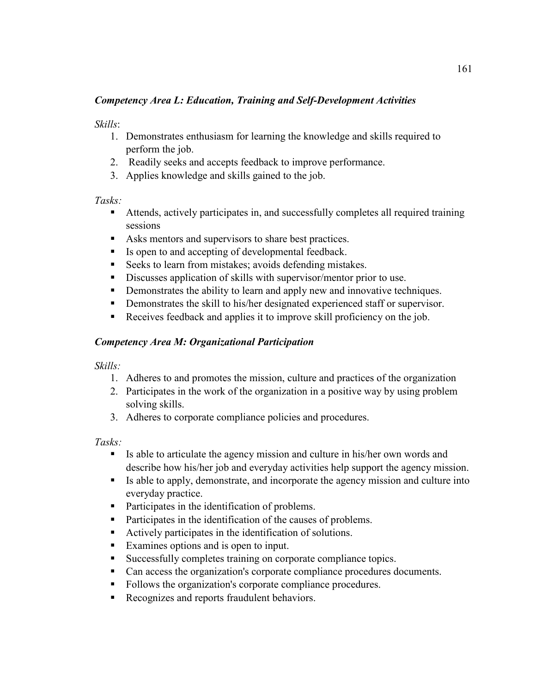#### *Competency Area L: Education, Training and Self-Development Activities*

#### *Skills*:

- 1. Demonstrates enthusiasm for learning the knowledge and skills required to perform the job.
- 2. Readily seeks and accepts feedback to improve performance.
- 3. Applies knowledge and skills gained to the job.

### *Tasks:*

- Attends, actively participates in, and successfully completes all required training sessions
- Asks mentors and supervisors to share best practices.
- Is open to and accepting of developmental feedback.
- Seeks to learn from mistakes; avoids defending mistakes.
- Discusses application of skills with supervisor/mentor prior to use.
- Demonstrates the ability to learn and apply new and innovative techniques.
- Demonstrates the skill to his/her designated experienced staff or supervisor.
- Receives feedback and applies it to improve skill proficiency on the job.

## *Competency Area M: Organizational Participation*

## *Skills:*

- 1. Adheres to and promotes the mission, culture and practices of the organization
- 2. Participates in the work of the organization in a positive way by using problem solving skills.
- 3. Adheres to corporate compliance policies and procedures.

- Is able to articulate the agency mission and culture in his/her own words and describe how his/her job and everyday activities help support the agency mission.
- Is able to apply, demonstrate, and incorporate the agency mission and culture into everyday practice.
- Participates in the identification of problems.
- **Participates in the identification of the causes of problems.**
- Actively participates in the identification of solutions.
- Examines options and is open to input.
- Successfully completes training on corporate compliance topics.
- Can access the organization's corporate compliance procedures documents.
- Follows the organization's corporate compliance procedures.
- Recognizes and reports fraudulent behaviors.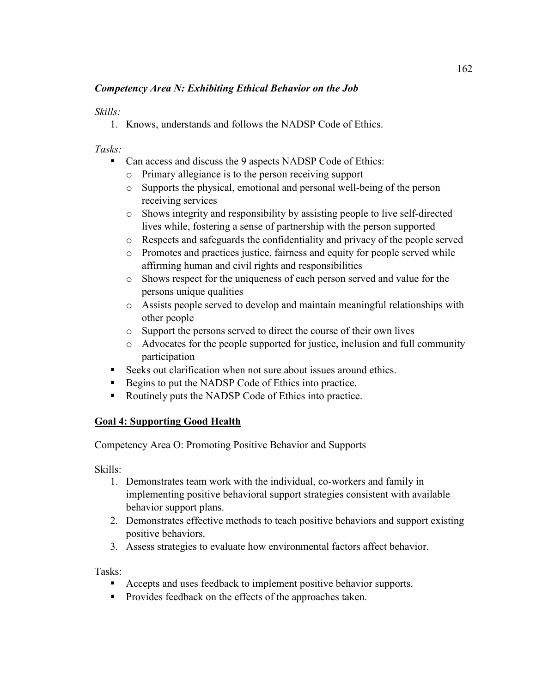### *Competency Area N: Exhibiting Ethical Behavior on the Job*

#### *Skills:*

1. Knows, understands and follows the NADSP Code of Ethics.

*Tasks:* 

- Can access and discuss the 9 aspects NADSP Code of Ethics:
	- o Primary allegiance is to the person receiving support
	- o Supports the physical, emotional and personal well-being of the person receiving services
	- o Shows integrity and responsibility by assisting people to live self-directed lives while, fostering a sense of partnership with the person supported
	- o Respects and safeguards the confidentiality and privacy of the people served
	- o Promotes and practices justice, fairness and equity for people served while affirming human and civil rights and responsibilities
	- o Shows respect for the uniqueness of each person served and value for the persons unique qualities
	- o Assists people served to develop and maintain meaningful relationships with other people
	- o Support the persons served to direct the course of their own lives
	- o Advocates for the people supported for justice, inclusion and full community participation
- Seeks out clarification when not sure about issues around ethics.
- Begins to put the NADSP Code of Ethics into practice.
- Routinely puts the NADSP Code of Ethics into practice.

## **Goal 4: Supporting Good Health**

Competency Area O: Promoting Positive Behavior and Supports

Skills:

- 1. Demonstrates team work with the individual, co-workers and family in implementing positive behavioral support strategies consistent with available behavior support plans.
- 2. Demonstrates effective methods to teach positive behaviors and support existing positive behaviors.
- 3. Assess strategies to evaluate how environmental factors affect behavior.

- Accepts and uses feedback to implement positive behavior supports.
- **Provides feedback on the effects of the approaches taken.**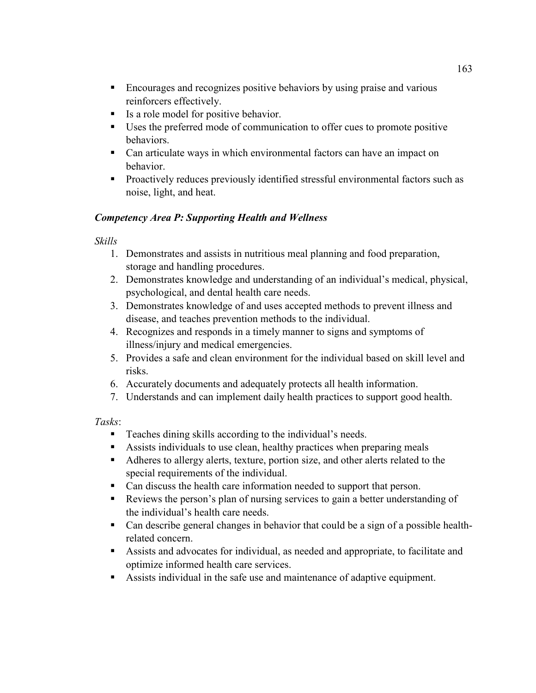- Encourages and recognizes positive behaviors by using praise and various reinforcers effectively.
- Is a role model for positive behavior.
- Uses the preferred mode of communication to offer cues to promote positive behaviors.
- Can articulate ways in which environmental factors can have an impact on behavior.
- Proactively reduces previously identified stressful environmental factors such as noise, light, and heat.

# *Competency Area P: Supporting Health and Wellness*

# *Skills*

- 1. Demonstrates and assists in nutritious meal planning and food preparation, storage and handling procedures.
- 2. Demonstrates knowledge and understanding of an individual's medical, physical, psychological, and dental health care needs.
- 3. Demonstrates knowledge of and uses accepted methods to prevent illness and disease, and teaches prevention methods to the individual.
- 4. Recognizes and responds in a timely manner to signs and symptoms of illness/injury and medical emergencies.
- 5. Provides a safe and clean environment for the individual based on skill level and risks.
- 6. Accurately documents and adequately protects all health information.
- 7. Understands and can implement daily health practices to support good health.

- Teaches dining skills according to the individual's needs.
- Assists individuals to use clean, healthy practices when preparing meals
- Adheres to allergy alerts, texture, portion size, and other alerts related to the special requirements of the individual.
- Can discuss the health care information needed to support that person.
- Reviews the person's plan of nursing services to gain a better understanding of the individual's health care needs.
- Can describe general changes in behavior that could be a sign of a possible healthrelated concern.
- Assists and advocates for individual, as needed and appropriate, to facilitate and optimize informed health care services.
- Assists individual in the safe use and maintenance of adaptive equipment.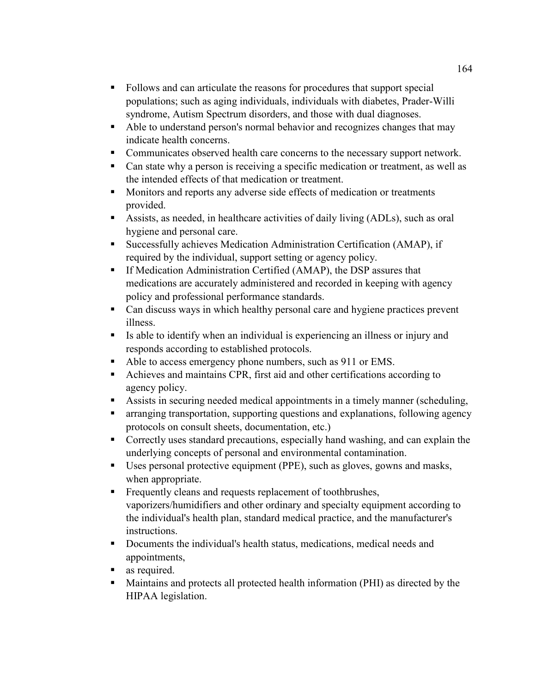- Follows and can articulate the reasons for procedures that support special populations; such as aging individuals, individuals with diabetes, Prader-Willi syndrome, Autism Spectrum disorders, and those with dual diagnoses.
- Able to understand person's normal behavior and recognizes changes that may indicate health concerns.
- Communicates observed health care concerns to the necessary support network.
- Can state why a person is receiving a specific medication or treatment, as well as the intended effects of that medication or treatment.
- Monitors and reports any adverse side effects of medication or treatments provided.
- Assists, as needed, in healthcare activities of daily living (ADLs), such as oral hygiene and personal care.
- Successfully achieves Medication Administration Certification (AMAP), if required by the individual, support setting or agency policy.
- **If Medication Administration Certified (AMAP), the DSP assures that** medications are accurately administered and recorded in keeping with agency policy and professional performance standards.
- Can discuss ways in which healthy personal care and hygiene practices prevent illness.
- Is able to identify when an individual is experiencing an illness or injury and responds according to established protocols.
- Able to access emergency phone numbers, such as 911 or EMS.
- Achieves and maintains CPR, first aid and other certifications according to agency policy.
- Assists in securing needed medical appointments in a timely manner (scheduling,
- arranging transportation, supporting questions and explanations, following agency protocols on consult sheets, documentation, etc.)
- Correctly uses standard precautions, especially hand washing, and can explain the underlying concepts of personal and environmental contamination.
- Uses personal protective equipment (PPE), such as gloves, gowns and masks, when appropriate.
- Frequently cleans and requests replacement of toothbrushes, vaporizers/humidifiers and other ordinary and specialty equipment according to the individual's health plan, standard medical practice, and the manufacturer's instructions.
- Documents the individual's health status, medications, medical needs and appointments,
- **as required.**
- Maintains and protects all protected health information (PHI) as directed by the HIPAA legislation.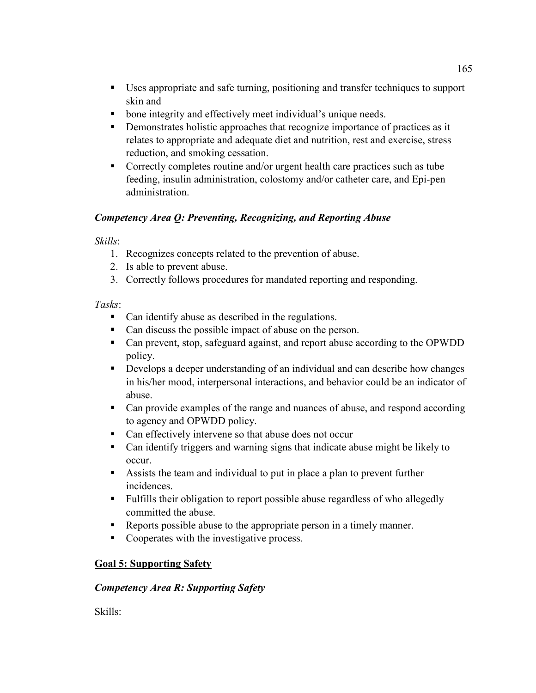- Uses appropriate and safe turning, positioning and transfer techniques to support skin and
- **bone integrity and effectively meet individual's unique needs.**
- **•** Demonstrates holistic approaches that recognize importance of practices as it relates to appropriate and adequate diet and nutrition, rest and exercise, stress reduction, and smoking cessation.
- Correctly completes routine and/or urgent health care practices such as tube feeding, insulin administration, colostomy and/or catheter care, and Epi-pen administration.

## *Competency Area Q: Preventing, Recognizing, and Reporting Abuse*

#### *Skills*:

- 1. Recognizes concepts related to the prevention of abuse.
- 2. Is able to prevent abuse.
- 3. Correctly follows procedures for mandated reporting and responding.

#### *Tasks*:

- Can identify abuse as described in the regulations.
- Can discuss the possible impact of abuse on the person.
- Can prevent, stop, safeguard against, and report abuse according to the OPWDD policy.
- Develops a deeper understanding of an individual and can describe how changes in his/her mood, interpersonal interactions, and behavior could be an indicator of abuse.
- Can provide examples of the range and nuances of abuse, and respond according to agency and OPWDD policy.
- Can effectively intervene so that abuse does not occur
- Can identify triggers and warning signs that indicate abuse might be likely to occur.
- Assists the team and individual to put in place a plan to prevent further incidences.
- Fulfills their obligation to report possible abuse regardless of who allegedly committed the abuse.
- Reports possible abuse to the appropriate person in a timely manner.
- Cooperates with the investigative process.

#### **Goal 5: Supporting Safety**

#### *Competency Area R: Supporting Safety*

Skills: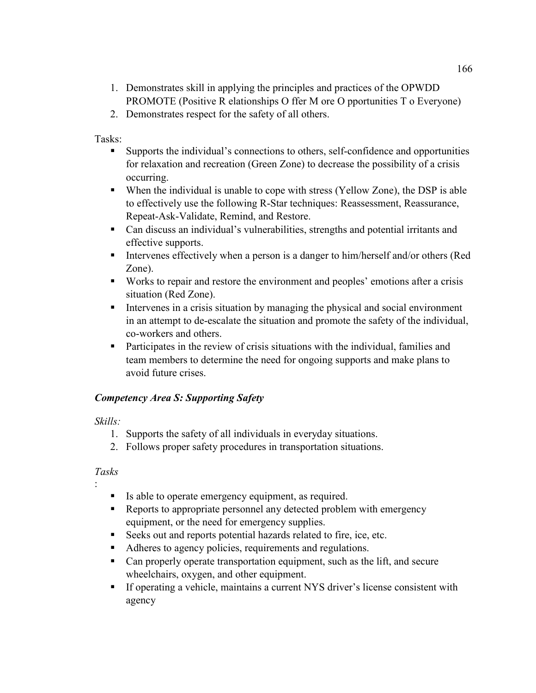- 1. Demonstrates skill in applying the principles and practices of the OPWDD PROMOTE (Positive R elationships O ffer M ore O pportunities T o Everyone)
- 2. Demonstrates respect for the safety of all others.

Tasks:

- Supports the individual's connections to others, self-confidence and opportunities for relaxation and recreation (Green Zone) to decrease the possibility of a crisis occurring.
- When the individual is unable to cope with stress (Yellow Zone), the DSP is able to effectively use the following R-Star techniques: Reassessment, Reassurance, Repeat-Ask-Validate, Remind, and Restore.
- Can discuss an individual's vulnerabilities, strengths and potential irritants and effective supports.
- Intervenes effectively when a person is a danger to him/herself and/or others (Red Zone).
- Works to repair and restore the environment and peoples' emotions after a crisis situation (Red Zone).
- Intervenes in a crisis situation by managing the physical and social environment in an attempt to de-escalate the situation and promote the safety of the individual, co-workers and others.
- Participates in the review of crisis situations with the individual, families and team members to determine the need for ongoing supports and make plans to avoid future crises.

#### *Competency Area S: Supporting Safety*

#### *Skills:*

- 1. Supports the safety of all individuals in everyday situations.
- 2. Follows proper safety procedures in transportation situations.

#### *Tasks*

:

- Is able to operate emergency equipment, as required.
- Reports to appropriate personnel any detected problem with emergency equipment, or the need for emergency supplies.
- Seeks out and reports potential hazards related to fire, ice, etc.
- Adheres to agency policies, requirements and regulations.
- Can properly operate transportation equipment, such as the lift, and secure wheelchairs, oxygen, and other equipment.
- If operating a vehicle, maintains a current NYS driver's license consistent with agency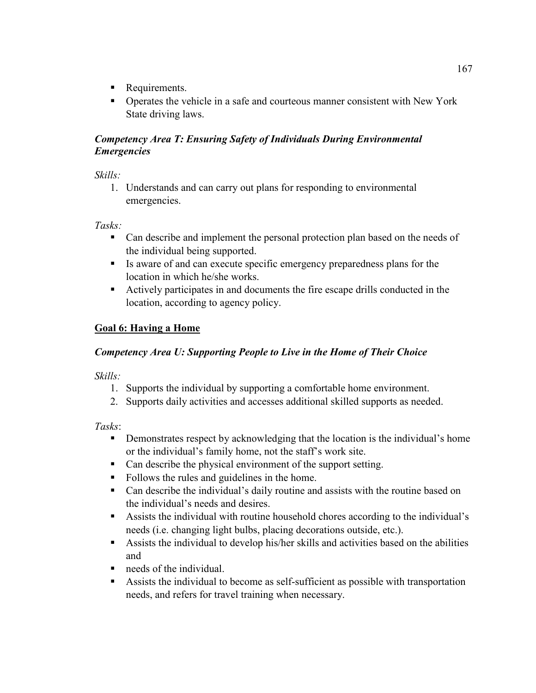- Requirements.
- Operates the vehicle in a safe and courteous manner consistent with New York State driving laws.

### *Competency Area T: Ensuring Safety of Individuals During Environmental Emergencies*

*Skills:* 

1. Understands and can carry out plans for responding to environmental emergencies.

*Tasks:* 

- Can describe and implement the personal protection plan based on the needs of the individual being supported.
- Is aware of and can execute specific emergency preparedness plans for the location in which he/she works.
- Actively participates in and documents the fire escape drills conducted in the location, according to agency policy.

## **Goal 6: Having a Home**

### *Competency Area U: Supporting People to Live in the Home of Their Choice*

*Skills:* 

- 1. Supports the individual by supporting a comfortable home environment.
- 2. Supports daily activities and accesses additional skilled supports as needed.

- **•** Demonstrates respect by acknowledging that the location is the individual's home or the individual's family home, not the staff's work site.
- Can describe the physical environment of the support setting.
- Follows the rules and guidelines in the home.
- Can describe the individual's daily routine and assists with the routine based on the individual's needs and desires.
- Assists the individual with routine household chores according to the individual's needs (i.e. changing light bulbs, placing decorations outside, etc.).
- Assists the individual to develop his/her skills and activities based on the abilities and
- needs of the individual.
- Assists the individual to become as self-sufficient as possible with transportation needs, and refers for travel training when necessary.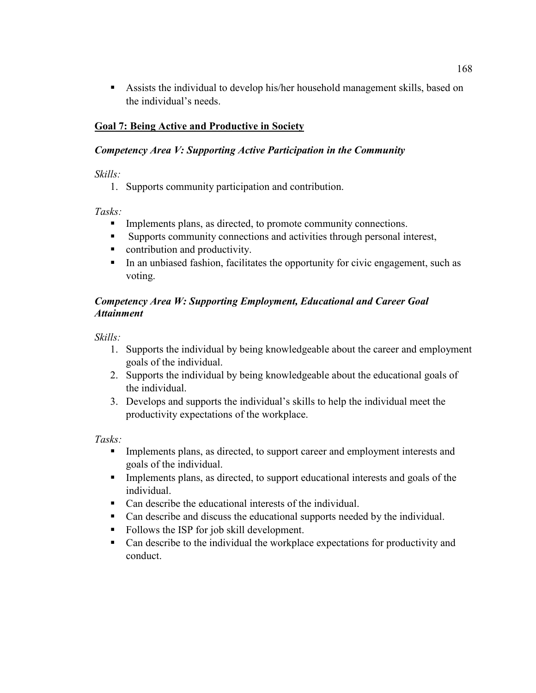Assists the individual to develop his/her household management skills, based on the individual's needs.

# **Goal 7: Being Active and Productive in Society**

### *Competency Area V: Supporting Active Participation in the Community*

*Skills:* 

1. Supports community participation and contribution.

*Tasks:* 

- $\blacksquare$  Implements plans, as directed, to promote community connections.
- Supports community connections and activities through personal interest,
- contribution and productivity.
- In an unbiased fashion, facilitates the opportunity for civic engagement, such as voting.

# *Competency Area W: Supporting Employment, Educational and Career Goal Attainment*

*Skills:* 

- 1. Supports the individual by being knowledgeable about the career and employment goals of the individual.
- 2. Supports the individual by being knowledgeable about the educational goals of the individual.
- 3. Develops and supports the individual's skills to help the individual meet the productivity expectations of the workplace.

*Tasks:* 

- Implements plans, as directed, to support career and employment interests and goals of the individual.
- Implements plans, as directed, to support educational interests and goals of the individual.
- Can describe the educational interests of the individual.
- Can describe and discuss the educational supports needed by the individual.
- Follows the ISP for job skill development.
- Can describe to the individual the workplace expectations for productivity and conduct.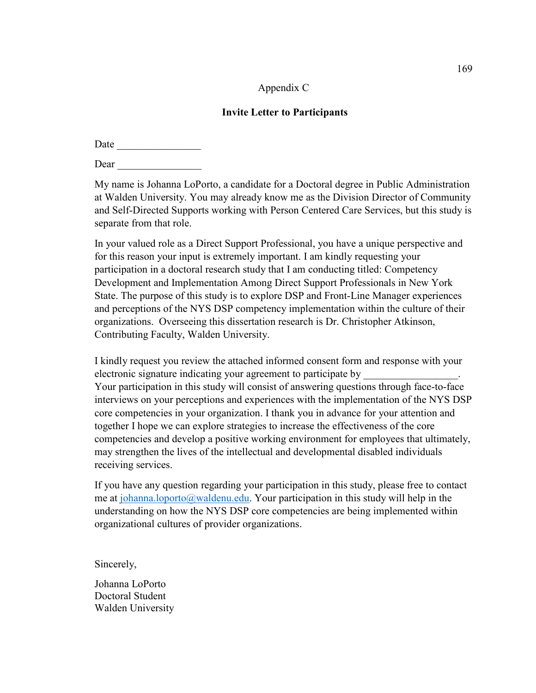#### Appendix C

#### **Invite Letter to Participants**

| Date |  |  |  |
|------|--|--|--|
| Dear |  |  |  |

My name is Johanna LoPorto, a candidate for a Doctoral degree in Public Administration at Walden University. You may already know me as the Division Director of Community and Self-Directed Supports working with Person Centered Care Services, but this study is separate from that role.

In your valued role as a Direct Support Professional, you have a unique perspective and for this reason your input is extremely important. I am kindly requesting your participation in a doctoral research study that I am conducting titled: Competency Development and Implementation Among Direct Support Professionals in New York State. The purpose of this study is to explore DSP and Front-Line Manager experiences and perceptions of the NYS DSP competency implementation within the culture of their organizations. Overseeing this dissertation research is Dr. Christopher Atkinson, Contributing Faculty, Walden University.

I kindly request you review the attached informed consent form and response with your electronic signature indicating your agreement to participate by Your participation in this study will consist of answering questions through face-to-face interviews on your perceptions and experiences with the implementation of the NYS DSP core competencies in your organization. I thank you in advance for your attention and together I hope we can explore strategies to increase the effectiveness of the core competencies and develop a positive working environment for employees that ultimately, may strengthen the lives of the intellectual and developmental disabled individuals receiving services.

If you have any question regarding your participation in this study, please free to contact me at johanna.loporto@waldenu.edu. Your participation in this study will help in the understanding on how the NYS DSP core competencies are being implemented within organizational cultures of provider organizations.

Sincerely,

Johanna LoPorto Doctoral Student Walden University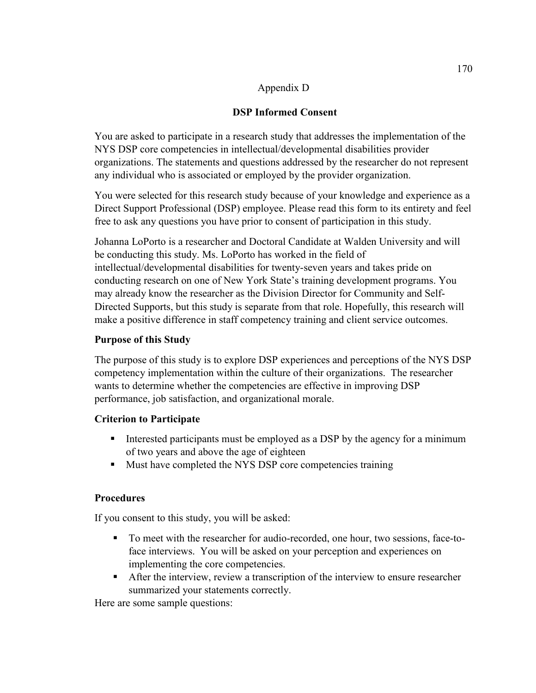#### Appendix D

## **DSP Informed Consent**

You are asked to participate in a research study that addresses the implementation of the NYS DSP core competencies in intellectual/developmental disabilities provider organizations. The statements and questions addressed by the researcher do not represent any individual who is associated or employed by the provider organization.

You were selected for this research study because of your knowledge and experience as a Direct Support Professional (DSP) employee. Please read this form to its entirety and feel free to ask any questions you have prior to consent of participation in this study.

Johanna LoPorto is a researcher and Doctoral Candidate at Walden University and will be conducting this study. Ms. LoPorto has worked in the field of intellectual/developmental disabilities for twenty-seven years and takes pride on conducting research on one of New York State's training development programs. You may already know the researcher as the Division Director for Community and Self-Directed Supports, but this study is separate from that role. Hopefully, this research will make a positive difference in staff competency training and client service outcomes.

# **Purpose of this Study**

The purpose of this study is to explore DSP experiences and perceptions of the NYS DSP competency implementation within the culture of their organizations. The researcher wants to determine whether the competencies are effective in improving DSP performance, job satisfaction, and organizational morale.

### **Criterion to Participate**

- Interested participants must be employed as a DSP by the agency for a minimum of two years and above the age of eighteen
- Must have completed the NYS DSP core competencies training

### **Procedures**

If you consent to this study, you will be asked:

- To meet with the researcher for audio-recorded, one hour, two sessions, face-toface interviews. You will be asked on your perception and experiences on implementing the core competencies.
- After the interview, review a transcription of the interview to ensure researcher summarized your statements correctly.

Here are some sample questions: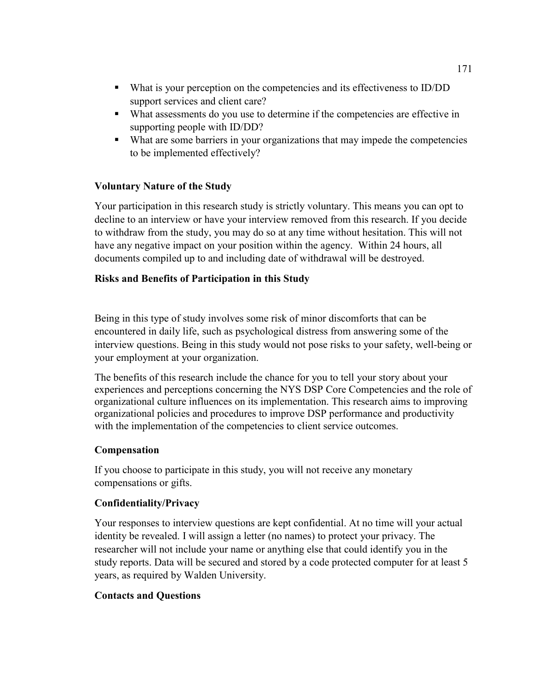- What is your perception on the competencies and its effectiveness to ID/DD support services and client care?
- What assessments do you use to determine if the competencies are effective in supporting people with ID/DD?
- What are some barriers in your organizations that may impede the competencies to be implemented effectively?

### **Voluntary Nature of the Study**

Your participation in this research study is strictly voluntary. This means you can opt to decline to an interview or have your interview removed from this research. If you decide to withdraw from the study, you may do so at any time without hesitation. This will not have any negative impact on your position within the agency. Within 24 hours, all documents compiled up to and including date of withdrawal will be destroyed.

### **Risks and Benefits of Participation in this Study**

Being in this type of study involves some risk of minor discomforts that can be encountered in daily life, such as psychological distress from answering some of the interview questions. Being in this study would not pose risks to your safety, well-being or your employment at your organization.

The benefits of this research include the chance for you to tell your story about your experiences and perceptions concerning the NYS DSP Core Competencies and the role of organizational culture influences on its implementation. This research aims to improving organizational policies and procedures to improve DSP performance and productivity with the implementation of the competencies to client service outcomes.

### **Compensation**

If you choose to participate in this study, you will not receive any monetary compensations or gifts.

### **Confidentiality/Privacy**

Your responses to interview questions are kept confidential. At no time will your actual identity be revealed. I will assign a letter (no names) to protect your privacy. The researcher will not include your name or anything else that could identify you in the study reports. Data will be secured and stored by a code protected computer for at least 5 years, as required by Walden University.

# **Contacts and Questions**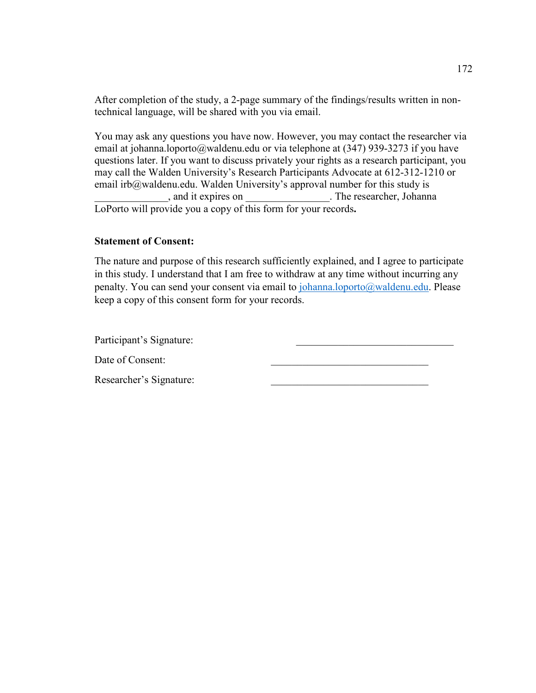After completion of the study, a 2-page summary of the findings/results written in nontechnical language, will be shared with you via email.

You may ask any questions you have now. However, you may contact the researcher via email at johanna.loporto@waldenu.edu or via telephone at (347) 939-3273 if you have questions later. If you want to discuss privately your rights as a research participant, you may call the Walden University's Research Participants Advocate at 612-312-1210 or email irb@waldenu.edu. Walden University's approval number for this study is \_\_\_\_\_\_\_\_\_\_\_\_\_\_, and it expires on \_\_\_\_\_\_\_\_\_\_\_\_\_\_\_\_. The researcher, Johanna LoPorto will provide you a copy of this form for your records.

#### **Statement of Consent:**

The nature and purpose of this research sufficiently explained, and I agree to participate in this study. I understand that I am free to withdraw at any time without incurring any penalty. You can send your consent via email to johanna.loporto@waldenu.edu. Please keep a copy of this consent form for your records.

Participant's Signature:

Date of Consent:

Researcher's Signature: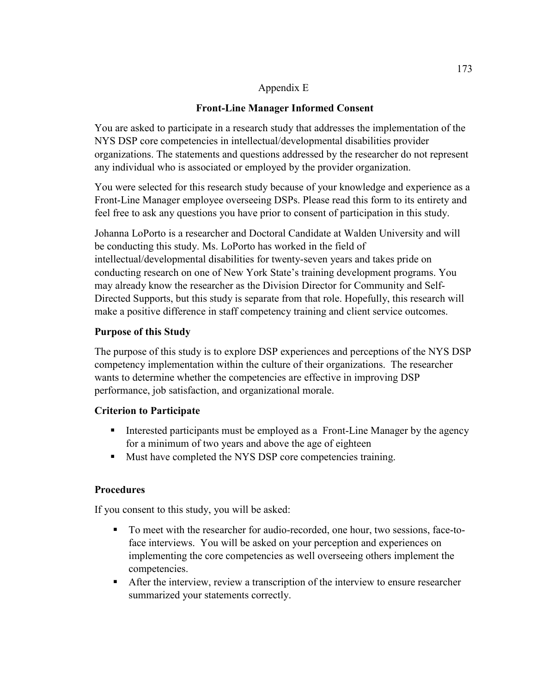#### Appendix E

# **Front-Line Manager Informed Consent**

You are asked to participate in a research study that addresses the implementation of the NYS DSP core competencies in intellectual/developmental disabilities provider organizations. The statements and questions addressed by the researcher do not represent any individual who is associated or employed by the provider organization.

You were selected for this research study because of your knowledge and experience as a Front-Line Manager employee overseeing DSPs. Please read this form to its entirety and feel free to ask any questions you have prior to consent of participation in this study.

Johanna LoPorto is a researcher and Doctoral Candidate at Walden University and will be conducting this study. Ms. LoPorto has worked in the field of intellectual/developmental disabilities for twenty-seven years and takes pride on conducting research on one of New York State's training development programs. You may already know the researcher as the Division Director for Community and Self-Directed Supports, but this study is separate from that role. Hopefully, this research will make a positive difference in staff competency training and client service outcomes.

### **Purpose of this Study**

The purpose of this study is to explore DSP experiences and perceptions of the NYS DSP competency implementation within the culture of their organizations. The researcher wants to determine whether the competencies are effective in improving DSP performance, job satisfaction, and organizational morale.

### **Criterion to Participate**

- Interested participants must be employed as a Front-Line Manager by the agency for a minimum of two years and above the age of eighteen
- Must have completed the NYS DSP core competencies training.

### **Procedures**

If you consent to this study, you will be asked:

- To meet with the researcher for audio-recorded, one hour, two sessions, face-toface interviews. You will be asked on your perception and experiences on implementing the core competencies as well overseeing others implement the competencies.
- After the interview, review a transcription of the interview to ensure researcher summarized your statements correctly.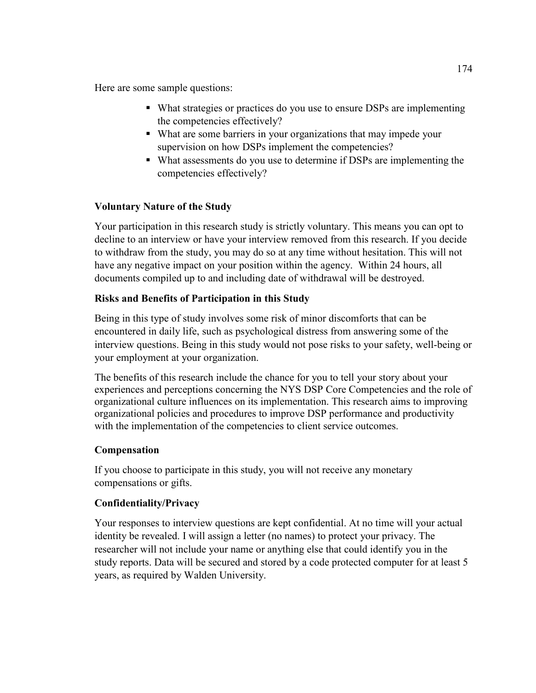Here are some sample questions:

- What strategies or practices do you use to ensure DSPs are implementing the competencies effectively?
- What are some barriers in your organizations that may impede your supervision on how DSPs implement the competencies?
- What assessments do you use to determine if DSPs are implementing the competencies effectively?

# **Voluntary Nature of the Study**

Your participation in this research study is strictly voluntary. This means you can opt to decline to an interview or have your interview removed from this research. If you decide to withdraw from the study, you may do so at any time without hesitation. This will not have any negative impact on your position within the agency. Within 24 hours, all documents compiled up to and including date of withdrawal will be destroyed.

# **Risks and Benefits of Participation in this Study**

Being in this type of study involves some risk of minor discomforts that can be encountered in daily life, such as psychological distress from answering some of the interview questions. Being in this study would not pose risks to your safety, well-being or your employment at your organization.

The benefits of this research include the chance for you to tell your story about your experiences and perceptions concerning the NYS DSP Core Competencies and the role of organizational culture influences on its implementation. This research aims to improving organizational policies and procedures to improve DSP performance and productivity with the implementation of the competencies to client service outcomes.

### **Compensation**

If you choose to participate in this study, you will not receive any monetary compensations or gifts.

### **Confidentiality/Privacy**

Your responses to interview questions are kept confidential. At no time will your actual identity be revealed. I will assign a letter (no names) to protect your privacy. The researcher will not include your name or anything else that could identify you in the study reports. Data will be secured and stored by a code protected computer for at least 5 years, as required by Walden University.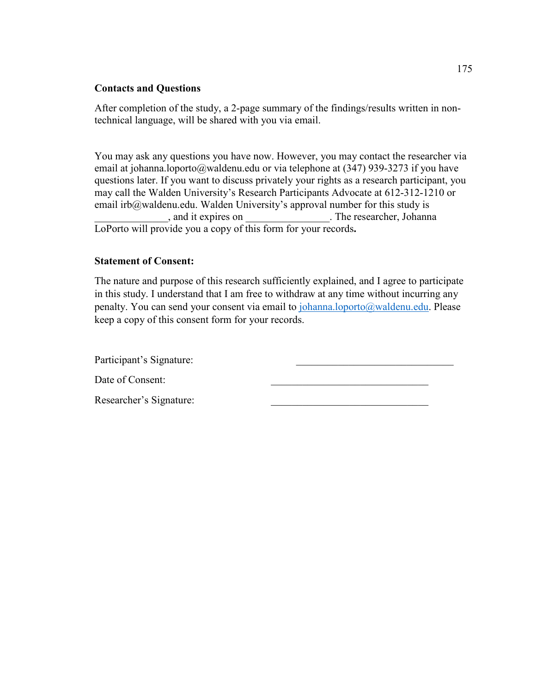#### **Contacts and Questions**

After completion of the study, a 2-page summary of the findings/results written in nontechnical language, will be shared with you via email.

You may ask any questions you have now. However, you may contact the researcher via email at johanna.loporto@waldenu.edu or via telephone at (347) 939-3273 if you have questions later. If you want to discuss privately your rights as a research participant, you may call the Walden University's Research Participants Advocate at 612-312-1210 or email irb@waldenu.edu. Walden University's approval number for this study is , and it expires on \_\_\_\_\_\_\_\_\_\_\_\_\_\_\_\_\_. The researcher, Johanna LoPorto will provide you a copy of this form for your records**.** 

#### **Statement of Consent:**

The nature and purpose of this research sufficiently explained, and I agree to participate in this study. I understand that I am free to withdraw at any time without incurring any penalty. You can send your consent via email to johanna.loporto@waldenu.edu. Please keep a copy of this consent form for your records.

Participant's Signature: Date of Consent: Researcher's Signature: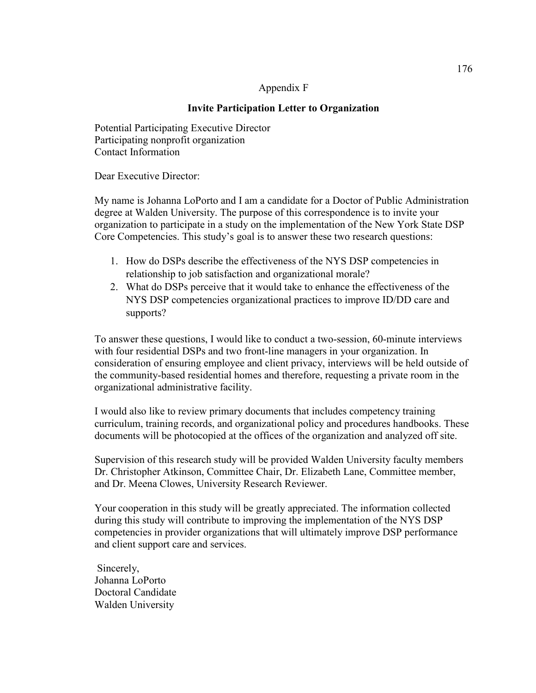#### Appendix F

## **Invite Participation Letter to Organization**

Potential Participating Executive Director Participating nonprofit organization Contact Information

Dear Executive Director:

My name is Johanna LoPorto and I am a candidate for a Doctor of Public Administration degree at Walden University. The purpose of this correspondence is to invite your organization to participate in a study on the implementation of the New York State DSP Core Competencies. This study's goal is to answer these two research questions:

- 1. How do DSPs describe the effectiveness of the NYS DSP competencies in relationship to job satisfaction and organizational morale?
- 2. What do DSPs perceive that it would take to enhance the effectiveness of the NYS DSP competencies organizational practices to improve ID/DD care and supports?

To answer these questions, I would like to conduct a two-session, 60-minute interviews with four residential DSPs and two front-line managers in your organization. In consideration of ensuring employee and client privacy, interviews will be held outside of the community-based residential homes and therefore, requesting a private room in the organizational administrative facility.

I would also like to review primary documents that includes competency training curriculum, training records, and organizational policy and procedures handbooks. These documents will be photocopied at the offices of the organization and analyzed off site.

Supervision of this research study will be provided Walden University faculty members Dr. Christopher Atkinson, Committee Chair, Dr. Elizabeth Lane, Committee member, and Dr. Meena Clowes, University Research Reviewer.

Your cooperation in this study will be greatly appreciated. The information collected during this study will contribute to improving the implementation of the NYS DSP competencies in provider organizations that will ultimately improve DSP performance and client support care and services.

 Sincerely, Johanna LoPorto Doctoral Candidate Walden University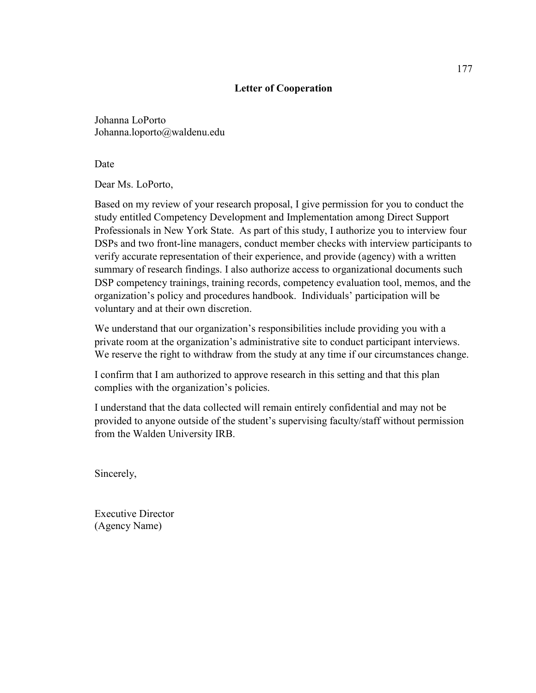#### **Letter of Cooperation**

Johanna LoPorto Johanna.loporto@waldenu.edu

Date

Dear Ms. LoPorto,

Based on my review of your research proposal, I give permission for you to conduct the study entitled Competency Development and Implementation among Direct Support Professionals in New York State. As part of this study, I authorize you to interview four DSPs and two front-line managers, conduct member checks with interview participants to verify accurate representation of their experience, and provide (agency) with a written summary of research findings. I also authorize access to organizational documents such DSP competency trainings, training records, competency evaluation tool, memos, and the organization's policy and procedures handbook. Individuals' participation will be voluntary and at their own discretion.

We understand that our organization's responsibilities include providing you with a private room at the organization's administrative site to conduct participant interviews. We reserve the right to withdraw from the study at any time if our circumstances change.

I confirm that I am authorized to approve research in this setting and that this plan complies with the organization's policies.

I understand that the data collected will remain entirely confidential and may not be provided to anyone outside of the student's supervising faculty/staff without permission from the Walden University IRB.

Sincerely,

Executive Director (Agency Name)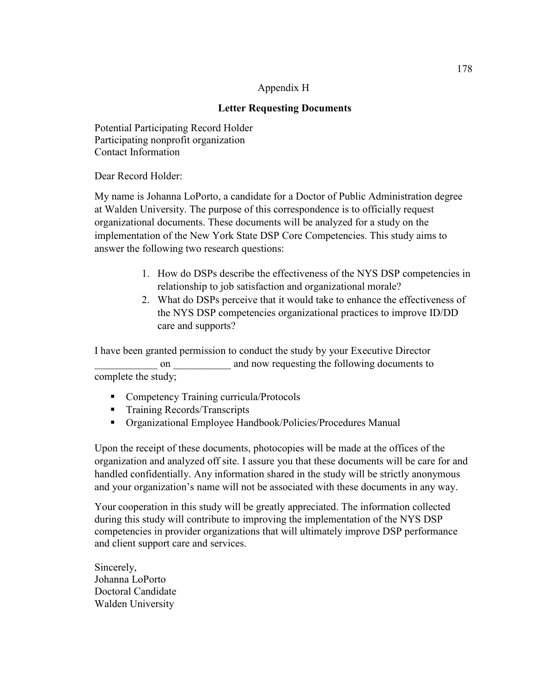#### Appendix H

## **Letter Requesting Documents**

Potential Participating Record Holder Participating nonprofit organization Contact Information

Dear Record Holder:

My name is Johanna LoPorto, a candidate for a Doctor of Public Administration degree at Walden University. The purpose of this correspondence is to officially request organizational documents. These documents will be analyzed for a study on the implementation of the New York State DSP Core Competencies. This study aims to answer the following two research questions:

- 1. How do DSPs describe the effectiveness of the NYS DSP competencies in relationship to job satisfaction and organizational morale?
- 2. What do DSPs perceive that it would take to enhance the effectiveness of the NYS DSP competencies organizational practices to improve ID/DD care and supports?

I have been granted permission to conduct the study by your Executive Director on and now requesting the following documents to complete the study;

- Competency Training curricula/Protocols
- **Training Records/Transcripts**
- Organizational Employee Handbook/Policies/Procedures Manual

Upon the receipt of these documents, photocopies will be made at the offices of the organization and analyzed off site. I assure you that these documents will be care for and handled confidentially. Any information shared in the study will be strictly anonymous and your organization's name will not be associated with these documents in any way.

Your cooperation in this study will be greatly appreciated. The information collected during this study will contribute to improving the implementation of the NYS DSP competencies in provider organizations that will ultimately improve DSP performance and client support care and services.

Sincerely, Johanna LoPorto Doctoral Candidate Walden University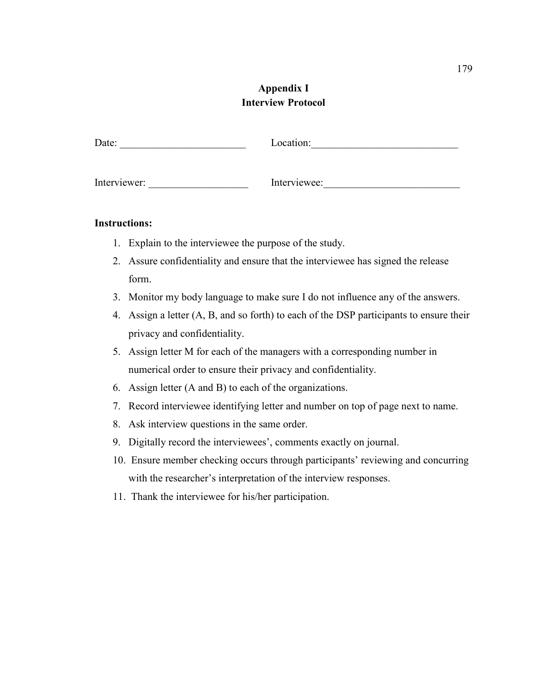# **Appendix I Interview Protocol**

| Date:        | Location:    |
|--------------|--------------|
| Interviewer: | Interviewee: |

#### **Instructions:**

- 1. Explain to the interviewee the purpose of the study.
- 2. Assure confidentiality and ensure that the interviewee has signed the release form.
- 3. Monitor my body language to make sure I do not influence any of the answers.
- 4. Assign a letter (A, B, and so forth) to each of the DSP participants to ensure their privacy and confidentiality.
- 5. Assign letter M for each of the managers with a corresponding number in numerical order to ensure their privacy and confidentiality.
- 6. Assign letter (A and B) to each of the organizations.
- 7. Record interviewee identifying letter and number on top of page next to name.
- 8. Ask interview questions in the same order.
- 9. Digitally record the interviewees', comments exactly on journal.
- 10. Ensure member checking occurs through participants' reviewing and concurring with the researcher's interpretation of the interview responses.
- 11. Thank the interviewee for his/her participation.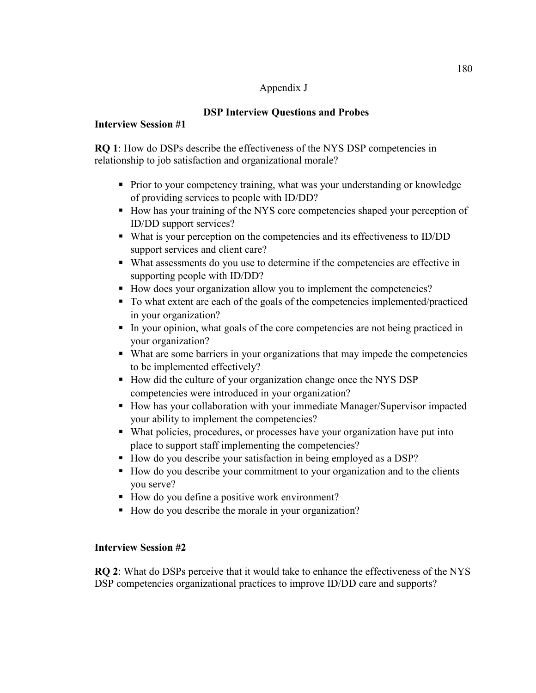#### Appendix J

# **DSP Interview Questions and Probes**

### **Interview Session #1**

**RQ 1**: How do DSPs describe the effectiveness of the NYS DSP competencies in relationship to job satisfaction and organizational morale?

- **Prior to your competency training, what was your understanding or knowledge** of providing services to people with ID/DD?
- How has your training of the NYS core competencies shaped your perception of ID/DD support services?
- What is your perception on the competencies and its effectiveness to ID/DD support services and client care?
- What assessments do you use to determine if the competencies are effective in supporting people with ID/DD?
- How does your organization allow you to implement the competencies?
- To what extent are each of the goals of the competencies implemented/practiced in your organization?
- In your opinion, what goals of the core competencies are not being practiced in your organization?
- What are some barriers in your organizations that may impede the competencies to be implemented effectively?
- How did the culture of your organization change once the NYS DSP competencies were introduced in your organization?
- How has your collaboration with your immediate Manager/Supervisor impacted your ability to implement the competencies?
- What policies, procedures, or processes have your organization have put into place to support staff implementing the competencies?
- How do you describe your satisfaction in being employed as a DSP?
- How do you describe your commitment to your organization and to the clients you serve?
- How do you define a positive work environment?
- How do you describe the morale in your organization?

### **Interview Session #2**

**RQ 2**: What do DSPs perceive that it would take to enhance the effectiveness of the NYS DSP competencies organizational practices to improve ID/DD care and supports?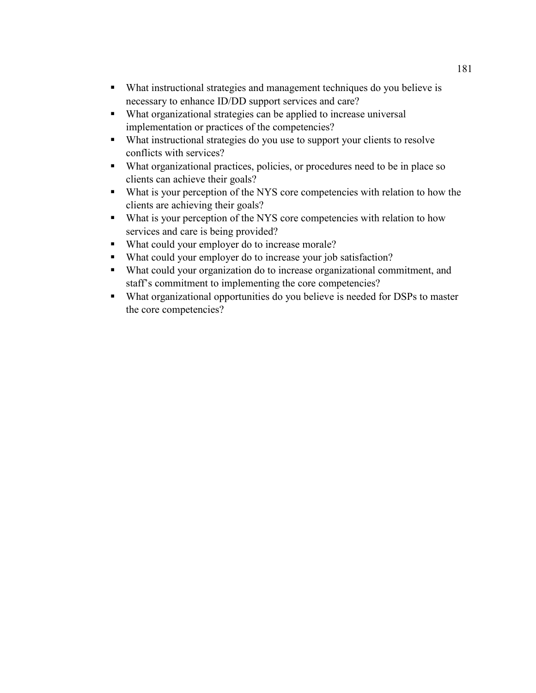- What instructional strategies and management techniques do you believe is necessary to enhance ID/DD support services and care?
- What organizational strategies can be applied to increase universal implementation or practices of the competencies?
- What instructional strategies do you use to support your clients to resolve conflicts with services?
- What organizational practices, policies, or procedures need to be in place so clients can achieve their goals?
- What is your perception of the NYS core competencies with relation to how the clients are achieving their goals?
- What is your perception of the NYS core competencies with relation to how services and care is being provided?
- What could your employer do to increase morale?
- What could your employer do to increase your job satisfaction?
- What could your organization do to increase organizational commitment, and staff's commitment to implementing the core competencies?
- What organizational opportunities do you believe is needed for DSPs to master the core competencies?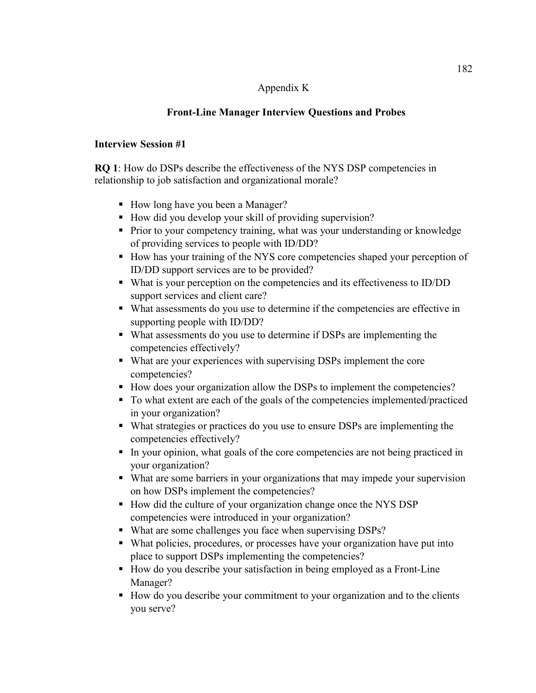#### Appendix K

# **Front-Line Manager Interview Questions and Probes**

#### **Interview Session #1**

**RQ 1**: How do DSPs describe the effectiveness of the NYS DSP competencies in relationship to job satisfaction and organizational morale?

- How long have you been a Manager?
- How did you develop your skill of providing supervision?
- **Prior to your competency training, what was your understanding or knowledge** of providing services to people with ID/DD?
- How has your training of the NYS core competencies shaped your perception of ID/DD support services are to be provided?
- What is your perception on the competencies and its effectiveness to ID/DD support services and client care?
- What assessments do you use to determine if the competencies are effective in supporting people with ID/DD?
- What assessments do you use to determine if DSPs are implementing the competencies effectively?
- What are your experiences with supervising DSPs implement the core competencies?
- How does your organization allow the DSPs to implement the competencies?
- To what extent are each of the goals of the competencies implemented/practiced in your organization?
- What strategies or practices do you use to ensure DSPs are implementing the competencies effectively?
- In your opinion, what goals of the core competencies are not being practiced in your organization?
- What are some barriers in your organizations that may impede your supervision on how DSPs implement the competencies?
- How did the culture of your organization change once the NYS DSP competencies were introduced in your organization?
- What are some challenges you face when supervising DSPs?
- What policies, procedures, or processes have your organization have put into place to support DSPs implementing the competencies?
- How do you describe your satisfaction in being employed as a Front-Line Manager?
- How do you describe your commitment to your organization and to the clients you serve?